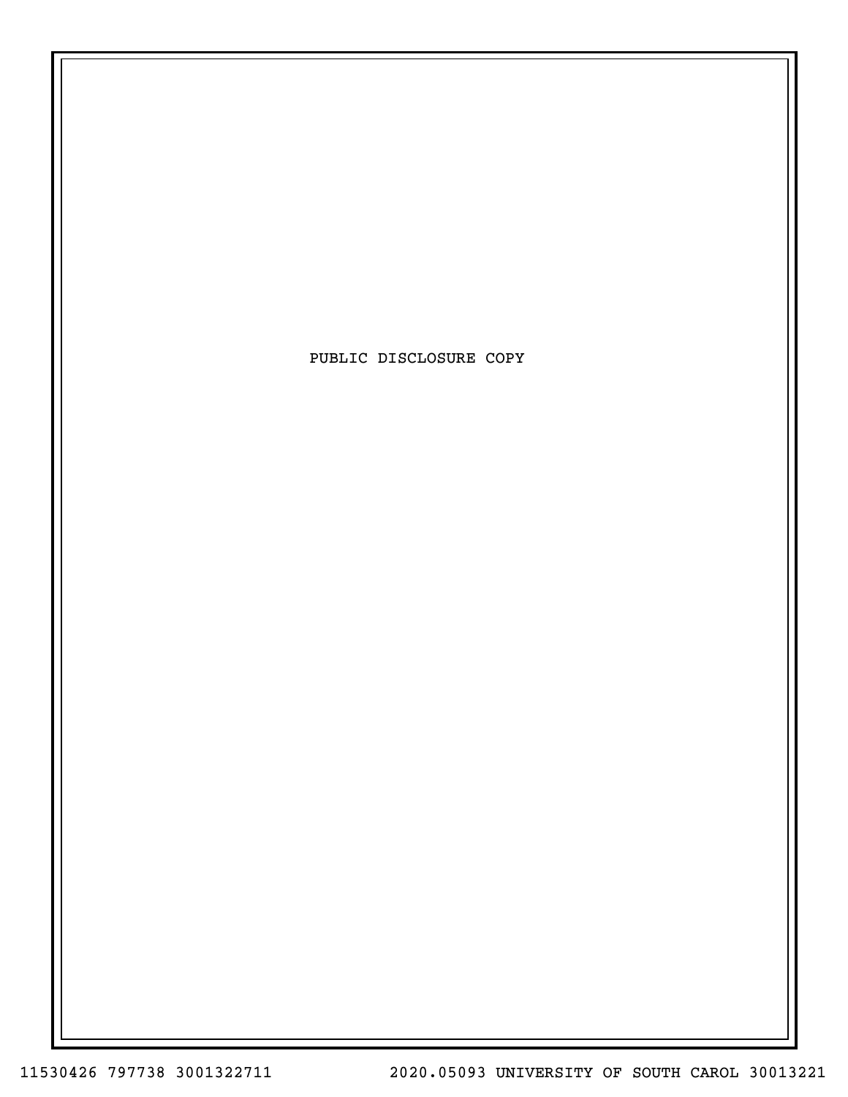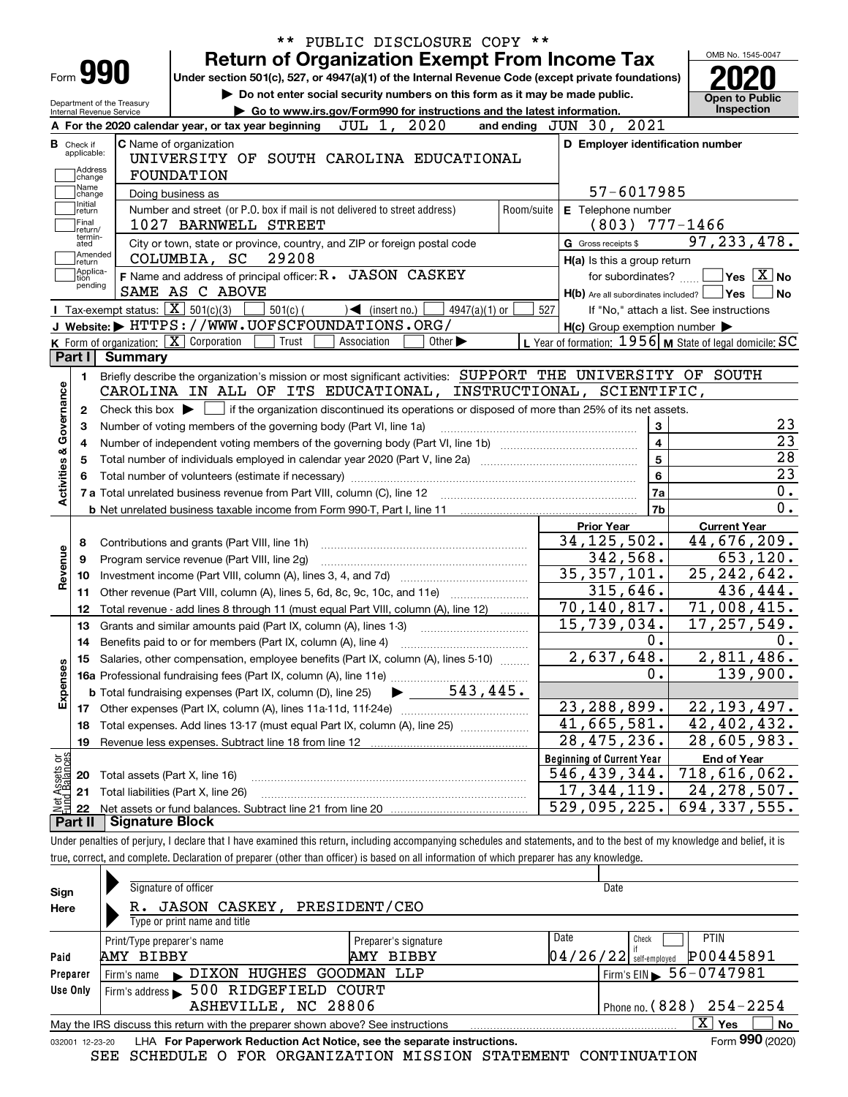|                                                                                        |                                                   |                                                                                                             | <b>Return of Organization Exempt From Income Tax</b>                                                                                                                                                                           |                               |             |                             |                            |                                             |                         | OMB No. 1545-0047                                         |                                                                                                                                                                                         |
|----------------------------------------------------------------------------------------|---------------------------------------------------|-------------------------------------------------------------------------------------------------------------|--------------------------------------------------------------------------------------------------------------------------------------------------------------------------------------------------------------------------------|-------------------------------|-------------|-----------------------------|----------------------------|---------------------------------------------|-------------------------|-----------------------------------------------------------|-----------------------------------------------------------------------------------------------------------------------------------------------------------------------------------------|
| Form <b>990</b>                                                                        |                                                   |                                                                                                             | Under section 501(c), 527, or 4947(a)(1) of the Internal Revenue Code (except private foundations)                                                                                                                             |                               |             |                             |                            |                                             |                         |                                                           |                                                                                                                                                                                         |
| <b>Internal Revenue Service</b>                                                        | Department of the Treasury                        |                                                                                                             | Do not enter social security numbers on this form as it may be made public.<br>Go to www.irs.gov/Form990 for instructions and the latest information.                                                                          |                               |             |                             |                            |                                             |                         |                                                           | <b>Open to Public</b><br><b>Inspection</b>                                                                                                                                              |
|                                                                                        |                                                   |                                                                                                             | A For the 2020 calendar year, or tax year beginning                                                                                                                                                                            |                               | JUL 1, 2020 |                             | and ending $JUN$ 30,       |                                             | 2021                    |                                                           |                                                                                                                                                                                         |
| <b>B</b> Check if<br>applicable:                                                       |                                                   | <b>C</b> Name of organization                                                                               | UNIVERSITY OF SOUTH CAROLINA EDUCATIONAL                                                                                                                                                                                       |                               |             |                             |                            |                                             |                         | D Employer identification number                          |                                                                                                                                                                                         |
| Address<br>change                                                                      |                                                   | <b>FOUNDATION</b>                                                                                           |                                                                                                                                                                                                                                |                               |             |                             |                            |                                             |                         |                                                           |                                                                                                                                                                                         |
| Name<br>change                                                                         | Doing business as                                 |                                                                                                             |                                                                                                                                                                                                                                |                               |             |                             |                            | 57-6017985                                  |                         |                                                           |                                                                                                                                                                                         |
| Initial<br>return<br> Final<br>return/                                                 |                                                   |                                                                                                             | Number and street (or P.O. box if mail is not delivered to street address)<br>1027 BARNWELL STREET                                                                                                                             |                               |             |                             | Room/suite                 | E Telephone number<br>$(803)$ 777-1466      |                         |                                                           |                                                                                                                                                                                         |
| termin-<br>ated                                                                        |                                                   |                                                                                                             | City or town, state or province, country, and ZIP or foreign postal code                                                                                                                                                       |                               |             |                             |                            | G Gross receipts \$                         |                         |                                                           | 97, 233, 478.                                                                                                                                                                           |
| Amended<br> return<br> Applica-                                                        |                                                   | COLUMBIA, SC                                                                                                | 29208                                                                                                                                                                                                                          |                               |             |                             |                            | H(a) Is this a group return                 |                         |                                                           |                                                                                                                                                                                         |
| tion<br>pending                                                                        |                                                   |                                                                                                             | F Name and address of principal officer: R. JASON CASKEY                                                                                                                                                                       |                               |             |                             |                            | for subordinates?                           |                         |                                                           | $\sqrt{}$ Yes $\sqrt{X}$ No                                                                                                                                                             |
|                                                                                        |                                                   | SAME AS C ABOVE                                                                                             |                                                                                                                                                                                                                                |                               |             |                             |                            |                                             |                         | $H(b)$ Are all subordinates included? $\Box$ Yes          |                                                                                                                                                                                         |
|                                                                                        | Tax-exempt status: $\boxed{\mathbf{X}}$ 501(c)(3) |                                                                                                             | $501(c)$ (                                                                                                                                                                                                                     | $\sqrt{\bullet}$ (insert no.) |             | $4947(a)(1)$ or             | 527                        |                                             |                         | If "No," attach a list. See instructions                  |                                                                                                                                                                                         |
|                                                                                        |                                                   |                                                                                                             | J Website: FITTPS: / / WWW.UOFSCFOUNDATIONS.ORG/                                                                                                                                                                               |                               |             |                             |                            |                                             |                         | $H(c)$ Group exemption number $\blacktriangleright$       |                                                                                                                                                                                         |
|                                                                                        | K Form of organization: X Corporation             |                                                                                                             | Trust                                                                                                                                                                                                                          | Association                   |             | Other $\blacktriangleright$ |                            |                                             |                         | L Year of formation: $1956$ M State of legal domicile: SC |                                                                                                                                                                                         |
| Part I                                                                                 | Summary                                           |                                                                                                             |                                                                                                                                                                                                                                |                               |             |                             |                            |                                             |                         |                                                           |                                                                                                                                                                                         |
| 1.                                                                                     |                                                   | Briefly describe the organization's mission or most significant activities: SUPPORT THE UNIVERSITY OF SOUTH |                                                                                                                                                                                                                                |                               |             |                             |                            |                                             |                         |                                                           |                                                                                                                                                                                         |
|                                                                                        |                                                   |                                                                                                             |                                                                                                                                                                                                                                |                               |             |                             |                            |                                             |                         |                                                           |                                                                                                                                                                                         |
|                                                                                        |                                                   |                                                                                                             | CAROLINA IN ALL OF ITS EDUCATIONAL,                                                                                                                                                                                            |                               |             |                             | INSTRUCTIONAL, SCIENTIFIC, |                                             |                         |                                                           |                                                                                                                                                                                         |
| 2                                                                                      |                                                   |                                                                                                             | Check this box $\blacktriangleright$ $\Box$ if the organization discontinued its operations or disposed of more than 25% of its net assets.                                                                                    |                               |             |                             |                            |                                             |                         |                                                           |                                                                                                                                                                                         |
| З                                                                                      |                                                   |                                                                                                             | Number of voting members of the governing body (Part VI, line 1a)                                                                                                                                                              |                               |             |                             |                            |                                             | 3                       |                                                           |                                                                                                                                                                                         |
| 4                                                                                      |                                                   |                                                                                                             |                                                                                                                                                                                                                                |                               |             |                             |                            |                                             | $\overline{\mathbf{4}}$ |                                                           |                                                                                                                                                                                         |
| 5                                                                                      |                                                   |                                                                                                             |                                                                                                                                                                                                                                |                               |             |                             |                            |                                             | 5                       |                                                           |                                                                                                                                                                                         |
|                                                                                        |                                                   |                                                                                                             |                                                                                                                                                                                                                                |                               |             |                             |                            |                                             | 6                       |                                                           |                                                                                                                                                                                         |
|                                                                                        |                                                   |                                                                                                             | Total number of volunteers (estimate if necessary) manufacture content content content of volunteers (estimate if necessary) manufacture content content content of the state of the state of the state of the state of the st |                               |             |                             |                            |                                             | 7a                      |                                                           |                                                                                                                                                                                         |
|                                                                                        |                                                   |                                                                                                             |                                                                                                                                                                                                                                |                               |             |                             |                            |                                             | 7b                      |                                                           |                                                                                                                                                                                         |
|                                                                                        |                                                   |                                                                                                             |                                                                                                                                                                                                                                |                               |             |                             |                            | <b>Prior Year</b>                           |                         |                                                           | <b>Current Year</b>                                                                                                                                                                     |
|                                                                                        |                                                   |                                                                                                             |                                                                                                                                                                                                                                |                               |             |                             |                            |                                             |                         |                                                           |                                                                                                                                                                                         |
| 8                                                                                      |                                                   | Contributions and grants (Part VIII, line 1h)                                                               |                                                                                                                                                                                                                                |                               |             |                             |                            | 34, 125, 502.                               |                         |                                                           |                                                                                                                                                                                         |
| 9                                                                                      |                                                   | Program service revenue (Part VIII, line 2g)                                                                |                                                                                                                                                                                                                                |                               |             |                             |                            | 342,568.                                    |                         |                                                           |                                                                                                                                                                                         |
| 10                                                                                     |                                                   |                                                                                                             |                                                                                                                                                                                                                                |                               |             |                             |                            | 35, 357, 101.                               |                         |                                                           |                                                                                                                                                                                         |
| 11                                                                                     |                                                   |                                                                                                             | Other revenue (Part VIII, column (A), lines 5, 6d, 8c, 9c, 10c, and 11e)                                                                                                                                                       |                               |             |                             |                            | 315,646.                                    |                         |                                                           |                                                                                                                                                                                         |
| 12                                                                                     |                                                   |                                                                                                             | Total revenue - add lines 8 through 11 (must equal Part VIII, column (A), line 12)                                                                                                                                             |                               |             |                             |                            | 70,140,817.                                 |                         |                                                           |                                                                                                                                                                                         |
| 13                                                                                     |                                                   |                                                                                                             | Grants and similar amounts paid (Part IX, column (A), lines 1-3)                                                                                                                                                               |                               |             |                             |                            | 15,739,034.                                 |                         |                                                           |                                                                                                                                                                                         |
| 14                                                                                     |                                                   |                                                                                                             |                                                                                                                                                                                                                                |                               |             |                             |                            |                                             | 0.                      |                                                           |                                                                                                                                                                                         |
|                                                                                        |                                                   |                                                                                                             | 15 Salaries, other compensation, employee benefits (Part IX, column (A), lines 5-10)                                                                                                                                           |                               |             |                             |                            | 2,637,648.                                  |                         |                                                           |                                                                                                                                                                                         |
|                                                                                        |                                                   |                                                                                                             |                                                                                                                                                                                                                                |                               |             |                             |                            |                                             | 0.                      |                                                           |                                                                                                                                                                                         |
|                                                                                        |                                                   |                                                                                                             | <b>b</b> Total fundraising expenses (Part IX, column (D), line 25)                                                                                                                                                             |                               |             | 543, 445.                   |                            |                                             |                         |                                                           |                                                                                                                                                                                         |
| 17                                                                                     |                                                   |                                                                                                             |                                                                                                                                                                                                                                |                               |             |                             |                            | 23, 288, 899.                               |                         |                                                           |                                                                                                                                                                                         |
| 18                                                                                     |                                                   |                                                                                                             | Total expenses. Add lines 13-17 (must equal Part IX, column (A), line 25)                                                                                                                                                      |                               |             |                             |                            | $\overline{41}$ , 665, 581.                 |                         |                                                           |                                                                                                                                                                                         |
| 19                                                                                     |                                                   |                                                                                                             | Revenue less expenses. Subtract line 18 from line 12                                                                                                                                                                           |                               |             |                             |                            | 28,475,236.                                 |                         |                                                           |                                                                                                                                                                                         |
|                                                                                        |                                                   |                                                                                                             |                                                                                                                                                                                                                                |                               |             |                             |                            | <b>Beginning of Current Year</b>            |                         |                                                           | <b>End of Year</b>                                                                                                                                                                      |
| 20                                                                                     | Total assets (Part X, line 16)                    |                                                                                                             |                                                                                                                                                                                                                                |                               |             |                             |                            | 546,439,344.                                |                         | 718,616,062.                                              | 44,676,209.<br>653, 120.<br>$\overline{25}$ , 242, 642.<br>436,444.<br>71,008,415.<br>$\overline{17,}257,549.$<br>2,811,486.<br>139,900.<br>22, 193, 497.<br>42,402,432.<br>28,605,983. |
| Activities & Governance<br>Revenue<br>Expenses<br>t Assets or<br>d Balances<br>21<br>혏 |                                                   | Total liabilities (Part X, line 26)                                                                         |                                                                                                                                                                                                                                |                               |             |                             |                            | $\overline{17}$ , 344, 119.<br>529,095,225. |                         | 694, 337, 555.                                            | 24, 278, 507.                                                                                                                                                                           |

true, correct, and complete. Declaration of preparer (other than officer) is based on all information of which preparer has any knowledge.

| Sign<br>Here    | Signature of officer<br><b>JASON CASKEY,</b><br>Type or print name and title    | PRESIDENT/CEO                     |      | Date                                                          |
|-----------------|---------------------------------------------------------------------------------|-----------------------------------|------|---------------------------------------------------------------|
| Paid            | Print/Type preparer's name<br>AMY BIBBY                                         | Preparer's signature<br>AMY BIBBY | Date | <b>PTIN</b><br>Check<br>P00445891<br>$04/26/22$ self-employed |
| Preparer        | DIXON HUGHES GOODMAN LLP<br>Firm's name                                         |                                   |      | $1$ Firm's EIN $\, 56 - 0747981$                              |
| Use Only        | Firm's address > 500 RIDGEFIELD COURT                                           |                                   |      |                                                               |
|                 | ASHEVILLE, NC 28806                                                             |                                   |      | Phone no. $(828)$ $254 - 2254$                                |
|                 | May the IRS discuss this return with the preparer shown above? See instructions |                                   |      | X.<br>No<br>Yes                                               |
| 032001 12-23-20 | LHA For Paperwork Reduction Act Notice, see the separate instructions.          |                                   |      | Form 990 (2020)                                               |

SEE SCHEDULE O FOR ORGANIZATION MISSION STATEMENT CONTINUATION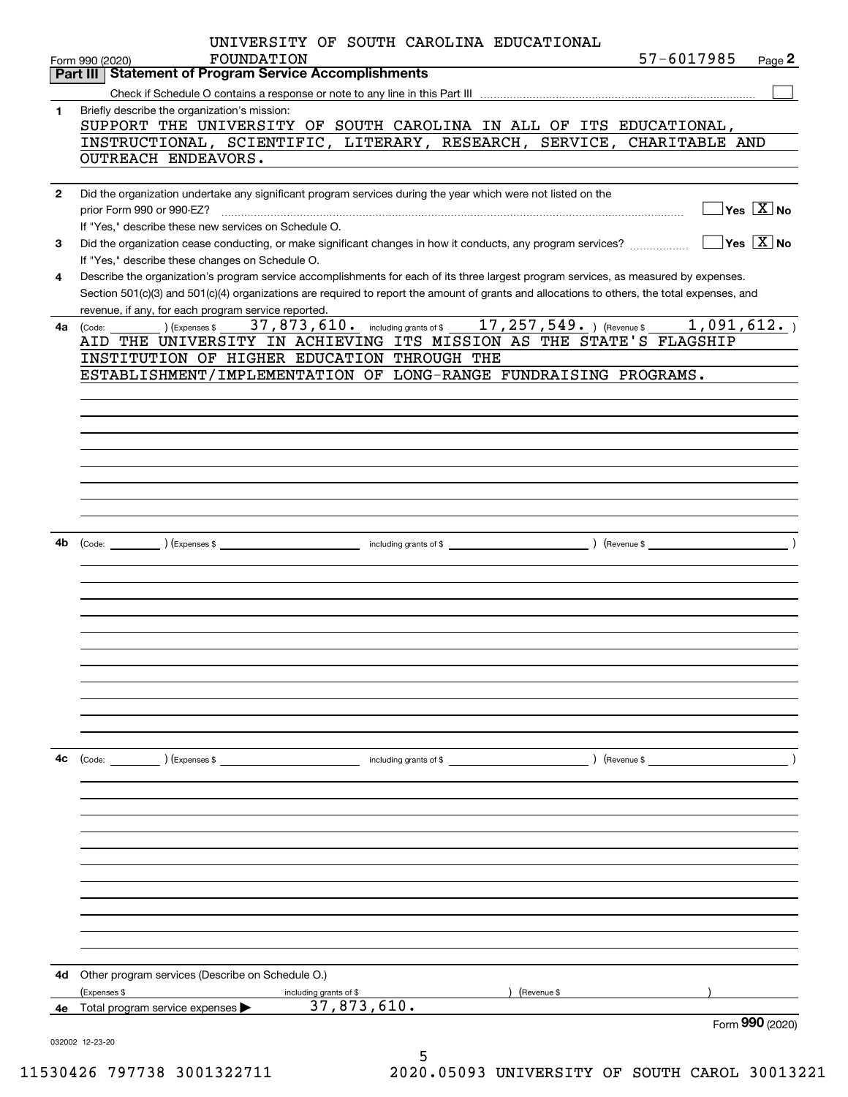|              | UNIVERSITY OF SOUTH CAROLINA EDUCATIONAL<br>57-6017985<br>FOUNDATION<br>Page 2<br>Form 990 (2020)                                                      |
|--------------|--------------------------------------------------------------------------------------------------------------------------------------------------------|
|              | Part III Statement of Program Service Accomplishments                                                                                                  |
|              |                                                                                                                                                        |
| 1            | Briefly describe the organization's mission:                                                                                                           |
|              | SUPPORT THE UNIVERSITY OF SOUTH CAROLINA IN ALL OF ITS EDUCATIONAL,                                                                                    |
|              | INSTRUCTIONAL, SCIENTIFIC, LITERARY, RESEARCH, SERVICE, CHARITABLE AND                                                                                 |
|              | OUTREACH ENDEAVORS.                                                                                                                                    |
|              |                                                                                                                                                        |
|              |                                                                                                                                                        |
| $\mathbf{2}$ | Did the organization undertake any significant program services during the year which were not listed on the                                           |
|              | $\overline{\ }$ Yes $\overline{\ \ X}$ No<br>prior Form 990 or 990-EZ?                                                                                 |
|              | If "Yes," describe these new services on Schedule O.                                                                                                   |
| 3            | $\sqrt{}$ Yes $\sqrt{}$ X $\sqrt{}$ No<br>Did the organization cease conducting, or make significant changes in how it conducts, any program services? |
|              | If "Yes," describe these changes on Schedule O.                                                                                                        |
| 4            | Describe the organization's program service accomplishments for each of its three largest program services, as measured by expenses.                   |
|              | Section 501(c)(3) and 501(c)(4) organizations are required to report the amount of grants and allocations to others, the total expenses, and           |
|              | revenue, if any, for each program service reported.                                                                                                    |
| 4a -         | 37, 873, 610. including grants of \$ 17, 257, 549. ) (Revenue \$ 1, 091, 612. )<br>(Expenses \$<br>(Code:                                              |
|              | AID THE UNIVERSITY IN ACHIEVING ITS MISSION AS THE STATE'S FLAGSHIP                                                                                    |
|              | INSTITUTION OF HIGHER EDUCATION THROUGH THE                                                                                                            |
|              | ESTABLISHMENT/IMPLEMENTATION OF LONG-RANGE FUNDRAISING PROGRAMS.                                                                                       |
|              |                                                                                                                                                        |
|              |                                                                                                                                                        |
|              |                                                                                                                                                        |
|              |                                                                                                                                                        |
|              |                                                                                                                                                        |
|              |                                                                                                                                                        |
|              |                                                                                                                                                        |
|              |                                                                                                                                                        |
|              |                                                                                                                                                        |
|              |                                                                                                                                                        |
| 4b.          | including grants of \$<br>(Expenses \$<br>) (Revenue \$<br>(Code:                                                                                      |
|              |                                                                                                                                                        |
|              |                                                                                                                                                        |
|              |                                                                                                                                                        |
|              |                                                                                                                                                        |
|              |                                                                                                                                                        |
|              |                                                                                                                                                        |
|              |                                                                                                                                                        |
|              |                                                                                                                                                        |
|              |                                                                                                                                                        |
|              |                                                                                                                                                        |
|              |                                                                                                                                                        |
|              |                                                                                                                                                        |
|              |                                                                                                                                                        |
| 4c           | (Code: ) (Expenses \$<br>including grants of \$<br>) (Revenue \$                                                                                       |
|              |                                                                                                                                                        |
|              |                                                                                                                                                        |
|              |                                                                                                                                                        |
|              |                                                                                                                                                        |
|              |                                                                                                                                                        |
|              |                                                                                                                                                        |
|              |                                                                                                                                                        |
|              |                                                                                                                                                        |
|              |                                                                                                                                                        |
|              |                                                                                                                                                        |
|              |                                                                                                                                                        |
|              |                                                                                                                                                        |
|              |                                                                                                                                                        |
|              |                                                                                                                                                        |
| 4d           | Other program services (Describe on Schedule O.)                                                                                                       |
|              | (Expenses \$<br>(Revenue \$<br>including grants of \$                                                                                                  |
| 4e           | 37,873,610.<br>Total program service expenses                                                                                                          |
|              | Form 990 (2020)<br>032002 12-23-20                                                                                                                     |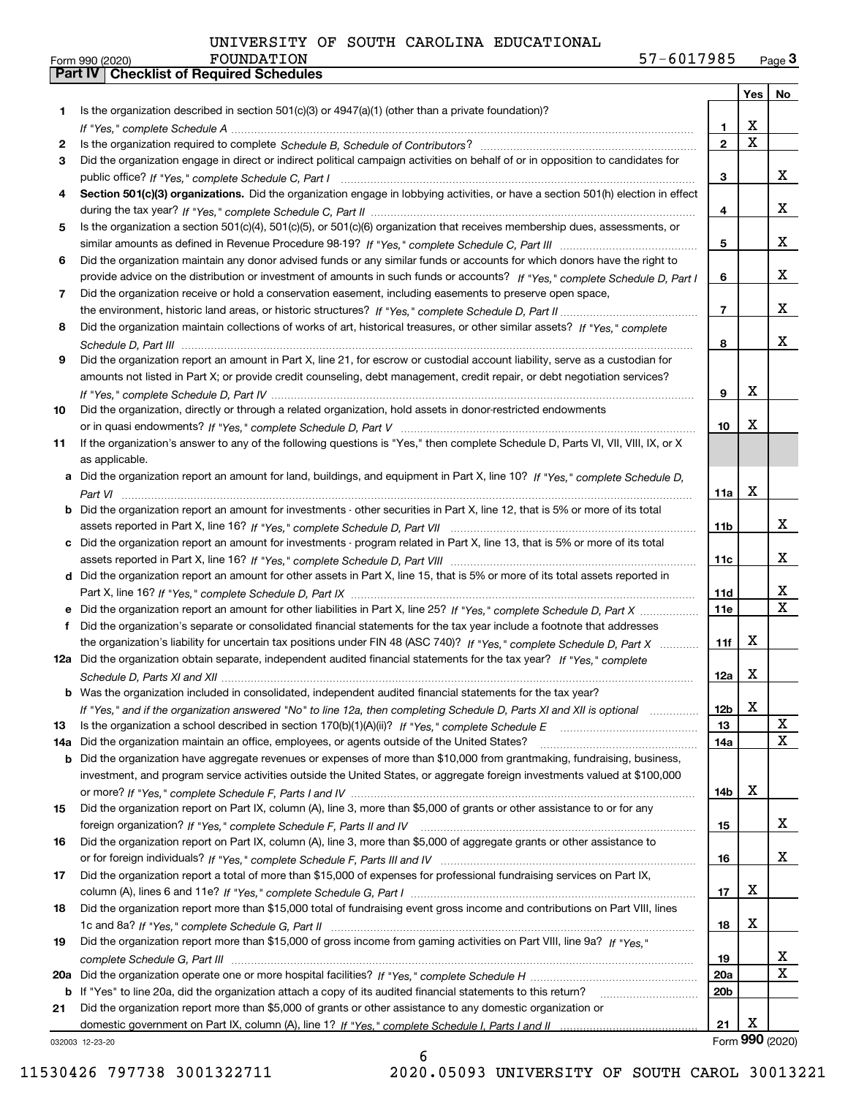|     |                                                                                                                                  |                 | Yes                     | No                      |
|-----|----------------------------------------------------------------------------------------------------------------------------------|-----------------|-------------------------|-------------------------|
| 1   | Is the organization described in section $501(c)(3)$ or $4947(a)(1)$ (other than a private foundation)?                          |                 |                         |                         |
|     |                                                                                                                                  | 1               | х                       |                         |
| 2   |                                                                                                                                  | $\mathbf{2}$    | $\overline{\mathbf{x}}$ |                         |
| 3   | Did the organization engage in direct or indirect political campaign activities on behalf of or in opposition to candidates for  |                 |                         |                         |
|     |                                                                                                                                  | 3               |                         | X.                      |
| 4   | Section 501(c)(3) organizations. Did the organization engage in lobbying activities, or have a section 501(h) election in effect |                 |                         |                         |
|     |                                                                                                                                  | 4               |                         | X.                      |
| 5   | Is the organization a section 501(c)(4), 501(c)(5), or 501(c)(6) organization that receives membership dues, assessments, or     |                 |                         |                         |
|     |                                                                                                                                  | 5               |                         | x                       |
| 6   | Did the organization maintain any donor advised funds or any similar funds or accounts for which donors have the right to        |                 |                         |                         |
|     | provide advice on the distribution or investment of amounts in such funds or accounts? If "Yes," complete Schedule D, Part I     | 6               |                         | X.                      |
| 7   | Did the organization receive or hold a conservation easement, including easements to preserve open space,                        |                 |                         |                         |
|     |                                                                                                                                  | 7               |                         | X.                      |
| 8   | Did the organization maintain collections of works of art, historical treasures, or other similar assets? If "Yes," complete     |                 |                         |                         |
|     |                                                                                                                                  | 8               |                         | x                       |
| 9   | Did the organization report an amount in Part X, line 21, for escrow or custodial account liability, serve as a custodian for    |                 |                         |                         |
|     | amounts not listed in Part X; or provide credit counseling, debt management, credit repair, or debt negotiation services?        |                 |                         |                         |
|     |                                                                                                                                  | 9               | х                       |                         |
| 10  | Did the organization, directly or through a related organization, hold assets in donor-restricted endowments                     |                 | х                       |                         |
|     |                                                                                                                                  | 10              |                         |                         |
| 11  | If the organization's answer to any of the following questions is "Yes," then complete Schedule D, Parts VI, VII, VIII, IX, or X |                 |                         |                         |
|     | as applicable.                                                                                                                   |                 |                         |                         |
|     | Did the organization report an amount for land, buildings, and equipment in Part X, line 10? If "Yes," complete Schedule D,      |                 | x                       |                         |
| b   | Did the organization report an amount for investments - other securities in Part X, line 12, that is 5% or more of its total     | 11a             |                         |                         |
|     |                                                                                                                                  | 11b             |                         | x                       |
|     | c Did the organization report an amount for investments - program related in Part X, line 13, that is 5% or more of its total    |                 |                         |                         |
|     |                                                                                                                                  | 11c             |                         | X.                      |
|     | d Did the organization report an amount for other assets in Part X, line 15, that is 5% or more of its total assets reported in  |                 |                         |                         |
|     |                                                                                                                                  | 11d             |                         | X                       |
|     |                                                                                                                                  | <b>11e</b>      |                         | $\overline{\text{x}}$   |
| f   | Did the organization's separate or consolidated financial statements for the tax year include a footnote that addresses          |                 |                         |                         |
|     | the organization's liability for uncertain tax positions under FIN 48 (ASC 740)? If "Yes," complete Schedule D, Part X           | 11f             | x                       |                         |
|     | 12a Did the organization obtain separate, independent audited financial statements for the tax year? If "Yes," complete          |                 |                         |                         |
|     |                                                                                                                                  | 12a             | x                       |                         |
|     | <b>b</b> Was the organization included in consolidated, independent audited financial statements for the tax year?               |                 |                         |                         |
|     | If "Yes," and if the organization answered "No" to line 12a, then completing Schedule D, Parts XI and XII is optional            | 12 <sub>b</sub> | х                       |                         |
| 13  | Is the organization a school described in section 170(b)(1)(A)(ii)? If "Yes," complete Schedule E                                | 13              |                         | X                       |
| 14a | Did the organization maintain an office, employees, or agents outside of the United States?                                      | 14a             |                         | X                       |
| b   | Did the organization have aggregate revenues or expenses of more than \$10,000 from grantmaking, fundraising, business,          |                 |                         |                         |
|     | investment, and program service activities outside the United States, or aggregate foreign investments valued at \$100,000       |                 |                         |                         |
|     |                                                                                                                                  | 14b             | х                       |                         |
| 15  | Did the organization report on Part IX, column (A), line 3, more than \$5,000 of grants or other assistance to or for any        |                 |                         |                         |
|     | foreign organization? If "Yes," complete Schedule F, Parts II and IV                                                             | 15              |                         | X.                      |
| 16  | Did the organization report on Part IX, column (A), line 3, more than \$5,000 of aggregate grants or other assistance to         |                 |                         |                         |
|     |                                                                                                                                  | 16              |                         | X.                      |
| 17  | Did the organization report a total of more than \$15,000 of expenses for professional fundraising services on Part IX,          |                 |                         |                         |
|     |                                                                                                                                  | 17              | х                       |                         |
| 18  | Did the organization report more than \$15,000 total of fundraising event gross income and contributions on Part VIII, lines     |                 |                         |                         |
|     |                                                                                                                                  | 18              | х                       |                         |
| 19  | Did the organization report more than \$15,000 of gross income from gaming activities on Part VIII, line 9a? If "Yes."           |                 |                         |                         |
|     |                                                                                                                                  | 19              |                         | X                       |
| 20a |                                                                                                                                  | 20a             |                         | $\overline{\mathbf{x}}$ |
| b   | If "Yes" to line 20a, did the organization attach a copy of its audited financial statements to this return?                     | 20b             |                         |                         |
| 21  | Did the organization report more than \$5,000 of grants or other assistance to any domestic organization or                      |                 |                         |                         |
|     |                                                                                                                                  | 21              | х                       |                         |
|     | 032003 12-23-20                                                                                                                  |                 |                         | Form 990 (2020)         |

032003 12-23-20

11530426 797738 3001322711 2020.05093 UNIVERSITY OF SOUTH CAROL 30013221

6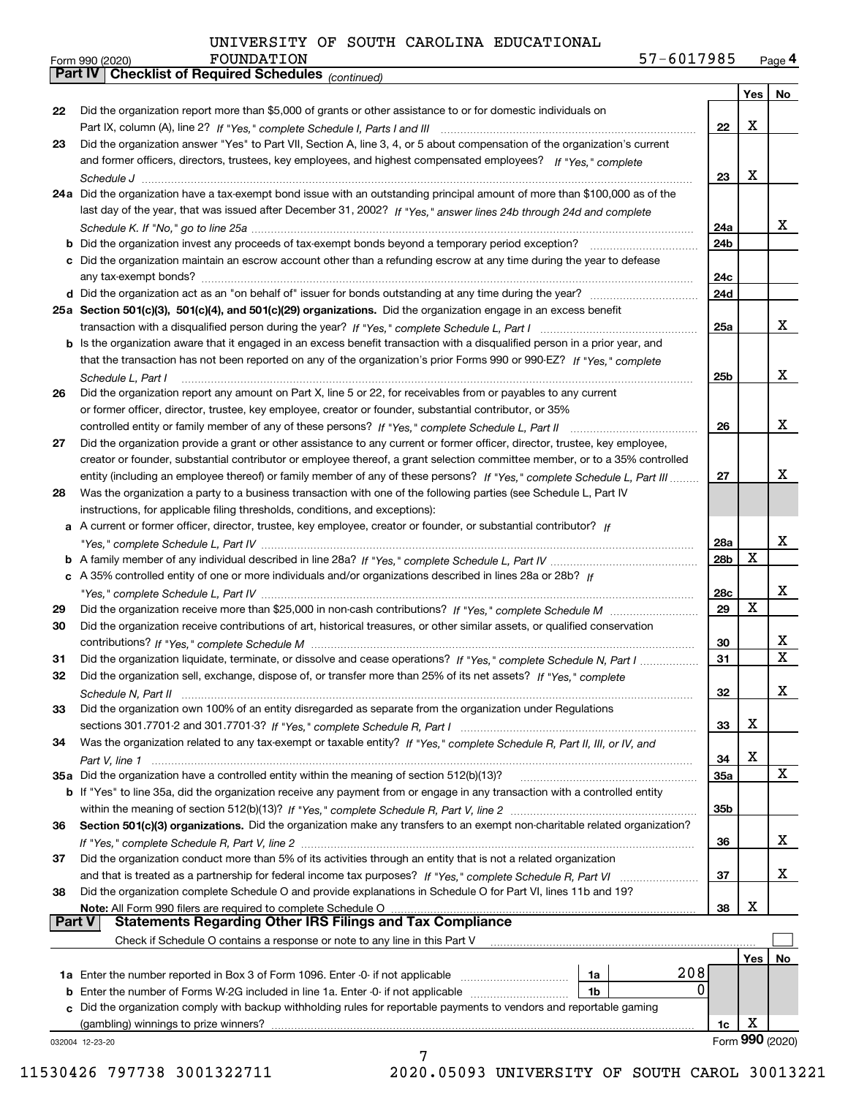*(continued)*

|        |                                                                                                                              |                 |     | Yes   No        |
|--------|------------------------------------------------------------------------------------------------------------------------------|-----------------|-----|-----------------|
| 22     | Did the organization report more than \$5,000 of grants or other assistance to or for domestic individuals on                |                 |     |                 |
|        |                                                                                                                              | 22              | x   |                 |
| 23     | Did the organization answer "Yes" to Part VII, Section A, line 3, 4, or 5 about compensation of the organization's current   |                 |     |                 |
|        | and former officers, directors, trustees, key employees, and highest compensated employees? If "Yes," complete               |                 |     |                 |
|        |                                                                                                                              | 23              | x   |                 |
|        | 24a Did the organization have a tax-exempt bond issue with an outstanding principal amount of more than \$100,000 as of the  |                 |     |                 |
|        | last day of the year, that was issued after December 31, 2002? If "Yes," answer lines 24b through 24d and complete           |                 |     |                 |
|        |                                                                                                                              | 24a             |     | x               |
|        | <b>b</b> Did the organization invest any proceeds of tax-exempt bonds beyond a temporary period exception?                   | 24b             |     |                 |
|        | c Did the organization maintain an escrow account other than a refunding escrow at any time during the year to defease       |                 |     |                 |
|        |                                                                                                                              | 24c             |     |                 |
|        |                                                                                                                              | 24d             |     |                 |
|        | 25a Section 501(c)(3), 501(c)(4), and 501(c)(29) organizations. Did the organization engage in an excess benefit             |                 |     |                 |
|        |                                                                                                                              | 25a             |     | x               |
|        | b Is the organization aware that it engaged in an excess benefit transaction with a disqualified person in a prior year, and |                 |     |                 |
|        | that the transaction has not been reported on any of the organization's prior Forms 990 or 990-EZ? If "Yes," complete        |                 |     |                 |
|        | Schedule L. Part I                                                                                                           | 25b             |     | x               |
| 26     | Did the organization report any amount on Part X, line 5 or 22, for receivables from or payables to any current              |                 |     |                 |
|        | or former officer, director, trustee, key employee, creator or founder, substantial contributor, or 35%                      |                 |     |                 |
|        | controlled entity or family member of any of these persons? If "Yes," complete Schedule L, Part II                           | 26              |     | x               |
| 27     | Did the organization provide a grant or other assistance to any current or former officer, director, trustee, key employee,  |                 |     |                 |
|        | creator or founder, substantial contributor or employee thereof, a grant selection committee member, or to a 35% controlled  |                 |     |                 |
|        | entity (including an employee thereof) or family member of any of these persons? If "Yes," complete Schedule L, Part III     | 27              |     | x               |
| 28     | Was the organization a party to a business transaction with one of the following parties (see Schedule L, Part IV            |                 |     |                 |
|        | instructions, for applicable filing thresholds, conditions, and exceptions):                                                 |                 |     |                 |
|        | a A current or former officer, director, trustee, key employee, creator or founder, or substantial contributor? If           |                 |     |                 |
|        |                                                                                                                              | 28a             |     | x               |
|        |                                                                                                                              | 28 <sub>b</sub> | X   |                 |
|        | c A 35% controlled entity of one or more individuals and/or organizations described in lines 28a or 28b? If                  |                 |     |                 |
|        |                                                                                                                              | 28c             |     | x               |
| 29     |                                                                                                                              | 29              | X   |                 |
| 30     | Did the organization receive contributions of art, historical treasures, or other similar assets, or qualified conservation  |                 |     |                 |
|        |                                                                                                                              | 30              |     | X               |
| 31     | Did the organization liquidate, terminate, or dissolve and cease operations? If "Yes," complete Schedule N, Part I           | 31              |     | $\mathbf X$     |
| 32     | Did the organization sell, exchange, dispose of, or transfer more than 25% of its net assets? If "Yes," complete             |                 |     |                 |
|        |                                                                                                                              | 32              |     | x               |
| 33     | Did the organization own 100% of an entity disregarded as separate from the organization under Regulations                   |                 |     |                 |
|        |                                                                                                                              | 33              | х   |                 |
| 34     | Was the organization related to any tax-exempt or taxable entity? If "Yes," complete Schedule R, Part II, III, or IV, and    |                 |     |                 |
|        |                                                                                                                              | 34              | х   |                 |
|        | 35a Did the organization have a controlled entity within the meaning of section 512(b)(13)?                                  | 35a             |     | X               |
|        | b If "Yes" to line 35a, did the organization receive any payment from or engage in any transaction with a controlled entity  |                 |     |                 |
|        |                                                                                                                              | 35b             |     |                 |
| 36     | Section 501(c)(3) organizations. Did the organization make any transfers to an exempt non-charitable related organization?   |                 |     |                 |
|        |                                                                                                                              | 36              |     | x               |
| 37     | Did the organization conduct more than 5% of its activities through an entity that is not a related organization             |                 |     |                 |
|        |                                                                                                                              | 37              |     | x               |
| 38     | Did the organization complete Schedule O and provide explanations in Schedule O for Part VI, lines 11b and 19?               |                 |     |                 |
|        |                                                                                                                              | 38              | х   |                 |
| Part V | <b>Statements Regarding Other IRS Filings and Tax Compliance</b>                                                             |                 |     |                 |
|        | Check if Schedule O contains a response or note to any line in this Part V                                                   |                 |     |                 |
|        |                                                                                                                              |                 | Yes | No              |
|        | 208<br>1a Enter the number reported in Box 3 of Form 1096. Enter -0- if not applicable<br>1a                                 |                 |     |                 |
| b      | 0<br>Enter the number of Forms W-2G included in line 1a. Enter -0- if not applicable<br>1b                                   |                 |     |                 |
|        | Did the organization comply with backup withholding rules for reportable payments to vendors and reportable gaming           |                 |     |                 |
|        |                                                                                                                              | 1c              | х   |                 |
|        | 032004 12-23-20                                                                                                              |                 |     | Form 990 (2020) |
|        |                                                                                                                              |                 |     |                 |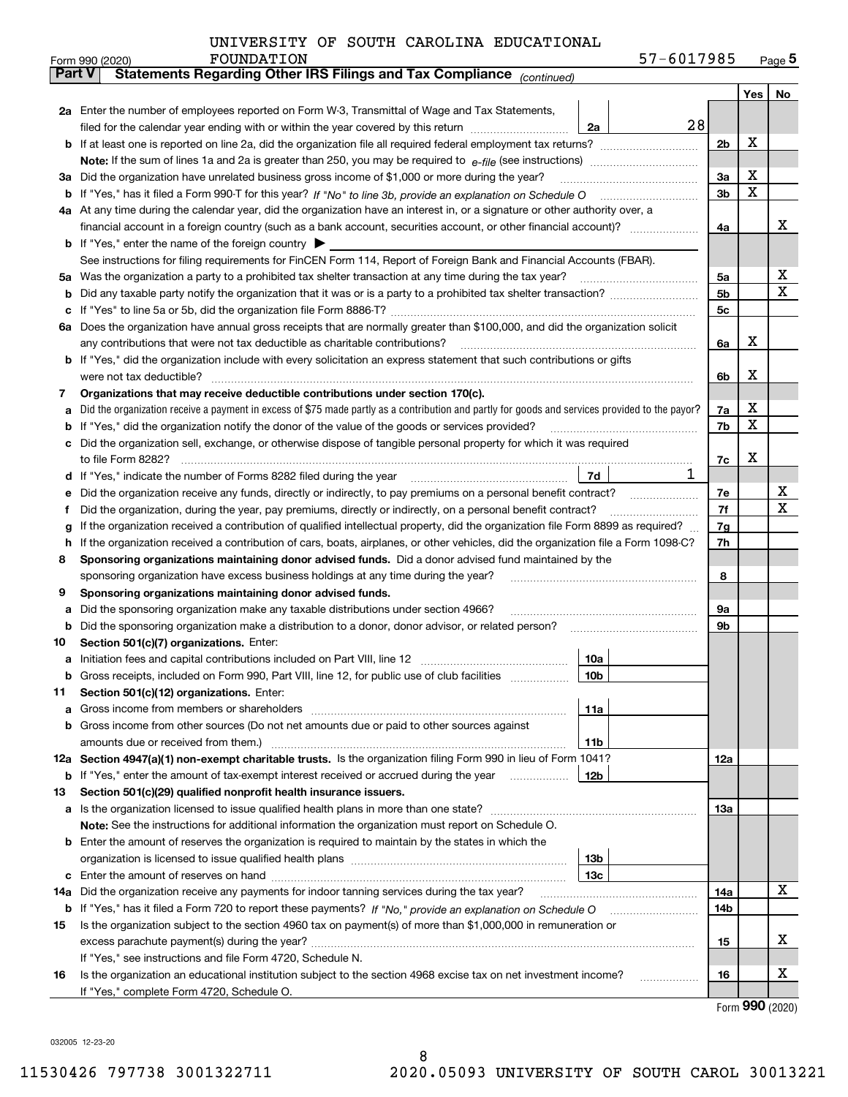|               | 57-6017985<br>FOUNDATION<br>Form 990 (2020)                                                                                                                                                                                           |     |     | $_{\text{Page}}$ 5 |
|---------------|---------------------------------------------------------------------------------------------------------------------------------------------------------------------------------------------------------------------------------------|-----|-----|--------------------|
| <b>Part V</b> | Statements Regarding Other IRS Filings and Tax Compliance (continued)                                                                                                                                                                 |     |     |                    |
|               |                                                                                                                                                                                                                                       |     | Yes | No                 |
|               | 2a Enter the number of employees reported on Form W-3, Transmittal of Wage and Tax Statements,                                                                                                                                        |     |     |                    |
|               | 28<br>filed for the calendar year ending with or within the year covered by this return<br>2a                                                                                                                                         |     |     |                    |
|               |                                                                                                                                                                                                                                       | 2b  | х   |                    |
|               |                                                                                                                                                                                                                                       |     |     |                    |
|               | 3a Did the organization have unrelated business gross income of \$1,000 or more during the year?                                                                                                                                      | За  | х   |                    |
|               |                                                                                                                                                                                                                                       | 3b  | X   |                    |
|               | 4a At any time during the calendar year, did the organization have an interest in, or a signature or other authority over, a                                                                                                          |     |     |                    |
|               |                                                                                                                                                                                                                                       | 4a  |     | x                  |
|               | <b>b</b> If "Yes," enter the name of the foreign country $\blacktriangleright$                                                                                                                                                        |     |     |                    |
|               | See instructions for filing requirements for FinCEN Form 114, Report of Foreign Bank and Financial Accounts (FBAR).                                                                                                                   |     |     |                    |
|               | 5a Was the organization a party to a prohibited tax shelter transaction at any time during the tax year?                                                                                                                              | 5a  |     | х                  |
| b             |                                                                                                                                                                                                                                       | 5b  |     | X                  |
| c             |                                                                                                                                                                                                                                       | 5c  |     |                    |
|               | 6a Does the organization have annual gross receipts that are normally greater than \$100,000, and did the organization solicit                                                                                                        |     |     |                    |
|               |                                                                                                                                                                                                                                       | 6a  | х   |                    |
|               | <b>b</b> If "Yes," did the organization include with every solicitation an express statement that such contributions or gifts                                                                                                         |     |     |                    |
|               | were not tax deductible?                                                                                                                                                                                                              | 6b  | х   |                    |
| 7             | Organizations that may receive deductible contributions under section 170(c).                                                                                                                                                         |     |     |                    |
| а             | Did the organization receive a payment in excess of \$75 made partly as a contribution and partly for goods and services provided to the payor?                                                                                       | 7a  | х   |                    |
| b             | If "Yes," did the organization notify the donor of the value of the goods or services provided?                                                                                                                                       | 7b  | х   |                    |
|               | c Did the organization sell, exchange, or otherwise dispose of tangible personal property for which it was required                                                                                                                   |     |     |                    |
|               |                                                                                                                                                                                                                                       | 7c  | х   |                    |
|               | 7d  <br>T<br>d If "Yes," indicate the number of Forms 8282 filed during the year [11] [11] No. 2010 [12] Henry Manuscover, 1                                                                                                          |     |     |                    |
| е             | Did the organization receive any funds, directly or indirectly, to pay premiums on a personal benefit contract?                                                                                                                       | 7e  |     | х                  |
| f             | Did the organization, during the year, pay premiums, directly or indirectly, on a personal benefit contract?                                                                                                                          | 7f  |     | х                  |
| g             | If the organization received a contribution of qualified intellectual property, did the organization file Form 8899 as required?                                                                                                      | 7g  |     |                    |
| h.            | If the organization received a contribution of cars, boats, airplanes, or other vehicles, did the organization file a Form 1098-C?                                                                                                    | 7h  |     |                    |
| 8             | Sponsoring organizations maintaining donor advised funds. Did a donor advised fund maintained by the                                                                                                                                  |     |     |                    |
|               | sponsoring organization have excess business holdings at any time during the year?                                                                                                                                                    | 8   |     |                    |
| 9             | Sponsoring organizations maintaining donor advised funds.                                                                                                                                                                             |     |     |                    |
| а             | Did the sponsoring organization make any taxable distributions under section 4966?                                                                                                                                                    | 9а  |     |                    |
| b             | Did the sponsoring organization make a distribution to a donor, donor advisor, or related person?                                                                                                                                     | 9b  |     |                    |
| 10            | Section 501(c)(7) organizations. Enter:                                                                                                                                                                                               |     |     |                    |
|               | 10a<br>a Initiation fees and capital contributions included on Part VIII, line 12 [111] [11] [12] [11] [12] [11] [12] [11] [12] [11] [12] [11] [12] [11] [12] [11] [12] [11] [12] [11] [12] [11] [12] [11] [12] [11] [12] [11] [12] [ |     |     |                    |
|               | 10 <sub>b</sub>  <br>Gross receipts, included on Form 990, Part VIII, line 12, for public use of club facilities                                                                                                                      |     |     |                    |
| 11            | Section 501(c)(12) organizations. Enter:                                                                                                                                                                                              |     |     |                    |
| a             | 11a                                                                                                                                                                                                                                   |     |     |                    |
|               | b Gross income from other sources (Do not net amounts due or paid to other sources against                                                                                                                                            |     |     |                    |
|               | <b>11b</b>                                                                                                                                                                                                                            |     |     |                    |
|               | 12a Section 4947(a)(1) non-exempt charitable trusts. Is the organization filing Form 990 in lieu of Form 1041?                                                                                                                        | 12a |     |                    |
|               | 12b<br><b>b</b> If "Yes," enter the amount of tax-exempt interest received or accrued during the year <i>manument</i>                                                                                                                 |     |     |                    |
| 13            | Section 501(c)(29) qualified nonprofit health insurance issuers.                                                                                                                                                                      |     |     |                    |
|               | a Is the organization licensed to issue qualified health plans in more than one state?                                                                                                                                                | 13a |     |                    |
|               | Note: See the instructions for additional information the organization must report on Schedule O.                                                                                                                                     |     |     |                    |
|               | <b>b</b> Enter the amount of reserves the organization is required to maintain by the states in which the                                                                                                                             |     |     |                    |
|               | 13b                                                                                                                                                                                                                                   |     |     |                    |
|               | 13с                                                                                                                                                                                                                                   |     |     |                    |
| 14a           | Did the organization receive any payments for indoor tanning services during the tax year?                                                                                                                                            | 14a |     | х                  |
|               | <b>b</b> If "Yes," has it filed a Form 720 to report these payments? If "No," provide an explanation on Schedule O                                                                                                                    | 14b |     |                    |
| 15            | Is the organization subject to the section 4960 tax on payment(s) of more than \$1,000,000 in remuneration or                                                                                                                         |     |     |                    |
|               |                                                                                                                                                                                                                                       | 15  |     | x                  |
|               | If "Yes," see instructions and file Form 4720, Schedule N.                                                                                                                                                                            |     |     | х                  |
| 16            | Is the organization an educational institution subject to the section 4968 excise tax on net investment income?<br>If "Yes," complete Form 4720, Schedule O.                                                                          | 16  |     |                    |
|               |                                                                                                                                                                                                                                       |     |     |                    |

8

Form (2020) **990**

032005 12-23-20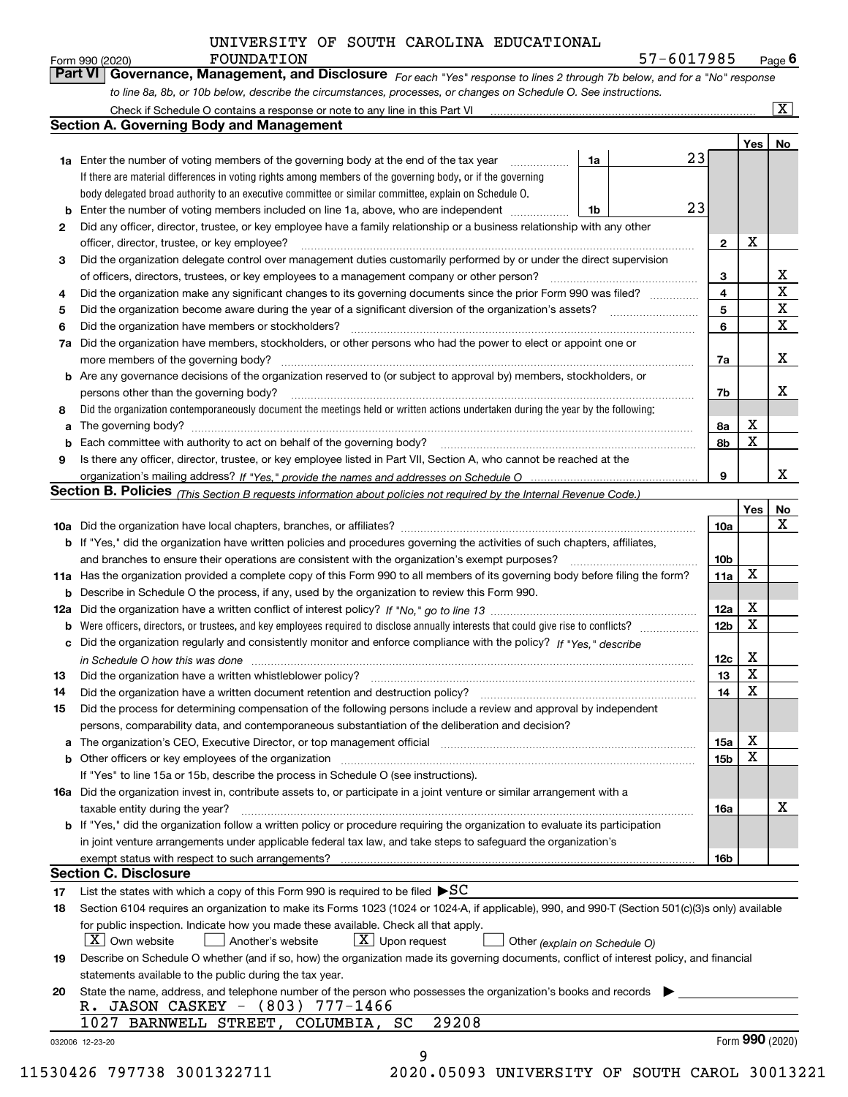Form 990 (2020) **FOUNDATION**<br>**Part VI Governance, Management, and Disclosure** For each "Yes" response to lines 2 through 7b below, and for a "No" response

*For each "Yes" response to lines 2 through 7b below, and for a "No" response*

|     | to line 8a, 8b, or 10b below, describe the circumstances, processes, or changes on Schedule O. See instructions.                                                         |                 |            |                       |
|-----|--------------------------------------------------------------------------------------------------------------------------------------------------------------------------|-----------------|------------|-----------------------|
|     | Check if Schedule O contains a response or note to any line in this Part VI                                                                                              |                 |            | $\overline{\text{X}}$ |
|     | <b>Section A. Governing Body and Management</b>                                                                                                                          |                 |            |                       |
|     |                                                                                                                                                                          |                 | <b>Yes</b> | No                    |
|     | 23<br>1a<br><b>1a</b> Enter the number of voting members of the governing body at the end of the tax year<br>.                                                           |                 |            |                       |
|     | If there are material differences in voting rights among members of the governing body, or if the governing                                                              |                 |            |                       |
|     | body delegated broad authority to an executive committee or similar committee, explain on Schedule O.                                                                    |                 |            |                       |
|     | 23<br>Enter the number of voting members included on line 1a, above, who are independent<br>1b                                                                           |                 |            |                       |
| 2   | Did any officer, director, trustee, or key employee have a family relationship or a business relationship with any other                                                 |                 |            |                       |
|     | officer, director, trustee, or key employee?                                                                                                                             | $\mathbf{2}$    | X          |                       |
| 3   | Did the organization delegate control over management duties customarily performed by or under the direct supervision                                                    |                 |            |                       |
|     | of officers, directors, trustees, or key employees to a management company or other person?                                                                              | 3               |            | х                     |
| 4   | Did the organization make any significant changes to its governing documents since the prior Form 990 was filed?                                                         | 4               |            | $\mathbf X$           |
| 5   |                                                                                                                                                                          | 5               |            | X                     |
| 6   | Did the organization have members or stockholders?                                                                                                                       | 6               |            | X                     |
| 7a  | Did the organization have members, stockholders, or other persons who had the power to elect or appoint one or                                                           |                 |            |                       |
|     |                                                                                                                                                                          | 7a              |            | х                     |
| b   | Are any governance decisions of the organization reserved to (or subject to approval by) members, stockholders, or                                                       |                 |            |                       |
|     | persons other than the governing body?                                                                                                                                   | 7b              |            | x                     |
| 8   | Did the organization contemporaneously document the meetings held or written actions undertaken during the year by the following:                                        |                 |            |                       |
| a   |                                                                                                                                                                          | 8а              | х          |                       |
|     |                                                                                                                                                                          | 8b              | X          |                       |
| 9   | Is there any officer, director, trustee, or key employee listed in Part VII, Section A, who cannot be reached at the                                                     |                 |            |                       |
|     |                                                                                                                                                                          | 9               |            | x                     |
|     | Section B. Policies <sub>(This Section B requests information about policies not required by the Internal Revenue Code.)</sub>                                           |                 |            |                       |
|     |                                                                                                                                                                          |                 | Yes        | No                    |
|     |                                                                                                                                                                          | 10a             |            | x                     |
| b   | If "Yes," did the organization have written policies and procedures governing the activities of such chapters, affiliates,                                               |                 |            |                       |
|     | and branches to ensure their operations are consistent with the organization's exempt purposes?                                                                          | 10b             |            |                       |
|     | 11a Has the organization provided a complete copy of this Form 990 to all members of its governing body before filing the form?                                          | 11a             | X          |                       |
| b   | Describe in Schedule O the process, if any, used by the organization to review this Form 990.                                                                            |                 |            |                       |
| 12a |                                                                                                                                                                          | 12a             | х          |                       |
| b   | Were officers, directors, or trustees, and key employees required to disclose annually interests that could give rise to conflicts?                                      | 12 <sub>b</sub> | X          |                       |
| c   | Did the organization regularly and consistently monitor and enforce compliance with the policy? If "Yes," describe                                                       |                 |            |                       |
|     | in Schedule O how this was done with the control of the control of the control of the control of the control o                                                           | 12c             | х          |                       |
| 13  | Did the organization have a written whistleblower policy?                                                                                                                | 13              | X          |                       |
| 14  |                                                                                                                                                                          | 14              | X          |                       |
| 15  | Did the process for determining compensation of the following persons include a review and approval by independent                                                       |                 |            |                       |
|     | persons, comparability data, and contemporaneous substantiation of the deliberation and decision?                                                                        |                 |            |                       |
| a   | The organization's CEO, Executive Director, or top management official manufactured content of the organization's CEO, Executive Director, or top management official    | 15a             | х          |                       |
|     |                                                                                                                                                                          |                 | X          |                       |
|     | Other officers or key employees of the organization<br>If "Yes" to line 15a or 15b, describe the process in Schedule O (see instructions).                               | <b>15b</b>      |            |                       |
|     |                                                                                                                                                                          |                 |            |                       |
|     | 16a Did the organization invest in, contribute assets to, or participate in a joint venture or similar arrangement with a                                                |                 |            | х                     |
|     | taxable entity during the year?<br><b>b</b> If "Yes," did the organization follow a written policy or procedure requiring the organization to evaluate its participation | 16a             |            |                       |
|     |                                                                                                                                                                          |                 |            |                       |
|     | in joint venture arrangements under applicable federal tax law, and take steps to safeguard the organization's<br>exempt status with respect to such arrangements?       | 16b             |            |                       |
|     | Section C. Disclosure                                                                                                                                                    |                 |            |                       |
|     | List the states with which a copy of this Form 990 is required to be filed $\blacktriangleright$ SC                                                                      |                 |            |                       |
| 17  |                                                                                                                                                                          |                 |            |                       |
| 18  | Section 6104 requires an organization to make its Forms 1023 (1024 or 1024-A, if applicable), 990, and 990-T (Section 501(c)(3)s only) available                         |                 |            |                       |
|     | for public inspection. Indicate how you made these available. Check all that apply.<br>$X$ Own website<br>$X$ Upon request<br>Another's website                          |                 |            |                       |
|     | Other (explain on Schedule O)                                                                                                                                            |                 |            |                       |
| 19  | Describe on Schedule O whether (and if so, how) the organization made its governing documents, conflict of interest policy, and financial                                |                 |            |                       |
|     | statements available to the public during the tax year.                                                                                                                  |                 |            |                       |
| 20  | State the name, address, and telephone number of the person who possesses the organization's books and records                                                           |                 |            |                       |
|     | R. JASON CASKEY - (803) 777-1466<br>29208<br>1027<br>BARNWELL STREET, COLUMBIA, SC                                                                                       |                 |            |                       |
|     |                                                                                                                                                                          |                 |            |                       |
|     | 032006 12-23-20                                                                                                                                                          |                 |            | Form 990 (2020)       |
|     | 9                                                                                                                                                                        |                 |            |                       |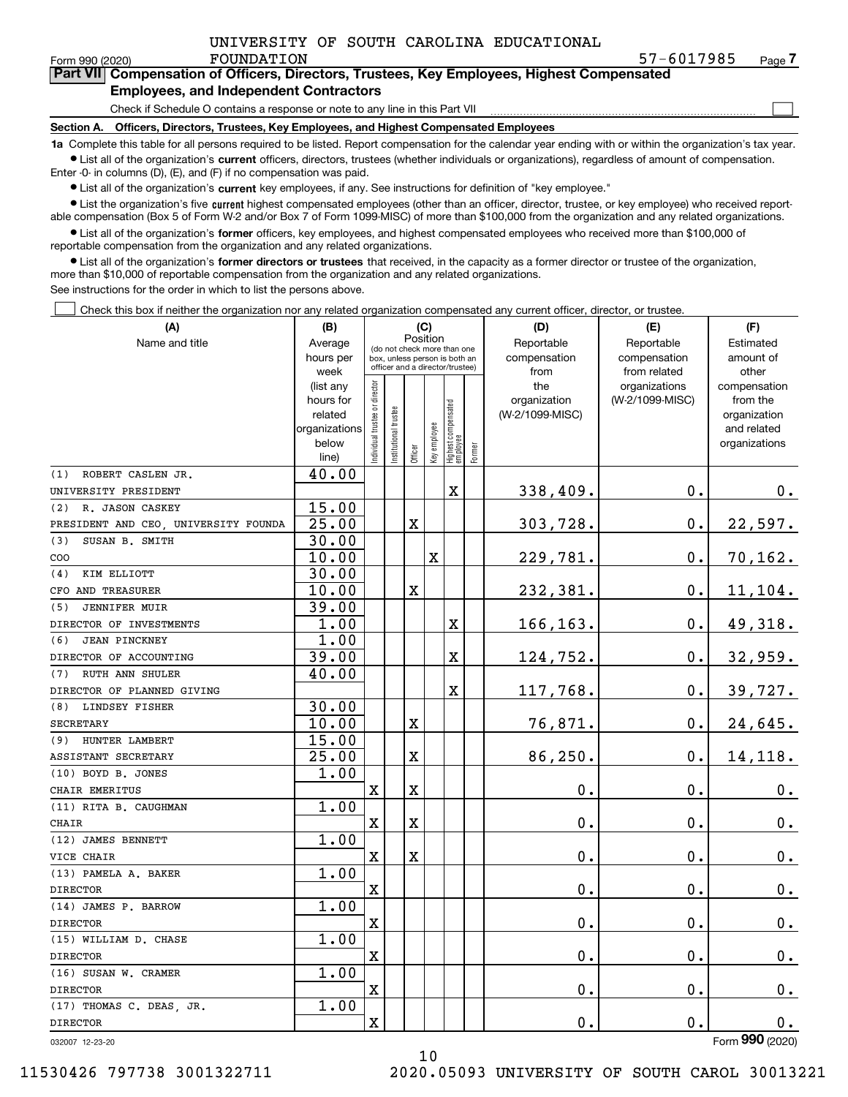|  |  |  |  | UNIVERSITY OF SOUTH CAROLINA EDUCATIONAL |
|--|--|--|--|------------------------------------------|
|--|--|--|--|------------------------------------------|

 $\mathcal{L}^{\text{max}}$ 

| Form 990 (2020) | FOUNDATION                                                                                 | 57-6017985 | Page $\prime$ |
|-----------------|--------------------------------------------------------------------------------------------|------------|---------------|
|                 | Part VII Compensation of Officers, Directors, Trustees, Key Employees, Highest Compensated |            |               |
|                 | <b>Employees, and Independent Contractors</b>                                              |            |               |

Check if Schedule O contains a response or note to any line in this Part VII

**Section A. Officers, Directors, Trustees, Key Employees, and Highest Compensated Employees**

**1a**  Complete this table for all persons required to be listed. Report compensation for the calendar year ending with or within the organization's tax year. **•** List all of the organization's current officers, directors, trustees (whether individuals or organizations), regardless of amount of compensation.

Enter -0- in columns (D), (E), and (F) if no compensation was paid.

 $\bullet$  List all of the organization's  $\,$ current key employees, if any. See instructions for definition of "key employee."

**•** List the organization's five current highest compensated employees (other than an officer, director, trustee, or key employee) who received reportable compensation (Box 5 of Form W-2 and/or Box 7 of Form 1099-MISC) of more than \$100,000 from the organization and any related organizations.

**•** List all of the organization's former officers, key employees, and highest compensated employees who received more than \$100,000 of reportable compensation from the organization and any related organizations.

**former directors or trustees**  ¥ List all of the organization's that received, in the capacity as a former director or trustee of the organization, more than \$10,000 of reportable compensation from the organization and any related organizations.

See instructions for the order in which to list the persons above.

Check this box if neither the organization nor any related organization compensated any current officer, director, or trustee.  $\mathcal{L}^{\text{max}}$ 

| (A)                                  | (B)                    |                               |                                                                  | (C)         |              |                                  |        | (D)                 | (E)                              | (F)                      |
|--------------------------------------|------------------------|-------------------------------|------------------------------------------------------------------|-------------|--------------|----------------------------------|--------|---------------------|----------------------------------|--------------------------|
| Name and title                       | Average                |                               | (do not check more than one                                      | Position    |              |                                  |        | Reportable          | Reportable                       | Estimated                |
|                                      | hours per              |                               | box, unless person is both an<br>officer and a director/trustee) |             |              |                                  |        | compensation        | compensation                     | amount of                |
|                                      | week                   |                               |                                                                  |             |              |                                  |        | from                | from related                     | other                    |
|                                      | (list any<br>hours for |                               |                                                                  |             |              |                                  |        | the<br>organization | organizations<br>(W-2/1099-MISC) | compensation<br>from the |
|                                      | related                |                               |                                                                  |             |              |                                  |        | (W-2/1099-MISC)     |                                  | organization             |
|                                      | organizations          |                               |                                                                  |             |              |                                  |        |                     |                                  | and related              |
|                                      | below                  | ndividual trustee or director | Institutional trustee                                            |             | Key employee |                                  |        |                     |                                  | organizations            |
|                                      | line)                  |                               |                                                                  | Officer     |              | Highest compensated<br> employee | Former |                     |                                  |                          |
| ROBERT CASLEN JR.<br>(1)             | 40.00                  |                               |                                                                  |             |              |                                  |        |                     |                                  |                          |
| UNIVERSITY PRESIDENT                 |                        |                               |                                                                  |             |              | X                                |        | 338,409.            | 0.                               | 0.                       |
| R. JASON CASKEY<br>(2)               | 15.00                  |                               |                                                                  |             |              |                                  |        |                     |                                  |                          |
| PRESIDENT AND CEO, UNIVERSITY FOUNDA | $\overline{25.00}$     |                               |                                                                  | $\mathbf X$ |              |                                  |        | 303,728.            | 0.                               | 22,597.                  |
| (3)<br>SUSAN B. SMITH                | 30.00                  |                               |                                                                  |             |              |                                  |        |                     |                                  |                          |
| COO                                  | 10.00                  |                               |                                                                  |             | X            |                                  |        | 229,781.            | $0$ .                            | 70, 162.                 |
| KIM ELLIOTT<br>(4)                   | 30.00                  |                               |                                                                  |             |              |                                  |        |                     |                                  |                          |
| CFO AND TREASURER                    | 10.00                  |                               |                                                                  | X           |              |                                  |        | 232,381.            | 0.                               | 11, 104.                 |
| (5)<br><b>JENNIFER MUIR</b>          | 39.00                  |                               |                                                                  |             |              |                                  |        |                     |                                  |                          |
| DIRECTOR OF INVESTMENTS              | 1.00                   |                               |                                                                  |             |              | X                                |        | 166, 163.           | 0.                               | 49,318.                  |
| (6)<br><b>JEAN PINCKNEY</b>          | 1.00                   |                               |                                                                  |             |              |                                  |        |                     |                                  |                          |
| DIRECTOR OF ACCOUNTING               | 39.00                  |                               |                                                                  |             |              | X                                |        | 124,752.            | $0$ .                            | 32,959.                  |
| <b>RUTH ANN SHULER</b><br>(7)        | 40.00                  |                               |                                                                  |             |              |                                  |        |                     |                                  |                          |
| DIRECTOR OF PLANNED GIVING           |                        |                               |                                                                  |             |              | $\mathbf X$                      |        | 117,768.            | 0.                               | 39,727.                  |
| (8) LINDSEY FISHER                   | 30.00                  |                               |                                                                  |             |              |                                  |        |                     |                                  |                          |
| SECRETARY                            | 10.00                  |                               |                                                                  | $\mathbf X$ |              |                                  |        | 76,871.             | 0.                               | 24,645.                  |
| (9) HUNTER LAMBERT                   | 15.00                  |                               |                                                                  |             |              |                                  |        |                     |                                  |                          |
| ASSISTANT SECRETARY                  | 25.00                  |                               |                                                                  | X           |              |                                  |        | 86,250.             | 0.                               | 14,118.                  |
| (10) BOYD B. JONES                   | 1.00                   |                               |                                                                  |             |              |                                  |        |                     |                                  |                          |
| CHAIR EMERITUS                       |                        | $\mathbf X$                   |                                                                  | $\mathbf X$ |              |                                  |        | $\mathbf 0$ .       | 0.                               | $0_{.}$                  |
| (11) RITA B. CAUGHMAN                | 1.00                   |                               |                                                                  |             |              |                                  |        |                     |                                  |                          |
| CHAIR                                |                        | $\mathbf x$                   |                                                                  | $\mathbf X$ |              |                                  |        | $\mathbf 0$ .       | 0.                               | $\mathbf 0$ .            |
| (12) JAMES BENNETT                   | 1.00                   |                               |                                                                  |             |              |                                  |        |                     |                                  |                          |
| VICE CHAIR                           |                        | $\mathbf X$                   |                                                                  | X           |              |                                  |        | $\mathbf 0$ .       | 0.                               | 0.                       |
| (13) PAMELA A. BAKER                 | 1.00                   |                               |                                                                  |             |              |                                  |        |                     |                                  |                          |
| <b>DIRECTOR</b>                      |                        | X                             |                                                                  |             |              |                                  |        | $\mathbf 0$ .       | $\mathbf 0$ .                    | 0.                       |
| (14) JAMES P. BARROW                 | 1.00                   |                               |                                                                  |             |              |                                  |        |                     |                                  |                          |
| <b>DIRECTOR</b>                      |                        | $\mathbf X$                   |                                                                  |             |              |                                  |        | $\mathbf 0$ .       | 0.                               | $0_{.}$                  |
| (15) WILLIAM D. CHASE                | 1.00                   |                               |                                                                  |             |              |                                  |        |                     |                                  |                          |
| <b>DIRECTOR</b>                      |                        | X                             |                                                                  |             |              |                                  |        | $\mathbf 0$ .       | $\mathbf 0$ .                    | 0.                       |
| (16) SUSAN W. CRAMER                 | 1.00                   |                               |                                                                  |             |              |                                  |        |                     |                                  |                          |
| <b>DIRECTOR</b>                      |                        | $\overline{\textbf{X}}$       |                                                                  |             |              |                                  |        | $\mathbf 0$ .       | $\mathbf 0$ .                    | $0_{.}$                  |
| (17) THOMAS C. DEAS, JR.             | 1.00                   |                               |                                                                  |             |              |                                  |        |                     |                                  |                          |
| <b>DIRECTOR</b>                      |                        | X                             |                                                                  |             |              |                                  |        | $\mathbf 0$ .       | 0.                               | 0.<br><b>OOO</b>         |

032007 12-23-20

Form (2020) **990**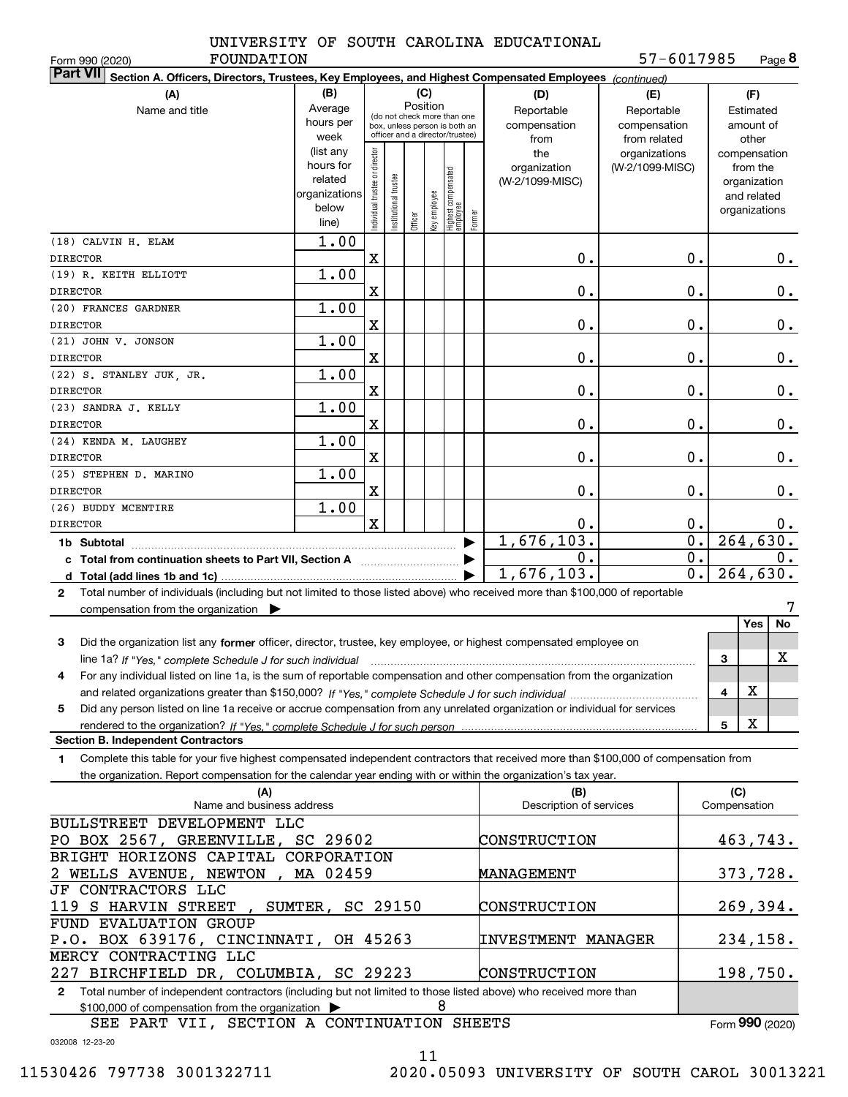FOUNDATION

Form 990 (2020) Page **8** 57-6017985

| <b>Part VII</b><br>Section A. Officers, Directors, Trustees, Key Employees, and Highest Compensated Employees (continued)                    |                                                    |                                |                      |         |              |                                 |        |                                |                  |                     |
|----------------------------------------------------------------------------------------------------------------------------------------------|----------------------------------------------------|--------------------------------|----------------------|---------|--------------|---------------------------------|--------|--------------------------------|------------------|---------------------|
| (A)                                                                                                                                          | (B)                                                |                                |                      |         | (C)          |                                 |        | (D)                            | (E)              | (F)                 |
| Name and title                                                                                                                               | Position<br>Average<br>(do not check more than one |                                |                      |         |              |                                 |        | Reportable                     | Reportable       | Estimated           |
|                                                                                                                                              | hours per                                          |                                |                      |         |              | box, unless person is both an   |        | compensation                   | compensation     | amount of           |
|                                                                                                                                              | week                                               |                                |                      |         |              | officer and a director/trustee) |        | from                           | from related     | other               |
|                                                                                                                                              | (list any                                          |                                |                      |         |              |                                 |        | the                            | organizations    | compensation        |
|                                                                                                                                              | hours for                                          |                                |                      |         |              |                                 |        | organization                   | (W-2/1099-MISC)  | from the            |
|                                                                                                                                              | related                                            |                                |                      |         |              |                                 |        | (W-2/1099-MISC)                |                  | organization        |
|                                                                                                                                              | organizations<br>below                             |                                |                      |         |              |                                 |        |                                |                  | and related         |
|                                                                                                                                              | line)                                              | Individual trustee or director | nstitutional trustee | Officer | Key employee | Highest compensated<br>employee | Former |                                |                  | organizations       |
| (18) CALVIN H. ELAM                                                                                                                          | 1.00                                               |                                |                      |         |              |                                 |        |                                |                  |                     |
|                                                                                                                                              |                                                    |                                |                      |         |              |                                 |        | 0.                             |                  |                     |
| <b>DIRECTOR</b>                                                                                                                              |                                                    | X                              |                      |         |              |                                 |        |                                | 0.               | 0.                  |
| (19) R. KEITH ELLIOTT                                                                                                                        | 1.00                                               |                                |                      |         |              |                                 |        |                                |                  |                     |
| <b>DIRECTOR</b>                                                                                                                              |                                                    | $\mathbf X$                    |                      |         |              |                                 |        | 0.                             | 0.               | 0.                  |
| (20) FRANCES GARDNER                                                                                                                         | 1.00                                               |                                |                      |         |              |                                 |        |                                |                  |                     |
| <b>DIRECTOR</b>                                                                                                                              |                                                    | X                              |                      |         |              |                                 |        | 0.                             | 0.               | $0$ .               |
| (21) JOHN V. JONSON                                                                                                                          | 1.00                                               |                                |                      |         |              |                                 |        |                                |                  |                     |
| <b>DIRECTOR</b>                                                                                                                              |                                                    | $\mathbf X$                    |                      |         |              |                                 |        | 0.                             | 0.               | 0.                  |
| (22) S. STANLEY JUK, JR.                                                                                                                     | 1.00                                               |                                |                      |         |              |                                 |        |                                |                  |                     |
| <b>DIRECTOR</b>                                                                                                                              |                                                    | $\mathbf X$                    |                      |         |              |                                 |        | 0.                             | 0.               | 0.                  |
| (23) SANDRA J. KELLY                                                                                                                         | 1.00                                               |                                |                      |         |              |                                 |        |                                |                  |                     |
| <b>DIRECTOR</b>                                                                                                                              |                                                    | $\mathbf X$                    |                      |         |              |                                 |        | 0.                             | 0.               | 0.                  |
| (24) KENDA M. LAUGHEY                                                                                                                        | 1.00                                               |                                |                      |         |              |                                 |        |                                |                  |                     |
| <b>DIRECTOR</b>                                                                                                                              |                                                    | $\mathbf X$                    |                      |         |              |                                 |        | 0.                             | 0.               | 0.                  |
| (25) STEPHEN D. MARINO                                                                                                                       | 1.00                                               |                                |                      |         |              |                                 |        |                                |                  |                     |
| <b>DIRECTOR</b>                                                                                                                              |                                                    | $\mathbf X$                    |                      |         |              |                                 |        | 0.                             | 0.               | 0.                  |
| (26) BUDDY MCENTIRE                                                                                                                          | 1.00                                               |                                |                      |         |              |                                 |        |                                |                  |                     |
| <b>DIRECTOR</b>                                                                                                                              |                                                    | $\mathbf x$                    |                      |         |              |                                 |        | 0.                             | $0$ .            | $0$ .               |
| 1b Subtotal                                                                                                                                  |                                                    |                                |                      |         |              |                                 |        | 1,676,103.                     | $\overline{0}$ . | 264,630.            |
| c Total from continuation sheets to Part VII, Section A [11] [12] [20] [20]                                                                  |                                                    |                                |                      |         |              |                                 |        | 0.                             | 0.               | 0.                  |
|                                                                                                                                              |                                                    |                                |                      |         |              |                                 |        | 1,676,103.                     | $\overline{0}$ . | 264,630.            |
| Total number of individuals (including but not limited to those listed above) who received more than \$100,000 of reportable<br>$\mathbf{2}$ |                                                    |                                |                      |         |              |                                 |        |                                |                  |                     |
| compensation from the organization                                                                                                           |                                                    |                                |                      |         |              |                                 |        |                                |                  |                     |
|                                                                                                                                              |                                                    |                                |                      |         |              |                                 |        |                                |                  | Yes<br>No           |
| Did the organization list any former officer, director, trustee, key employee, or highest compensated employee on<br>3                       |                                                    |                                |                      |         |              |                                 |        |                                |                  |                     |
| line 1a? If "Yes," complete Schedule J for such individual                                                                                   |                                                    |                                |                      |         |              |                                 |        |                                |                  | х<br>3              |
| For any individual listed on line 1a, is the sum of reportable compensation and other compensation from the organization<br>4                |                                                    |                                |                      |         |              |                                 |        |                                |                  |                     |
|                                                                                                                                              |                                                    |                                |                      |         |              |                                 |        |                                |                  | X<br>4              |
| Did any person listed on line 1a receive or accrue compensation from any unrelated organization or individual for services<br>5              |                                                    |                                |                      |         |              |                                 |        |                                |                  |                     |
|                                                                                                                                              |                                                    |                                |                      |         |              |                                 |        |                                |                  | х<br>5              |
| <b>Section B. Independent Contractors</b>                                                                                                    |                                                    |                                |                      |         |              |                                 |        |                                |                  |                     |
| Complete this table for your five highest compensated independent contractors that received more than \$100,000 of compensation from         |                                                    |                                |                      |         |              |                                 |        |                                |                  |                     |
| 1<br>the organization. Report compensation for the calendar year ending with or within the organization's tax year.                          |                                                    |                                |                      |         |              |                                 |        |                                |                  |                     |
|                                                                                                                                              |                                                    |                                |                      |         |              |                                 |        |                                |                  |                     |
| (A)<br>Name and business address                                                                                                             |                                                    |                                |                      |         |              |                                 |        | (B)<br>Description of services |                  | (C)<br>Compensation |
| BULLSTREET DEVELOPMENT LLC                                                                                                                   |                                                    |                                |                      |         |              |                                 |        |                                |                  |                     |
|                                                                                                                                              |                                                    |                                |                      |         |              |                                 |        |                                |                  |                     |
| PO BOX 2567, GREENVILLE, SC 29602                                                                                                            |                                                    |                                |                      |         |              |                                 |        | CONSTRUCTION                   |                  | 463,743.            |
| BRIGHT HORIZONS CAPITAL CORPORATION                                                                                                          |                                                    |                                |                      |         |              |                                 |        |                                |                  |                     |
| 2 WELLS AVENUE, NEWTON,                                                                                                                      | MA 02459                                           |                                |                      |         |              |                                 |        | MANAGEMENT                     |                  | 373,728.            |
| JF CONTRACTORS LLC                                                                                                                           |                                                    |                                |                      |         |              |                                 |        |                                |                  |                     |
| 119 S HARVIN STREET                                                                                                                          | , SUMTER, SC 29150                                 |                                |                      |         |              |                                 |        | CONSTRUCTION                   |                  | 269,394.            |
| FUND EVALUATION GROUP                                                                                                                        |                                                    |                                |                      |         |              |                                 |        |                                |                  |                     |
| P.O. BOX 639176, CINCINNATI, OH 45263                                                                                                        |                                                    |                                |                      |         |              |                                 |        | <b>INVESTMENT MANAGER</b>      |                  | 234, 158.           |
| MERCY CONTRACTING LLC                                                                                                                        |                                                    |                                |                      |         |              |                                 |        |                                |                  |                     |
| 227 BIRCHFIELD DR, COLUMBIA, SC 29223                                                                                                        |                                                    |                                |                      |         |              |                                 |        | CONSTRUCTION                   |                  | 198,750.            |
| Total number of independent contractors (including but not limited to those listed above) who received more than<br>$\mathbf{2}$             |                                                    |                                |                      |         |              |                                 |        |                                |                  |                     |
| \$100,000 of compensation from the organization                                                                                              |                                                    |                                |                      |         |              | 8                               |        |                                |                  |                     |

SEE PART VII, SECTION A CONTINUATION SHEETS

Form (2020) **990**

032008 12-23-20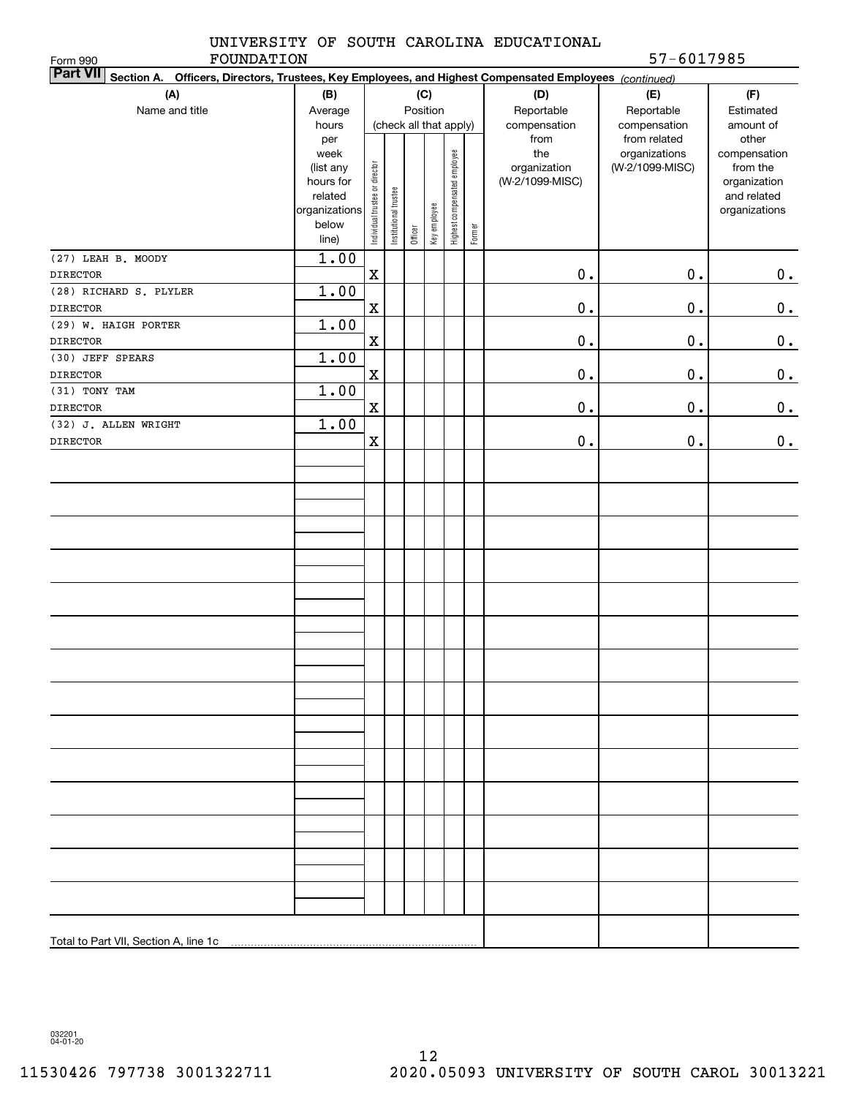|  |  |  |  | UNIVERSITY OF SOUTH CAROLINA EDUCATIONAL |
|--|--|--|--|------------------------------------------|
|--|--|--|--|------------------------------------------|

Form 990

FOUNDATION 57-6017985

| <b>Part VII</b> Section A. Officers, Directors, Trustees, Key Employees, and Highest Compensated Employees (continued) |                      |                                |                        |         |              |                              |        |                 |                 |                             |
|------------------------------------------------------------------------------------------------------------------------|----------------------|--------------------------------|------------------------|---------|--------------|------------------------------|--------|-----------------|-----------------|-----------------------------|
| (A)                                                                                                                    | (B)                  |                                |                        |         | (C)          |                              |        | (D)             | (E)             | (F)                         |
| Name and title                                                                                                         | Average              |                                |                        |         | Position     |                              |        | Reportable      | Reportable      | Estimated                   |
|                                                                                                                        | hours                |                                | (check all that apply) |         |              |                              |        | compensation    | compensation    | amount of                   |
|                                                                                                                        | per                  |                                |                        |         |              |                              |        | from            | from related    | other                       |
|                                                                                                                        | week                 |                                |                        |         |              |                              |        | the             | organizations   | compensation                |
|                                                                                                                        | (list any            |                                |                        |         |              |                              |        | organization    | (W-2/1099-MISC) | from the                    |
|                                                                                                                        | hours for<br>related |                                |                        |         |              |                              |        | (W-2/1099-MISC) |                 | organization<br>and related |
|                                                                                                                        | organizations        |                                |                        |         |              |                              |        |                 |                 | organizations               |
|                                                                                                                        | below                |                                |                        |         |              |                              |        |                 |                 |                             |
|                                                                                                                        | line)                | Individual trustee or director | Institutional trustee  | Officer | Key employee | Highest compensated employee | Former |                 |                 |                             |
| (27) LEAH B. MOODY                                                                                                     | 1.00                 |                                |                        |         |              |                              |        |                 |                 |                             |
| <b>DIRECTOR</b>                                                                                                        |                      | $\mathbf X$                    |                        |         |              |                              |        | $0$ .           | $0$ .           | 0.                          |
| (28) RICHARD S. PLYLER                                                                                                 | 1.00                 |                                |                        |         |              |                              |        |                 |                 |                             |
| <b>DIRECTOR</b>                                                                                                        |                      | X                              |                        |         |              |                              |        | $0$ .           | $0$ .           | 0.                          |
| (29) W. HAIGH PORTER                                                                                                   | 1.00                 |                                |                        |         |              |                              |        |                 |                 |                             |
| DIRECTOR                                                                                                               |                      | X                              |                        |         |              |                              |        | $0$ .           | $\mathbf 0$ .   | 0.                          |
| (30) JEFF SPEARS                                                                                                       | 1.00                 |                                |                        |         |              |                              |        |                 |                 |                             |
| <b>DIRECTOR</b>                                                                                                        |                      | X                              |                        |         |              |                              |        | $0$ .           | $\mathbf 0$ .   | 0.                          |
| (31) TONY TAM                                                                                                          | 1.00                 |                                |                        |         |              |                              |        |                 |                 |                             |
| <b>DIRECTOR</b>                                                                                                        |                      | X                              |                        |         |              |                              |        | $0$ .           | $\mathbf 0$ .   | 0.                          |
| (32) J. ALLEN WRIGHT                                                                                                   | 1.00                 |                                |                        |         |              |                              |        |                 |                 |                             |
| <b>DIRECTOR</b>                                                                                                        |                      | X                              |                        |         |              |                              |        | $\mathbf 0$ .   | $\mathbf 0$ .   | 0.                          |
|                                                                                                                        |                      |                                |                        |         |              |                              |        |                 |                 |                             |
|                                                                                                                        |                      |                                |                        |         |              |                              |        |                 |                 |                             |
|                                                                                                                        |                      |                                |                        |         |              |                              |        |                 |                 |                             |
|                                                                                                                        |                      |                                |                        |         |              |                              |        |                 |                 |                             |
|                                                                                                                        |                      |                                |                        |         |              |                              |        |                 |                 |                             |
|                                                                                                                        |                      |                                |                        |         |              |                              |        |                 |                 |                             |
|                                                                                                                        |                      |                                |                        |         |              |                              |        |                 |                 |                             |
|                                                                                                                        |                      |                                |                        |         |              |                              |        |                 |                 |                             |
|                                                                                                                        |                      |                                |                        |         |              |                              |        |                 |                 |                             |
|                                                                                                                        |                      |                                |                        |         |              |                              |        |                 |                 |                             |
|                                                                                                                        |                      |                                |                        |         |              |                              |        |                 |                 |                             |
|                                                                                                                        |                      |                                |                        |         |              |                              |        |                 |                 |                             |
|                                                                                                                        |                      |                                |                        |         |              |                              |        |                 |                 |                             |
|                                                                                                                        |                      |                                |                        |         |              |                              |        |                 |                 |                             |
|                                                                                                                        |                      |                                |                        |         |              |                              |        |                 |                 |                             |
|                                                                                                                        |                      |                                |                        |         |              |                              |        |                 |                 |                             |
|                                                                                                                        |                      |                                |                        |         |              |                              |        |                 |                 |                             |
|                                                                                                                        |                      |                                |                        |         |              |                              |        |                 |                 |                             |
|                                                                                                                        |                      |                                |                        |         |              |                              |        |                 |                 |                             |
|                                                                                                                        |                      |                                |                        |         |              |                              |        |                 |                 |                             |
|                                                                                                                        |                      |                                |                        |         |              |                              |        |                 |                 |                             |
|                                                                                                                        |                      |                                |                        |         |              |                              |        |                 |                 |                             |
|                                                                                                                        |                      |                                |                        |         |              |                              |        |                 |                 |                             |
|                                                                                                                        |                      |                                |                        |         |              |                              |        |                 |                 |                             |
|                                                                                                                        |                      |                                |                        |         |              |                              |        |                 |                 |                             |
|                                                                                                                        |                      |                                |                        |         |              |                              |        |                 |                 |                             |
|                                                                                                                        |                      |                                |                        |         |              |                              |        |                 |                 |                             |
|                                                                                                                        |                      |                                |                        |         |              |                              |        |                 |                 |                             |
|                                                                                                                        |                      |                                |                        |         |              |                              |        |                 |                 |                             |

032201 04-01-20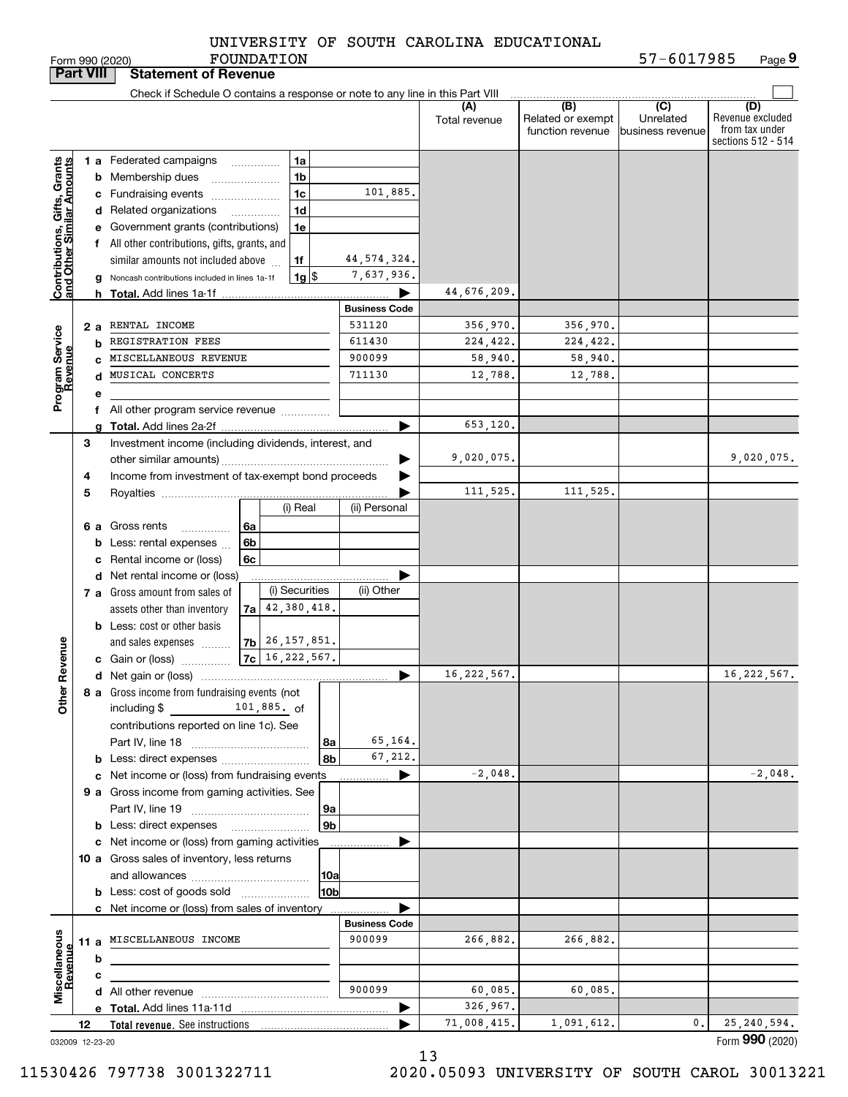|            |  | UNIVERSITY OF SOUTH CAROLINA EDUCATIONAL |
|------------|--|------------------------------------------|
| FOUNDATION |  |                                          |

| <b>Part VIII</b>                                          |    |    | <b>Statement of Revenue</b>                                                   |    |             |                      |                      |                      |                                              |                                                 |                                                                 |
|-----------------------------------------------------------|----|----|-------------------------------------------------------------------------------|----|-------------|----------------------|----------------------|----------------------|----------------------------------------------|-------------------------------------------------|-----------------------------------------------------------------|
|                                                           |    |    | Check if Schedule O contains a response or note to any line in this Part VIII |    |             |                      |                      |                      |                                              |                                                 |                                                                 |
|                                                           |    |    |                                                                               |    |             |                      |                      | (A)<br>Total revenue | (B)<br>Related or exempt<br>function revenue | $\overline{C}$<br>Unrelated<br>business revenue | (D)<br>Revenue excluded<br>from tax under<br>sections 512 - 514 |
|                                                           |    |    | 1 a Federated campaigns                                                       |    |             | 1a                   |                      |                      |                                              |                                                 |                                                                 |
| Contributions, Gifts, Grants<br>and Other Similar Amounts |    |    | <b>b</b> Membership dues                                                      |    |             | 1 <sub>b</sub>       |                      |                      |                                              |                                                 |                                                                 |
|                                                           |    |    | c Fundraising events                                                          |    |             | 1 <sub>c</sub>       | 101,885.             |                      |                                              |                                                 |                                                                 |
|                                                           |    |    | d Related organizations                                                       |    |             | 1 <sub>d</sub>       |                      |                      |                                              |                                                 |                                                                 |
|                                                           |    |    | e Government grants (contributions)                                           |    |             | 1e                   |                      |                      |                                              |                                                 |                                                                 |
|                                                           |    |    | f All other contributions, gifts, grants, and                                 |    |             |                      |                      |                      |                                              |                                                 |                                                                 |
|                                                           |    |    | similar amounts not included above                                            |    |             | 1f                   | 44, 574, 324.        |                      |                                              |                                                 |                                                                 |
|                                                           |    |    | g Noncash contributions included in lines 1a-1f                               |    |             | $1g$ \$              | 7,637,936.           |                      |                                              |                                                 |                                                                 |
|                                                           |    |    |                                                                               |    |             |                      |                      | 44,676,209.          |                                              |                                                 |                                                                 |
|                                                           |    |    |                                                                               |    |             |                      | <b>Business Code</b> |                      |                                              |                                                 |                                                                 |
|                                                           |    | 2а | RENTAL INCOME                                                                 |    |             |                      | 531120               | 356,970.             | 356,970.                                     |                                                 |                                                                 |
|                                                           |    | b  | REGISTRATION FEES                                                             |    |             |                      | 611430               | 224,422.             | 224,422.                                     |                                                 |                                                                 |
|                                                           |    |    | C MISCELLANEOUS REVENUE<br>d MUSICAL CONCERTS                                 |    |             |                      | 900099<br>711130     | 58,940.              | 58,940.                                      |                                                 |                                                                 |
| Program Service<br>Revenue                                |    |    |                                                                               |    |             |                      |                      | 12,788.              | 12,788.                                      |                                                 |                                                                 |
|                                                           |    | е  |                                                                               |    |             |                      |                      |                      |                                              |                                                 |                                                                 |
|                                                           |    | f  | All other program service revenue <i>mimimini</i>                             |    |             |                      |                      | 653,120.             |                                              |                                                 |                                                                 |
|                                                           | 3  |    | Investment income (including dividends, interest, and                         |    |             |                      |                      |                      |                                              |                                                 |                                                                 |
|                                                           |    |    |                                                                               |    |             |                      |                      | 9,020,075.           |                                              |                                                 | 9,020,075.                                                      |
|                                                           | 4  |    |                                                                               |    |             |                      |                      |                      |                                              |                                                 |                                                                 |
|                                                           | 5  |    | Income from investment of tax-exempt bond proceeds                            |    |             |                      |                      | 111,525.             | 111,525.                                     |                                                 |                                                                 |
|                                                           |    |    |                                                                               |    |             | (i) Real             | (ii) Personal        |                      |                                              |                                                 |                                                                 |
|                                                           |    |    | 6 a Gross rents<br>.                                                          | 6a |             |                      |                      |                      |                                              |                                                 |                                                                 |
|                                                           |    |    | <b>b</b> Less: rental expenses                                                | 6b |             |                      |                      |                      |                                              |                                                 |                                                                 |
|                                                           |    |    | c Rental income or (loss)                                                     | 6c |             |                      |                      |                      |                                              |                                                 |                                                                 |
|                                                           |    |    | d Net rental income or (loss)                                                 |    |             |                      |                      |                      |                                              |                                                 |                                                                 |
|                                                           |    |    | 7 a Gross amount from sales of                                                |    |             | (i) Securities       | (ii) Other           |                      |                                              |                                                 |                                                                 |
|                                                           |    |    | assets other than inventory                                                   |    |             | $7a$ 42, 380, 418.   |                      |                      |                                              |                                                 |                                                                 |
|                                                           |    |    | <b>b</b> Less: cost or other basis                                            |    |             |                      |                      |                      |                                              |                                                 |                                                                 |
|                                                           |    |    | and sales expenses                                                            |    |             | $ 7b $ 26, 157, 851. |                      |                      |                                              |                                                 |                                                                 |
| Revenue                                                   |    |    | <b>c</b> Gain or (loss)                                                       |    |             | $ 7c $ 16, 222, 567. |                      |                      |                                              |                                                 |                                                                 |
|                                                           |    |    |                                                                               |    |             |                      | ▶                    | 16, 222, 567.        |                                              |                                                 | 16, 222, 567.                                                   |
| <b>Othe</b>                                               |    |    | 8 a Gross income from fundraising events (not                                 |    |             |                      |                      |                      |                                              |                                                 |                                                                 |
|                                                           |    |    | including $$$                                                                 |    | 101,885. of |                      |                      |                      |                                              |                                                 |                                                                 |
|                                                           |    |    | contributions reported on line 1c). See                                       |    |             |                      |                      |                      |                                              |                                                 |                                                                 |
|                                                           |    |    |                                                                               |    |             | 8a<br>8b             | 65,164.<br>67,212.   |                      |                                              |                                                 |                                                                 |
|                                                           |    |    | c Net income or (loss) from fundraising events                                |    |             |                      | ▶                    | $-2,048.$            |                                              |                                                 | $-2,048.$                                                       |
|                                                           |    |    | 9 a Gross income from gaming activities. See                                  |    |             |                      |                      |                      |                                              |                                                 |                                                                 |
|                                                           |    |    |                                                                               |    |             | 9a                   |                      |                      |                                              |                                                 |                                                                 |
|                                                           |    |    | <b>b</b> Less: direct expenses                                                |    |             | 9 <sub>b</sub>       |                      |                      |                                              |                                                 |                                                                 |
|                                                           |    |    | c Net income or (loss) from gaming activities                                 |    |             |                      |                      |                      |                                              |                                                 |                                                                 |
|                                                           |    |    | 10 a Gross sales of inventory, less returns                                   |    |             |                      |                      |                      |                                              |                                                 |                                                                 |
|                                                           |    |    |                                                                               |    |             | 10a                  |                      |                      |                                              |                                                 |                                                                 |
|                                                           |    |    |                                                                               |    |             | 10b                  |                      |                      |                                              |                                                 |                                                                 |
|                                                           |    |    | c Net income or (loss) from sales of inventory                                |    |             |                      |                      |                      |                                              |                                                 |                                                                 |
|                                                           |    |    |                                                                               |    |             |                      | <b>Business Code</b> |                      |                                              |                                                 |                                                                 |
| Miscellaneous<br>Revenue                                  |    |    | 11 a MISCELLANEOUS INCOME                                                     |    |             |                      | 900099               | 266,882.             | 266,882.                                     |                                                 |                                                                 |
|                                                           |    | b  |                                                                               |    |             |                      |                      |                      |                                              |                                                 |                                                                 |
|                                                           |    | c  |                                                                               |    |             |                      |                      |                      |                                              |                                                 |                                                                 |
|                                                           |    |    |                                                                               |    |             |                      | 900099               | 60,085.              | 60,085.                                      |                                                 |                                                                 |
|                                                           |    |    |                                                                               |    |             |                      |                      | 326,967.             |                                              |                                                 |                                                                 |
|                                                           | 12 |    |                                                                               |    |             |                      |                      | 71,008,415.          | 1,091,612.                                   | 0.                                              | 25, 240, 594.                                                   |
| 032009 12-23-20                                           |    |    |                                                                               |    |             |                      |                      |                      |                                              |                                                 | Form 990 (2020)                                                 |

13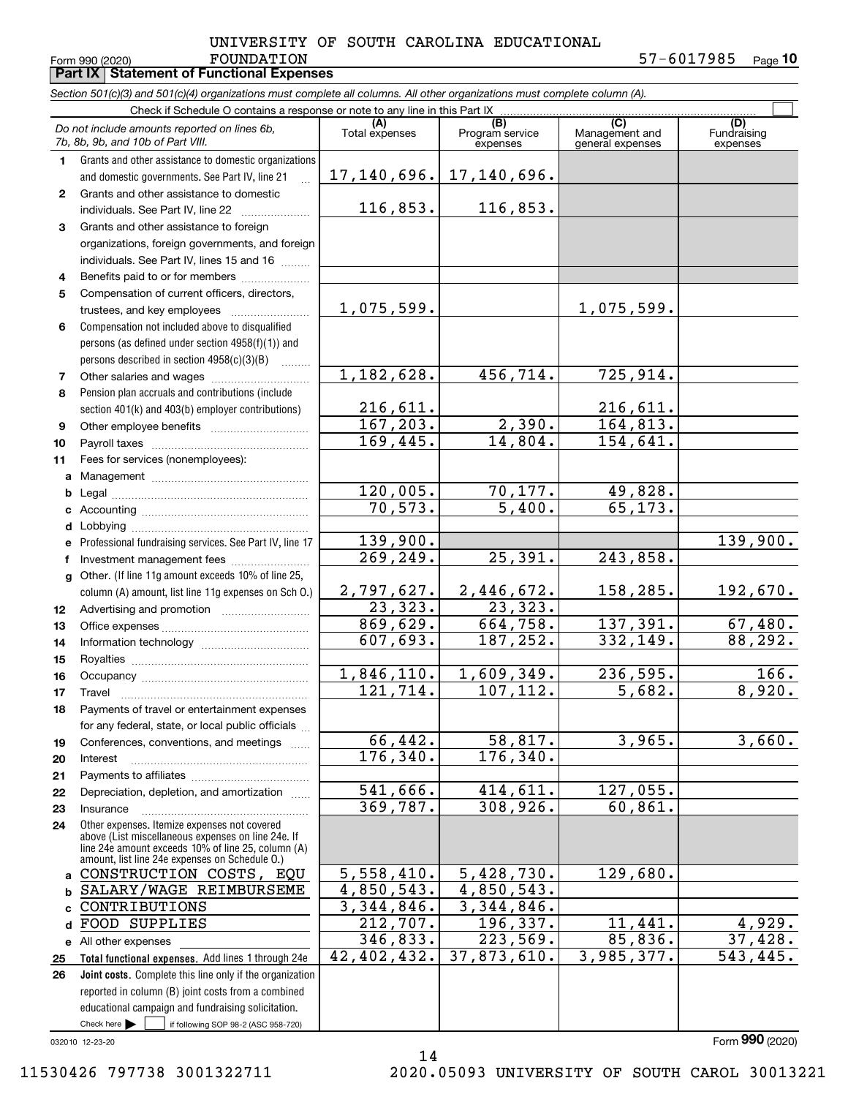## FOUNDATION 57-6017985 UNIVERSITY OF SOUTH CAROLINA EDUCATIONAL

**10**

|              | Form 990 (2020)<br><b>FOUNDATION</b><br><b>Part IX   Statement of Functional Expenses</b>                                                                                                                  |                           |                                    |                                           | 57-00I7985<br>Page 10          |
|--------------|------------------------------------------------------------------------------------------------------------------------------------------------------------------------------------------------------------|---------------------------|------------------------------------|-------------------------------------------|--------------------------------|
|              | Section 501(c)(3) and 501(c)(4) organizations must complete all columns. All other organizations must complete column (A).                                                                                 |                           |                                    |                                           |                                |
|              | Check if Schedule O contains a response or note to any line in this Part IX                                                                                                                                |                           |                                    |                                           |                                |
|              | Do not include amounts reported on lines 6b,<br>7b, 8b, 9b, and 10b of Part VIII.                                                                                                                          | (A)<br>Total expenses     | (B)<br>Program service<br>expenses | (C)<br>Management and<br>general expenses | (D)<br>Fundraising<br>expenses |
| 1.           | Grants and other assistance to domestic organizations                                                                                                                                                      |                           |                                    |                                           |                                |
|              | and domestic governments. See Part IV, line 21                                                                                                                                                             | 17,140,696.               | 17, 140, 696.                      |                                           |                                |
| $\mathbf{2}$ | Grants and other assistance to domestic                                                                                                                                                                    |                           |                                    |                                           |                                |
|              |                                                                                                                                                                                                            | 116,853.                  | 116,853.                           |                                           |                                |
| 3            | Grants and other assistance to foreign                                                                                                                                                                     |                           |                                    |                                           |                                |
|              | organizations, foreign governments, and foreign                                                                                                                                                            |                           |                                    |                                           |                                |
|              | individuals. See Part IV, lines 15 and 16                                                                                                                                                                  |                           |                                    |                                           |                                |
| 4            | Benefits paid to or for members                                                                                                                                                                            |                           |                                    |                                           |                                |
| 5            | Compensation of current officers, directors,                                                                                                                                                               |                           |                                    |                                           |                                |
|              | trustees, and key employees                                                                                                                                                                                | 1,075,599.                |                                    | 1,075,599.                                |                                |
| 6            | Compensation not included above to disqualified                                                                                                                                                            |                           |                                    |                                           |                                |
|              | persons (as defined under section 4958(f)(1)) and                                                                                                                                                          |                           |                                    |                                           |                                |
|              | persons described in section $4958(c)(3)(B)$                                                                                                                                                               |                           |                                    |                                           |                                |
| 7            |                                                                                                                                                                                                            | 1,182,628.                | 456,714.                           | 725, 914.                                 |                                |
| 8            | Pension plan accruals and contributions (include                                                                                                                                                           |                           |                                    |                                           |                                |
|              | section 401(k) and 403(b) employer contributions)                                                                                                                                                          | 216,611.                  |                                    | 216,611.                                  |                                |
| 9            | Other employee benefits                                                                                                                                                                                    | 167,203.                  | 2,390.                             | 164,813.                                  |                                |
| 10           |                                                                                                                                                                                                            | 169,445.                  | 14,804.                            | 154,641.                                  |                                |
| 11           | Fees for services (nonemployees):                                                                                                                                                                          |                           |                                    |                                           |                                |
| a            |                                                                                                                                                                                                            |                           |                                    |                                           |                                |
| b            |                                                                                                                                                                                                            | 120,005.                  | 70,177.                            | 49,828.                                   |                                |
| c            |                                                                                                                                                                                                            | 70,573.                   | 5,400.                             | 65,173.                                   |                                |
| d            |                                                                                                                                                                                                            |                           |                                    |                                           |                                |
| е            | Professional fundraising services. See Part IV, line 17                                                                                                                                                    | 139,900.<br>269,249.      | 25,391.                            | 243,858.                                  | 139,900.                       |
| f            | Investment management fees                                                                                                                                                                                 |                           |                                    |                                           |                                |
| g            | Other. (If line 11g amount exceeds 10% of line 25,                                                                                                                                                         | 2,797,627.                | 2,446,672.                         | 158,285.                                  | 192,670.                       |
|              | column (A) amount, list line 11g expenses on Sch O.)                                                                                                                                                       | 23, 323.                  | 23,323.                            |                                           |                                |
| 12<br>13     |                                                                                                                                                                                                            | 869,629.                  | 664,758.                           | 137,391.                                  | 67,480.                        |
| 14           |                                                                                                                                                                                                            | 607,693.                  | 187,252.                           | 332,149.                                  | 88,292.                        |
| 15           |                                                                                                                                                                                                            |                           |                                    |                                           |                                |
| 16           | Occupancy                                                                                                                                                                                                  | 1,846,110.                | 1,609,349.                         | 236,595.                                  | 166.                           |
| 17           | Travel                                                                                                                                                                                                     | 121,714.                  | 107,112.                           | 5,682.                                    | 8,920.                         |
| 18           | Payments of travel or entertainment expenses                                                                                                                                                               |                           |                                    |                                           |                                |
|              | for any federal, state, or local public officials                                                                                                                                                          |                           |                                    |                                           |                                |
| 19           | Conferences, conventions, and meetings                                                                                                                                                                     | 66,442.                   | 58,817.                            | 3,965.                                    | 3,660.                         |
| 20           | Interest                                                                                                                                                                                                   | 176,340.                  | 176,340.                           |                                           |                                |
| 21           |                                                                                                                                                                                                            |                           |                                    |                                           |                                |
| 22           | Depreciation, depletion, and amortization                                                                                                                                                                  | 541,666.                  | 414,611.                           | 127,055.                                  |                                |
| 23           | Insurance                                                                                                                                                                                                  | 369,787.                  | 308,926.                           | 60, 861.                                  |                                |
| 24           | Other expenses. Itemize expenses not covered<br>above (List miscellaneous expenses on line 24e. If<br>line 24e amount exceeds 10% of line 25, column (A)<br>amount, list line 24e expenses on Schedule O.) |                           |                                    |                                           |                                |
| a            | CONSTRUCTION COSTS, EQU                                                                                                                                                                                    | 5,558,410.                | 5,428,730.                         | 129,680.                                  |                                |
| b            | SALARY/WAGE REIMBURSEME                                                                                                                                                                                    | $\overline{4,850}$ , 543. | 4,850,543.                         |                                           |                                |
| c            | CONTRIBUTIONS                                                                                                                                                                                              | 3,344,846.                | 3,344,846.                         |                                           |                                |
| d            | FOOD SUPPLIES                                                                                                                                                                                              | 212,707.                  | 196,337.                           | 11,441.                                   | 4,929.                         |
|              | e All other expenses                                                                                                                                                                                       | 346,833.<br>42,402,432.   | 223,569.<br>37,873,610.            | 85,836.<br>3,985,377.                     | 37,428.                        |
| 25           | Total functional expenses. Add lines 1 through 24e                                                                                                                                                         |                           |                                    |                                           | 543,445.                       |
| 26           | Joint costs. Complete this line only if the organization                                                                                                                                                   |                           |                                    |                                           |                                |
|              | reported in column (B) joint costs from a combined<br>educational campaign and fundraising solicitation.                                                                                                   |                           |                                    |                                           |                                |
|              | Check here $\blacktriangleright$<br>if following SOP 98-2 (ASC 958-720)                                                                                                                                    |                           |                                    |                                           |                                |

14

032010 12-23-20

## 11530426 797738 3001322711 2020.05093 UNIVERSITY OF SOUTH CAROL 30013221

Form (2020) **990**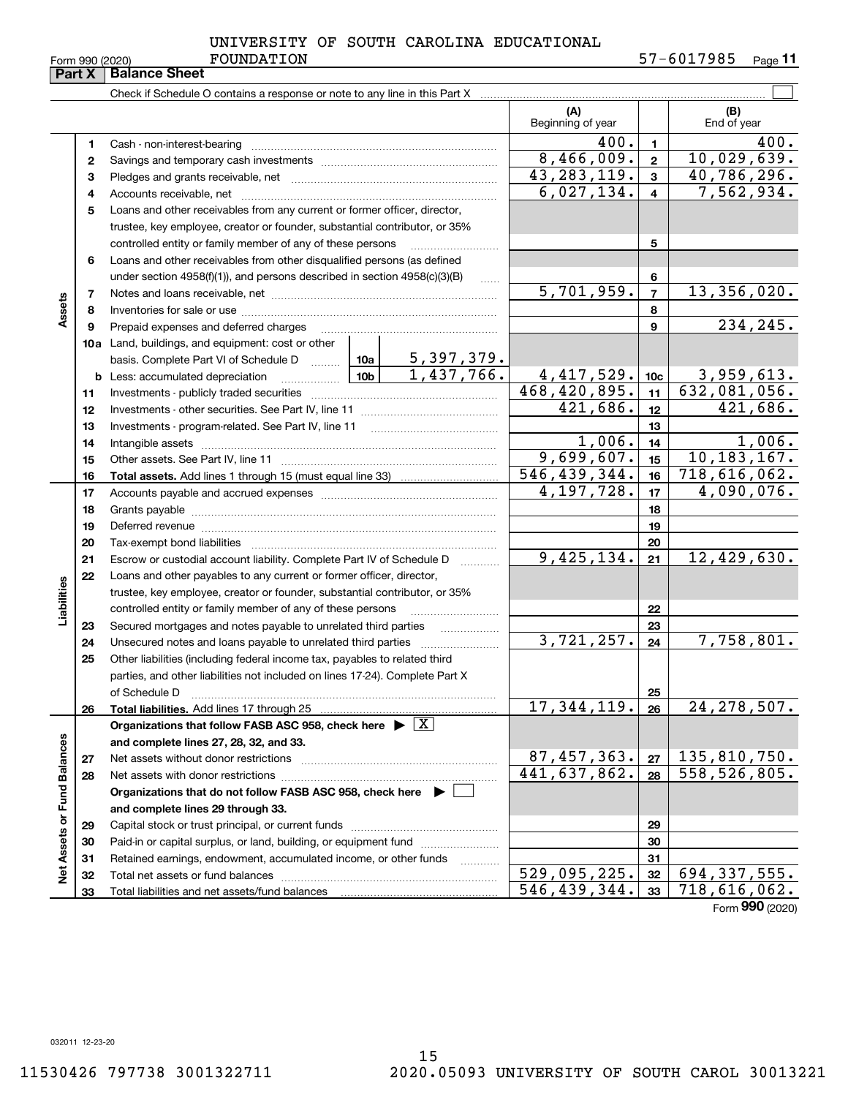| Farm 990 <i>(</i> 2020 |  |  |
|------------------------|--|--|

Form 990 (2020) Page **11** FOUNDATION 57-6017985

| <b>Part X</b>               |          | <b>Balance Sheet</b>                                                                                                                                                                                                           |                          |                |                              |
|-----------------------------|----------|--------------------------------------------------------------------------------------------------------------------------------------------------------------------------------------------------------------------------------|--------------------------|----------------|------------------------------|
|                             |          |                                                                                                                                                                                                                                |                          |                |                              |
|                             |          |                                                                                                                                                                                                                                | (A)<br>Beginning of year |                | (B)<br>End of year           |
|                             | 1        |                                                                                                                                                                                                                                | 400.                     | 1.             | 400.                         |
|                             | 2        |                                                                                                                                                                                                                                | 8,466,009.               | $\mathbf{2}$   | 10,029,639.                  |
|                             | з        |                                                                                                                                                                                                                                | 43, 283, 119.            | 3              | 40,786,296.                  |
|                             | 4        |                                                                                                                                                                                                                                | 6,027,134.               | 4              | 7,562,934.                   |
|                             | 5        | Loans and other receivables from any current or former officer, director,                                                                                                                                                      |                          |                |                              |
|                             |          | trustee, key employee, creator or founder, substantial contributor, or 35%                                                                                                                                                     |                          |                |                              |
|                             |          | controlled entity or family member of any of these persons                                                                                                                                                                     |                          | 5              |                              |
|                             | 6        | Loans and other receivables from other disqualified persons (as defined                                                                                                                                                        |                          |                |                              |
|                             |          | under section $4958(f)(1)$ , and persons described in section $4958(c)(3)(B)$                                                                                                                                                  |                          | 6              |                              |
| Assets                      | 7        |                                                                                                                                                                                                                                | 5,701,959.               | $\overline{7}$ | 13,356,020.                  |
|                             | 8        |                                                                                                                                                                                                                                |                          | 8<br>9         | 234,245.                     |
|                             | 9        | Prepaid expenses and deferred charges<br><b>10a</b> Land, buildings, and equipment: cost or other                                                                                                                              |                          |                |                              |
|                             |          | basis. Complete Part VI of Schedule D $\frac{10a}{\cdots}$ 10a   5, 397, 379.                                                                                                                                                  |                          |                |                              |
|                             |          | 1,437,766.                                                                                                                                                                                                                     | 4, 417, 529.             | 10c            | 3,959,613.                   |
|                             | 11       |                                                                                                                                                                                                                                | 468,420,895.             | 11             | 632,081,056.                 |
|                             | 12       |                                                                                                                                                                                                                                | 421,686.                 | 12             | 421,686.                     |
|                             | 13       | Investments - program-related. See Part IV, line 11                                                                                                                                                                            |                          | 13             |                              |
|                             | 14       |                                                                                                                                                                                                                                | 1,006.                   | 14             | 1,006.                       |
|                             | 15       |                                                                                                                                                                                                                                | 9,699,607.               | 15             | 10, 183, 167.                |
|                             | 16       |                                                                                                                                                                                                                                | 546,439,344.             | 16             | 718,616,062.                 |
|                             | 17       |                                                                                                                                                                                                                                | $\overline{4,197}, 728.$ | 17             | 4,090,076.                   |
|                             | 18       |                                                                                                                                                                                                                                |                          | 18             |                              |
|                             | 19       | Deferred revenue information and contact the contract of the contract of the contract of the contract of the contract of the contract of the contract of the contract of the contract of the contract of the contract of the c |                          | 19             |                              |
|                             | 20       |                                                                                                                                                                                                                                |                          | 20             |                              |
|                             | 21       | Escrow or custodial account liability. Complete Part IV of Schedule D                                                                                                                                                          | 9,425,134.               | 21             | 12,429,630.                  |
|                             | 22       | Loans and other payables to any current or former officer, director,                                                                                                                                                           |                          |                |                              |
| Liabilities                 |          | trustee, key employee, creator or founder, substantial contributor, or 35%                                                                                                                                                     |                          |                |                              |
|                             |          | controlled entity or family member of any of these persons                                                                                                                                                                     |                          | 22             |                              |
|                             | 23<br>24 | Secured mortgages and notes payable to unrelated third parties<br>.                                                                                                                                                            | $\overline{3,721}, 257.$ | 23<br>24       | 7,758,801.                   |
|                             | 25       | Other liabilities (including federal income tax, payables to related third                                                                                                                                                     |                          |                |                              |
|                             |          | parties, and other liabilities not included on lines 17-24). Complete Part X                                                                                                                                                   |                          |                |                              |
|                             |          | of Schedule D                                                                                                                                                                                                                  |                          | 25             |                              |
|                             | 26       | Total liabilities. Add lines 17 through 25                                                                                                                                                                                     | 17,344,119.              | 26             | 24, 278, 507.                |
|                             |          | Organizations that follow FASB ASC 958, check here $\blacktriangleright \boxed{X}$                                                                                                                                             |                          |                |                              |
|                             |          | and complete lines 27, 28, 32, and 33.                                                                                                                                                                                         |                          |                |                              |
|                             | 27       |                                                                                                                                                                                                                                | 87,457,363.              | 27             | 135,810,750.                 |
|                             | 28       |                                                                                                                                                                                                                                | 441,637,862.             | 28             | 558, 526, 805.               |
|                             |          | Organizations that do not follow FASB ASC 958, check here $\blacktriangleright$                                                                                                                                                |                          |                |                              |
|                             |          | and complete lines 29 through 33.                                                                                                                                                                                              |                          |                |                              |
|                             | 29       |                                                                                                                                                                                                                                |                          | 29             |                              |
|                             | 30       | Paid-in or capital surplus, or land, building, or equipment fund                                                                                                                                                               |                          | 30             |                              |
| Net Assets or Fund Balances | 31       | Retained earnings, endowment, accumulated income, or other funds<br>.                                                                                                                                                          | 529,095,225.             | 31<br>32       | $\overline{694}$ , 337, 555. |
|                             | 32<br>33 |                                                                                                                                                                                                                                | 546,439,344.             | 33             | $\overline{718}$ , 616, 062. |
|                             |          |                                                                                                                                                                                                                                |                          |                | Form 990 (2020)              |

032011 12-23-20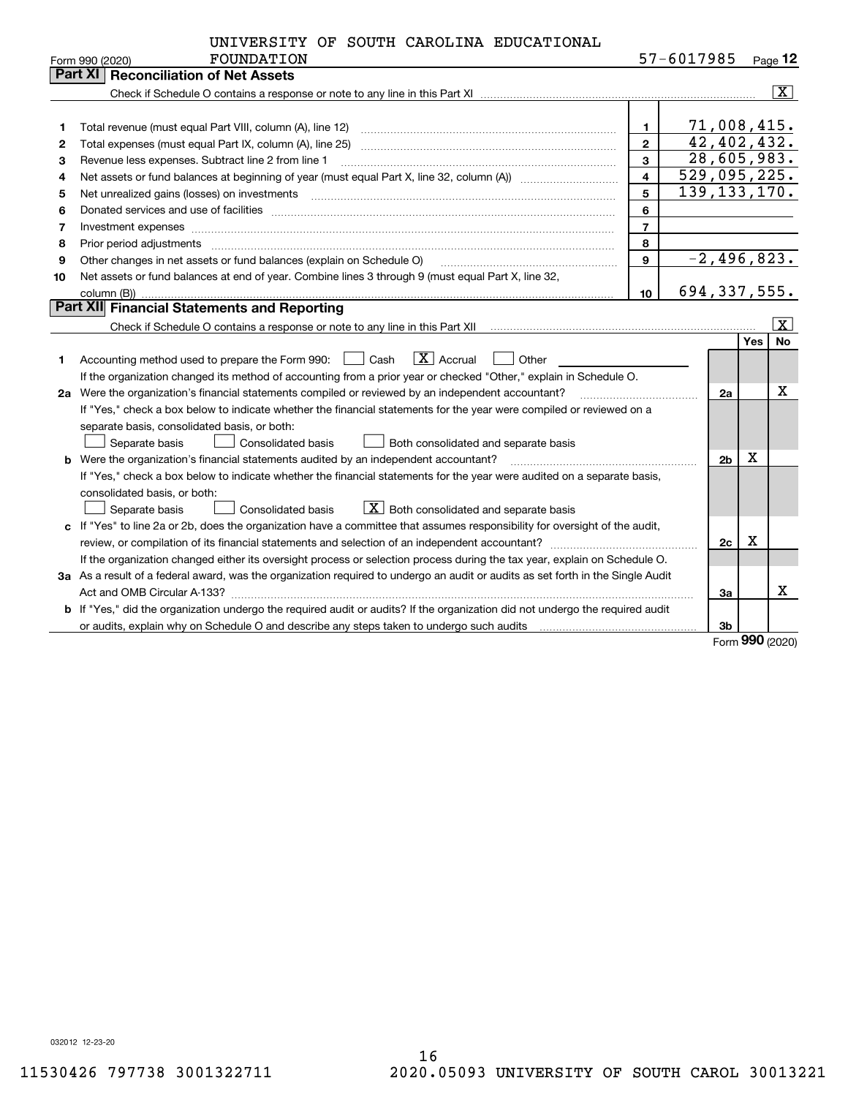|  |  |  |  | UNIVERSITY OF SOUTH CAROLINA EDUCATIONAL |
|--|--|--|--|------------------------------------------|
|--|--|--|--|------------------------------------------|

|    | FOUNDATION<br>Form 990 (2020)                                                                                                                                                                                                  |                         | 57-6017985 |                |            | <u>Page</u> 12          |  |
|----|--------------------------------------------------------------------------------------------------------------------------------------------------------------------------------------------------------------------------------|-------------------------|------------|----------------|------------|-------------------------|--|
|    | Part XI<br><b>Reconciliation of Net Assets</b>                                                                                                                                                                                 |                         |            |                |            |                         |  |
|    |                                                                                                                                                                                                                                |                         |            |                |            | $\overline{\mathbf{X}}$ |  |
|    |                                                                                                                                                                                                                                |                         |            |                |            |                         |  |
| 1  |                                                                                                                                                                                                                                | $\mathbf{1}$            |            | 71,008,415.    |            |                         |  |
| 2  | Total expenses (must equal Part IX, column (A), line 25)                                                                                                                                                                       | $\overline{2}$          |            | 42,402,432.    |            |                         |  |
| 3  | Revenue less expenses. Subtract line 2 from line 1                                                                                                                                                                             | 3                       |            | 28,605,983.    |            |                         |  |
| 4  |                                                                                                                                                                                                                                | $\overline{\mathbf{4}}$ |            | 529,095,225.   |            |                         |  |
| 5  |                                                                                                                                                                                                                                | 5                       |            | 139, 133, 170. |            |                         |  |
| 6  | Donated services and use of facilities [111] matter contracts and the service of facilities [11] matter contracts and use of facilities [11] matter contracts and the service of facilities [11] matter contracts and the serv | 6                       |            |                |            |                         |  |
| 7  | Investment expenses www.communication.communication.com/internation.com/internation.com/internation.com/intern                                                                                                                 | $\overline{7}$          |            |                |            |                         |  |
| 8  | Prior period adjustments material contents and content of the content of the content of the content of the content of the content of the content of the content of the content of the content of the content of the content of | 8                       |            |                |            |                         |  |
| 9  | Other changes in net assets or fund balances (explain on Schedule O)                                                                                                                                                           | $\mathbf{9}$            |            | $-2,496,823.$  |            |                         |  |
| 10 | Net assets or fund balances at end of year. Combine lines 3 through 9 (must equal Part X, line 32,                                                                                                                             |                         |            |                |            |                         |  |
|    |                                                                                                                                                                                                                                | 10                      |            | 694,337,555.   |            |                         |  |
|    | Part XII Financial Statements and Reporting                                                                                                                                                                                    |                         |            |                |            |                         |  |
|    |                                                                                                                                                                                                                                |                         |            |                |            | $\overline{\mathbf{x}}$ |  |
|    |                                                                                                                                                                                                                                |                         |            |                | <b>Yes</b> | <b>No</b>               |  |
| 1  | $\boxed{\text{X}}$ Accrual<br>Accounting method used to prepare the Form 990: [139] Cash<br>Other                                                                                                                              |                         |            |                |            |                         |  |
|    | If the organization changed its method of accounting from a prior year or checked "Other," explain in Schedule O.                                                                                                              |                         |            |                |            |                         |  |
|    | 2a Were the organization's financial statements compiled or reviewed by an independent accountant?                                                                                                                             |                         |            |                |            |                         |  |
|    | If "Yes," check a box below to indicate whether the financial statements for the year were compiled or reviewed on a                                                                                                           |                         |            |                |            |                         |  |
|    | separate basis, consolidated basis, or both:                                                                                                                                                                                   |                         |            |                |            |                         |  |
|    | Separate basis<br>Consolidated basis<br>Both consolidated and separate basis                                                                                                                                                   |                         |            |                |            |                         |  |
|    | b Were the organization's financial statements audited by an independent accountant?                                                                                                                                           |                         |            | 2 <sub>b</sub> | X          |                         |  |
|    | If "Yes," check a box below to indicate whether the financial statements for the year were audited on a separate basis,                                                                                                        |                         |            |                |            |                         |  |
|    | consolidated basis, or both:                                                                                                                                                                                                   |                         |            |                |            |                         |  |
|    | $X$ Both consolidated and separate basis<br>Consolidated basis<br>Separate basis                                                                                                                                               |                         |            |                |            |                         |  |
|    | c If "Yes" to line 2a or 2b, does the organization have a committee that assumes responsibility for oversight of the audit,                                                                                                    |                         |            |                |            |                         |  |
|    |                                                                                                                                                                                                                                |                         |            | 2c             | х          |                         |  |
|    | If the organization changed either its oversight process or selection process during the tax year, explain on Schedule O.                                                                                                      |                         |            |                |            |                         |  |
|    | 3a As a result of a federal award, was the organization required to undergo an audit or audits as set forth in the Single Audit                                                                                                |                         |            |                |            |                         |  |
|    |                                                                                                                                                                                                                                |                         |            | За             |            | х                       |  |
|    | b If "Yes," did the organization undergo the required audit or audits? If the organization did not undergo the required audit                                                                                                  |                         |            |                |            |                         |  |
|    |                                                                                                                                                                                                                                |                         |            | 3b             |            |                         |  |

Form (2020) **990**

032012 12-23-20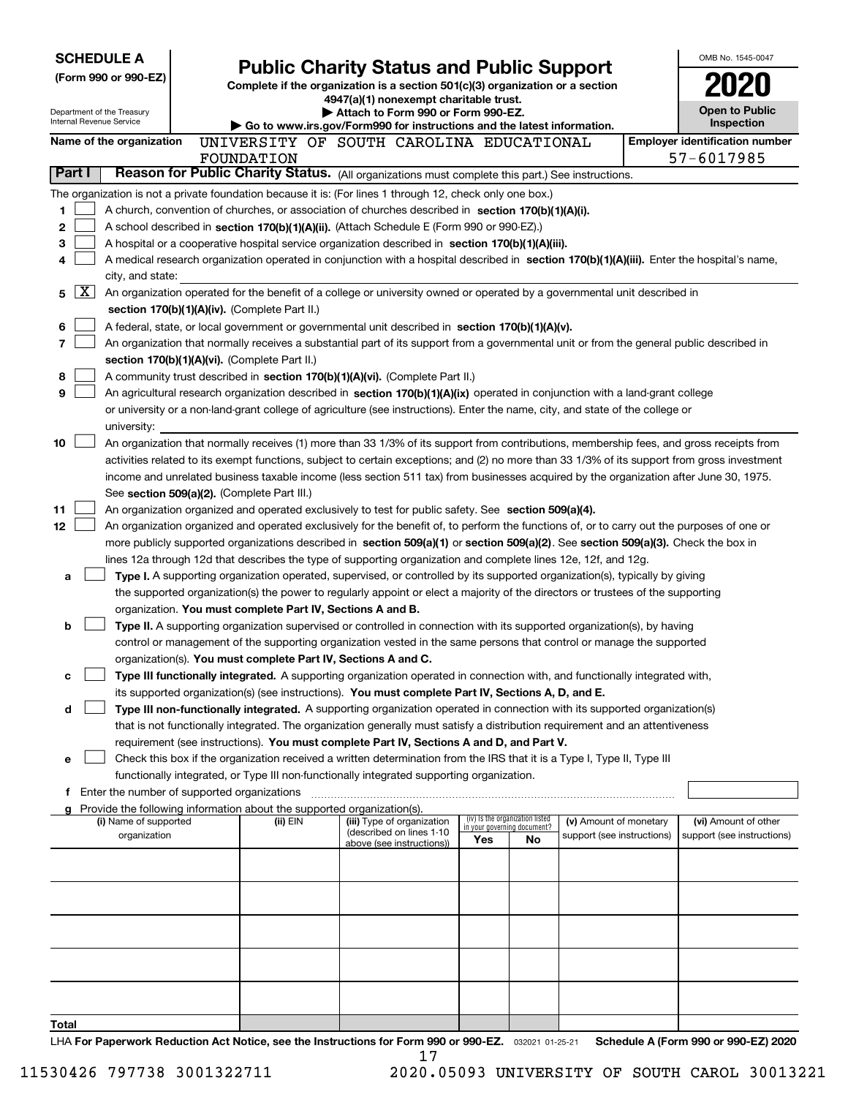| <b>SCHEDULE A</b>               |                                               |                                                                        |                                                                                                                                                                                                                                                           |     |                                                                |                                                      | OMB No. 1545-0047                                     |
|---------------------------------|-----------------------------------------------|------------------------------------------------------------------------|-----------------------------------------------------------------------------------------------------------------------------------------------------------------------------------------------------------------------------------------------------------|-----|----------------------------------------------------------------|------------------------------------------------------|-------------------------------------------------------|
|                                 | (Form 990 or 990-EZ)                          |                                                                        | <b>Public Charity Status and Public Support</b><br>Complete if the organization is a section 501(c)(3) organization or a section                                                                                                                          |     |                                                                |                                                      |                                                       |
|                                 |                                               |                                                                        | 4947(a)(1) nonexempt charitable trust.                                                                                                                                                                                                                    |     |                                                                |                                                      |                                                       |
| <b>Internal Revenue Service</b> | Department of the Treasury                    |                                                                        | Attach to Form 990 or Form 990-EZ.                                                                                                                                                                                                                        |     |                                                                |                                                      | <b>Open to Public</b><br>Inspection                   |
|                                 |                                               |                                                                        | ▶ Go to www.irs.gov/Form990 for instructions and the latest information.                                                                                                                                                                                  |     |                                                                |                                                      | <b>Employer identification number</b>                 |
|                                 | Name of the organization                      | FOUNDATION                                                             | UNIVERSITY OF SOUTH CAROLINA EDUCATIONAL                                                                                                                                                                                                                  |     |                                                                |                                                      | 57-6017985                                            |
| Part I                          |                                               |                                                                        | Reason for Public Charity Status. (All organizations must complete this part.) See instructions.                                                                                                                                                          |     |                                                                |                                                      |                                                       |
|                                 |                                               |                                                                        | The organization is not a private foundation because it is: (For lines 1 through 12, check only one box.)                                                                                                                                                 |     |                                                                |                                                      |                                                       |
| 1                               |                                               |                                                                        | A church, convention of churches, or association of churches described in section 170(b)(1)(A)(i).                                                                                                                                                        |     |                                                                |                                                      |                                                       |
| 2                               |                                               |                                                                        | A school described in section 170(b)(1)(A)(ii). (Attach Schedule E (Form 990 or 990-EZ).)                                                                                                                                                                 |     |                                                                |                                                      |                                                       |
| 3                               |                                               |                                                                        | A hospital or a cooperative hospital service organization described in section $170(b)(1)(A)(iii)$ .                                                                                                                                                      |     |                                                                |                                                      |                                                       |
| 4                               |                                               |                                                                        | A medical research organization operated in conjunction with a hospital described in section 170(b)(1)(A)(iii). Enter the hospital's name,                                                                                                                |     |                                                                |                                                      |                                                       |
|                                 | city, and state:                              |                                                                        |                                                                                                                                                                                                                                                           |     |                                                                |                                                      |                                                       |
| $\mathbf{X}$<br>5               |                                               |                                                                        | An organization operated for the benefit of a college or university owned or operated by a governmental unit described in                                                                                                                                 |     |                                                                |                                                      |                                                       |
|                                 |                                               | section 170(b)(1)(A)(iv). (Complete Part II.)                          |                                                                                                                                                                                                                                                           |     |                                                                |                                                      |                                                       |
| 6                               |                                               |                                                                        | A federal, state, or local government or governmental unit described in section $170(b)(1)(A)(v)$ .                                                                                                                                                       |     |                                                                |                                                      |                                                       |
| 7                               |                                               | section 170(b)(1)(A)(vi). (Complete Part II.)                          | An organization that normally receives a substantial part of its support from a governmental unit or from the general public described in                                                                                                                 |     |                                                                |                                                      |                                                       |
| 8                               |                                               |                                                                        | A community trust described in section 170(b)(1)(A)(vi). (Complete Part II.)                                                                                                                                                                              |     |                                                                |                                                      |                                                       |
| 9                               |                                               |                                                                        | An agricultural research organization described in section 170(b)(1)(A)(ix) operated in conjunction with a land-grant college                                                                                                                             |     |                                                                |                                                      |                                                       |
|                                 |                                               |                                                                        | or university or a non-land-grant college of agriculture (see instructions). Enter the name, city, and state of the college or                                                                                                                            |     |                                                                |                                                      |                                                       |
|                                 | university:                                   |                                                                        |                                                                                                                                                                                                                                                           |     |                                                                |                                                      |                                                       |
| 10                              |                                               |                                                                        | An organization that normally receives (1) more than 33 1/3% of its support from contributions, membership fees, and gross receipts from                                                                                                                  |     |                                                                |                                                      |                                                       |
|                                 |                                               |                                                                        | activities related to its exempt functions, subject to certain exceptions; and (2) no more than 33 1/3% of its support from gross investment                                                                                                              |     |                                                                |                                                      |                                                       |
|                                 |                                               |                                                                        | income and unrelated business taxable income (less section 511 tax) from businesses acquired by the organization after June 30, 1975.                                                                                                                     |     |                                                                |                                                      |                                                       |
|                                 |                                               | See section 509(a)(2). (Complete Part III.)                            |                                                                                                                                                                                                                                                           |     |                                                                |                                                      |                                                       |
| 11                              |                                               |                                                                        | An organization organized and operated exclusively to test for public safety. See section 509(a)(4).                                                                                                                                                      |     |                                                                |                                                      |                                                       |
| 12                              |                                               |                                                                        | An organization organized and operated exclusively for the benefit of, to perform the functions of, or to carry out the purposes of one or                                                                                                                |     |                                                                |                                                      |                                                       |
|                                 |                                               |                                                                        | more publicly supported organizations described in section 509(a)(1) or section 509(a)(2). See section 509(a)(3). Check the box in<br>lines 12a through 12d that describes the type of supporting organization and complete lines 12e, 12f, and 12g.      |     |                                                                |                                                      |                                                       |
| a                               |                                               |                                                                        | Type I. A supporting organization operated, supervised, or controlled by its supported organization(s), typically by giving                                                                                                                               |     |                                                                |                                                      |                                                       |
|                                 |                                               |                                                                        | the supported organization(s) the power to regularly appoint or elect a majority of the directors or trustees of the supporting                                                                                                                           |     |                                                                |                                                      |                                                       |
|                                 |                                               | organization. You must complete Part IV, Sections A and B.             |                                                                                                                                                                                                                                                           |     |                                                                |                                                      |                                                       |
| b                               |                                               |                                                                        | Type II. A supporting organization supervised or controlled in connection with its supported organization(s), by having                                                                                                                                   |     |                                                                |                                                      |                                                       |
|                                 |                                               |                                                                        | control or management of the supporting organization vested in the same persons that control or manage the supported                                                                                                                                      |     |                                                                |                                                      |                                                       |
|                                 |                                               | organization(s). You must complete Part IV, Sections A and C.          |                                                                                                                                                                                                                                                           |     |                                                                |                                                      |                                                       |
| с                               |                                               |                                                                        | Type III functionally integrated. A supporting organization operated in connection with, and functionally integrated with,                                                                                                                                |     |                                                                |                                                      |                                                       |
|                                 |                                               |                                                                        | its supported organization(s) (see instructions). You must complete Part IV, Sections A, D, and E.                                                                                                                                                        |     |                                                                |                                                      |                                                       |
| d                               |                                               |                                                                        | Type III non-functionally integrated. A supporting organization operated in connection with its supported organization(s)<br>that is not functionally integrated. The organization generally must satisfy a distribution requirement and an attentiveness |     |                                                                |                                                      |                                                       |
|                                 |                                               |                                                                        | requirement (see instructions). You must complete Part IV, Sections A and D, and Part V.                                                                                                                                                                  |     |                                                                |                                                      |                                                       |
| е                               |                                               |                                                                        | Check this box if the organization received a written determination from the IRS that it is a Type I, Type II, Type III                                                                                                                                   |     |                                                                |                                                      |                                                       |
|                                 |                                               |                                                                        | functionally integrated, or Type III non-functionally integrated supporting organization.                                                                                                                                                                 |     |                                                                |                                                      |                                                       |
|                                 | f Enter the number of supported organizations |                                                                        |                                                                                                                                                                                                                                                           |     |                                                                |                                                      |                                                       |
|                                 |                                               | Provide the following information about the supported organization(s). |                                                                                                                                                                                                                                                           |     |                                                                |                                                      |                                                       |
|                                 | (i) Name of supported<br>organization         | (ii) EIN                                                               | (iii) Type of organization<br>(described on lines 1-10                                                                                                                                                                                                    |     | (iv) Is the organization listed<br>in your governing document? | (v) Amount of monetary<br>support (see instructions) | (vi) Amount of other<br>support (see instructions)    |
|                                 |                                               |                                                                        | above (see instructions))                                                                                                                                                                                                                                 | Yes | No                                                             |                                                      |                                                       |
|                                 |                                               |                                                                        |                                                                                                                                                                                                                                                           |     |                                                                |                                                      |                                                       |
|                                 |                                               |                                                                        |                                                                                                                                                                                                                                                           |     |                                                                |                                                      |                                                       |
|                                 |                                               |                                                                        |                                                                                                                                                                                                                                                           |     |                                                                |                                                      |                                                       |
|                                 |                                               |                                                                        |                                                                                                                                                                                                                                                           |     |                                                                |                                                      |                                                       |
|                                 |                                               |                                                                        |                                                                                                                                                                                                                                                           |     |                                                                |                                                      |                                                       |
|                                 |                                               |                                                                        |                                                                                                                                                                                                                                                           |     |                                                                |                                                      |                                                       |
|                                 |                                               |                                                                        |                                                                                                                                                                                                                                                           |     |                                                                |                                                      |                                                       |
|                                 |                                               |                                                                        |                                                                                                                                                                                                                                                           |     |                                                                |                                                      |                                                       |
|                                 |                                               |                                                                        |                                                                                                                                                                                                                                                           |     |                                                                |                                                      |                                                       |
| Total                           |                                               |                                                                        |                                                                                                                                                                                                                                                           |     |                                                                |                                                      | $(T_{\text{num}}$ 000 $_{\text{num}}$ 000 $E$ 7) 0000 |

LHA For Paperwork Reduction Act Notice, see the Instructions for Form 990 or 990-EZ. <sub>032021</sub> o1-25-21 Schedule A (Form 990 or 990-EZ) 2020 17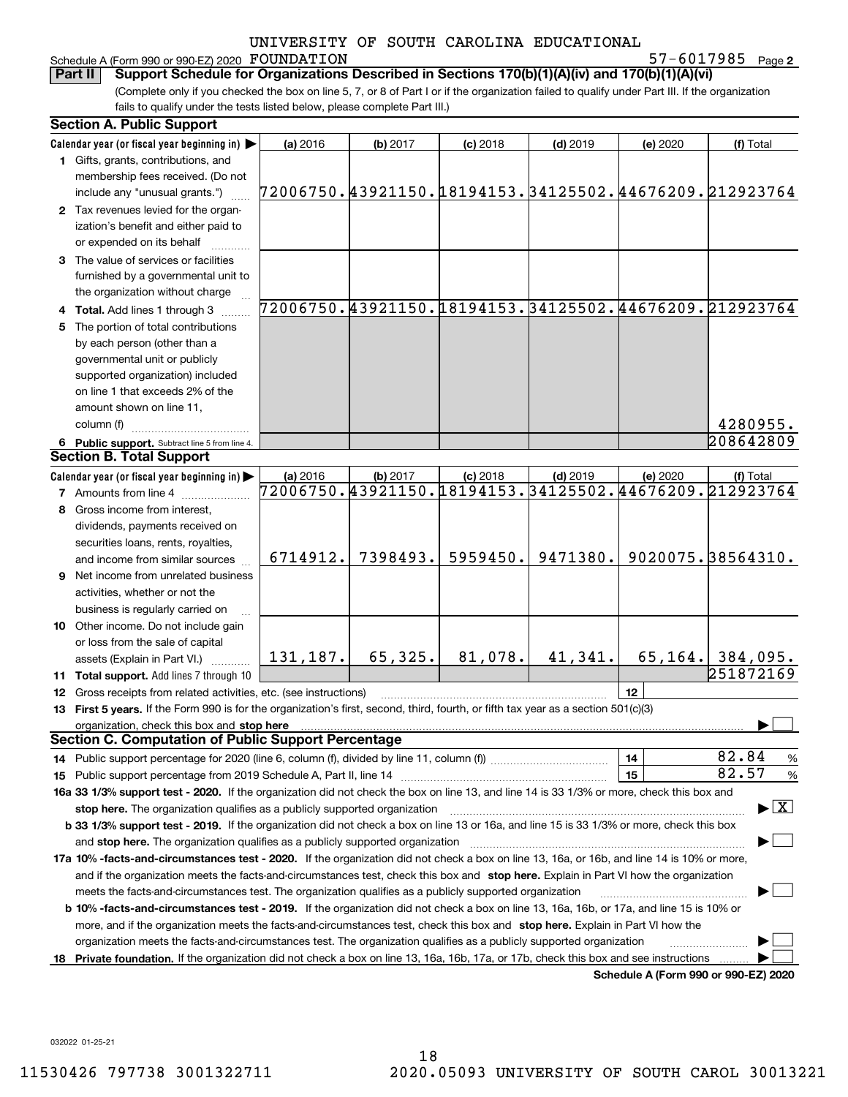# Schedule A (Form 990 or 990-EZ) 2020 FOUNDATION

**2** FOUNDATION 57-6017985

(Complete only if you checked the box on line 5, 7, or 8 of Part I or if the organization failed to qualify under Part III. If the organization fails to qualify under the tests listed below, please complete Part III.) **Part II Support Schedule for Organizations Described in Sections 170(b)(1)(A)(iv) and 170(b)(1)(A)(vi)**

|     | <b>Section A. Public Support</b>                                                                                                               |                                                        |          |            |                                                                      |                                      |                                 |
|-----|------------------------------------------------------------------------------------------------------------------------------------------------|--------------------------------------------------------|----------|------------|----------------------------------------------------------------------|--------------------------------------|---------------------------------|
|     | Calendar year (or fiscal year beginning in)                                                                                                    | (a) 2016                                               | (b) 2017 | $(c)$ 2018 | $(d)$ 2019                                                           | (e) 2020                             | (f) Total                       |
|     | 1 Gifts, grants, contributions, and                                                                                                            |                                                        |          |            |                                                                      |                                      |                                 |
|     | membership fees received. (Do not                                                                                                              |                                                        |          |            |                                                                      |                                      |                                 |
|     | include any "unusual grants.")                                                                                                                 | 72006750.43921150.18194153.34125502.44676209.212923764 |          |            |                                                                      |                                      |                                 |
|     | 2 Tax revenues levied for the organ-                                                                                                           |                                                        |          |            |                                                                      |                                      |                                 |
|     | ization's benefit and either paid to                                                                                                           |                                                        |          |            |                                                                      |                                      |                                 |
|     | or expended on its behalf                                                                                                                      |                                                        |          |            |                                                                      |                                      |                                 |
|     | 3 The value of services or facilities                                                                                                          |                                                        |          |            |                                                                      |                                      |                                 |
|     | furnished by a governmental unit to                                                                                                            |                                                        |          |            |                                                                      |                                      |                                 |
|     | the organization without charge                                                                                                                |                                                        |          |            |                                                                      |                                      |                                 |
|     | 4 Total. Add lines 1 through 3                                                                                                                 |                                                        |          |            | 72006750.43921150.18194153.34125502.44676209.212923764               |                                      |                                 |
|     | The portion of total contributions                                                                                                             |                                                        |          |            |                                                                      |                                      |                                 |
|     | by each person (other than a                                                                                                                   |                                                        |          |            |                                                                      |                                      |                                 |
|     | governmental unit or publicly                                                                                                                  |                                                        |          |            |                                                                      |                                      |                                 |
|     | supported organization) included                                                                                                               |                                                        |          |            |                                                                      |                                      |                                 |
|     | on line 1 that exceeds 2% of the                                                                                                               |                                                        |          |            |                                                                      |                                      |                                 |
|     | amount shown on line 11,                                                                                                                       |                                                        |          |            |                                                                      |                                      |                                 |
|     | column (f)                                                                                                                                     |                                                        |          |            |                                                                      |                                      | 4280955.                        |
|     |                                                                                                                                                |                                                        |          |            |                                                                      |                                      | 208642809                       |
|     | 6 Public support. Subtract line 5 from line 4.<br><b>Section B. Total Support</b>                                                              |                                                        |          |            |                                                                      |                                      |                                 |
|     |                                                                                                                                                |                                                        |          |            |                                                                      |                                      |                                 |
|     | Calendar year (or fiscal year beginning in)                                                                                                    | (a) 2016                                               | (b) 2017 | $(c)$ 2018 | $(d)$ 2019<br>72006750.43921150.18194153.34125502.44676209.212923764 | (e) 2020                             | (f) Total                       |
|     | <b>7</b> Amounts from line 4                                                                                                                   |                                                        |          |            |                                                                      |                                      |                                 |
|     | 8 Gross income from interest,                                                                                                                  |                                                        |          |            |                                                                      |                                      |                                 |
|     | dividends, payments received on                                                                                                                |                                                        |          |            |                                                                      |                                      |                                 |
|     | securities loans, rents, royalties,                                                                                                            |                                                        |          |            |                                                                      |                                      |                                 |
|     | and income from similar sources                                                                                                                | 6714912.                                               | 7398493. | 5959450.   | 9471380.                                                             |                                      | 9020075.38564310.               |
| 9   | Net income from unrelated business                                                                                                             |                                                        |          |            |                                                                      |                                      |                                 |
|     | activities, whether or not the                                                                                                                 |                                                        |          |            |                                                                      |                                      |                                 |
|     | business is regularly carried on                                                                                                               |                                                        |          |            |                                                                      |                                      |                                 |
|     | 10 Other income. Do not include gain                                                                                                           |                                                        |          |            |                                                                      |                                      |                                 |
|     | or loss from the sale of capital                                                                                                               |                                                        |          |            |                                                                      |                                      |                                 |
|     | assets (Explain in Part VI.)                                                                                                                   | 131,187.                                               | 65,325.  | 81,078.    | 41,341.                                                              |                                      | 65, 164.   384, 095.            |
|     | 11 Total support. Add lines 7 through 10                                                                                                       |                                                        |          |            |                                                                      |                                      | 251872169                       |
|     | 12 Gross receipts from related activities, etc. (see instructions)                                                                             |                                                        |          |            |                                                                      | 12                                   |                                 |
|     | 13 First 5 years. If the Form 990 is for the organization's first, second, third, fourth, or fifth tax year as a section 501(c)(3)             |                                                        |          |            |                                                                      |                                      |                                 |
|     | organization, check this box and stop here                                                                                                     |                                                        |          |            |                                                                      |                                      |                                 |
|     | <b>Section C. Computation of Public Support Percentage</b>                                                                                     |                                                        |          |            |                                                                      |                                      |                                 |
|     | 14 Public support percentage for 2020 (line 6, column (f), divided by line 11, column (f) <i>mummumumum</i>                                    |                                                        |          |            |                                                                      | 14                                   | 82.84<br>%                      |
|     | 15 Public support percentage from 2019 Schedule A, Part II, line 14                                                                            |                                                        |          |            |                                                                      | 15                                   | 82.57<br>%                      |
|     | 16a 33 1/3% support test - 2020. If the organization did not check the box on line 13, and line 14 is 33 1/3% or more, check this box and      |                                                        |          |            |                                                                      |                                      |                                 |
|     | stop here. The organization qualifies as a publicly supported organization                                                                     |                                                        |          |            |                                                                      |                                      | $\blacktriangleright$ $\vert$ X |
|     | b 33 1/3% support test - 2019. If the organization did not check a box on line 13 or 16a, and line 15 is 33 1/3% or more, check this box       |                                                        |          |            |                                                                      |                                      |                                 |
|     | and stop here. The organization qualifies as a publicly supported organization                                                                 |                                                        |          |            |                                                                      |                                      |                                 |
|     | 17a 10% -facts-and-circumstances test - 2020. If the organization did not check a box on line 13, 16a, or 16b, and line 14 is 10% or more,     |                                                        |          |            |                                                                      |                                      |                                 |
|     | and if the organization meets the facts-and-circumstances test, check this box and stop here. Explain in Part VI how the organization          |                                                        |          |            |                                                                      |                                      |                                 |
|     | meets the facts-and-circumstances test. The organization qualifies as a publicly supported organization                                        |                                                        |          |            |                                                                      |                                      |                                 |
|     | <b>b 10% -facts-and-circumstances test - 2019.</b> If the organization did not check a box on line 13, 16a, 16b, or 17a, and line 15 is 10% or |                                                        |          |            |                                                                      |                                      |                                 |
|     | more, and if the organization meets the facts-and-circumstances test, check this box and stop here. Explain in Part VI how the                 |                                                        |          |            |                                                                      |                                      |                                 |
|     | organization meets the facts-and-circumstances test. The organization qualifies as a publicly supported organization                           |                                                        |          |            |                                                                      |                                      |                                 |
| 18. | Private foundation. If the organization did not check a box on line 13, 16a, 16b, 17a, or 17b, check this box and see instructions             |                                                        |          |            |                                                                      |                                      |                                 |
|     |                                                                                                                                                |                                                        |          |            |                                                                      | Schodule A (Form 990 or 990-F7) 2020 |                                 |

**Schedule A (Form 990 or 990-EZ) 2020**

032022 01-25-21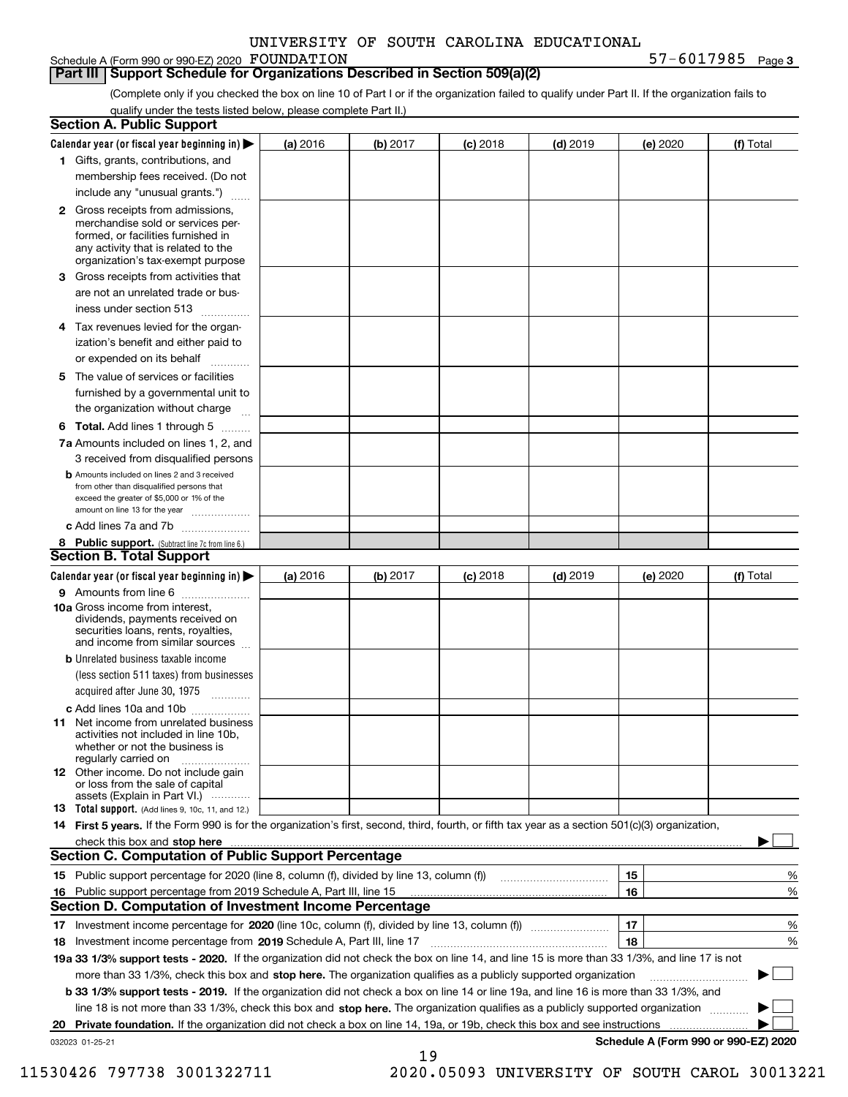Schedule A (Form 990 or 990-EZ) 2020 FOUNDATION

**3** FOUNDATION 57-6017985

## **Part III Support Schedule for Organizations Described in Section 509(a)(2)**

(Complete only if you checked the box on line 10 of Part I or if the organization failed to qualify under Part II. If the organization fails to qualify under the tests listed below, please complete Part II.)

|    | <b>Section A. Public Support</b>                                                                                                                                                                                                                                   |          |          |            |            |          |                                      |
|----|--------------------------------------------------------------------------------------------------------------------------------------------------------------------------------------------------------------------------------------------------------------------|----------|----------|------------|------------|----------|--------------------------------------|
|    | Calendar year (or fiscal year beginning in) $\blacktriangleright$                                                                                                                                                                                                  | (a) 2016 | (b) 2017 | $(c)$ 2018 | $(d)$ 2019 | (e) 2020 | (f) Total                            |
|    | 1 Gifts, grants, contributions, and                                                                                                                                                                                                                                |          |          |            |            |          |                                      |
|    | membership fees received. (Do not                                                                                                                                                                                                                                  |          |          |            |            |          |                                      |
|    | include any "unusual grants.")                                                                                                                                                                                                                                     |          |          |            |            |          |                                      |
|    | 2 Gross receipts from admissions,<br>merchandise sold or services per-<br>formed, or facilities furnished in<br>any activity that is related to the<br>organization's tax-exempt purpose                                                                           |          |          |            |            |          |                                      |
|    | 3 Gross receipts from activities that<br>are not an unrelated trade or bus-                                                                                                                                                                                        |          |          |            |            |          |                                      |
|    | iness under section 513                                                                                                                                                                                                                                            |          |          |            |            |          |                                      |
|    | 4 Tax revenues levied for the organ-                                                                                                                                                                                                                               |          |          |            |            |          |                                      |
|    | ization's benefit and either paid to<br>or expended on its behalf<br>.                                                                                                                                                                                             |          |          |            |            |          |                                      |
|    | 5 The value of services or facilities                                                                                                                                                                                                                              |          |          |            |            |          |                                      |
|    | furnished by a governmental unit to                                                                                                                                                                                                                                |          |          |            |            |          |                                      |
|    | the organization without charge                                                                                                                                                                                                                                    |          |          |            |            |          |                                      |
|    | <b>6 Total.</b> Add lines 1 through 5                                                                                                                                                                                                                              |          |          |            |            |          |                                      |
|    | 7a Amounts included on lines 1, 2, and<br>3 received from disqualified persons                                                                                                                                                                                     |          |          |            |            |          |                                      |
|    | <b>b</b> Amounts included on lines 2 and 3 received<br>from other than disqualified persons that<br>exceed the greater of \$5,000 or 1% of the<br>amount on line 13 for the year                                                                                   |          |          |            |            |          |                                      |
|    | c Add lines 7a and 7b                                                                                                                                                                                                                                              |          |          |            |            |          |                                      |
|    | 8 Public support. (Subtract line 7c from line 6.)                                                                                                                                                                                                                  |          |          |            |            |          |                                      |
|    | <b>Section B. Total Support</b>                                                                                                                                                                                                                                    |          |          |            |            |          |                                      |
|    | Calendar year (or fiscal year beginning in) $\blacktriangleright$                                                                                                                                                                                                  | (a) 2016 | (b) 2017 | $(c)$ 2018 | $(d)$ 2019 | (e) 2020 | (f) Total                            |
|    | 9 Amounts from line 6                                                                                                                                                                                                                                              |          |          |            |            |          |                                      |
|    | 10a Gross income from interest,<br>dividends, payments received on<br>securities loans, rents, royalties,<br>and income from similar sources                                                                                                                       |          |          |            |            |          |                                      |
|    | <b>b</b> Unrelated business taxable income<br>(less section 511 taxes) from businesses                                                                                                                                                                             |          |          |            |            |          |                                      |
|    | acquired after June 30, 1975                                                                                                                                                                                                                                       |          |          |            |            |          |                                      |
|    | c Add lines 10a and 10b<br>11 Net income from unrelated business<br>activities not included in line 10b,<br>whether or not the business is<br>regularly carried on                                                                                                 |          |          |            |            |          |                                      |
|    | 12 Other income. Do not include gain<br>or loss from the sale of capital<br>assets (Explain in Part VI.)                                                                                                                                                           |          |          |            |            |          |                                      |
|    | <b>13</b> Total support. (Add lines 9, 10c, 11, and 12.)                                                                                                                                                                                                           |          |          |            |            |          |                                      |
|    | 14 First 5 years. If the Form 990 is for the organization's first, second, third, fourth, or fifth tax year as a section 501(c)(3) organization,                                                                                                                   |          |          |            |            |          |                                      |
|    | check this box and stop here measurements are constructed as the state of the state of the state of the state o                                                                                                                                                    |          |          |            |            |          |                                      |
|    | <b>Section C. Computation of Public Support Percentage</b>                                                                                                                                                                                                         |          |          |            |            |          |                                      |
|    | 15 Public support percentage for 2020 (line 8, column (f), divided by line 13, column (f))                                                                                                                                                                         |          |          |            |            | 15       | %                                    |
|    | 16 Public support percentage from 2019 Schedule A, Part III, line 15                                                                                                                                                                                               |          |          |            |            | 16       | %                                    |
|    | <b>Section D. Computation of Investment Income Percentage</b>                                                                                                                                                                                                      |          |          |            |            |          |                                      |
|    | 17 Investment income percentage for 2020 (line 10c, column (f), divided by line 13, column (f))                                                                                                                                                                    |          |          |            |            | 17<br>18 | %                                    |
|    | <b>18</b> Investment income percentage from <b>2019</b> Schedule A, Part III, line 17<br>19a 33 1/3% support tests - 2020. If the organization did not check the box on line 14, and line 15 is more than 33 1/3%, and line 17 is not                              |          |          |            |            |          | %                                    |
|    |                                                                                                                                                                                                                                                                    |          |          |            |            |          |                                      |
|    | more than 33 1/3%, check this box and stop here. The organization qualifies as a publicly supported organization                                                                                                                                                   |          |          |            |            |          | ▶                                    |
|    | b 33 1/3% support tests - 2019. If the organization did not check a box on line 14 or line 19a, and line 16 is more than 33 1/3%, and                                                                                                                              |          |          |            |            |          |                                      |
|    | line 18 is not more than 33 1/3%, check this box and stop here. The organization qualifies as a publicly supported organization<br><b>Private foundation.</b> If the organization did not check a box on line 14, 19a, or 19b, check this box and see instructions |          |          |            |            |          |                                      |
| 20 | 032023 01-25-21                                                                                                                                                                                                                                                    |          |          |            |            |          | Schedule A (Form 990 or 990-EZ) 2020 |
|    |                                                                                                                                                                                                                                                                    |          | 19       |            |            |          |                                      |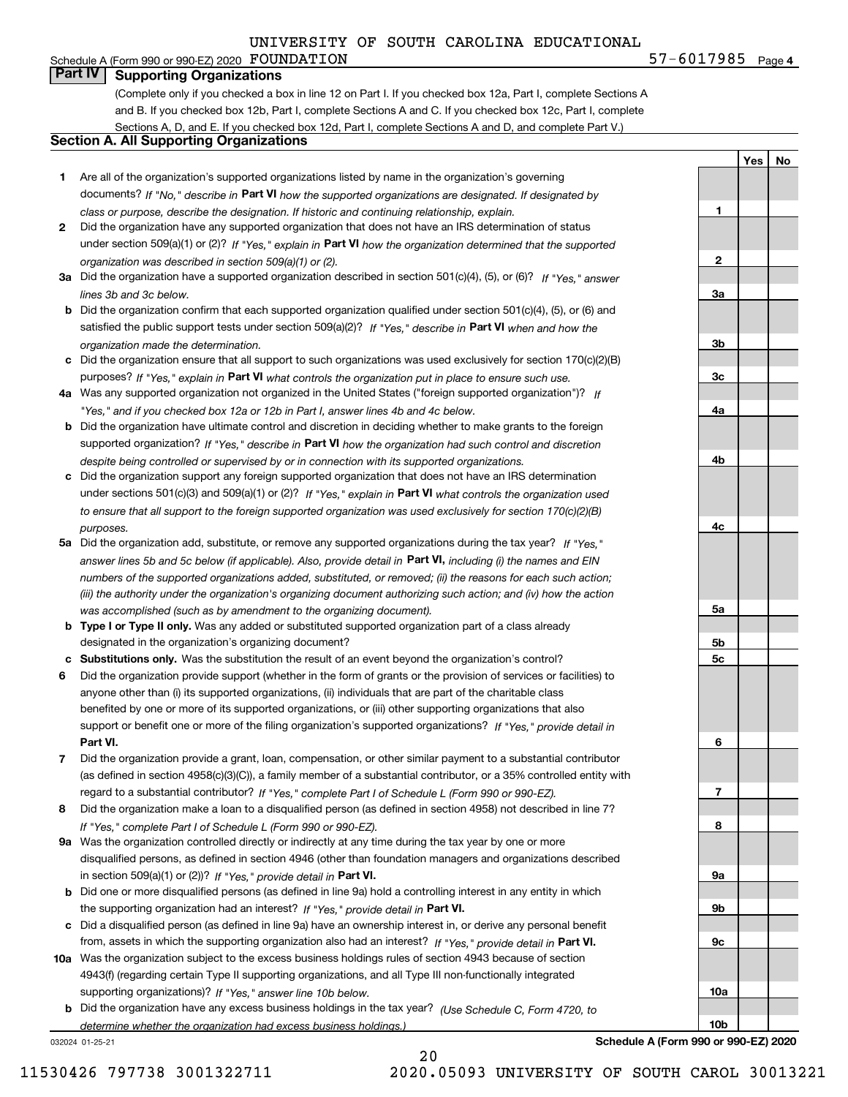#### **4**FOUNDATION 57-6017985 Schedule A (Form 990 or 990-EZ) 2020  $\texttt{\bf FOUNDATION}$ **Part IV Supporting Organizations**

(Complete only if you checked a box in line 12 on Part I. If you checked box 12a, Part I, complete Sections A and B. If you checked box 12b, Part I, complete Sections A and C. If you checked box 12c, Part I, complete Sections A, D, and E. If you checked box 12d, Part I, complete Sections A and D, and complete Part V.)

## **Section A. All Supporting Organizations**

- **1** Are all of the organization's supported organizations listed by name in the organization's governing documents? If "No," describe in **Part VI** how the supported organizations are designated. If designated by *class or purpose, describe the designation. If historic and continuing relationship, explain.*
- **2** Did the organization have any supported organization that does not have an IRS determination of status under section 509(a)(1) or (2)? If "Yes," explain in Part VI how the organization determined that the supported *organization was described in section 509(a)(1) or (2).*
- **3a** Did the organization have a supported organization described in section 501(c)(4), (5), or (6)? If "Yes," answer *lines 3b and 3c below.*
- **b** Did the organization confirm that each supported organization qualified under section 501(c)(4), (5), or (6) and satisfied the public support tests under section 509(a)(2)? If "Yes," describe in **Part VI** when and how the *organization made the determination.*
- **c**Did the organization ensure that all support to such organizations was used exclusively for section 170(c)(2)(B) purposes? If "Yes," explain in **Part VI** what controls the organization put in place to ensure such use.
- **4a***If* Was any supported organization not organized in the United States ("foreign supported organization")? *"Yes," and if you checked box 12a or 12b in Part I, answer lines 4b and 4c below.*
- **b** Did the organization have ultimate control and discretion in deciding whether to make grants to the foreign supported organization? If "Yes," describe in **Part VI** how the organization had such control and discretion *despite being controlled or supervised by or in connection with its supported organizations.*
- **c** Did the organization support any foreign supported organization that does not have an IRS determination under sections 501(c)(3) and 509(a)(1) or (2)? If "Yes," explain in **Part VI** what controls the organization used *to ensure that all support to the foreign supported organization was used exclusively for section 170(c)(2)(B) purposes.*
- **5a** Did the organization add, substitute, or remove any supported organizations during the tax year? If "Yes," answer lines 5b and 5c below (if applicable). Also, provide detail in **Part VI,** including (i) the names and EIN *numbers of the supported organizations added, substituted, or removed; (ii) the reasons for each such action; (iii) the authority under the organization's organizing document authorizing such action; and (iv) how the action was accomplished (such as by amendment to the organizing document).*
- **b** Type I or Type II only. Was any added or substituted supported organization part of a class already designated in the organization's organizing document?
- **cSubstitutions only.**  Was the substitution the result of an event beyond the organization's control?
- **6** Did the organization provide support (whether in the form of grants or the provision of services or facilities) to **Part VI.** *If "Yes," provide detail in* support or benefit one or more of the filing organization's supported organizations? anyone other than (i) its supported organizations, (ii) individuals that are part of the charitable class benefited by one or more of its supported organizations, or (iii) other supporting organizations that also
- **7**Did the organization provide a grant, loan, compensation, or other similar payment to a substantial contributor *If "Yes," complete Part I of Schedule L (Form 990 or 990-EZ).* regard to a substantial contributor? (as defined in section 4958(c)(3)(C)), a family member of a substantial contributor, or a 35% controlled entity with
- **8** Did the organization make a loan to a disqualified person (as defined in section 4958) not described in line 7? *If "Yes," complete Part I of Schedule L (Form 990 or 990-EZ).*
- **9a** Was the organization controlled directly or indirectly at any time during the tax year by one or more in section 509(a)(1) or (2))? If "Yes," *provide detail in* <code>Part VI.</code> disqualified persons, as defined in section 4946 (other than foundation managers and organizations described
- **b**the supporting organization had an interest? If "Yes," provide detail in P**art VI**. Did one or more disqualified persons (as defined in line 9a) hold a controlling interest in any entity in which
- **c**Did a disqualified person (as defined in line 9a) have an ownership interest in, or derive any personal benefit from, assets in which the supporting organization also had an interest? If "Yes," provide detail in P**art VI.**
- **10a** Was the organization subject to the excess business holdings rules of section 4943 because of section supporting organizations)? If "Yes," answer line 10b below. 4943(f) (regarding certain Type II supporting organizations, and all Type III non-functionally integrated
- **b** Did the organization have any excess business holdings in the tax year? (Use Schedule C, Form 4720, to *determine whether the organization had excess business holdings.)*

032024 01-25-21

**10bSchedule A (Form 990 or 990-EZ) 2020**

**YesNo**

**1**

**2**

**3a**

**3b**

**3c**

**4a**

**4b**

**4c**

**5a**

**5b5c**

**6**

**7**

**8**

**9a**

**9b**

**9c**

**10a**

20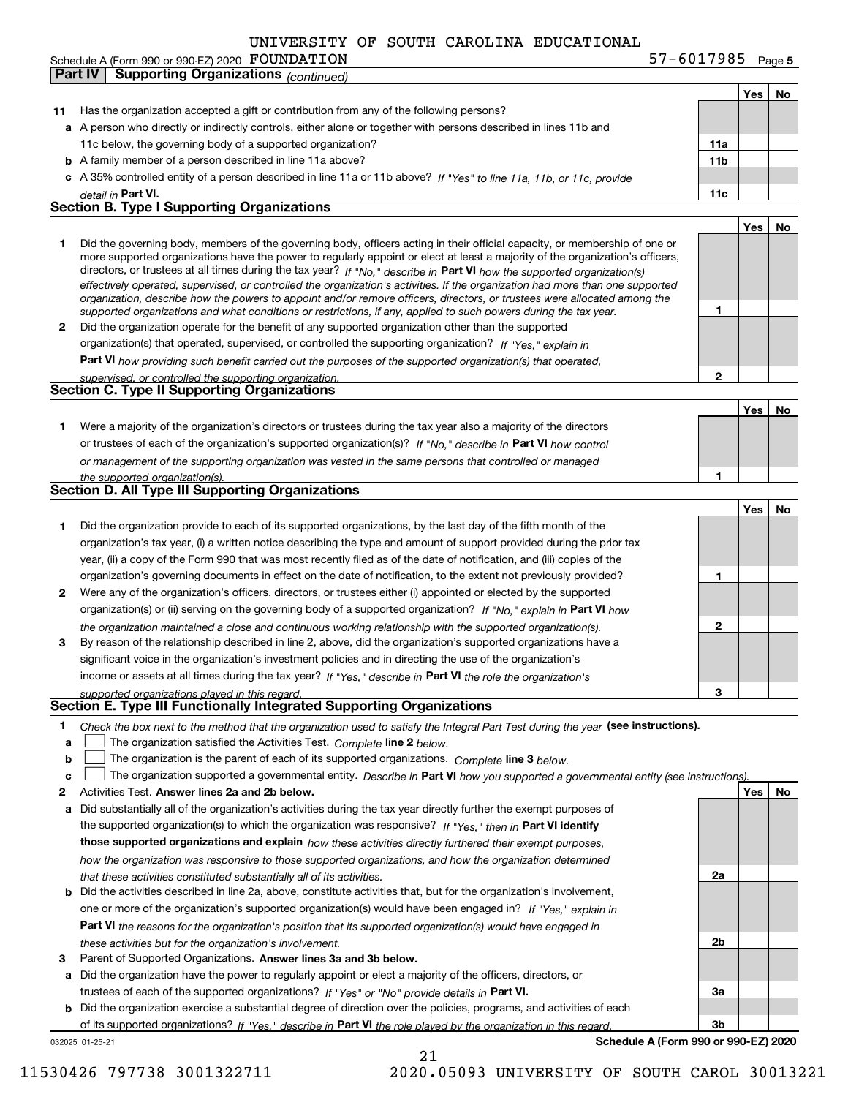Schedule A (Form 990 or 990-EZ) 2020 FOUNDATION

**Yes No 11** Has the organization accepted a gift or contribution from any of the following persons? **a**A person who directly or indirectly controls, either alone or together with persons described in lines 11b and **b** A family member of a person described in line 11a above? **c** A 35% controlled entity of a person described in line 11a or 11b above? If "Yes" to line 11a, 11b, or 11c, provide **11a11bPart VI. 11c Yes No 12** Did the organization operate for the benefit of any supported organization other than the supported directors, or trustees at all times during the tax year? If "No," describe in **Part VI** how the supported organization(s) **12Part VI**  *how providing such benefit carried out the purposes of the supported organization(s) that operated,* **Yes No 1** Were a majority of the organization's directors or trustees during the tax year also a majority of the directors or trustees of each of the organization's supported organization(s)? If "No," describe in **Part VI** how control **1Yes No 1** Did the organization provide to each of its supported organizations, by the last day of the fifth month of the **2** Were any of the organization's officers, directors, or trustees either (i) appointed or elected by the supported **3123**organization(s) or (ii) serving on the governing body of a supported organization? If "No," explain in **Part VI** how income or assets at all times during the tax year? If "Yes," describe in **Part VI** the role the organization's **12Answer lines 2a and 2b below. Yes No** Activities Test. **3**Check the box next to the method that the organization used to satisfy the Integral Part Test during the year (see instructions). **abclinupy** The organization satisfied the Activities Test. Complete line 2 below. The organization is the parent of each of its supported organizations. *Complete* line 3 *below.* The organization supported a governmental entity. *Describe in* Part **VI** *how you supported a governmental entity (see instruction<u>s).</u>* **a** Did substantially all of the organization's activities during the tax year directly further the exempt purposes of **b** Did the activities described in line 2a, above, constitute activities that, but for the organization's involvement, **a** Did the organization have the power to regularly appoint or elect a majority of the officers, directors, or the supported organization(s) to which the organization was responsive? If "Yes," then in **Part VI identify those supported organizations and explain**  *how these activities directly furthered their exempt purposes,* **2a 2b3aPart VI**  *the reasons for the organization's position that its supported organization(s) would have engaged in* Parent of Supported Organizations. Answer lines 3a and 3b below. trustees of each of the supported organizations? If "Yes" or "No" provide details in **Part VI.** *detail in effectively operated, supervised, or controlled the organization's activities. If the organization had more than one supported organization, describe how the powers to appoint and/or remove officers, directors, or trustees were allocated among the supported organizations and what conditions or restrictions, if any, applied to such powers during the tax year. If "Yes," explain in* organization(s) that operated, supervised, or controlled the supporting organization? *supervised, or controlled the supporting organization. or management of the supporting organization was vested in the same persons that controlled or managed the supported organization(s). the organization maintained a close and continuous working relationship with the supported organization(s). supported organizations played in this regard. how the organization was responsive to those supported organizations, and how the organization determined that these activities constituted substantially all of its activities.* one or more of the organization's supported organization(s) would have been engaged in? If "Yes," e*xplain in these activities but for the organization's involvement.* 11c below, the governing body of a supported organization? Did the governing body, members of the governing body, officers acting in their official capacity, or membership of one or more supported organizations have the power to regularly appoint or elect at least a majority of the organization's officers, organization's tax year, (i) a written notice describing the type and amount of support provided during the prior tax year, (ii) a copy of the Form 990 that was most recently filed as of the date of notification, and (iii) copies of the organization's governing documents in effect on the date of notification, to the extent not previously provided? By reason of the relationship described in line 2, above, did the organization's supported organizations have a significant voice in the organization's investment policies and in directing the use of the organization's **Part IV Supporting Organizations** *(continued)* **Section B. Type I Supporting Organizations Section C. Type II Supporting Organizations Section D. All Type III Supporting Organizations Section E. Type III Functionally Integrated Supporting Organizations**  $\mathcal{L}^{\text{max}}$  $\mathcal{L}^{\text{max}}$ 

**b** Did the organization exercise a substantial degree of direction over the policies, programs, and activities of each of its supported organizations? If "Yes," describe in Part VI the role played by the organization in this regard.

21

**Schedule A (Form 990 or 990-EZ) 2020**

**3b**

### 032025 01-25-21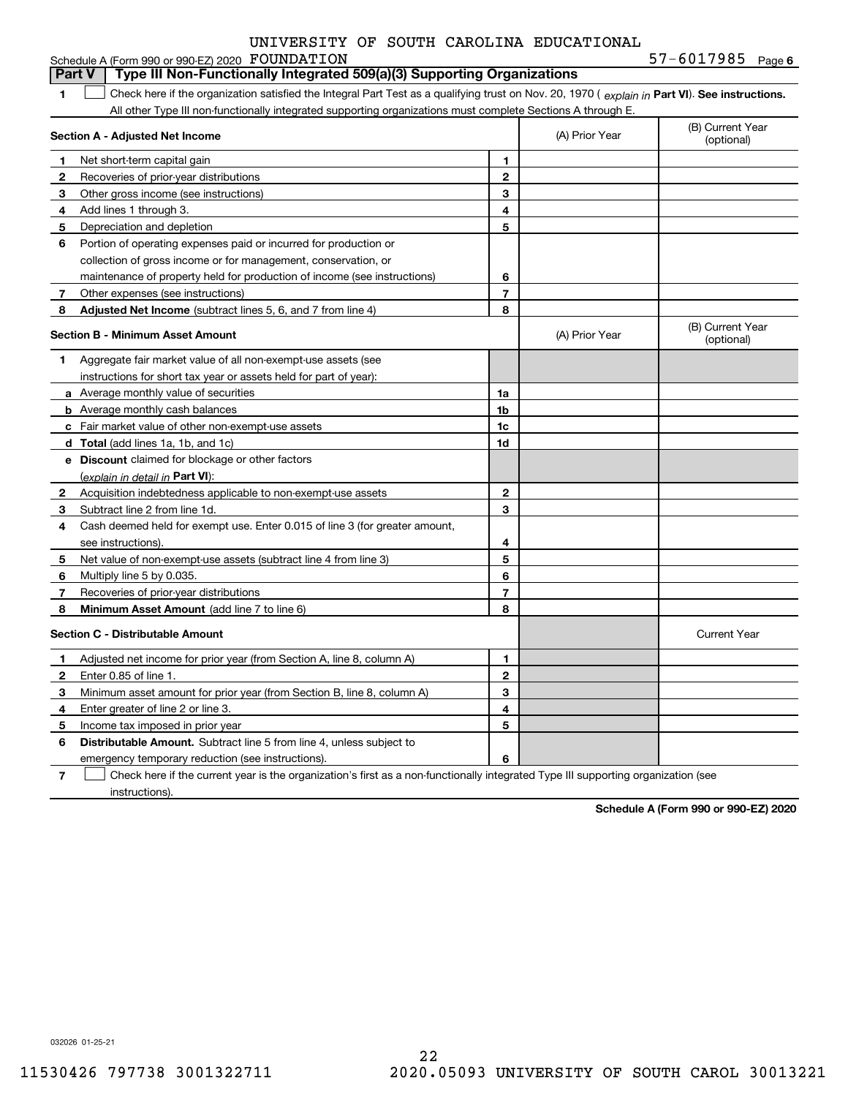|  |  |  |  | UNIVERSITY OF SOUTH CAROLINA EDUCATIONAL |
|--|--|--|--|------------------------------------------|
|--|--|--|--|------------------------------------------|

|                | Schedule A (Form 990 or 990-EZ) 2020 FOUNDATION                                                                                                |                |                | $57 - 6017985$ Page 6          |
|----------------|------------------------------------------------------------------------------------------------------------------------------------------------|----------------|----------------|--------------------------------|
|                | Type III Non-Functionally Integrated 509(a)(3) Supporting Organizations<br><b>Part V</b>                                                       |                |                |                                |
| 1.             | Check here if the organization satisfied the Integral Part Test as a qualifying trust on Nov. 20, 1970 (explain in Part VI). See instructions. |                |                |                                |
|                | All other Type III non-functionally integrated supporting organizations must complete Sections A through E.                                    |                |                |                                |
|                | Section A - Adjusted Net Income                                                                                                                |                | (A) Prior Year | (B) Current Year<br>(optional) |
| 1              | Net short-term capital gain                                                                                                                    | 1.             |                |                                |
| 2              | Recoveries of prior-year distributions                                                                                                         | $\mathbf{2}$   |                |                                |
| 3              | Other gross income (see instructions)                                                                                                          | 3              |                |                                |
| 4              | Add lines 1 through 3.                                                                                                                         | 4              |                |                                |
| 5              | Depreciation and depletion                                                                                                                     | 5              |                |                                |
| 6              | Portion of operating expenses paid or incurred for production or                                                                               |                |                |                                |
|                | collection of gross income or for management, conservation, or                                                                                 |                |                |                                |
|                | maintenance of property held for production of income (see instructions)                                                                       | 6              |                |                                |
| $\overline{7}$ | Other expenses (see instructions)                                                                                                              | 7              |                |                                |
| 8              | <b>Adjusted Net Income</b> (subtract lines 5, 6, and 7 from line 4)                                                                            | 8              |                |                                |
|                | Section B - Minimum Asset Amount                                                                                                               |                | (A) Prior Year | (B) Current Year<br>(optional) |
| 1              | Aggregate fair market value of all non-exempt-use assets (see                                                                                  |                |                |                                |
|                | instructions for short tax year or assets held for part of year):                                                                              |                |                |                                |
|                | <b>a</b> Average monthly value of securities                                                                                                   | 1a             |                |                                |
|                | <b>b</b> Average monthly cash balances                                                                                                         | 1 <sub>b</sub> |                |                                |
|                | c Fair market value of other non-exempt-use assets                                                                                             | 1c             |                |                                |
|                | d Total (add lines 1a, 1b, and 1c)                                                                                                             | 1d             |                |                                |
|                | <b>e</b> Discount claimed for blockage or other factors                                                                                        |                |                |                                |
|                | <u>(explain in detail in <b>Part VI</b>)</u> :                                                                                                 |                |                |                                |
| $\mathbf{2}$   | Acquisition indebtedness applicable to non-exempt-use assets                                                                                   | $\overline{2}$ |                |                                |
| 3              | Subtract line 2 from line 1d.                                                                                                                  | 3              |                |                                |
| 4              | Cash deemed held for exempt use. Enter 0.015 of line 3 (for greater amount,                                                                    |                |                |                                |
|                | see instructions).                                                                                                                             | 4              |                |                                |
| 5              | Net value of non-exempt-use assets (subtract line 4 from line 3)                                                                               | 5              |                |                                |
| 6              | Multiply line 5 by 0.035.                                                                                                                      | 6              |                |                                |
| $\overline{7}$ | Recoveries of prior-year distributions                                                                                                         | $\overline{7}$ |                |                                |
| 8              | Minimum Asset Amount (add line 7 to line 6)                                                                                                    | 8              |                |                                |
|                | <b>Section C - Distributable Amount</b>                                                                                                        |                |                | <b>Current Year</b>            |
| $\mathbf{1}$   | Adjusted net income for prior year (from Section A, line 8, column A)                                                                          | 1.             |                |                                |
| 2              | Enter 0.85 of line 1.                                                                                                                          | $\mathbf{2}$   |                |                                |
| 3              | Minimum asset amount for prior year (from Section B, line 8, column A)                                                                         | 3              |                |                                |
| 4              | Enter greater of line 2 or line 3.                                                                                                             | 4              |                |                                |
| 5              | Income tax imposed in prior year                                                                                                               | 5              |                |                                |
| 6              | <b>Distributable Amount.</b> Subtract line 5 from line 4, unless subject to                                                                    |                |                |                                |

**Distributable Amount.** Subtract line 5 from line 4, unless subject to emergency temporary reduction (see instructions).

**7**Check here if the current year is the organization's first as a non-functionally integrated Type III supporting organization (see instructions).

**6**

**Schedule A (Form 990 or 990-EZ) 2020**

032026 01-25-21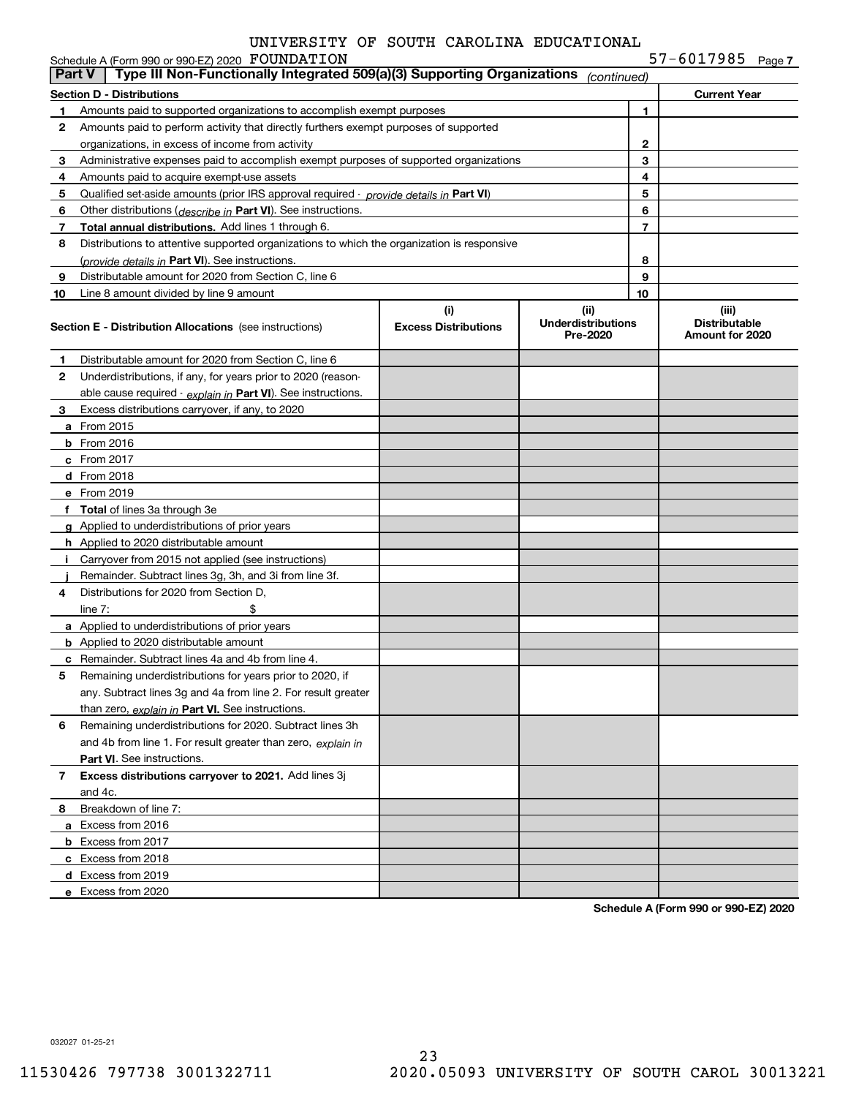|               | Schedule A (Form 990 or 990-EZ) 2020 FOUNDATION                                            |                                    |                                               |        | 57-6017985 $Page 7$                              |  |
|---------------|--------------------------------------------------------------------------------------------|------------------------------------|-----------------------------------------------|--------|--------------------------------------------------|--|
| <b>Part V</b> | Type III Non-Functionally Integrated 509(a)(3) Supporting Organizations                    |                                    | (continued)                                   |        |                                                  |  |
|               | <b>Section D - Distributions</b>                                                           |                                    |                                               |        | <b>Current Year</b>                              |  |
| 1             | Amounts paid to supported organizations to accomplish exempt purposes                      |                                    |                                               | 1      |                                                  |  |
| 2             | Amounts paid to perform activity that directly furthers exempt purposes of supported       |                                    |                                               |        |                                                  |  |
|               | organizations, in excess of income from activity                                           |                                    |                                               | 2      |                                                  |  |
| 3             | Administrative expenses paid to accomplish exempt purposes of supported organizations      |                                    |                                               | 3      |                                                  |  |
| 4             | Amounts paid to acquire exempt-use assets                                                  |                                    |                                               | 4      |                                                  |  |
| 5             | Qualified set-aside amounts (prior IRS approval required - provide details in Part VI)     |                                    |                                               | 5      |                                                  |  |
| 6             | Other distributions ( <i>describe in</i> Part VI). See instructions.                       |                                    |                                               | 6      |                                                  |  |
| 7             | Total annual distributions. Add lines 1 through 6.                                         |                                    |                                               | 7      |                                                  |  |
| 8             | Distributions to attentive supported organizations to which the organization is responsive |                                    |                                               |        |                                                  |  |
|               | (provide details in Part VI). See instructions.                                            |                                    |                                               | 8<br>9 |                                                  |  |
| 9             | Distributable amount for 2020 from Section C, line 6                                       |                                    |                                               | 10     |                                                  |  |
| 10            | Line 8 amount divided by line 9 amount                                                     |                                    |                                               |        |                                                  |  |
|               | <b>Section E - Distribution Allocations</b> (see instructions)                             | (i)<br><b>Excess Distributions</b> | (ii)<br><b>Underdistributions</b><br>Pre-2020 |        | (iii)<br><b>Distributable</b><br>Amount for 2020 |  |
| 1             | Distributable amount for 2020 from Section C, line 6                                       |                                    |                                               |        |                                                  |  |
| 2             | Underdistributions, if any, for years prior to 2020 (reason-                               |                                    |                                               |        |                                                  |  |
|               | able cause required - explain in Part VI). See instructions.                               |                                    |                                               |        |                                                  |  |
| 3             | Excess distributions carryover, if any, to 2020                                            |                                    |                                               |        |                                                  |  |
|               | <b>a</b> From 2015                                                                         |                                    |                                               |        |                                                  |  |
|               | <b>b</b> From 2016                                                                         |                                    |                                               |        |                                                  |  |
|               | c From 2017                                                                                |                                    |                                               |        |                                                  |  |
|               | d From 2018                                                                                |                                    |                                               |        |                                                  |  |
|               | e From 2019                                                                                |                                    |                                               |        |                                                  |  |
|               | f Total of lines 3a through 3e                                                             |                                    |                                               |        |                                                  |  |
|               | g Applied to underdistributions of prior years                                             |                                    |                                               |        |                                                  |  |
|               | <b>h</b> Applied to 2020 distributable amount                                              |                                    |                                               |        |                                                  |  |
| Ť.            | Carryover from 2015 not applied (see instructions)                                         |                                    |                                               |        |                                                  |  |
|               | Remainder. Subtract lines 3g, 3h, and 3i from line 3f.                                     |                                    |                                               |        |                                                  |  |
| 4             | Distributions for 2020 from Section D.                                                     |                                    |                                               |        |                                                  |  |
|               | \$<br>line $7:$                                                                            |                                    |                                               |        |                                                  |  |
|               | <b>a</b> Applied to underdistributions of prior years                                      |                                    |                                               |        |                                                  |  |
|               | <b>b</b> Applied to 2020 distributable amount                                              |                                    |                                               |        |                                                  |  |
|               | <b>c</b> Remainder. Subtract lines 4a and 4b from line 4.                                  |                                    |                                               |        |                                                  |  |
|               | Remaining underdistributions for years prior to 2020, if                                   |                                    |                                               |        |                                                  |  |
|               | any. Subtract lines 3g and 4a from line 2. For result greater                              |                                    |                                               |        |                                                  |  |
|               | than zero, explain in Part VI. See instructions.                                           |                                    |                                               |        |                                                  |  |
| 6             | Remaining underdistributions for 2020. Subtract lines 3h                                   |                                    |                                               |        |                                                  |  |
|               | and 4b from line 1. For result greater than zero, explain in                               |                                    |                                               |        |                                                  |  |
|               | <b>Part VI.</b> See instructions.                                                          |                                    |                                               |        |                                                  |  |
| $\mathbf{7}$  | Excess distributions carryover to 2021. Add lines 3j                                       |                                    |                                               |        |                                                  |  |
|               | and 4c.                                                                                    |                                    |                                               |        |                                                  |  |
| 8             | Breakdown of line 7:                                                                       |                                    |                                               |        |                                                  |  |
|               | a Excess from 2016                                                                         |                                    |                                               |        |                                                  |  |
|               | <b>b</b> Excess from 2017                                                                  |                                    |                                               |        |                                                  |  |
|               | c Excess from 2018                                                                         |                                    |                                               |        |                                                  |  |
|               | d Excess from 2019                                                                         |                                    |                                               |        |                                                  |  |
|               | e Excess from 2020                                                                         |                                    |                                               |        |                                                  |  |

**Schedule A (Form 990 or 990-EZ) 2020**

032027 01-25-21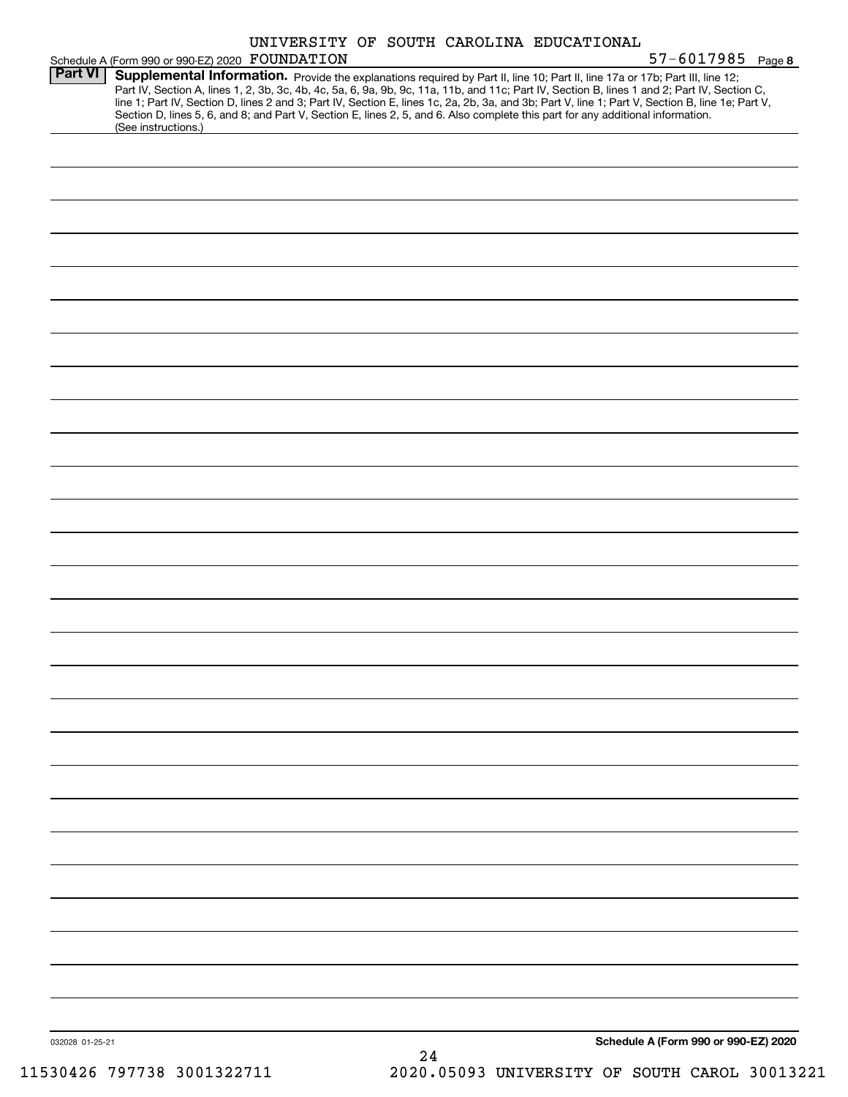|                 |                                                                                                                                                                                                                                                                                                                                                                                                                                                                                                                                                                      | UNIVERSITY OF SOUTH CAROLINA EDUCATIONAL |                                      |
|-----------------|----------------------------------------------------------------------------------------------------------------------------------------------------------------------------------------------------------------------------------------------------------------------------------------------------------------------------------------------------------------------------------------------------------------------------------------------------------------------------------------------------------------------------------------------------------------------|------------------------------------------|--------------------------------------|
| <b>Part VI</b>  | Schedule A (Form 990 or 990-EZ) 2020 FOUNDATION                                                                                                                                                                                                                                                                                                                                                                                                                                                                                                                      |                                          | $57 - 6017985$ Page 8                |
|                 | Supplemental Information. Provide the explanations required by Part II, line 10; Part II, line 17a or 17b; Part III, line 12;<br>Part IV, Section A, lines 1, 2, 3b, 3c, 4b, 4c, 5a, 6, 9a, 9b, 9c, 11a, 11b, and 11c; Part IV, Section B, lines 1 and 2; Part IV, Section C,<br>line 1; Part IV, Section D, lines 2 and 3; Part IV, Section E, lines 1c, 2a, 2b, 3a, and 3b; Part V, line 1; Part V, Section B, line 1e; Part V,<br>Section D, lines 5, 6, and 8; and Part V, Section E, lines 2, 5, and 6. Also complete this part for any additional information. |                                          |                                      |
|                 | (See instructions.)                                                                                                                                                                                                                                                                                                                                                                                                                                                                                                                                                  |                                          |                                      |
|                 |                                                                                                                                                                                                                                                                                                                                                                                                                                                                                                                                                                      |                                          |                                      |
|                 |                                                                                                                                                                                                                                                                                                                                                                                                                                                                                                                                                                      |                                          |                                      |
|                 |                                                                                                                                                                                                                                                                                                                                                                                                                                                                                                                                                                      |                                          |                                      |
|                 |                                                                                                                                                                                                                                                                                                                                                                                                                                                                                                                                                                      |                                          |                                      |
|                 |                                                                                                                                                                                                                                                                                                                                                                                                                                                                                                                                                                      |                                          |                                      |
|                 |                                                                                                                                                                                                                                                                                                                                                                                                                                                                                                                                                                      |                                          |                                      |
|                 |                                                                                                                                                                                                                                                                                                                                                                                                                                                                                                                                                                      |                                          |                                      |
|                 |                                                                                                                                                                                                                                                                                                                                                                                                                                                                                                                                                                      |                                          |                                      |
|                 |                                                                                                                                                                                                                                                                                                                                                                                                                                                                                                                                                                      |                                          |                                      |
|                 |                                                                                                                                                                                                                                                                                                                                                                                                                                                                                                                                                                      |                                          |                                      |
|                 |                                                                                                                                                                                                                                                                                                                                                                                                                                                                                                                                                                      |                                          |                                      |
|                 |                                                                                                                                                                                                                                                                                                                                                                                                                                                                                                                                                                      |                                          |                                      |
|                 |                                                                                                                                                                                                                                                                                                                                                                                                                                                                                                                                                                      |                                          |                                      |
|                 |                                                                                                                                                                                                                                                                                                                                                                                                                                                                                                                                                                      |                                          |                                      |
|                 |                                                                                                                                                                                                                                                                                                                                                                                                                                                                                                                                                                      |                                          |                                      |
|                 |                                                                                                                                                                                                                                                                                                                                                                                                                                                                                                                                                                      |                                          |                                      |
|                 |                                                                                                                                                                                                                                                                                                                                                                                                                                                                                                                                                                      |                                          |                                      |
|                 |                                                                                                                                                                                                                                                                                                                                                                                                                                                                                                                                                                      |                                          |                                      |
|                 |                                                                                                                                                                                                                                                                                                                                                                                                                                                                                                                                                                      |                                          |                                      |
|                 |                                                                                                                                                                                                                                                                                                                                                                                                                                                                                                                                                                      |                                          |                                      |
|                 |                                                                                                                                                                                                                                                                                                                                                                                                                                                                                                                                                                      |                                          |                                      |
|                 |                                                                                                                                                                                                                                                                                                                                                                                                                                                                                                                                                                      |                                          |                                      |
|                 |                                                                                                                                                                                                                                                                                                                                                                                                                                                                                                                                                                      |                                          |                                      |
|                 |                                                                                                                                                                                                                                                                                                                                                                                                                                                                                                                                                                      |                                          |                                      |
|                 |                                                                                                                                                                                                                                                                                                                                                                                                                                                                                                                                                                      |                                          |                                      |
|                 |                                                                                                                                                                                                                                                                                                                                                                                                                                                                                                                                                                      |                                          |                                      |
|                 |                                                                                                                                                                                                                                                                                                                                                                                                                                                                                                                                                                      |                                          |                                      |
|                 |                                                                                                                                                                                                                                                                                                                                                                                                                                                                                                                                                                      |                                          |                                      |
|                 |                                                                                                                                                                                                                                                                                                                                                                                                                                                                                                                                                                      |                                          |                                      |
|                 |                                                                                                                                                                                                                                                                                                                                                                                                                                                                                                                                                                      |                                          |                                      |
|                 |                                                                                                                                                                                                                                                                                                                                                                                                                                                                                                                                                                      |                                          |                                      |
| 032028 01-25-21 |                                                                                                                                                                                                                                                                                                                                                                                                                                                                                                                                                                      |                                          | Schedule A (Form 990 or 990-EZ) 2020 |
|                 |                                                                                                                                                                                                                                                                                                                                                                                                                                                                                                                                                                      | 24                                       |                                      |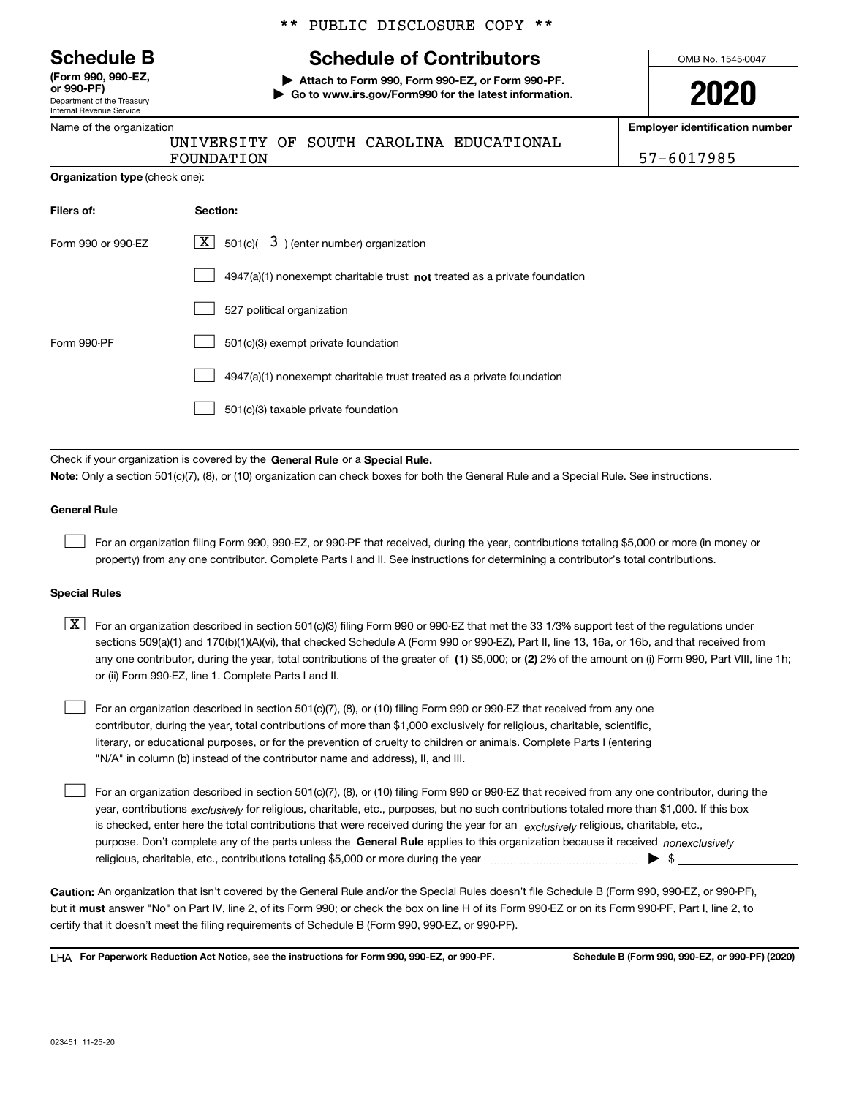|  | <b>Schedule B</b> |  |
|--|-------------------|--|
|--|-------------------|--|

Department of the Treasury Internal Revenue Service **(Form 990, 990-EZ, or 990-PF)**

|  |  | Name of the organization |
|--|--|--------------------------|
|  |  |                          |

|  |  | ** PUBLIC DISCLOSURE COPY ** |  |  |
|--|--|------------------------------|--|--|
|--|--|------------------------------|--|--|

# **Schedule of Contributors**

**| Attach to Form 990, Form 990-EZ, or Form 990-PF. | Go to www.irs.gov/Form990 for the latest information.** OMB No. 1545-0047

| ļI<br>ı, | ſ<br>J | ∼<br>J<br>L |  |
|----------|--------|-------------|--|
|          |        |             |  |

**Employer identification number**

FOUNDATION 57-6017985

|                                       | <b>FUUNDA</b> . |
|---------------------------------------|-----------------|
| <b>Organization type (check one):</b> |                 |

| Filers of:         | Section:                                                                    |
|--------------------|-----------------------------------------------------------------------------|
| Form 990 or 990-EZ | $X$ 501(c)( 3) (enter number) organization                                  |
|                    | $4947(a)(1)$ nonexempt charitable trust not treated as a private foundation |
|                    | 527 political organization                                                  |
| Form 990-PF        | 501(c)(3) exempt private foundation                                         |
|                    | 4947(a)(1) nonexempt charitable trust treated as a private foundation       |
|                    | 501(c)(3) taxable private foundation                                        |

UNIVERSITY OF SOUTH CAROLINA EDUCATIONAL

Check if your organization is covered by the **General Rule** or a **Special Rule. Note:**  Only a section 501(c)(7), (8), or (10) organization can check boxes for both the General Rule and a Special Rule. See instructions.

### **General Rule**

 $\mathcal{L}^{\text{max}}$ 

For an organization filing Form 990, 990-EZ, or 990-PF that received, during the year, contributions totaling \$5,000 or more (in money or property) from any one contributor. Complete Parts I and II. See instructions for determining a contributor's total contributions.

### **Special Rules**

any one contributor, during the year, total contributions of the greater of  $\,$  (1) \$5,000; or **(2)** 2% of the amount on (i) Form 990, Part VIII, line 1h;  $\boxed{\textbf{X}}$  For an organization described in section 501(c)(3) filing Form 990 or 990-EZ that met the 33 1/3% support test of the regulations under sections 509(a)(1) and 170(b)(1)(A)(vi), that checked Schedule A (Form 990 or 990-EZ), Part II, line 13, 16a, or 16b, and that received from or (ii) Form 990-EZ, line 1. Complete Parts I and II.

For an organization described in section 501(c)(7), (8), or (10) filing Form 990 or 990-EZ that received from any one contributor, during the year, total contributions of more than \$1,000 exclusively for religious, charitable, scientific, literary, or educational purposes, or for the prevention of cruelty to children or animals. Complete Parts I (entering "N/A" in column (b) instead of the contributor name and address), II, and III.  $\mathcal{L}^{\text{max}}$ 

purpose. Don't complete any of the parts unless the **General Rule** applies to this organization because it received *nonexclusively* year, contributions <sub>exclusively</sub> for religious, charitable, etc., purposes, but no such contributions totaled more than \$1,000. If this box is checked, enter here the total contributions that were received during the year for an  $\;$ exclusively religious, charitable, etc., For an organization described in section 501(c)(7), (8), or (10) filing Form 990 or 990-EZ that received from any one contributor, during the religious, charitable, etc., contributions totaling \$5,000 or more during the year  $\Box$ — $\Box$   $\Box$  $\mathcal{L}^{\text{max}}$ 

**Caution:**  An organization that isn't covered by the General Rule and/or the Special Rules doesn't file Schedule B (Form 990, 990-EZ, or 990-PF),  **must** but it answer "No" on Part IV, line 2, of its Form 990; or check the box on line H of its Form 990-EZ or on its Form 990-PF, Part I, line 2, to certify that it doesn't meet the filing requirements of Schedule B (Form 990, 990-EZ, or 990-PF).

**For Paperwork Reduction Act Notice, see the instructions for Form 990, 990-EZ, or 990-PF. Schedule B (Form 990, 990-EZ, or 990-PF) (2020)** LHA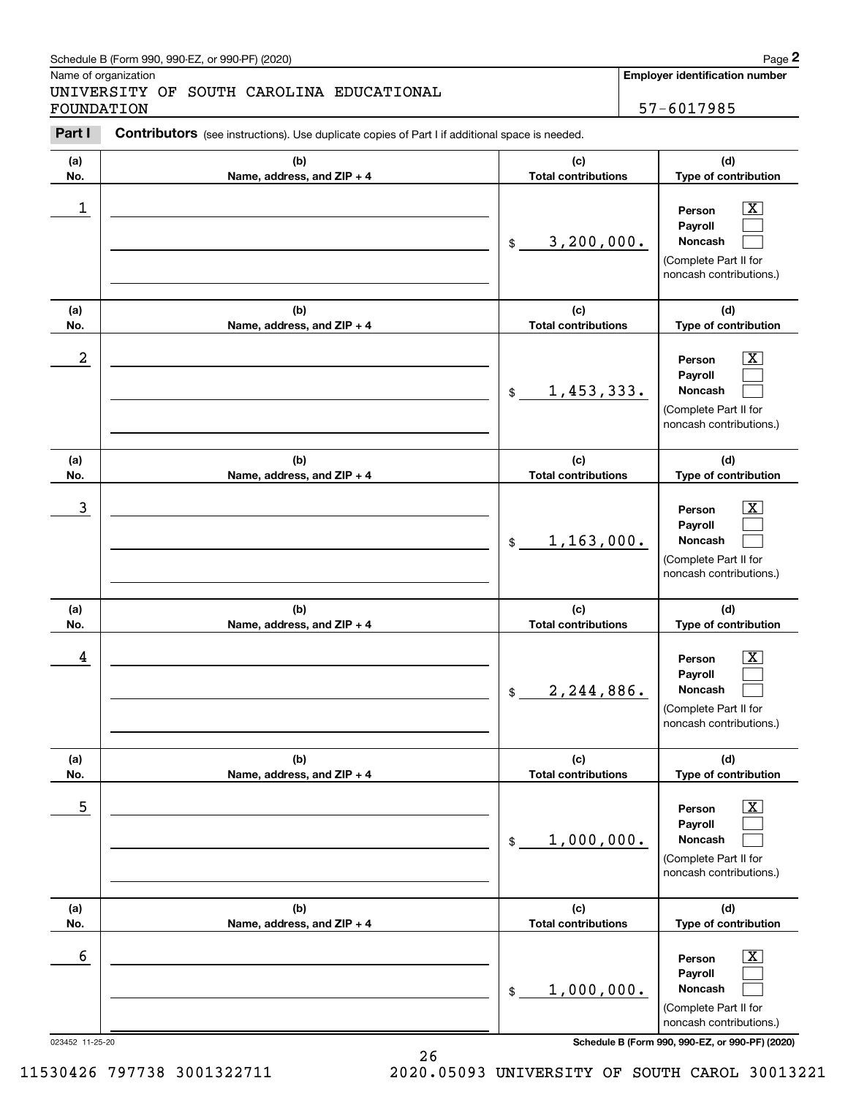## Schedule B (Form 990, 990-EZ, or 990-PF) (2020) **Page 2** Page 2

## UNIVERSITY OF SOUTH CAROLINA EDUCATIONAL FOUNDATION 57-6017985

|                                                                                | Schedule B (Form 990, 990-EZ, or 990-PF) (2020)                                                |                                   |                            | Page 2                                                                                                      |
|--------------------------------------------------------------------------------|------------------------------------------------------------------------------------------------|-----------------------------------|----------------------------|-------------------------------------------------------------------------------------------------------------|
| Name of organization<br>UNIVERSITY OF SOUTH CAROLINA EDUCATIONAL<br>FOUNDATION |                                                                                                |                                   |                            | <b>Employer identification number</b><br>57-6017985                                                         |
| Part I                                                                         | Contributors (see instructions). Use duplicate copies of Part I if additional space is needed. |                                   |                            |                                                                                                             |
| (a)<br>No.                                                                     | (b)<br>Name, address, and ZIP + 4                                                              | (c)<br><b>Total contributions</b> |                            | (d)<br>Type of contribution                                                                                 |
| 1                                                                              |                                                                                                | 3,200,000.<br>\$                  |                            | $\mathbf{X}$<br>Person<br>Payroll<br>Noncash<br>(Complete Part II for<br>noncash contributions.)            |
| (a)<br>No.                                                                     | (b)<br>Name, address, and ZIP + 4                                                              | (c)<br><b>Total contributions</b> |                            | (d)<br>Type of contribution                                                                                 |
| $\boldsymbol{2}$                                                               |                                                                                                | 1,453,333.<br>$$\mathbb{S}$$      |                            | $\overline{\mathbf{X}}$<br>Person<br>Payroll<br>Noncash<br>(Complete Part II for<br>noncash contributions.) |
| (a)<br>No.                                                                     | (b)<br>Name, address, and ZIP + 4                                                              | (c)                               | <b>Total contributions</b> |                                                                                                             |
| $\mathbf{3}$                                                                   |                                                                                                | 1, 163, 000.<br>$\mathfrak{S}$    |                            | $\overline{\mathbf{X}}$<br>Person<br>Payroll<br>Noncash<br>(Complete Part II for<br>noncash contributions.) |
| (a)<br>No.                                                                     | (b)<br>Name, address, and ZIP + 4                                                              | (c)<br><b>Total contributions</b> |                            | (d)<br>Type of contribution                                                                                 |
| 4                                                                              |                                                                                                | 2,244,886.<br>$$\mathbb{S}$$      |                            | $\mathbf{X}$<br>Person<br><b>Payroll</b><br>Noncash<br>(Complete Part II for<br>noncash contributions.)     |
| (a)<br>No.                                                                     | (b)<br>Name, address, and ZIP + 4                                                              | (c)                               | <b>Total contributions</b> |                                                                                                             |
| 5                                                                              |                                                                                                | 1,000,000.<br>\$                  |                            | $\boxed{\text{X}}$<br>Person<br>Payroll<br>Noncash<br>(Complete Part II for<br>noncash contributions.)      |
| (a)<br>No.                                                                     | (b)<br>Name, address, and ZIP + 4                                                              | (c)<br><b>Total contributions</b> |                            | (d)<br>Type of contribution                                                                                 |
| 6                                                                              |                                                                                                | 1,000,000.<br>\$                  |                            | $\boxed{\text{X}}$<br>Person<br>Payroll<br>Noncash<br>(Complete Part II for<br>noncash contributions.)      |

023452 11-25-20 **Schedule B (Form 990, 990-EZ, or 990-PF) (2020)**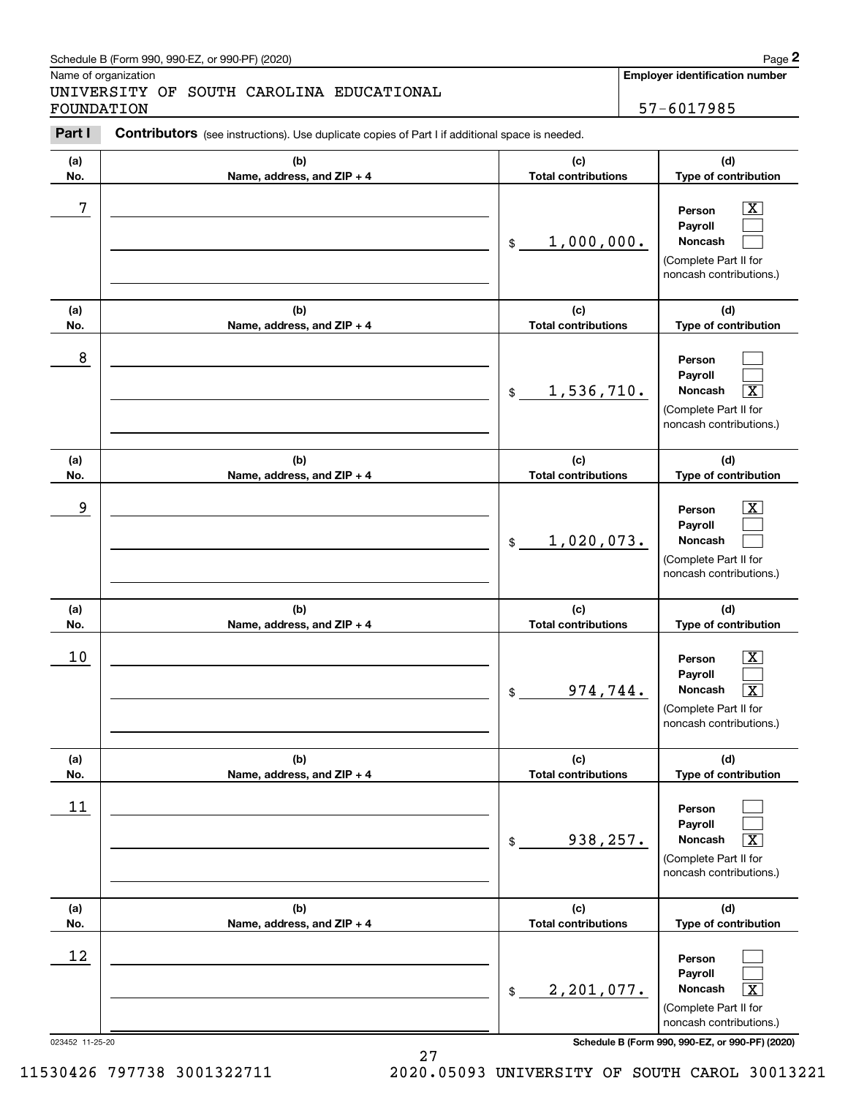## Schedule B (Form 990, 990-EZ, or 990-PF) (2020) **Page 2** Page 2

## UNIVERSITY OF SOUTH CAROLINA EDUCATIONAL FOUNDATION 57-6017985

|            | Schedule B (Form 990, 990-EZ, or 990-PF) (2020)                                                |                                   |                            | Page 2                                                                                                                        |
|------------|------------------------------------------------------------------------------------------------|-----------------------------------|----------------------------|-------------------------------------------------------------------------------------------------------------------------------|
| FOUNDATION | Name of organization<br>UNIVERSITY OF SOUTH CAROLINA EDUCATIONAL                               |                                   |                            | Employer identification number<br>57-6017985                                                                                  |
| Part I     | Contributors (see instructions). Use duplicate copies of Part I if additional space is needed. |                                   |                            |                                                                                                                               |
| (a)<br>No. | (b)<br>Name, address, and ZIP + 4                                                              | (c)<br><b>Total contributions</b> |                            | (d)<br>Type of contribution                                                                                                   |
| 7          |                                                                                                | 1,000,000.<br>\$                  |                            | $\mathbf{X}$<br>Person<br>Payroll<br>Noncash<br>(Complete Part II for<br>noncash contributions.)                              |
| (a)<br>No. | (b)<br>Name, address, and ZIP + 4                                                              | (c)<br><b>Total contributions</b> |                            | (d)<br>Type of contribution                                                                                                   |
| 8          |                                                                                                | 1,536,710.<br>\$                  |                            | Person<br>Payroll<br>$\overline{\mathbf{x}}$<br>Noncash<br>(Complete Part II for<br>noncash contributions.)                   |
| (a)<br>No. | (b)<br>Name, address, and ZIP + 4                                                              | (c)                               | <b>Total contributions</b> |                                                                                                                               |
| 9          |                                                                                                | 1,020,073.<br>\$                  |                            | $\overline{\mathbf{X}}$<br>Person<br>Payroll<br>Noncash<br>(Complete Part II for<br>noncash contributions.)                   |
| (a)<br>No. | (b)<br>Name, address, and ZIP + 4                                                              | (c)<br><b>Total contributions</b> |                            | (d)<br>Type of contribution                                                                                                   |
| 10         |                                                                                                | 974,744.<br>\$                    |                            | $\mathbf{X}$<br>Person<br><b>Payroll</b><br>Noncash<br>$\boxed{\text{X}}$<br>(Complete Part II for<br>noncash contributions.) |
| (a)<br>No. | (b)<br>Name, address, and ZIP + 4                                                              | (c)<br><b>Total contributions</b> |                            | (d)<br>Type of contribution                                                                                                   |
| 11         |                                                                                                | 938,257.<br>\$                    |                            | Person<br>Payroll<br>Noncash<br>$\overline{\text{X}}$<br>(Complete Part II for<br>noncash contributions.)                     |
| (a)<br>No. | (b)<br>Name, address, and ZIP + 4                                                              | (c)<br><b>Total contributions</b> |                            | (d)<br>Type of contribution                                                                                                   |
| 12         |                                                                                                | 2,201,077.<br>\$                  |                            | Person<br>Payroll<br>Noncash<br>$\overline{\mathbf{x}}$<br>(Complete Part II for<br>noncash contributions.)                   |

023452 11-25-20 **Schedule B (Form 990, 990-EZ, or 990-PF) (2020)**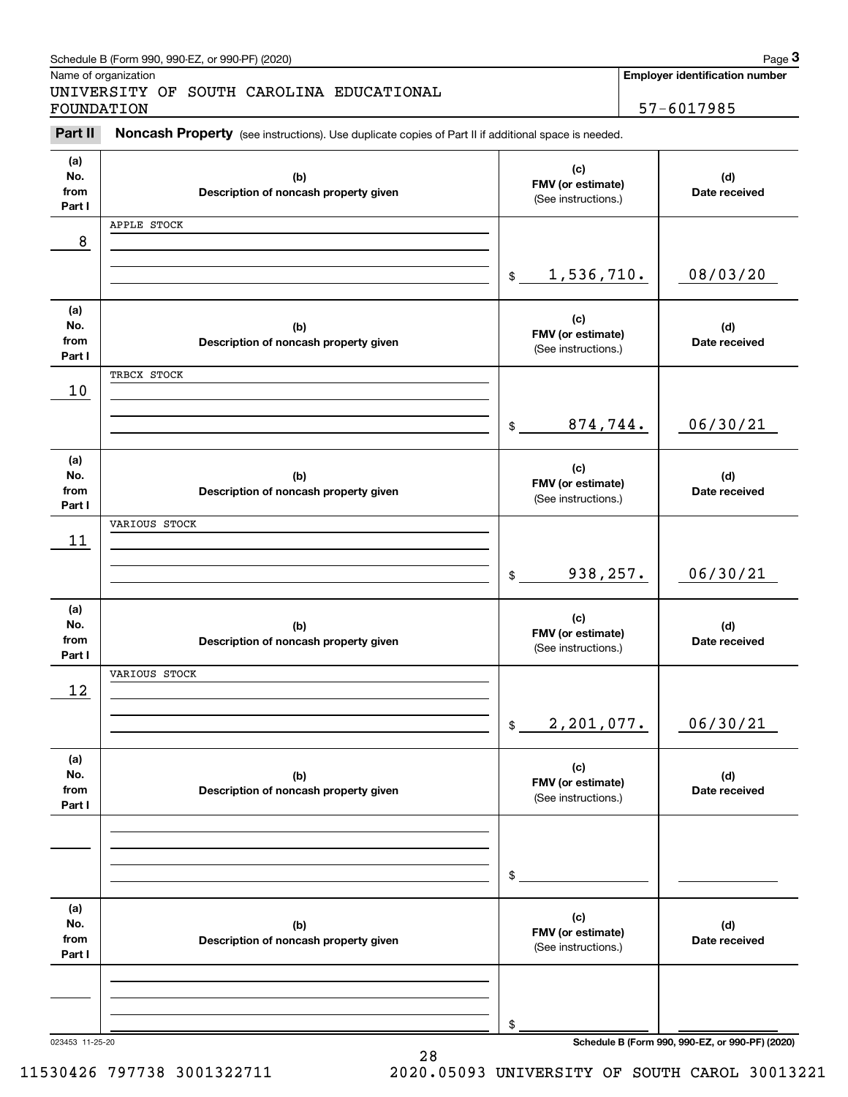|                              | Schedule B (Form 990, 990-EZ, or 990-PF) (2020)                                                     |                                                 | Page 3                                          |
|------------------------------|-----------------------------------------------------------------------------------------------------|-------------------------------------------------|-------------------------------------------------|
|                              | Name of organization                                                                                |                                                 | Employer identification number                  |
| FOUNDATION                   | UNIVERSITY OF SOUTH CAROLINA EDUCATIONAL                                                            |                                                 | 57-6017985                                      |
| Part II                      | Noncash Property (see instructions). Use duplicate copies of Part II if additional space is needed. |                                                 |                                                 |
| (a)<br>No.<br>from<br>Part I | (b)<br>Description of noncash property given                                                        | (c)<br>FMV (or estimate)<br>(See instructions.) | (d)<br>Date received                            |
|                              | APPLE STOCK                                                                                         |                                                 |                                                 |
| 8                            |                                                                                                     |                                                 |                                                 |
|                              |                                                                                                     | 1,536,710.<br>$\frac{1}{2}$                     | 08/03/20                                        |
| (a)<br>No.<br>from<br>Part I | (b)<br>Description of noncash property given                                                        | (c)<br>FMV (or estimate)<br>(See instructions.) | (d)<br>Date received                            |
|                              | TRBCX STOCK                                                                                         |                                                 |                                                 |
| 10                           |                                                                                                     |                                                 |                                                 |
|                              |                                                                                                     | 874,744.<br>$\mathfrak{S}$                      | 06/30/21                                        |
| (a)<br>No.<br>from<br>Part I | (b)<br>Description of noncash property given                                                        | (c)<br>FMV (or estimate)<br>(See instructions.) | (d)<br>Date received                            |
|                              | VARIOUS STOCK                                                                                       |                                                 |                                                 |
| 11                           |                                                                                                     |                                                 |                                                 |
|                              |                                                                                                     | 938,257.<br>$\$\$                               | 06/30/21                                        |
| (a)<br>No.<br>from<br>Part I | (b)<br>Description of noncash property given                                                        | (c)<br>FMV (or estimate)<br>(See instructions.) | (d)<br>Date received                            |
|                              | VARIOUS STOCK                                                                                       |                                                 |                                                 |
| 12                           |                                                                                                     |                                                 |                                                 |
|                              |                                                                                                     | 2,201,077.<br>\$                                | 06/30/21                                        |
| (a)<br>No.<br>from<br>Part I | (b)<br>Description of noncash property given                                                        | (c)<br>FMV (or estimate)<br>(See instructions.) | (d)<br>Date received                            |
|                              |                                                                                                     |                                                 |                                                 |
|                              |                                                                                                     |                                                 |                                                 |
|                              |                                                                                                     | \$                                              |                                                 |
| (a)<br>No.<br>from<br>Part I | (b)<br>Description of noncash property given                                                        | (c)<br>FMV (or estimate)<br>(See instructions.) | (d)<br>Date received                            |
|                              |                                                                                                     |                                                 |                                                 |
|                              |                                                                                                     |                                                 |                                                 |
|                              |                                                                                                     | \$                                              |                                                 |
| 023453 11-25-20              |                                                                                                     |                                                 | Schedule B (Form 990, 990-EZ, or 990-PF) (2020) |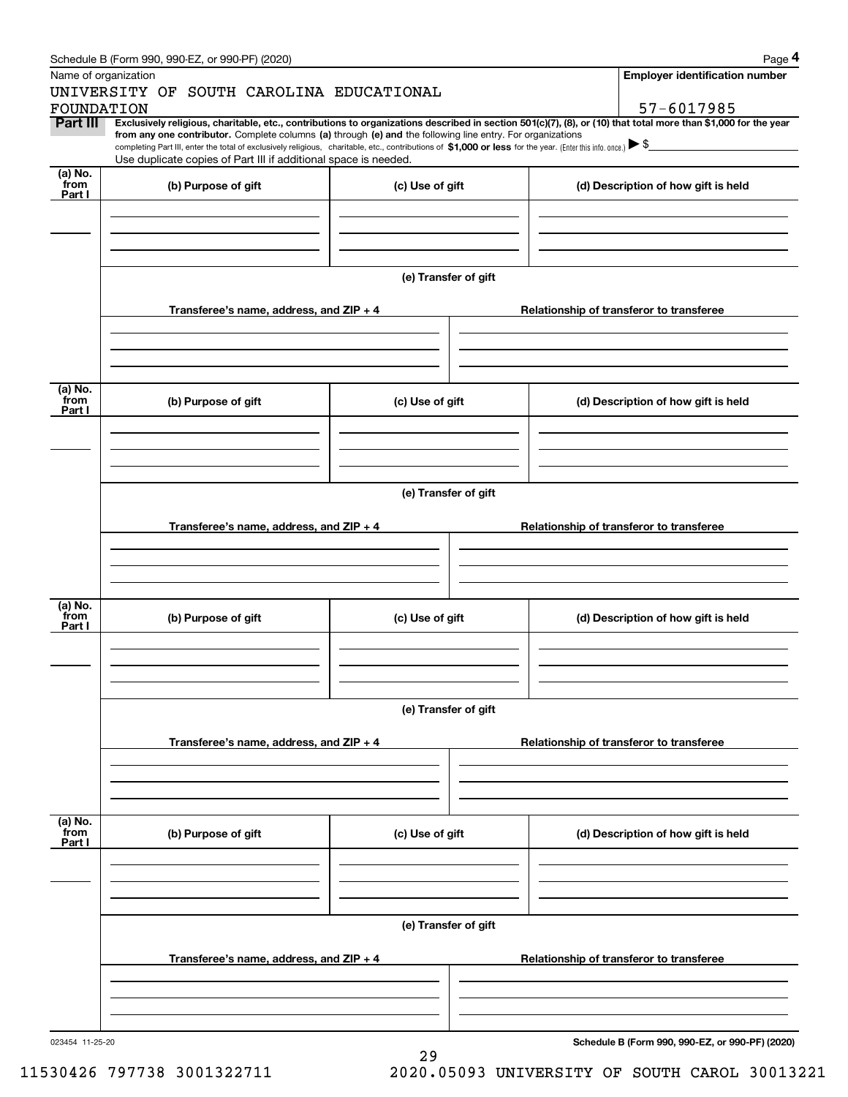|                           | Schedule B (Form 990, 990-EZ, or 990-PF) (2020)                                                                                                                                                                                                                              |                      | Page 4                                          |
|---------------------------|------------------------------------------------------------------------------------------------------------------------------------------------------------------------------------------------------------------------------------------------------------------------------|----------------------|-------------------------------------------------|
|                           | Name of organization                                                                                                                                                                                                                                                         |                      | <b>Employer identification number</b>           |
|                           | UNIVERSITY OF SOUTH CAROLINA EDUCATIONAL                                                                                                                                                                                                                                     |                      |                                                 |
| FOUNDATION                |                                                                                                                                                                                                                                                                              |                      | 57-6017985                                      |
| Part III                  | Exclusively religious, charitable, etc., contributions to organizations described in section 501(c)(7), (8), or (10) that total more than \$1,000 for the year<br>from any one contributor. Complete columns (a) through (e) and the following line entry. For organizations |                      |                                                 |
|                           | completing Part III, enter the total of exclusively religious, charitable, etc., contributions of \$1,000 or less for the year. (Enter this info. once.) $\blacktriangleright$ \$                                                                                            |                      |                                                 |
|                           | Use duplicate copies of Part III if additional space is needed.                                                                                                                                                                                                              |                      |                                                 |
| $(a)$ No.<br>from         | (b) Purpose of gift                                                                                                                                                                                                                                                          | (c) Use of gift      | (d) Description of how gift is held             |
| Part I                    |                                                                                                                                                                                                                                                                              |                      |                                                 |
|                           |                                                                                                                                                                                                                                                                              |                      |                                                 |
|                           |                                                                                                                                                                                                                                                                              |                      |                                                 |
|                           |                                                                                                                                                                                                                                                                              |                      |                                                 |
|                           |                                                                                                                                                                                                                                                                              |                      |                                                 |
|                           |                                                                                                                                                                                                                                                                              | (e) Transfer of gift |                                                 |
|                           |                                                                                                                                                                                                                                                                              |                      |                                                 |
|                           | Transferee's name, address, and ZIP + 4                                                                                                                                                                                                                                      |                      | Relationship of transferor to transferee        |
|                           |                                                                                                                                                                                                                                                                              |                      |                                                 |
|                           |                                                                                                                                                                                                                                                                              |                      |                                                 |
|                           |                                                                                                                                                                                                                                                                              |                      |                                                 |
| (a) No.                   |                                                                                                                                                                                                                                                                              |                      |                                                 |
| from<br>Part I            | (b) Purpose of gift                                                                                                                                                                                                                                                          | (c) Use of gift      | (d) Description of how gift is held             |
|                           |                                                                                                                                                                                                                                                                              |                      |                                                 |
|                           |                                                                                                                                                                                                                                                                              |                      |                                                 |
|                           |                                                                                                                                                                                                                                                                              |                      |                                                 |
|                           |                                                                                                                                                                                                                                                                              |                      |                                                 |
|                           |                                                                                                                                                                                                                                                                              | (e) Transfer of gift |                                                 |
|                           |                                                                                                                                                                                                                                                                              |                      |                                                 |
|                           | Transferee's name, address, and ZIP + 4                                                                                                                                                                                                                                      |                      | Relationship of transferor to transferee        |
|                           |                                                                                                                                                                                                                                                                              |                      |                                                 |
|                           |                                                                                                                                                                                                                                                                              |                      |                                                 |
|                           |                                                                                                                                                                                                                                                                              |                      |                                                 |
| (a) No.                   |                                                                                                                                                                                                                                                                              |                      |                                                 |
| from<br>Part I            | (b) Purpose of gift                                                                                                                                                                                                                                                          | (c) Use of gift      | (d) Description of how gift is held             |
|                           |                                                                                                                                                                                                                                                                              |                      |                                                 |
|                           |                                                                                                                                                                                                                                                                              |                      |                                                 |
|                           |                                                                                                                                                                                                                                                                              |                      |                                                 |
|                           |                                                                                                                                                                                                                                                                              |                      |                                                 |
|                           |                                                                                                                                                                                                                                                                              | (e) Transfer of gift |                                                 |
|                           |                                                                                                                                                                                                                                                                              |                      |                                                 |
|                           | Transferee's name, address, and ZIP + 4                                                                                                                                                                                                                                      |                      | Relationship of transferor to transferee        |
|                           |                                                                                                                                                                                                                                                                              |                      |                                                 |
|                           |                                                                                                                                                                                                                                                                              |                      |                                                 |
|                           |                                                                                                                                                                                                                                                                              |                      |                                                 |
|                           |                                                                                                                                                                                                                                                                              |                      |                                                 |
| (a) No.<br>from<br>Part I | (b) Purpose of gift                                                                                                                                                                                                                                                          | (c) Use of gift      | (d) Description of how gift is held             |
|                           |                                                                                                                                                                                                                                                                              |                      |                                                 |
|                           |                                                                                                                                                                                                                                                                              |                      |                                                 |
|                           |                                                                                                                                                                                                                                                                              |                      |                                                 |
|                           |                                                                                                                                                                                                                                                                              |                      |                                                 |
|                           |                                                                                                                                                                                                                                                                              | (e) Transfer of gift |                                                 |
|                           |                                                                                                                                                                                                                                                                              |                      |                                                 |
|                           | Transferee's name, address, and $ZIP + 4$                                                                                                                                                                                                                                    |                      | Relationship of transferor to transferee        |
|                           |                                                                                                                                                                                                                                                                              |                      |                                                 |
|                           |                                                                                                                                                                                                                                                                              |                      |                                                 |
|                           |                                                                                                                                                                                                                                                                              |                      |                                                 |
|                           |                                                                                                                                                                                                                                                                              |                      |                                                 |
| 023454 11-25-20           |                                                                                                                                                                                                                                                                              |                      | Schedule B (Form 990, 990-EZ, or 990-PF) (2020) |

29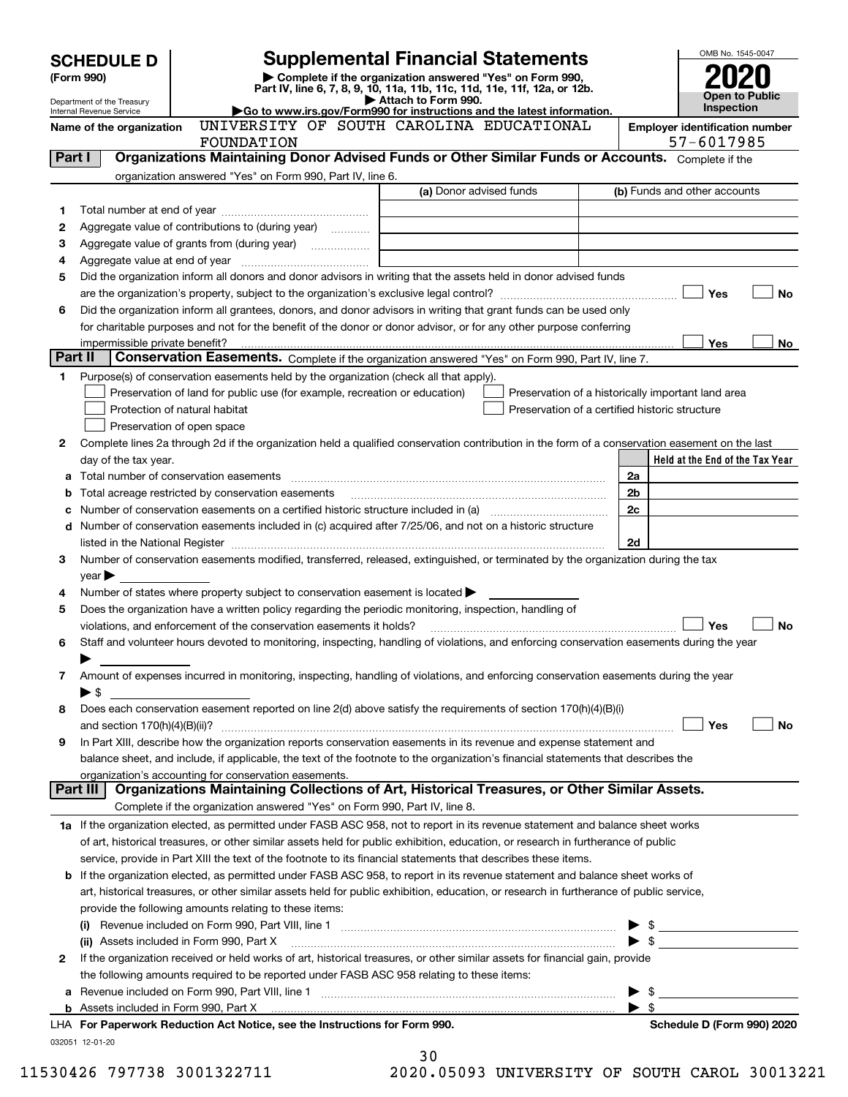|         | <b>SCHEDULE D</b>              |                                                                                           | <b>Supplemental Financial Statements</b>                                                                                                                                                                                                                 | OMB No. 1545-0047       |                                 |
|---------|--------------------------------|-------------------------------------------------------------------------------------------|----------------------------------------------------------------------------------------------------------------------------------------------------------------------------------------------------------------------------------------------------------|-------------------------|---------------------------------|
|         | (Form 990)                     |                                                                                           | Complete if the organization answered "Yes" on Form 990,                                                                                                                                                                                                 |                         |                                 |
|         | Department of the Treasury     |                                                                                           | Part IV, line 6, 7, 8, 9, 10, 11a, 11b, 11c, 11d, 11e, 11f, 12a, or 12b.<br>Attach to Form 990.                                                                                                                                                          |                         | Open to Public                  |
|         | Internal Revenue Service       |                                                                                           | Go to www.irs.gov/Form990 for instructions and the latest information.<br>UNIVERSITY OF SOUTH CAROLINA EDUCATIONAL                                                                                                                                       |                         | <b>Inspection</b>               |
|         | Name of the organization       |                                                                                           | <b>Employer identification number</b><br>57-6017985                                                                                                                                                                                                      |                         |                                 |
| Part I  |                                | FOUNDATION                                                                                | Organizations Maintaining Donor Advised Funds or Other Similar Funds or Accounts. Complete if the                                                                                                                                                        |                         |                                 |
|         |                                | organization answered "Yes" on Form 990, Part IV, line 6.                                 |                                                                                                                                                                                                                                                          |                         |                                 |
|         |                                |                                                                                           | (a) Donor advised funds                                                                                                                                                                                                                                  |                         | (b) Funds and other accounts    |
| 1       |                                |                                                                                           |                                                                                                                                                                                                                                                          |                         |                                 |
| 2       |                                | Aggregate value of contributions to (during year)                                         |                                                                                                                                                                                                                                                          |                         |                                 |
| з       |                                |                                                                                           |                                                                                                                                                                                                                                                          |                         |                                 |
| 4       |                                |                                                                                           |                                                                                                                                                                                                                                                          |                         |                                 |
| 5       |                                |                                                                                           | Did the organization inform all donors and donor advisors in writing that the assets held in donor advised funds                                                                                                                                         |                         |                                 |
|         |                                |                                                                                           |                                                                                                                                                                                                                                                          |                         | Yes<br><b>No</b>                |
| 6       |                                |                                                                                           | Did the organization inform all grantees, donors, and donor advisors in writing that grant funds can be used only<br>for charitable purposes and not for the benefit of the donor or donor advisor, or for any other purpose conferring                  |                         |                                 |
|         | impermissible private benefit? |                                                                                           |                                                                                                                                                                                                                                                          |                         | Yes<br>No                       |
| Part II |                                |                                                                                           | Conservation Easements. Complete if the organization answered "Yes" on Form 990, Part IV, line 7.                                                                                                                                                        |                         |                                 |
| 1       |                                | Purpose(s) of conservation easements held by the organization (check all that apply).     |                                                                                                                                                                                                                                                          |                         |                                 |
|         |                                | Preservation of land for public use (for example, recreation or education)                | Preservation of a historically important land area                                                                                                                                                                                                       |                         |                                 |
|         | Protection of natural habitat  |                                                                                           | Preservation of a certified historic structure                                                                                                                                                                                                           |                         |                                 |
|         | Preservation of open space     |                                                                                           |                                                                                                                                                                                                                                                          |                         |                                 |
| 2       |                                |                                                                                           | Complete lines 2a through 2d if the organization held a qualified conservation contribution in the form of a conservation easement on the last                                                                                                           |                         |                                 |
|         | day of the tax year.           |                                                                                           |                                                                                                                                                                                                                                                          |                         | Held at the End of the Tax Year |
| а       |                                |                                                                                           |                                                                                                                                                                                                                                                          | 2a                      |                                 |
|         |                                | Total acreage restricted by conservation easements                                        |                                                                                                                                                                                                                                                          | 2b                      |                                 |
|         |                                |                                                                                           | Number of conservation easements on a certified historic structure included in (a) manufacture of conservation                                                                                                                                           | 2c                      |                                 |
| d       |                                |                                                                                           | Number of conservation easements included in (c) acquired after 7/25/06, and not on a historic structure                                                                                                                                                 |                         |                                 |
| 3       |                                |                                                                                           | Number of conservation easements modified, transferred, released, extinguished, or terminated by the organization during the tax                                                                                                                         | 2d                      |                                 |
|         | $year \blacktriangleright$     |                                                                                           |                                                                                                                                                                                                                                                          |                         |                                 |
| 4       |                                | Number of states where property subject to conservation easement is located >             |                                                                                                                                                                                                                                                          |                         |                                 |
| 5       |                                |                                                                                           | Does the organization have a written policy regarding the periodic monitoring, inspection, handling of                                                                                                                                                   |                         |                                 |
|         |                                | violations, and enforcement of the conservation easements it holds?                       |                                                                                                                                                                                                                                                          |                         | Yes<br><b>No</b>                |
| 6       |                                |                                                                                           | Staff and volunteer hours devoted to monitoring, inspecting, handling of violations, and enforcing conservation easements during the year                                                                                                                |                         |                                 |
|         |                                |                                                                                           |                                                                                                                                                                                                                                                          |                         |                                 |
| 7       |                                |                                                                                           | Amount of expenses incurred in monitoring, inspecting, handling of violations, and enforcing conservation easements during the year                                                                                                                      |                         |                                 |
|         | ▶ \$                           |                                                                                           |                                                                                                                                                                                                                                                          |                         |                                 |
| 8       |                                |                                                                                           | Does each conservation easement reported on line 2(d) above satisfy the requirements of section 170(h)(4)(B)(i)                                                                                                                                          |                         |                                 |
|         |                                |                                                                                           |                                                                                                                                                                                                                                                          |                         | Yes<br>No                       |
| 9       |                                |                                                                                           | In Part XIII, describe how the organization reports conservation easements in its revenue and expense statement and<br>balance sheet, and include, if applicable, the text of the footnote to the organization's financial statements that describes the |                         |                                 |
|         |                                | organization's accounting for conservation easements.                                     |                                                                                                                                                                                                                                                          |                         |                                 |
|         | Part III                       |                                                                                           | Organizations Maintaining Collections of Art, Historical Treasures, or Other Similar Assets.                                                                                                                                                             |                         |                                 |
|         |                                | Complete if the organization answered "Yes" on Form 990, Part IV, line 8.                 |                                                                                                                                                                                                                                                          |                         |                                 |
|         |                                |                                                                                           | 1a If the organization elected, as permitted under FASB ASC 958, not to report in its revenue statement and balance sheet works                                                                                                                          |                         |                                 |
|         |                                |                                                                                           | of art, historical treasures, or other similar assets held for public exhibition, education, or research in furtherance of public                                                                                                                        |                         |                                 |
|         |                                |                                                                                           | service, provide in Part XIII the text of the footnote to its financial statements that describes these items.                                                                                                                                           |                         |                                 |
|         |                                |                                                                                           | <b>b</b> If the organization elected, as permitted under FASB ASC 958, to report in its revenue statement and balance sheet works of                                                                                                                     |                         |                                 |
|         |                                |                                                                                           | art, historical treasures, or other similar assets held for public exhibition, education, or research in furtherance of public service,                                                                                                                  |                         |                                 |
|         |                                | provide the following amounts relating to these items:                                    |                                                                                                                                                                                                                                                          |                         |                                 |
|         |                                |                                                                                           |                                                                                                                                                                                                                                                          |                         | $\triangleright$ \$             |
|         |                                |                                                                                           | (ii) Assets included in Form 990, Part X [11] [2000] [2010] Assets included in Form 990, Part X [11] [11] [11]                                                                                                                                           |                         |                                 |
| 2       |                                |                                                                                           | If the organization received or held works of art, historical treasures, or other similar assets for financial gain, provide                                                                                                                             |                         |                                 |
|         |                                | the following amounts required to be reported under FASB ASC 958 relating to these items: |                                                                                                                                                                                                                                                          |                         |                                 |
| а       |                                |                                                                                           |                                                                                                                                                                                                                                                          | $\blacktriangleright$ s | $\frac{1}{2}$                   |
|         |                                | LHA For Paperwork Reduction Act Notice, see the Instructions for Form 990.                |                                                                                                                                                                                                                                                          |                         | Schedule D (Form 990) 2020      |
|         | 032051 12-01-20                |                                                                                           |                                                                                                                                                                                                                                                          |                         |                                 |
|         |                                |                                                                                           | っぃ                                                                                                                                                                                                                                                       |                         |                                 |

| 11530426 797738 300132271 |  |  |
|---------------------------|--|--|
|---------------------------|--|--|

| 30  |       |  |  |
|-----|-------|--|--|
| いつの | ハにハハつ |  |  |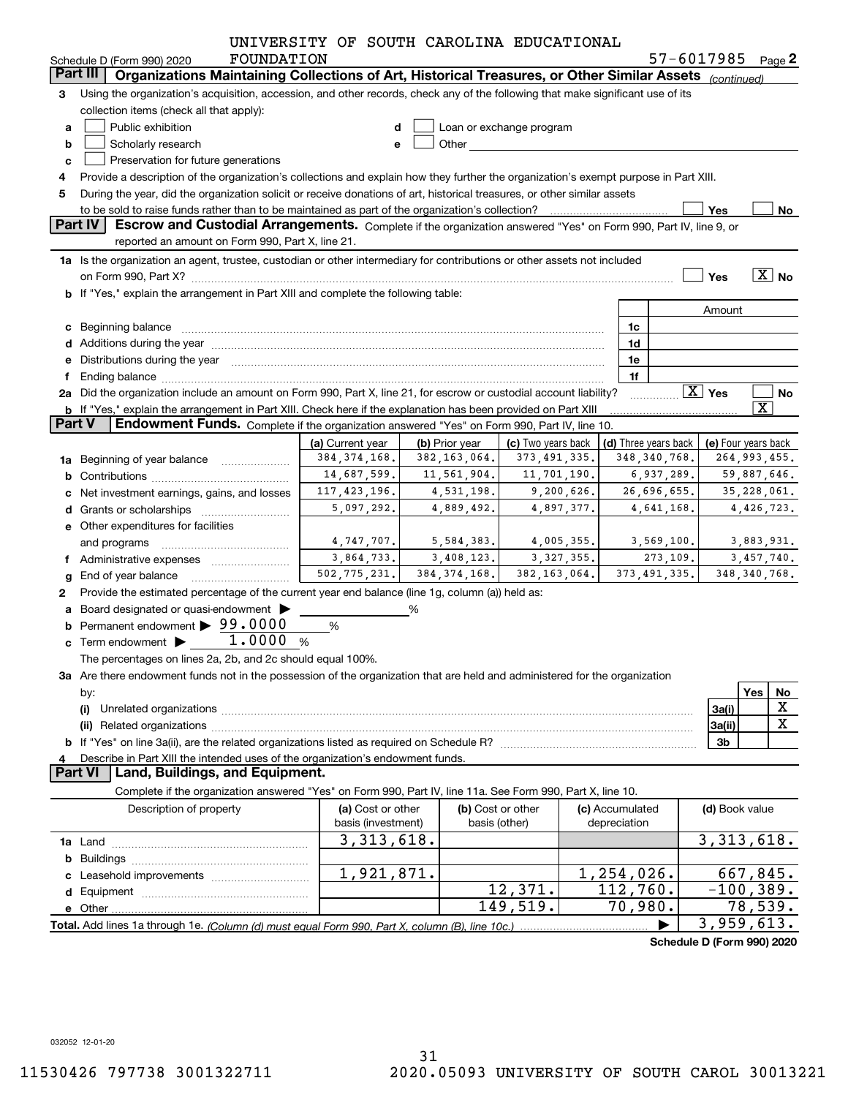|               |                                                                                                                                                                                                                                | UNIVERSITY OF SOUTH CAROLINA EDUCATIONAL |                |                                                                                                                                                                                                                                |              |                                            |                            |                         |
|---------------|--------------------------------------------------------------------------------------------------------------------------------------------------------------------------------------------------------------------------------|------------------------------------------|----------------|--------------------------------------------------------------------------------------------------------------------------------------------------------------------------------------------------------------------------------|--------------|--------------------------------------------|----------------------------|-------------------------|
|               | FOUNDATION<br>Schedule D (Form 990) 2020                                                                                                                                                                                       |                                          |                |                                                                                                                                                                                                                                |              |                                            | 57-6017985 Page 2          |                         |
|               | Organizations Maintaining Collections of Art, Historical Treasures, or Other Similar Assets (continued)<br>Part III                                                                                                            |                                          |                |                                                                                                                                                                                                                                |              |                                            |                            |                         |
| 3             | Using the organization's acquisition, accession, and other records, check any of the following that make significant use of its                                                                                                |                                          |                |                                                                                                                                                                                                                                |              |                                            |                            |                         |
|               | collection items (check all that apply):                                                                                                                                                                                       |                                          |                |                                                                                                                                                                                                                                |              |                                            |                            |                         |
| a             | Public exhibition                                                                                                                                                                                                              |                                          |                | Loan or exchange program                                                                                                                                                                                                       |              |                                            |                            |                         |
| b             | Scholarly research                                                                                                                                                                                                             | е                                        |                | Other and the control of the control of the control of the control of the control of the control of the control of the control of the control of the control of the control of the control of the control of the control of th |              |                                            |                            |                         |
| c             | Preservation for future generations                                                                                                                                                                                            |                                          |                |                                                                                                                                                                                                                                |              |                                            |                            |                         |
|               | Provide a description of the organization's collections and explain how they further the organization's exempt purpose in Part XIII.                                                                                           |                                          |                |                                                                                                                                                                                                                                |              |                                            |                            |                         |
| 5             | During the year, did the organization solicit or receive donations of art, historical treasures, or other similar assets                                                                                                       |                                          |                |                                                                                                                                                                                                                                |              |                                            |                            |                         |
|               | to be sold to raise funds rather than to be maintained as part of the organization's collection?                                                                                                                               |                                          |                |                                                                                                                                                                                                                                |              |                                            | Yes                        | No                      |
|               | Part IV<br><b>Escrow and Custodial Arrangements.</b> Complete if the organization answered "Yes" on Form 990, Part IV, line 9, or                                                                                              |                                          |                |                                                                                                                                                                                                                                |              |                                            |                            |                         |
|               | reported an amount on Form 990, Part X, line 21.                                                                                                                                                                               |                                          |                |                                                                                                                                                                                                                                |              |                                            |                            |                         |
|               | 1a Is the organization an agent, trustee, custodian or other intermediary for contributions or other assets not included                                                                                                       |                                          |                |                                                                                                                                                                                                                                |              |                                            |                            |                         |
|               |                                                                                                                                                                                                                                |                                          |                |                                                                                                                                                                                                                                |              |                                            | Yes                        | $\boxed{\text{X}}$ No   |
|               | b If "Yes," explain the arrangement in Part XIII and complete the following table:                                                                                                                                             |                                          |                |                                                                                                                                                                                                                                |              |                                            |                            |                         |
|               |                                                                                                                                                                                                                                |                                          |                |                                                                                                                                                                                                                                |              |                                            | Amount                     |                         |
|               | c Beginning balance measurements and the contract of the contract of the contract of the contract of the contract of the contract of the contract of the contract of the contract of the contract of the contract of the contr |                                          |                |                                                                                                                                                                                                                                |              | 1c                                         |                            |                         |
|               | d Additions during the year measurement contains and a state of a state of a state of the state of the state of the state of the state of the state of the state of the state of the state of the state of the state of the st |                                          |                |                                                                                                                                                                                                                                |              | 1d                                         |                            |                         |
|               | Distributions during the year measurement contains and all the state of the state of the state of the state of                                                                                                                 |                                          |                |                                                                                                                                                                                                                                |              | 1e                                         |                            |                         |
|               |                                                                                                                                                                                                                                |                                          |                |                                                                                                                                                                                                                                |              | 1f                                         |                            |                         |
|               | 2a Did the organization include an amount on Form 990, Part X, line 21, for escrow or custodial account liability?                                                                                                             |                                          |                |                                                                                                                                                                                                                                |              |                                            | $\boxed{\text{X}}$ Yes     | No                      |
|               | b If "Yes," explain the arrangement in Part XIII. Check here if the explanation has been provided on Part XIII                                                                                                                 |                                          |                |                                                                                                                                                                                                                                |              |                                            |                            | $\overline{\mathbf{X}}$ |
| <b>Part V</b> | Endowment Funds. Complete if the organization answered "Yes" on Form 990, Part IV, line 10.                                                                                                                                    |                                          |                |                                                                                                                                                                                                                                |              |                                            |                            |                         |
|               |                                                                                                                                                                                                                                | (a) Current year                         | (b) Prior year | (c) Two years back                                                                                                                                                                                                             |              | (d) Three years back   (e) Four years back |                            |                         |
|               | 1a Beginning of year balance                                                                                                                                                                                                   | 384, 374, 168.                           | 382, 163, 064. | 373, 491, 335.                                                                                                                                                                                                                 |              | 348, 340, 768.                             |                            | 264, 993, 455.          |
|               |                                                                                                                                                                                                                                | 14,687,599.                              | 11,561,904.    | 11,701,190.                                                                                                                                                                                                                    |              | 6,937,289.                                 |                            | 59,887,646.             |
|               | Net investment earnings, gains, and losses                                                                                                                                                                                     | 117, 423, 196.                           | 4,531,198.     | 9,200,626.                                                                                                                                                                                                                     |              | 26,696,655.                                |                            | 35,228,061.             |
|               | Grants or scholarships                                                                                                                                                                                                         | 5,097,292.                               | 4,889,492.     | 4,897,377.                                                                                                                                                                                                                     |              | 4,641,168.                                 |                            | 4,426,723.              |
|               |                                                                                                                                                                                                                                |                                          |                |                                                                                                                                                                                                                                |              |                                            |                            |                         |
|               | e Other expenditures for facilities                                                                                                                                                                                            | 4,747,707.                               | 5,584,383.     | 4,005,355.                                                                                                                                                                                                                     |              | 3,569,100.                                 |                            | 3,883,931.              |
|               |                                                                                                                                                                                                                                | 3,864,733.                               | 3,408,123.     | 3, 327, 355.                                                                                                                                                                                                                   |              | 273, 109.                                  |                            | 3,457,740.              |
|               | Administrative expenses                                                                                                                                                                                                        | 502, 775, 231.                           | 384, 374, 168. | 382, 163, 064.                                                                                                                                                                                                                 |              | 373, 491, 335.                             |                            | 348, 340, 768.          |
|               | End of year balance                                                                                                                                                                                                            |                                          |                |                                                                                                                                                                                                                                |              |                                            |                            |                         |
| 2             | Provide the estimated percentage of the current year end balance (line 1g, column (a)) held as:                                                                                                                                |                                          |                |                                                                                                                                                                                                                                |              |                                            |                            |                         |
|               | Board designated or quasi-endowment                                                                                                                                                                                            |                                          | %              |                                                                                                                                                                                                                                |              |                                            |                            |                         |
|               | Permanent endowment > 99.0000                                                                                                                                                                                                  | $\%$                                     |                |                                                                                                                                                                                                                                |              |                                            |                            |                         |
|               | c Term endowment $\blacktriangleright$ 1.0000 %                                                                                                                                                                                |                                          |                |                                                                                                                                                                                                                                |              |                                            |                            |                         |
|               | The percentages on lines 2a, 2b, and 2c should equal 100%.                                                                                                                                                                     |                                          |                |                                                                                                                                                                                                                                |              |                                            |                            |                         |
|               | 3a Are there endowment funds not in the possession of the organization that are held and administered for the organization                                                                                                     |                                          |                |                                                                                                                                                                                                                                |              |                                            |                            |                         |
|               | by:                                                                                                                                                                                                                            |                                          |                |                                                                                                                                                                                                                                |              |                                            |                            | Yes<br><u>No</u>        |
|               | (i)                                                                                                                                                                                                                            |                                          |                |                                                                                                                                                                                                                                |              |                                            | 3a(i)                      | X                       |
|               |                                                                                                                                                                                                                                |                                          |                |                                                                                                                                                                                                                                |              |                                            | 3a(ii)                     | $\overline{\mathbf{X}}$ |
|               |                                                                                                                                                                                                                                |                                          |                |                                                                                                                                                                                                                                |              |                                            | 3b                         |                         |
| 4             | Describe in Part XIII the intended uses of the organization's endowment funds.                                                                                                                                                 |                                          |                |                                                                                                                                                                                                                                |              |                                            |                            |                         |
|               | Land, Buildings, and Equipment.<br><b>Part VI</b>                                                                                                                                                                              |                                          |                |                                                                                                                                                                                                                                |              |                                            |                            |                         |
|               | Complete if the organization answered "Yes" on Form 990, Part IV, line 11a. See Form 990, Part X, line 10.                                                                                                                     |                                          |                |                                                                                                                                                                                                                                |              |                                            |                            |                         |
|               | Description of property                                                                                                                                                                                                        | (a) Cost or other                        |                | (b) Cost or other                                                                                                                                                                                                              |              | (c) Accumulated                            | (d) Book value             |                         |
|               |                                                                                                                                                                                                                                | basis (investment)                       |                | basis (other)                                                                                                                                                                                                                  | depreciation |                                            |                            |                         |
|               |                                                                                                                                                                                                                                | 3, 313, 618.                             |                |                                                                                                                                                                                                                                |              |                                            |                            | 3,313,618.              |
| b             |                                                                                                                                                                                                                                |                                          |                |                                                                                                                                                                                                                                |              |                                            |                            |                         |
|               | Leasehold improvements                                                                                                                                                                                                         | $\overline{1,921},871.$                  |                |                                                                                                                                                                                                                                |              | 1,254,026.                                 |                            | 667,845.                |
|               |                                                                                                                                                                                                                                |                                          |                | 12,371.                                                                                                                                                                                                                        |              | 112,760.                                   |                            | $-100, 389.$            |
|               |                                                                                                                                                                                                                                |                                          |                | 149,519.                                                                                                                                                                                                                       |              | 70,980.                                    |                            | 78,539.                 |
|               | Total. Add lines 1a through 1e. (Column (d) must equal Form 990. Part X. column (B). line 10c.)                                                                                                                                |                                          |                |                                                                                                                                                                                                                                |              |                                            | 3,959,613.                 |                         |
|               |                                                                                                                                                                                                                                |                                          |                |                                                                                                                                                                                                                                |              |                                            | Schedule D (Form 990) 2020 |                         |
|               |                                                                                                                                                                                                                                |                                          |                |                                                                                                                                                                                                                                |              |                                            |                            |                         |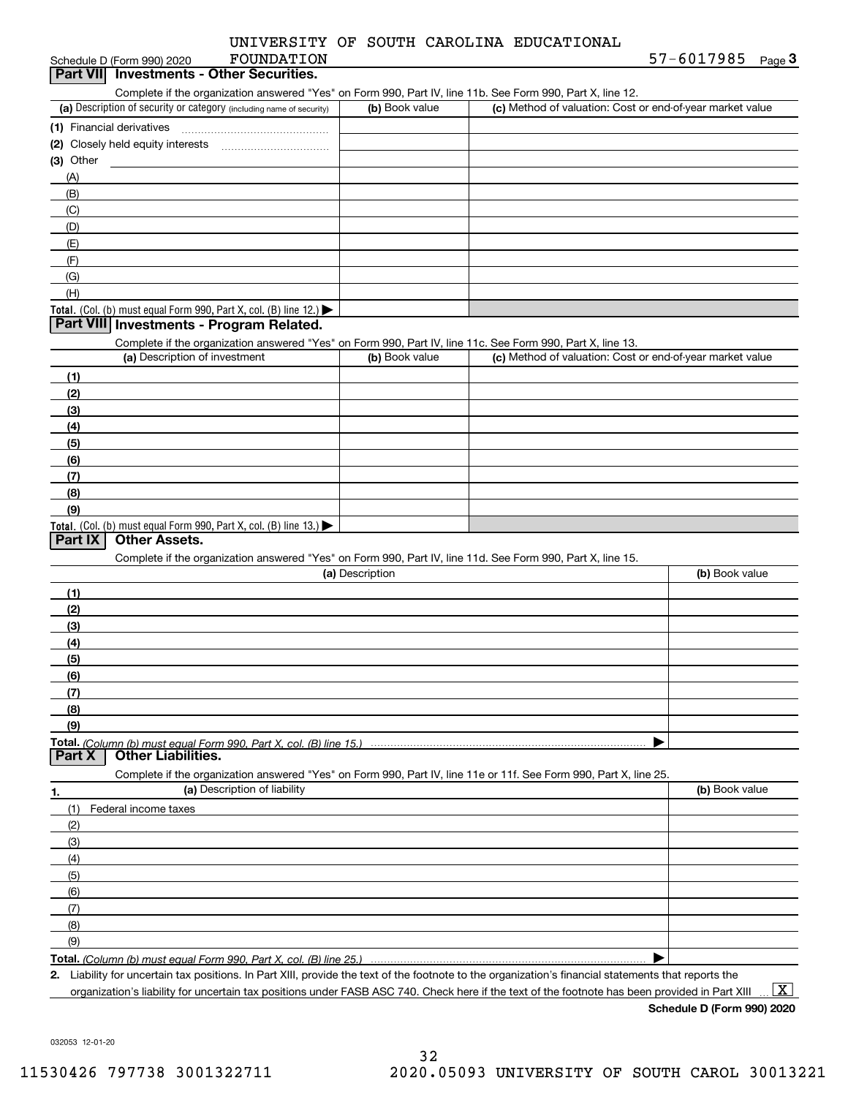|  |  |  |  | UNIVERSITY OF SOUTH CAROLINA EDUCATIONAL |
|--|--|--|--|------------------------------------------|
|--|--|--|--|------------------------------------------|

| FOUNDATION<br>Schedule D (Form 990) 2020                                                                                                    |                 |                                                           | 57-6017985<br>Page 3 |
|---------------------------------------------------------------------------------------------------------------------------------------------|-----------------|-----------------------------------------------------------|----------------------|
| Part VII Investments - Other Securities.                                                                                                    |                 |                                                           |                      |
| Complete if the organization answered "Yes" on Form 990, Part IV, line 11b. See Form 990, Part X, line 12.                                  |                 |                                                           |                      |
| (a) Description of security or category (including name of security)                                                                        | (b) Book value  | (c) Method of valuation: Cost or end-of-year market value |                      |
|                                                                                                                                             |                 |                                                           |                      |
|                                                                                                                                             |                 |                                                           |                      |
| $(3)$ Other                                                                                                                                 |                 |                                                           |                      |
| (A)                                                                                                                                         |                 |                                                           |                      |
| (B)                                                                                                                                         |                 |                                                           |                      |
| (C)                                                                                                                                         |                 |                                                           |                      |
| (D)                                                                                                                                         |                 |                                                           |                      |
| (E)                                                                                                                                         |                 |                                                           |                      |
| (F)                                                                                                                                         |                 |                                                           |                      |
| (G)                                                                                                                                         |                 |                                                           |                      |
| (H)                                                                                                                                         |                 |                                                           |                      |
| Total. (Col. (b) must equal Form 990, Part X, col. (B) line 12.)                                                                            |                 |                                                           |                      |
| Part VIII Investments - Program Related.                                                                                                    |                 |                                                           |                      |
|                                                                                                                                             |                 |                                                           |                      |
| Complete if the organization answered "Yes" on Form 990, Part IV, line 11c. See Form 990, Part X, line 13.<br>(a) Description of investment | (b) Book value  | (c) Method of valuation: Cost or end-of-year market value |                      |
|                                                                                                                                             |                 |                                                           |                      |
| (1)                                                                                                                                         |                 |                                                           |                      |
| (2)                                                                                                                                         |                 |                                                           |                      |
| (3)                                                                                                                                         |                 |                                                           |                      |
| (4)                                                                                                                                         |                 |                                                           |                      |
| (5)                                                                                                                                         |                 |                                                           |                      |
| (6)                                                                                                                                         |                 |                                                           |                      |
| (7)                                                                                                                                         |                 |                                                           |                      |
| (8)                                                                                                                                         |                 |                                                           |                      |
| (9)                                                                                                                                         |                 |                                                           |                      |
| Total. (Col. (b) must equal Form 990, Part X, col. (B) line 13.) $\blacktriangleright$                                                      |                 |                                                           |                      |
| Other Assets.<br>Part IX                                                                                                                    |                 |                                                           |                      |
| Complete if the organization answered "Yes" on Form 990, Part IV, line 11d. See Form 990, Part X, line 15.                                  |                 |                                                           |                      |
|                                                                                                                                             | (a) Description |                                                           | (b) Book value       |
| (1)                                                                                                                                         |                 |                                                           |                      |
| (2)                                                                                                                                         |                 |                                                           |                      |
|                                                                                                                                             |                 |                                                           |                      |
|                                                                                                                                             |                 |                                                           |                      |
| (3)                                                                                                                                         |                 |                                                           |                      |
| (4)                                                                                                                                         |                 |                                                           |                      |
| (5)                                                                                                                                         |                 |                                                           |                      |
| (6)                                                                                                                                         |                 |                                                           |                      |
| (7)                                                                                                                                         |                 |                                                           |                      |
| (8)                                                                                                                                         |                 |                                                           |                      |
| (9)                                                                                                                                         |                 |                                                           |                      |
| Total. (Column (b) must equal Form 990. Part X, col. (B) line 15.)                                                                          |                 |                                                           |                      |
| Part X<br><b>Other Liabilities.</b>                                                                                                         |                 |                                                           |                      |
| Complete if the organization answered "Yes" on Form 990, Part IV, line 11e or 11f. See Form 990, Part X, line 25.                           |                 |                                                           |                      |
| (a) Description of liability                                                                                                                |                 |                                                           | (b) Book value       |
| (1)<br>Federal income taxes                                                                                                                 |                 |                                                           |                      |
| (2)                                                                                                                                         |                 |                                                           |                      |
| (3)                                                                                                                                         |                 |                                                           |                      |
| (4)                                                                                                                                         |                 |                                                           |                      |
| (5)                                                                                                                                         |                 |                                                           |                      |
| (6)                                                                                                                                         |                 |                                                           |                      |
| (7)                                                                                                                                         |                 |                                                           |                      |
| 1.<br>(8)                                                                                                                                   |                 |                                                           |                      |
| (9)                                                                                                                                         |                 |                                                           |                      |

**2.** Liability for uncertain tax positions. In Part XIII, provide the text of the footnote to the organization's financial statements that reports the organization's liability for uncertain tax positions under FASB ASC 740. Check here if the text of the footnote has been provided in Part XIII

**Schedule D (Form 990) 2020**

 $\boxed{\text{X}}$ 

032053 12-01-20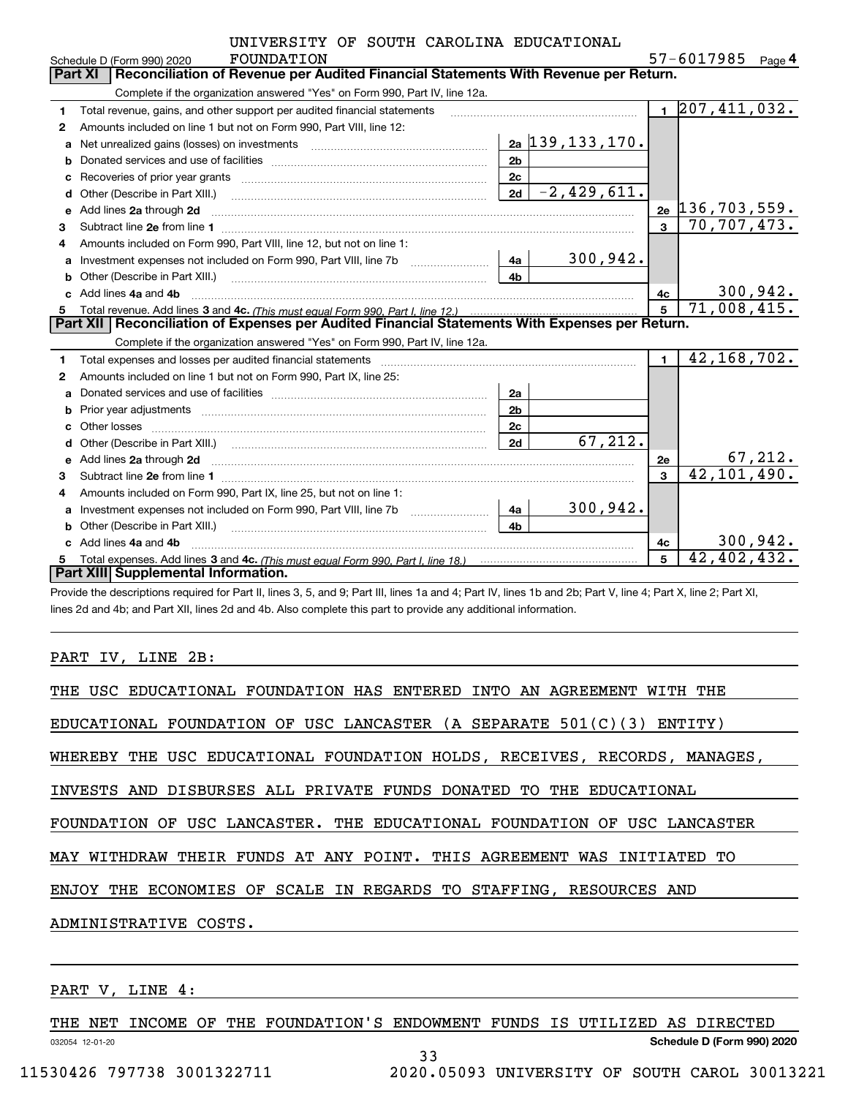|   | UNIVERSITY OF SOUTH CAROLINA EDUCATIONAL                                                                                                                                                                                            |                |                            |                         |                               |        |
|---|-------------------------------------------------------------------------------------------------------------------------------------------------------------------------------------------------------------------------------------|----------------|----------------------------|-------------------------|-------------------------------|--------|
|   | FOUNDATION<br>Schedule D (Form 990) 2020                                                                                                                                                                                            |                |                            |                         | 57-6017985                    | Page 4 |
|   | Reconciliation of Revenue per Audited Financial Statements With Revenue per Return.<br>Part XI                                                                                                                                      |                |                            |                         |                               |        |
|   | Complete if the organization answered "Yes" on Form 990, Part IV, line 12a.                                                                                                                                                         |                |                            |                         |                               |        |
| 1 | Total revenue, gains, and other support per audited financial statements                                                                                                                                                            |                |                            |                         | $1 \overline{207,411,032}$ .  |        |
| 2 | Amounts included on line 1 but not on Form 990, Part VIII, line 12:                                                                                                                                                                 |                |                            |                         |                               |        |
| a | Net unrealized gains (losses) on investments [11] matter contracts and the unrealized gains (losses) on investments                                                                                                                 |                | <u>2a   139, 133, 170.</u> |                         |                               |        |
| b |                                                                                                                                                                                                                                     | 2 <sub>b</sub> |                            |                         |                               |        |
|   |                                                                                                                                                                                                                                     | 2c             |                            |                         |                               |        |
| d |                                                                                                                                                                                                                                     | 2d             | $-2,429,611.$              |                         |                               |        |
| е | Add lines 2a through 2d                                                                                                                                                                                                             |                |                            |                         | $_{2e}$ [136,703,559.         |        |
| 3 |                                                                                                                                                                                                                                     |                |                            | $\overline{\mathbf{3}}$ | 70,707,473.                   |        |
| 4 | Amounts included on Form 990, Part VIII, line 12, but not on line 1:                                                                                                                                                                |                |                            |                         |                               |        |
| a |                                                                                                                                                                                                                                     | 4a l           | 300,942.                   |                         |                               |        |
| b | Other (Describe in Part XIII.) <b>Construction Contract Construction</b> Chemical Construction Chemical Chemical Chemical Chemical Chemical Chemical Chemical Chemical Chemical Chemical Chemical Chemical Chemical Chemical Chemic | 4h             |                            |                         |                               |        |
|   | Add lines 4a and 4b                                                                                                                                                                                                                 |                |                            | 4c                      | <u>300,942.</u>               |        |
| 5 |                                                                                                                                                                                                                                     |                |                            | 5                       | 71,008,415.                   |        |
|   | Part XII   Reconciliation of Expenses per Audited Financial Statements With Expenses per Return.                                                                                                                                    |                |                            |                         |                               |        |
|   | Complete if the organization answered "Yes" on Form 990, Part IV, line 12a.                                                                                                                                                         |                |                            |                         |                               |        |
| 1 | Total expenses and losses per audited financial statements [11] [12] contraction and statements [13] [13] Total expenses and losses per audited financial statements [13] [13] [13] $\alpha$                                        |                |                            | $\blacksquare$          | 42, 168, 702.                 |        |
| 2 | Amounts included on line 1 but not on Form 990, Part IX, line 25:                                                                                                                                                                   |                |                            |                         |                               |        |
| a |                                                                                                                                                                                                                                     | 2a             |                            |                         |                               |        |
|   |                                                                                                                                                                                                                                     | 2 <sub>b</sub> |                            |                         |                               |        |
| c |                                                                                                                                                                                                                                     | 2c             |                            |                         |                               |        |
| d |                                                                                                                                                                                                                                     | 2d             | 67,212.                    |                         |                               |        |
| e | Add lines 2a through 2d <b>contained a contained a contained a contained a</b> contained a contact the state of the state of the state of the state of the state of the state of the state of the state of the state of the state o |                |                            | 2e                      | $\frac{67,212}{42,101,490}$ . |        |
| 3 |                                                                                                                                                                                                                                     |                |                            | 3                       |                               |        |
| 4 | Amounts included on Form 990, Part IX, line 25, but not on line 1:                                                                                                                                                                  |                |                            |                         |                               |        |
|   |                                                                                                                                                                                                                                     | 4a             | 300, 942.                  |                         |                               |        |
|   |                                                                                                                                                                                                                                     | 4 <sub>b</sub> |                            |                         |                               |        |
|   | c Add lines 4a and 4b                                                                                                                                                                                                               |                |                            | 4c                      | 300,942.                      |        |
| 5 |                                                                                                                                                                                                                                     |                |                            | 5                       | 42,402,432.                   |        |
|   | Part XIII Supplemental Information.                                                                                                                                                                                                 |                |                            |                         |                               |        |

Provide the descriptions required for Part II, lines 3, 5, and 9; Part III, lines 1a and 4; Part IV, lines 1b and 2b; Part V, line 4; Part X, line 2; Part XI, lines 2d and 4b; and Part XII, lines 2d and 4b. Also complete this part to provide any additional information.

## PART IV, LINE 2B:

| THE USC EDUCATIONAL FOUNDATION HAS ENTERED INTO AN AGREEMENT WITH THE     |
|---------------------------------------------------------------------------|
| EDUCATIONAL FOUNDATION OF USC LANCASTER (A SEPARATE $501(C)(3)$ ENTITY)   |
| WHEREBY THE USC EDUCATIONAL FOUNDATION HOLDS, RECEIVES, RECORDS, MANAGES, |
| INVESTS AND DISBURSES ALL PRIVATE FUNDS DONATED TO THE EDUCATIONAL        |
| FOUNDATION OF USC LANCASTER. THE EDUCATIONAL FOUNDATION OF USC LANCASTER  |
| MAY WITHDRAW THEIR FUNDS AT ANY POINT. THIS AGREEMENT WAS INITIATED TO    |
| ENJOY THE ECONOMIES OF SCALE IN REGARDS TO STAFFING, RESOURCES AND        |
| ADMINISTRATIVE COSTS.                                                     |
|                                                                           |
|                                                                           |

# PART V, LINE 4:

032054 12-01-20 THE NET INCOME OF THE FOUNDATION'S ENDOWMENT FUNDS IS UTILIZED AS DIRECTED

33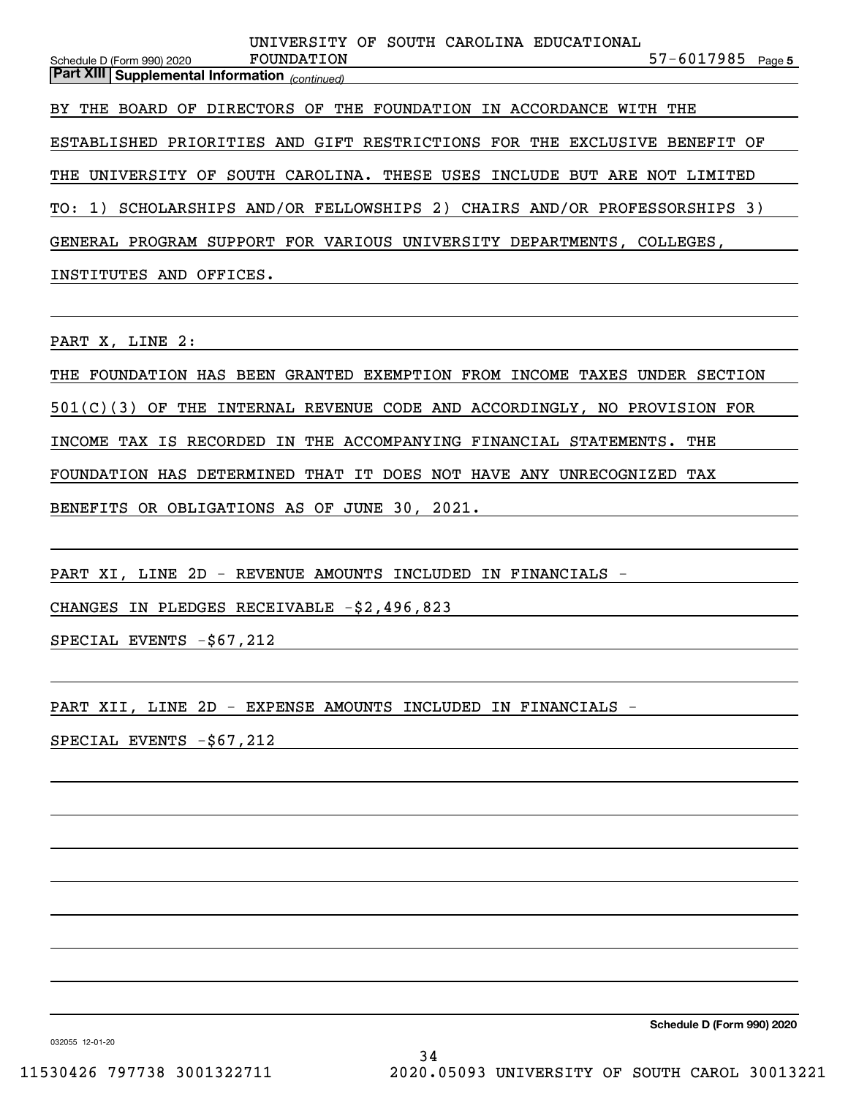57-6017985 Page 5 *(continued)* **Part XIII Supplemental Information**  Schedule D (Form 990) 2020 BY THE BOARD OF DIRECTORS OF THE FOUNDATION IN ACCORDANCE WITH THE ESTABLISHED PRIORITIES AND GIFT RESTRICTIONS FOR THE EXCLUSIVE BENEFIT OF THE UNIVERSITY OF SOUTH CAROLINA. THESE USES INCLUDE BUT ARE NOT LIMITED TO: 1) SCHOLARSHIPS AND/OR FELLOWSHIPS 2) CHAIRS AND/OR PROFESSORSHIPS 3) GENERAL PROGRAM SUPPORT FOR VARIOUS UNIVERSITY DEPARTMENTS, COLLEGES, INSTITUTES AND OFFICES. FOUNDATION UNIVERSITY OF SOUTH CAROLINA EDUCATIONAL

PART X, LINE 2:

THE FOUNDATION HAS BEEN GRANTED EXEMPTION FROM INCOME TAXES UNDER SECTION

501(C)(3) OF THE INTERNAL REVENUE CODE AND ACCORDINGLY, NO PROVISION FOR

INCOME TAX IS RECORDED IN THE ACCOMPANYING FINANCIAL STATEMENTS. THE

FOUNDATION HAS DETERMINED THAT IT DOES NOT HAVE ANY UNRECOGNIZED TAX

BENEFITS OR OBLIGATIONS AS OF JUNE 30, 2021.

PART XI, LINE 2D - REVENUE AMOUNTS INCLUDED IN FINANCIALS -

CHANGES IN PLEDGES RECEIVABLE -\$2,496,823

SPECIAL EVENTS -\$67,212

PART XII, LINE 2D - EXPENSE AMOUNTS INCLUDED IN FINANCIALS -

SPECIAL EVENTS -\$67,212

**Schedule D (Form 990) 2020**

032055 12-01-20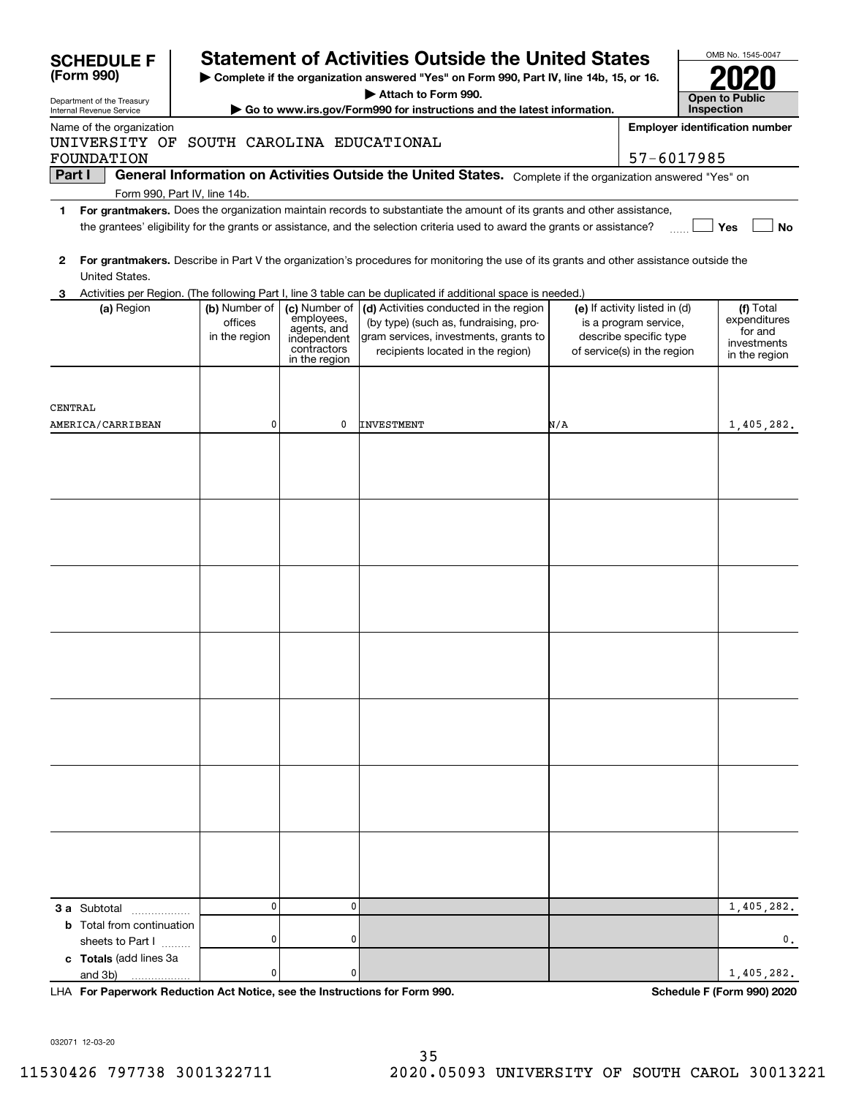|         | <b>SCHEDULE F</b>                                                    |                                           |                                                                                           | <b>Statement of Activities Outside the United States</b>                                                                                                                                                                                             |     |                                                                                                                 |            | OMB No. 1545-0047                                                    |
|---------|----------------------------------------------------------------------|-------------------------------------------|-------------------------------------------------------------------------------------------|------------------------------------------------------------------------------------------------------------------------------------------------------------------------------------------------------------------------------------------------------|-----|-----------------------------------------------------------------------------------------------------------------|------------|----------------------------------------------------------------------|
|         | (Form 990)                                                           |                                           |                                                                                           | Complete if the organization answered "Yes" on Form 990, Part IV, line 14b, 15, or 16.                                                                                                                                                               |     |                                                                                                                 |            |                                                                      |
|         | Department of the Treasury                                           |                                           |                                                                                           | Attach to Form 990.                                                                                                                                                                                                                                  |     |                                                                                                                 |            | <b>Open to Public</b>                                                |
|         | Internal Revenue Service                                             |                                           |                                                                                           | Go to www.irs.gov/Form990 for instructions and the latest information.                                                                                                                                                                               |     |                                                                                                                 | Inspection |                                                                      |
|         | Name of the organization<br>UNIVERSITY OF SOUTH CAROLINA EDUCATIONAL |                                           |                                                                                           |                                                                                                                                                                                                                                                      |     |                                                                                                                 |            | <b>Employer identification number</b>                                |
|         | <b>FOUNDATION</b>                                                    |                                           |                                                                                           |                                                                                                                                                                                                                                                      |     | 57-6017985                                                                                                      |            |                                                                      |
| Part I  |                                                                      |                                           |                                                                                           | General Information on Activities Outside the United States. Complete if the organization answered "Yes" on                                                                                                                                          |     |                                                                                                                 |            |                                                                      |
|         | Form 990, Part IV, line 14b.                                         |                                           |                                                                                           |                                                                                                                                                                                                                                                      |     |                                                                                                                 |            |                                                                      |
| 1.      |                                                                      |                                           |                                                                                           | For grantmakers. Does the organization maintain records to substantiate the amount of its grants and other assistance,<br>the grantees' eligibility for the grants or assistance, and the selection criteria used to award the grants or assistance? |     |                                                                                                                 |            | Yes<br><b>No</b>                                                     |
| 2       | United States.                                                       |                                           |                                                                                           | For grantmakers. Describe in Part V the organization's procedures for monitoring the use of its grants and other assistance outside the                                                                                                              |     |                                                                                                                 |            |                                                                      |
|         |                                                                      |                                           |                                                                                           | Activities per Region. (The following Part I, line 3 table can be duplicated if additional space is needed.)                                                                                                                                         |     |                                                                                                                 |            |                                                                      |
|         | (a) Region                                                           | (b) Number of<br>offices<br>in the region | (c) Number of<br>employees,<br>agents, and<br>independent<br>contractors<br>in the region | (d) Activities conducted in the region<br>(by type) (such as, fundraising, pro-<br>gram services, investments, grants to<br>recipients located in the region)                                                                                        |     | (e) If activity listed in (d)<br>is a program service,<br>describe specific type<br>of service(s) in the region |            | (f) Total<br>expenditures<br>for and<br>investments<br>in the region |
| CENTRAL |                                                                      |                                           |                                                                                           |                                                                                                                                                                                                                                                      |     |                                                                                                                 |            |                                                                      |
|         | AMERICA/CARRIBEAN                                                    | 0                                         | 0                                                                                         | <b>INVESTMENT</b>                                                                                                                                                                                                                                    | N/A |                                                                                                                 |            | 1,405,282.                                                           |
|         |                                                                      |                                           |                                                                                           |                                                                                                                                                                                                                                                      |     |                                                                                                                 |            |                                                                      |
|         |                                                                      |                                           |                                                                                           |                                                                                                                                                                                                                                                      |     |                                                                                                                 |            |                                                                      |
|         |                                                                      |                                           |                                                                                           |                                                                                                                                                                                                                                                      |     |                                                                                                                 |            |                                                                      |
|         |                                                                      | 0                                         | 0                                                                                         |                                                                                                                                                                                                                                                      |     |                                                                                                                 |            |                                                                      |
|         | 3 a Subtotal<br><b>b</b> Total from continuation                     |                                           |                                                                                           |                                                                                                                                                                                                                                                      |     |                                                                                                                 |            | 1,405,282.                                                           |
|         | sheets to Part I                                                     | 0                                         | 0                                                                                         |                                                                                                                                                                                                                                                      |     |                                                                                                                 |            | 0.                                                                   |
|         | c Totals (add lines 3a<br>and 3b)                                    | 0                                         | 0                                                                                         |                                                                                                                                                                                                                                                      |     |                                                                                                                 |            | 1,405,282.                                                           |

**For Paperwork Reduction Act Notice, see the Instructions for Form 990. Schedule F (Form 990) 2020** LHA

032071 12-03-20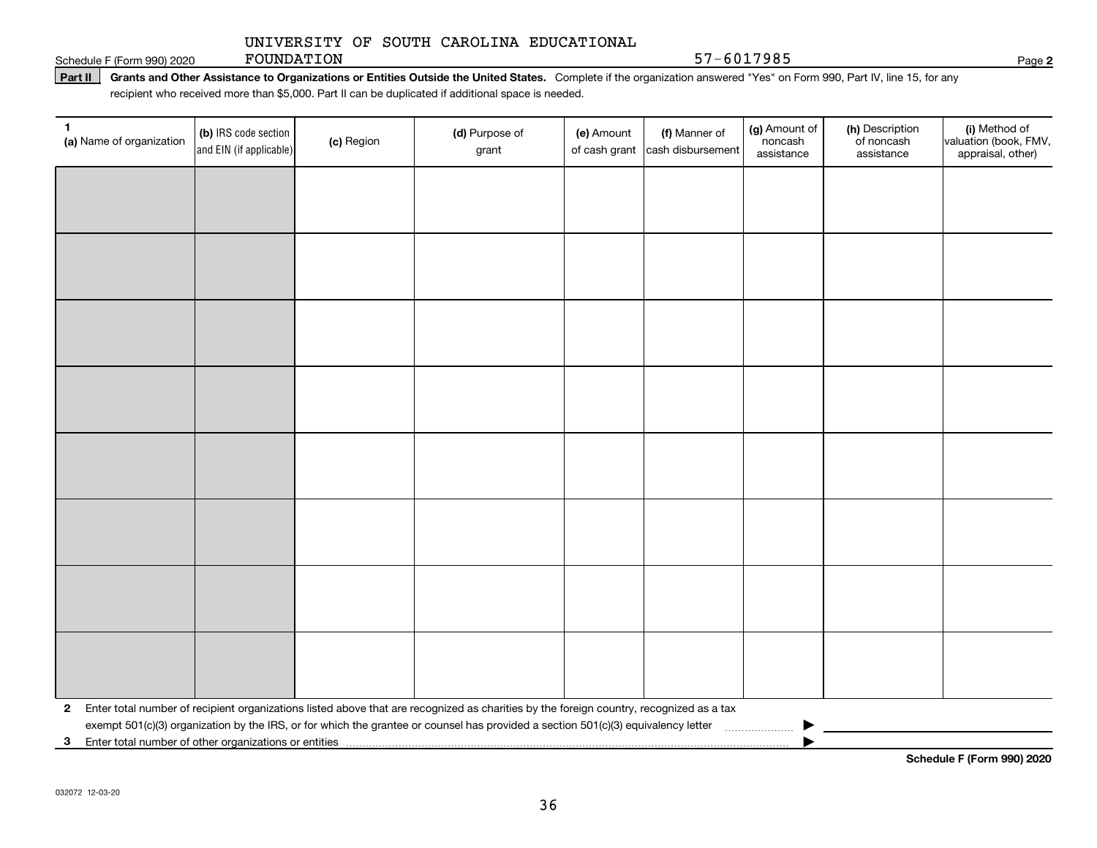Schedule F (Form 990) 2020 **POUNDATION** 57 - 6017985

FOUNDATION

Part II | Grants and Other Assistance to Organizations or Entities Outside the United States. Complete if the organization answered "Yes" on Form 990, Part IV, line 15, for any recipient who received more than \$5,000. Part II can be duplicated if additional space is needed.

| 1<br>(a) Name of organization                           | (b) IRS code section<br>and EIN (if applicable) | (c) Region | (d) Purpose of<br>grant                                                                                                                 | (e) Amount<br>of cash grant | (f) Manner of<br>cash disbursement | (g) Amount of<br>noncash<br>assistance | (h) Description<br>of noncash<br>assistance | (i) Method of<br>valuation (book, FMV,<br>appraisal, other) |
|---------------------------------------------------------|-------------------------------------------------|------------|-----------------------------------------------------------------------------------------------------------------------------------------|-----------------------------|------------------------------------|----------------------------------------|---------------------------------------------|-------------------------------------------------------------|
|                                                         |                                                 |            |                                                                                                                                         |                             |                                    |                                        |                                             |                                                             |
|                                                         |                                                 |            |                                                                                                                                         |                             |                                    |                                        |                                             |                                                             |
|                                                         |                                                 |            |                                                                                                                                         |                             |                                    |                                        |                                             |                                                             |
|                                                         |                                                 |            |                                                                                                                                         |                             |                                    |                                        |                                             |                                                             |
|                                                         |                                                 |            |                                                                                                                                         |                             |                                    |                                        |                                             |                                                             |
|                                                         |                                                 |            |                                                                                                                                         |                             |                                    |                                        |                                             |                                                             |
|                                                         |                                                 |            |                                                                                                                                         |                             |                                    |                                        |                                             |                                                             |
|                                                         |                                                 |            |                                                                                                                                         |                             |                                    |                                        |                                             |                                                             |
|                                                         |                                                 |            |                                                                                                                                         |                             |                                    |                                        |                                             |                                                             |
|                                                         |                                                 |            |                                                                                                                                         |                             |                                    |                                        |                                             |                                                             |
|                                                         |                                                 |            |                                                                                                                                         |                             |                                    |                                        |                                             |                                                             |
|                                                         |                                                 |            |                                                                                                                                         |                             |                                    |                                        |                                             |                                                             |
|                                                         |                                                 |            |                                                                                                                                         |                             |                                    |                                        |                                             |                                                             |
|                                                         |                                                 |            |                                                                                                                                         |                             |                                    |                                        |                                             |                                                             |
|                                                         |                                                 |            |                                                                                                                                         |                             |                                    |                                        |                                             |                                                             |
|                                                         |                                                 |            |                                                                                                                                         |                             |                                    |                                        |                                             |                                                             |
| $\mathbf{2}$                                            |                                                 |            | Enter total number of recipient organizations listed above that are recognized as charities by the foreign country, recognized as a tax |                             |                                    |                                        |                                             |                                                             |
| 3 Enter total number of other organizations or entities |                                                 |            | exempt 501(c)(3) organization by the IRS, or for which the grantee or counsel has provided a section 501(c)(3) equivalency letter       |                             |                                    |                                        |                                             |                                                             |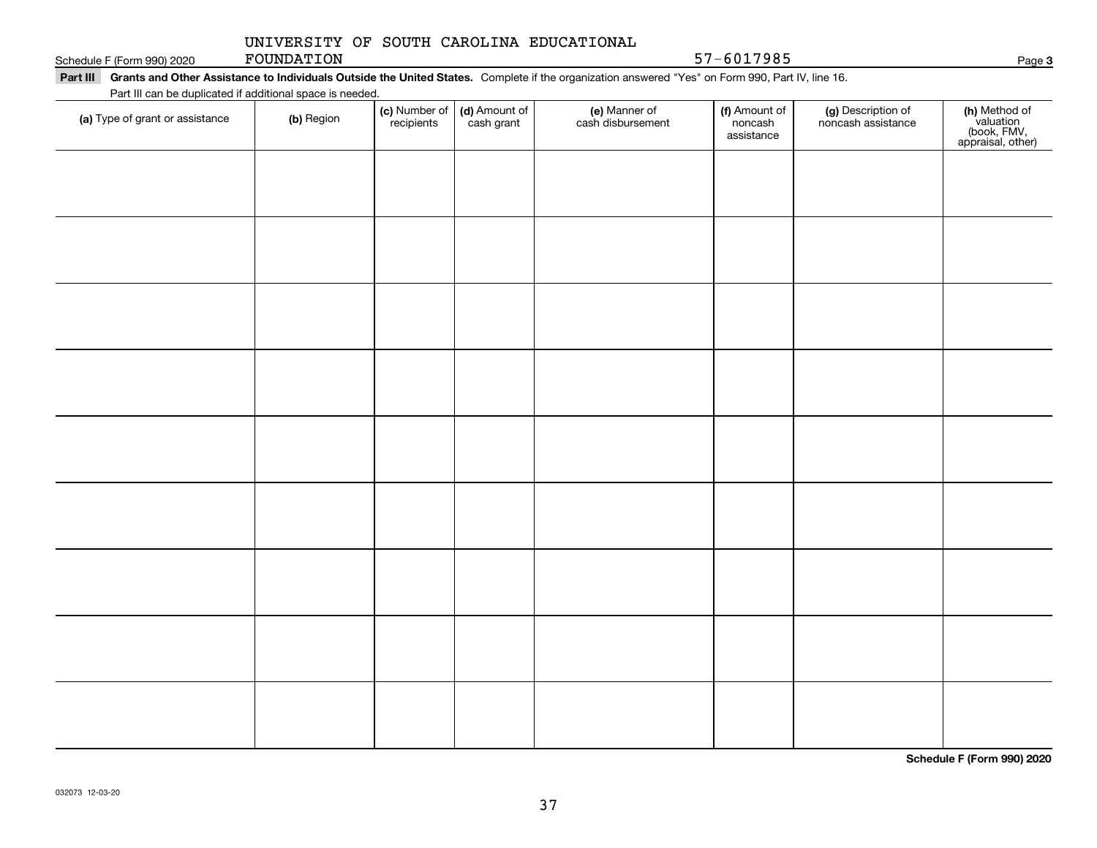## UNIVERSITY OF SOUTH CAROLINA EDUCATIONAL FOUNDATION

Schedule F (Form 990) 2020 **POUNDATION** 57 – 6017985

Part III Grants and Other Assistance to Individuals Outside the United States. Complete if the organization answered "Yes" on Form 990, Part IV, line 16. Part III can be duplicated if additional space is needed.

| Part III can be duplicated if additional space is needed.<br>(a) Type of grant or assistance | (b) Region | (c) Number of<br>recipients | (d) Amount of<br>cash grant | (e) Manner of<br>cash disbursement | (f) Amount of<br>noncash | (g) Description of<br>noncash assistance |                                                                |
|----------------------------------------------------------------------------------------------|------------|-----------------------------|-----------------------------|------------------------------------|--------------------------|------------------------------------------|----------------------------------------------------------------|
|                                                                                              |            |                             |                             |                                    | assistance               |                                          | (h) Method of<br>valuation<br>(book, FMV,<br>appraisal, other) |
|                                                                                              |            |                             |                             |                                    |                          |                                          |                                                                |
|                                                                                              |            |                             |                             |                                    |                          |                                          |                                                                |
|                                                                                              |            |                             |                             |                                    |                          |                                          |                                                                |
|                                                                                              |            |                             |                             |                                    |                          |                                          |                                                                |
|                                                                                              |            |                             |                             |                                    |                          |                                          |                                                                |
|                                                                                              |            |                             |                             |                                    |                          |                                          |                                                                |
|                                                                                              |            |                             |                             |                                    |                          |                                          |                                                                |
|                                                                                              |            |                             |                             |                                    |                          |                                          |                                                                |
|                                                                                              |            |                             |                             |                                    |                          |                                          |                                                                |
|                                                                                              |            |                             |                             |                                    |                          |                                          |                                                                |
|                                                                                              |            |                             |                             |                                    |                          |                                          |                                                                |
|                                                                                              |            |                             |                             |                                    |                          |                                          |                                                                |
|                                                                                              |            |                             |                             |                                    |                          |                                          |                                                                |
|                                                                                              |            |                             |                             |                                    |                          |                                          |                                                                |
|                                                                                              |            |                             |                             |                                    |                          |                                          |                                                                |
|                                                                                              |            |                             |                             |                                    |                          |                                          |                                                                |
|                                                                                              |            |                             |                             |                                    |                          |                                          |                                                                |
|                                                                                              |            |                             |                             |                                    |                          |                                          |                                                                |
|                                                                                              |            |                             |                             |                                    |                          |                                          |                                                                |
|                                                                                              |            |                             |                             |                                    |                          |                                          |                                                                |

**Schedule F (Form 990) 2020**

Page 3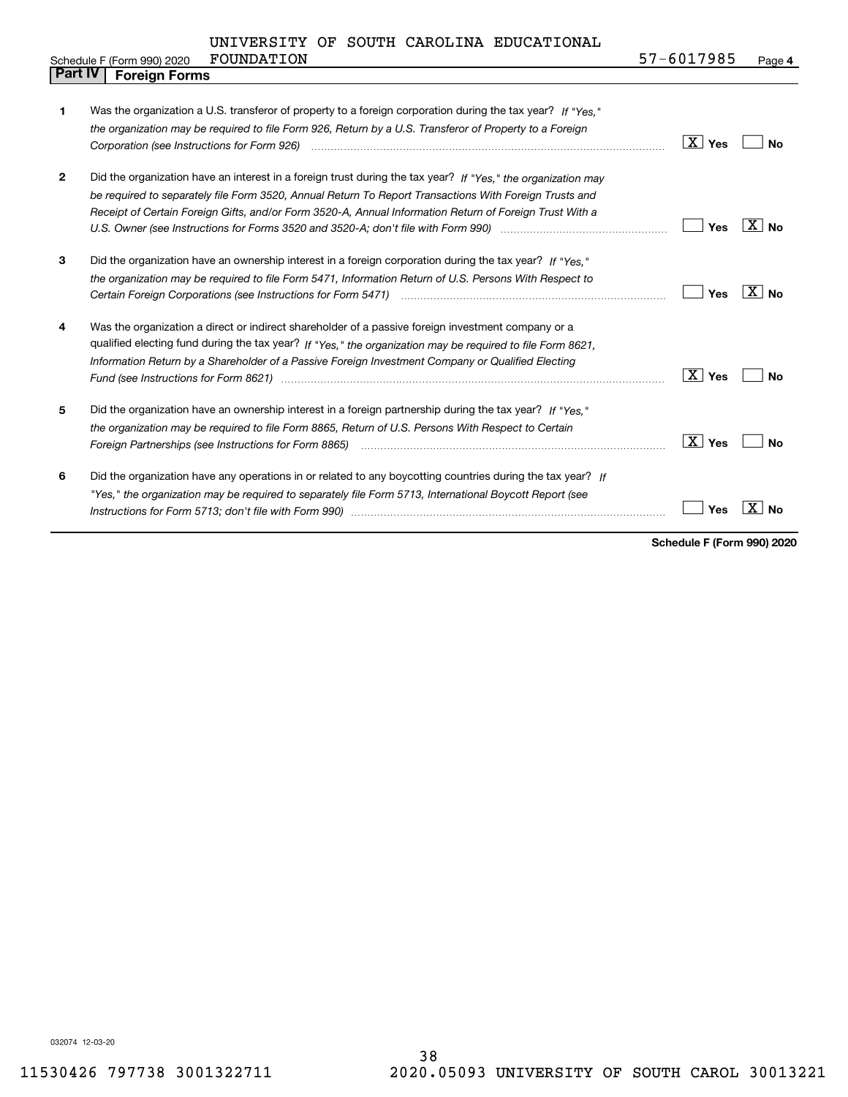| Part IV      |  | <b>Foreign Forms</b>                                                                                                                                                                                                                |                        |                   |
|--------------|--|-------------------------------------------------------------------------------------------------------------------------------------------------------------------------------------------------------------------------------------|------------------------|-------------------|
|              |  |                                                                                                                                                                                                                                     |                        |                   |
| 1            |  | Was the organization a U.S. transferor of property to a foreign corporation during the tax year? If "Yes."                                                                                                                          |                        |                   |
|              |  | the organization may be required to file Form 926, Return by a U.S. Transferor of Property to a Foreign                                                                                                                             |                        |                   |
|              |  |                                                                                                                                                                                                                                     | $\mid X \mid$ Yes      | Nο                |
| $\mathbf{2}$ |  | Did the organization have an interest in a foreign trust during the tax year? If "Yes," the organization may                                                                                                                        |                        |                   |
|              |  | be required to separately file Form 3520, Annual Return To Report Transactions With Foreign Trusts and                                                                                                                              |                        |                   |
|              |  | Receipt of Certain Foreign Gifts, and/or Form 3520-A, Annual Information Return of Foreign Trust With a                                                                                                                             |                        |                   |
|              |  |                                                                                                                                                                                                                                     | Yes                    | $X \mid N_{0}$    |
| 3            |  | Did the organization have an ownership interest in a foreign corporation during the tax year? If "Yes."                                                                                                                             |                        |                   |
|              |  | the organization may be required to file Form 5471, Information Return of U.S. Persons With Respect to                                                                                                                              |                        |                   |
|              |  | Certain Foreign Corporations (see Instructions for Form 5471) <i>[100]</i> [100] [100] [100] [100] [100] [100] [100] [100] [100] [100] [100] [100] [100] [100] [100] [100] [100] [100] [100] [100] [100] [100] [100] [100] [100] [1 | Yes                    | $\overline{X}$ No |
| 4            |  | Was the organization a direct or indirect shareholder of a passive foreign investment company or a                                                                                                                                  |                        |                   |
|              |  | qualified electing fund during the tax year? If "Yes," the organization may be required to file Form 8621,                                                                                                                          |                        |                   |
|              |  | Information Return by a Shareholder of a Passive Foreign Investment Company or Qualified Electing                                                                                                                                   |                        |                   |
|              |  | Fund (see Instructions for Form 8621) manufactured control to the control of the control of the control of the                                                                                                                      | $\overline{X}$ Yes     | No                |
| 5            |  | Did the organization have an ownership interest in a foreign partnership during the tax year? If "Yes."                                                                                                                             |                        |                   |
|              |  | the organization may be required to file Form 8865, Return of U.S. Persons With Respect to Certain                                                                                                                                  |                        |                   |
|              |  | Foreign Partnerships (see Instructions for Form 8865) manufactured contain the control of the control of the control of the control of the control of the control of the control of the control of the control of the control       | $\boxed{\text{X}}$ Yes | No                |
| 6            |  | Did the organization have any operations in or related to any boycotting countries during the tax year? If                                                                                                                          |                        |                   |
|              |  | "Yes," the organization may be required to separately file Form 5713, International Boycott Report (see                                                                                                                             |                        |                   |
|              |  |                                                                                                                                                                                                                                     | Yes                    | X<br>No           |
|              |  |                                                                                                                                                                                                                                     |                        |                   |

**Schedule F (Form 990) 2020**

032074 12-03-20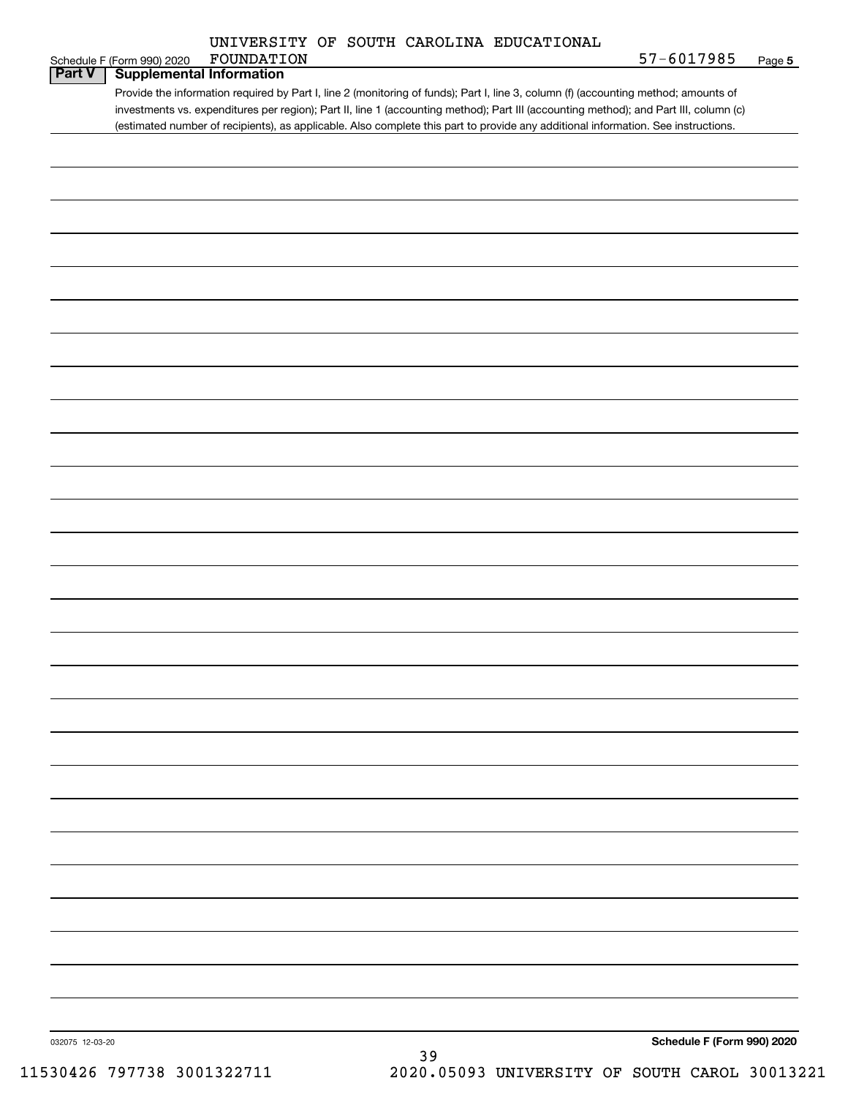| UNIVERSITY OF SOUTH CAROLINA EDUCATIONAL |  |
|------------------------------------------|--|
|------------------------------------------|--|

|                 | Schedule F (Form 990) 2020      | FOUNDATION                                                                                                                            | 57-6017985                 | Page 5 |
|-----------------|---------------------------------|---------------------------------------------------------------------------------------------------------------------------------------|----------------------------|--------|
| <b>Part V</b>   | <b>Supplemental Information</b> |                                                                                                                                       |                            |        |
|                 |                                 | Provide the information required by Part I, line 2 (monitoring of funds); Part I, line 3, column (f) (accounting method; amounts of   |                            |        |
|                 |                                 | investments vs. expenditures per region); Part II, line 1 (accounting method); Part III (accounting method); and Part III, column (c) |                            |        |
|                 |                                 | (estimated number of recipients), as applicable. Also complete this part to provide any additional information. See instructions.     |                            |        |
|                 |                                 |                                                                                                                                       |                            |        |
|                 |                                 |                                                                                                                                       |                            |        |
|                 |                                 |                                                                                                                                       |                            |        |
|                 |                                 |                                                                                                                                       |                            |        |
|                 |                                 |                                                                                                                                       |                            |        |
|                 |                                 |                                                                                                                                       |                            |        |
|                 |                                 |                                                                                                                                       |                            |        |
|                 |                                 |                                                                                                                                       |                            |        |
|                 |                                 |                                                                                                                                       |                            |        |
|                 |                                 |                                                                                                                                       |                            |        |
|                 |                                 |                                                                                                                                       |                            |        |
|                 |                                 |                                                                                                                                       |                            |        |
|                 |                                 |                                                                                                                                       |                            |        |
|                 |                                 |                                                                                                                                       |                            |        |
|                 |                                 |                                                                                                                                       |                            |        |
|                 |                                 |                                                                                                                                       |                            |        |
|                 |                                 |                                                                                                                                       |                            |        |
|                 |                                 |                                                                                                                                       |                            |        |
|                 |                                 |                                                                                                                                       |                            |        |
|                 |                                 |                                                                                                                                       |                            |        |
|                 |                                 |                                                                                                                                       |                            |        |
|                 |                                 |                                                                                                                                       |                            |        |
|                 |                                 |                                                                                                                                       |                            |        |
|                 |                                 |                                                                                                                                       |                            |        |
|                 |                                 |                                                                                                                                       |                            |        |
|                 |                                 |                                                                                                                                       |                            |        |
|                 |                                 |                                                                                                                                       |                            |        |
|                 |                                 |                                                                                                                                       |                            |        |
|                 |                                 |                                                                                                                                       |                            |        |
|                 |                                 |                                                                                                                                       |                            |        |
|                 |                                 |                                                                                                                                       |                            |        |
|                 |                                 |                                                                                                                                       |                            |        |
|                 |                                 |                                                                                                                                       |                            |        |
|                 |                                 |                                                                                                                                       |                            |        |
|                 |                                 |                                                                                                                                       |                            |        |
|                 |                                 |                                                                                                                                       |                            |        |
|                 |                                 |                                                                                                                                       |                            |        |
|                 |                                 |                                                                                                                                       |                            |        |
|                 |                                 |                                                                                                                                       |                            |        |
|                 |                                 |                                                                                                                                       |                            |        |
|                 |                                 |                                                                                                                                       |                            |        |
|                 |                                 |                                                                                                                                       |                            |        |
|                 |                                 |                                                                                                                                       |                            |        |
|                 |                                 |                                                                                                                                       |                            |        |
|                 |                                 |                                                                                                                                       |                            |        |
|                 |                                 |                                                                                                                                       |                            |        |
|                 |                                 |                                                                                                                                       |                            |        |
|                 |                                 |                                                                                                                                       |                            |        |
|                 |                                 |                                                                                                                                       |                            |        |
|                 |                                 |                                                                                                                                       |                            |        |
|                 |                                 |                                                                                                                                       |                            |        |
|                 |                                 |                                                                                                                                       |                            |        |
|                 |                                 |                                                                                                                                       |                            |        |
| 032075 12-03-20 |                                 |                                                                                                                                       | Schedule F (Form 990) 2020 |        |
|                 |                                 | 39                                                                                                                                    |                            |        |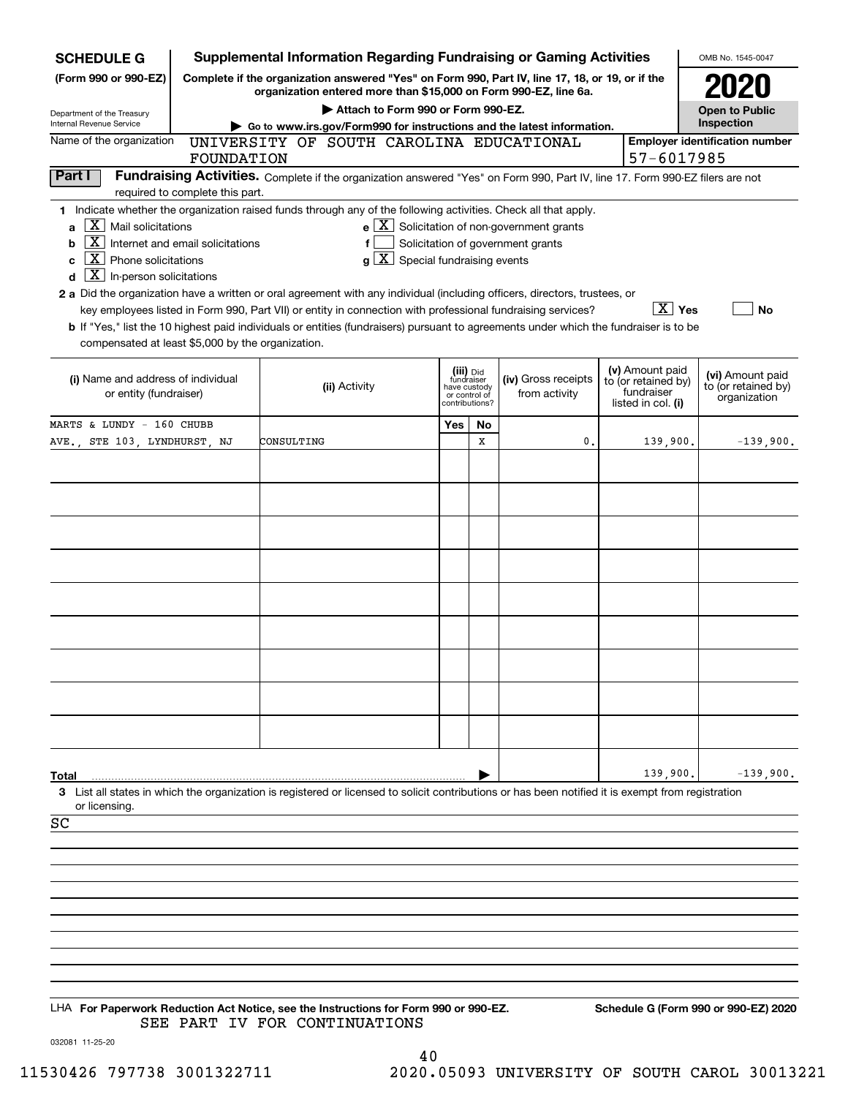| <b>SCHEDULE G</b>                                            |                                  | <b>Supplemental Information Regarding Fundraising or Gaming Activities</b>                                                                                                                                                                           |                                                                            |    |                                                              |                                                         | OMB No. 1545-0047                                       |
|--------------------------------------------------------------|----------------------------------|------------------------------------------------------------------------------------------------------------------------------------------------------------------------------------------------------------------------------------------------------|----------------------------------------------------------------------------|----|--------------------------------------------------------------|---------------------------------------------------------|---------------------------------------------------------|
| (Form 990 or 990-EZ)                                         |                                  | Complete if the organization answered "Yes" on Form 990, Part IV, line 17, 18, or 19, or if the<br>organization entered more than \$15,000 on Form 990-EZ, line 6a.                                                                                  |                                                                            |    |                                                              |                                                         |                                                         |
| Department of the Treasury                                   |                                  | Attach to Form 990 or Form 990-EZ.                                                                                                                                                                                                                   |                                                                            |    |                                                              |                                                         | <b>Open to Public</b>                                   |
| Internal Revenue Service                                     |                                  | Go to www.irs.gov/Form990 for instructions and the latest information.                                                                                                                                                                               |                                                                            |    |                                                              |                                                         | Inspection                                              |
| Name of the organization                                     | FOUNDATION                       | UNIVERSITY OF SOUTH CAROLINA EDUCATIONAL                                                                                                                                                                                                             |                                                                            |    |                                                              | 57-6017985                                              | <b>Employer identification number</b>                   |
| Part I                                                       |                                  | Fundraising Activities. Complete if the organization answered "Yes" on Form 990, Part IV, line 17. Form 990-EZ filers are not                                                                                                                        |                                                                            |    |                                                              |                                                         |                                                         |
|                                                              | required to complete this part.  | 1 Indicate whether the organization raised funds through any of the following activities. Check all that apply.                                                                                                                                      |                                                                            |    |                                                              |                                                         |                                                         |
| $\mid$ $\rm X\mid$ Mail solicitations<br>a                   |                                  |                                                                                                                                                                                                                                                      |                                                                            |    | $e$ $\boxed{\text{X}}$ Solicitation of non-government grants |                                                         |                                                         |
| X  <br>b                                                     | Internet and email solicitations | f                                                                                                                                                                                                                                                    |                                                                            |    | Solicitation of government grants                            |                                                         |                                                         |
| $\overline{\mathbf{X}}$ Phone solicitations<br>C             |                                  | $g\mid X$ Special fundraising events                                                                                                                                                                                                                 |                                                                            |    |                                                              |                                                         |                                                         |
| $\boxed{\textbf{X}}$ In-person solicitations<br>d            |                                  |                                                                                                                                                                                                                                                      |                                                                            |    |                                                              |                                                         |                                                         |
|                                                              |                                  | 2 a Did the organization have a written or oral agreement with any individual (including officers, directors, trustees, or                                                                                                                           |                                                                            |    |                                                              | $\boxed{\text{X}}$ Yes                                  |                                                         |
|                                                              |                                  | key employees listed in Form 990, Part VII) or entity in connection with professional fundraising services?<br>b If "Yes," list the 10 highest paid individuals or entities (fundraisers) pursuant to agreements under which the fundraiser is to be |                                                                            |    |                                                              |                                                         | <b>No</b>                                               |
| compensated at least \$5,000 by the organization.            |                                  |                                                                                                                                                                                                                                                      |                                                                            |    |                                                              |                                                         |                                                         |
|                                                              |                                  |                                                                                                                                                                                                                                                      |                                                                            |    |                                                              | (v) Amount paid                                         |                                                         |
| (i) Name and address of individual<br>or entity (fundraiser) |                                  | (ii) Activity                                                                                                                                                                                                                                        | (iii) Did<br>fundraiser<br>have custody<br>or control of<br>contributions? |    | (iv) Gross receipts<br>from activity                         | to (or retained by)<br>fundraiser<br>listed in col. (i) | (vi) Amount paid<br>to (or retained by)<br>organization |
| MARTS & LUNDY - 160 CHUBB                                    |                                  |                                                                                                                                                                                                                                                      | Yes                                                                        | No |                                                              |                                                         |                                                         |
| AVE., STE 103, LYNDHURST, NJ                                 |                                  | CONSULTING                                                                                                                                                                                                                                           |                                                                            | X  | $\mathbf{0}$                                                 | 139,900.                                                | $-139,900.$                                             |
|                                                              |                                  |                                                                                                                                                                                                                                                      |                                                                            |    |                                                              |                                                         |                                                         |
|                                                              |                                  |                                                                                                                                                                                                                                                      |                                                                            |    |                                                              |                                                         |                                                         |
|                                                              |                                  |                                                                                                                                                                                                                                                      |                                                                            |    |                                                              |                                                         |                                                         |
|                                                              |                                  |                                                                                                                                                                                                                                                      |                                                                            |    |                                                              |                                                         |                                                         |
|                                                              |                                  |                                                                                                                                                                                                                                                      |                                                                            |    |                                                              |                                                         |                                                         |
|                                                              |                                  |                                                                                                                                                                                                                                                      |                                                                            |    |                                                              |                                                         |                                                         |
|                                                              |                                  |                                                                                                                                                                                                                                                      |                                                                            |    |                                                              |                                                         |                                                         |
|                                                              |                                  |                                                                                                                                                                                                                                                      |                                                                            |    |                                                              |                                                         |                                                         |
|                                                              |                                  |                                                                                                                                                                                                                                                      |                                                                            |    |                                                              |                                                         |                                                         |
|                                                              |                                  |                                                                                                                                                                                                                                                      |                                                                            |    |                                                              |                                                         |                                                         |
|                                                              |                                  |                                                                                                                                                                                                                                                      |                                                                            |    |                                                              |                                                         |                                                         |
|                                                              |                                  |                                                                                                                                                                                                                                                      |                                                                            |    |                                                              |                                                         |                                                         |
|                                                              |                                  |                                                                                                                                                                                                                                                      |                                                                            |    |                                                              |                                                         |                                                         |
| Total                                                        |                                  | 3 List all states in which the organization is registered or licensed to solicit contributions or has been notified it is exempt from registration                                                                                                   |                                                                            |    |                                                              | 139,900.                                                | $-139.900.$                                             |
| or licensing.                                                |                                  |                                                                                                                                                                                                                                                      |                                                                            |    |                                                              |                                                         |                                                         |
| SC                                                           |                                  |                                                                                                                                                                                                                                                      |                                                                            |    |                                                              |                                                         |                                                         |
|                                                              |                                  |                                                                                                                                                                                                                                                      |                                                                            |    |                                                              |                                                         |                                                         |
|                                                              |                                  |                                                                                                                                                                                                                                                      |                                                                            |    |                                                              |                                                         |                                                         |
|                                                              |                                  |                                                                                                                                                                                                                                                      |                                                                            |    |                                                              |                                                         |                                                         |
|                                                              |                                  |                                                                                                                                                                                                                                                      |                                                                            |    |                                                              |                                                         |                                                         |
|                                                              |                                  |                                                                                                                                                                                                                                                      |                                                                            |    |                                                              |                                                         |                                                         |
|                                                              |                                  |                                                                                                                                                                                                                                                      |                                                                            |    |                                                              |                                                         |                                                         |
|                                                              |                                  |                                                                                                                                                                                                                                                      |                                                                            |    |                                                              |                                                         |                                                         |
|                                                              |                                  |                                                                                                                                                                                                                                                      |                                                                            |    |                                                              |                                                         |                                                         |
|                                                              |                                  | LHA For Paperwork Reduction Act Notice, see the Instructions for Form 990 or 990-EZ.                                                                                                                                                                 |                                                                            |    |                                                              |                                                         | Schedule G (Form 990 or 990-EZ) 2020                    |
|                                                              |                                  | SEE PART IV FOR CONTINUATIONS                                                                                                                                                                                                                        |                                                                            |    |                                                              |                                                         |                                                         |

032081 11-25-20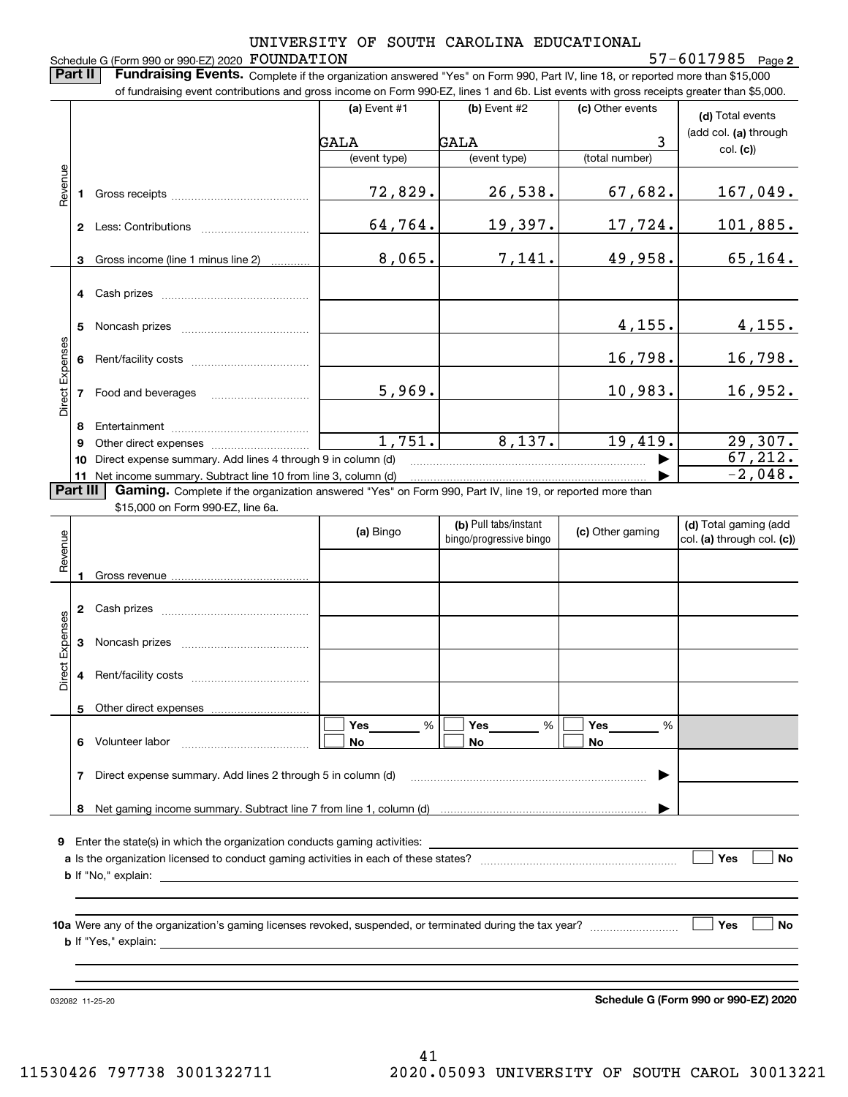Schedule G (Form 990 or 990-EZ) 2020 FOUNDATION

**Part II** | Fundraising Events. Complete if the organization answered "Yes" on Form 990, Part IV, line 18, or reported more than \$15,000

|                 |    | of fundraising event contributions and gross income on Form 990-EZ, lines 1 and 6b. List events with gross receipts greater than \$5,000.                                                                                                 |                    |                                                  |                  |                                                     |
|-----------------|----|-------------------------------------------------------------------------------------------------------------------------------------------------------------------------------------------------------------------------------------------|--------------------|--------------------------------------------------|------------------|-----------------------------------------------------|
|                 |    |                                                                                                                                                                                                                                           | (a) Event $#1$     | (b) Event #2                                     | (c) Other events | (d) Total events                                    |
|                 |    |                                                                                                                                                                                                                                           | GALA               | <b>GALA</b>                                      | 3                | (add col. (a) through                               |
|                 |    |                                                                                                                                                                                                                                           | (event type)       | (event type)                                     | (total number)   | col. (c)                                            |
|                 |    |                                                                                                                                                                                                                                           |                    |                                                  |                  |                                                     |
| Revenue         | 1. |                                                                                                                                                                                                                                           | 72,829.            | 26,538.                                          | 67,682.          | <u>167,049.</u>                                     |
|                 |    |                                                                                                                                                                                                                                           | 64,764.            | 19,397.                                          | 17,724.          | <u>101,885.</u>                                     |
|                 | 3  | Gross income (line 1 minus line 2)                                                                                                                                                                                                        | 8,065.             | 7,141.                                           | 49,958.          | 65, 164.                                            |
|                 |    |                                                                                                                                                                                                                                           |                    |                                                  |                  |                                                     |
|                 | 5  |                                                                                                                                                                                                                                           |                    |                                                  | 4,155.           | 4,155.                                              |
| Direct Expenses | 6  |                                                                                                                                                                                                                                           |                    |                                                  | 16,798.          | 16,798.                                             |
|                 | 7  |                                                                                                                                                                                                                                           | 5,969.             |                                                  | 10,983.          | 16,952.                                             |
|                 | 8  |                                                                                                                                                                                                                                           |                    |                                                  |                  |                                                     |
|                 | 9  |                                                                                                                                                                                                                                           | 1,751.             | 8,137.                                           | 19,419.          | 29,307.                                             |
|                 | 10 | Direct expense summary. Add lines 4 through 9 in column (d)                                                                                                                                                                               |                    |                                                  |                  | 67, 212.                                            |
|                 | 11 | Net income summary. Subtract line 10 from line 3, column (d)                                                                                                                                                                              |                    |                                                  |                  | $-2,048.$                                           |
| Part III        |    | Gaming. Complete if the organization answered "Yes" on Form 990, Part IV, line 19, or reported more than                                                                                                                                  |                    |                                                  |                  |                                                     |
|                 |    | \$15,000 on Form 990-EZ, line 6a.                                                                                                                                                                                                         |                    |                                                  |                  |                                                     |
| Revenue         |    |                                                                                                                                                                                                                                           | (a) Bingo          | (b) Pull tabs/instant<br>bingo/progressive bingo | (c) Other gaming | (d) Total gaming (add<br>col. (a) through col. (c)) |
|                 | 1  |                                                                                                                                                                                                                                           |                    |                                                  |                  |                                                     |
|                 |    |                                                                                                                                                                                                                                           |                    |                                                  |                  |                                                     |
| Direct Expenses | 3  |                                                                                                                                                                                                                                           |                    |                                                  |                  |                                                     |
|                 | 4  |                                                                                                                                                                                                                                           |                    |                                                  |                  |                                                     |
|                 |    |                                                                                                                                                                                                                                           |                    |                                                  |                  |                                                     |
|                 |    |                                                                                                                                                                                                                                           | <b>Yes</b><br>$\%$ | Yes<br>%                                         | Yes<br>%         |                                                     |
|                 |    | 6 Volunteer labor                                                                                                                                                                                                                         | No                 | No                                               | No               |                                                     |
|                 | 7  | Direct expense summary. Add lines 2 through 5 in column (d)                                                                                                                                                                               |                    |                                                  |                  |                                                     |
|                 |    |                                                                                                                                                                                                                                           |                    |                                                  |                  |                                                     |
|                 |    |                                                                                                                                                                                                                                           |                    |                                                  |                  |                                                     |
|                 |    |                                                                                                                                                                                                                                           |                    |                                                  |                  |                                                     |
|                 |    |                                                                                                                                                                                                                                           |                    |                                                  |                  | Yes<br>No                                           |
|                 |    |                                                                                                                                                                                                                                           |                    |                                                  |                  |                                                     |
|                 |    |                                                                                                                                                                                                                                           |                    |                                                  |                  |                                                     |
|                 |    |                                                                                                                                                                                                                                           |                    |                                                  |                  | Yes<br>No                                           |
|                 |    | <b>b</b> If "Yes," explain: <u>example and the set of the set of the set of the set of the set of the set of the set of the set of the set of the set of the set of the set of the set of the set of the set of the set of the set of</u> |                    |                                                  |                  |                                                     |
|                 |    |                                                                                                                                                                                                                                           |                    |                                                  |                  |                                                     |
|                 |    |                                                                                                                                                                                                                                           |                    |                                                  |                  |                                                     |
|                 |    | 032082 11-25-20                                                                                                                                                                                                                           |                    |                                                  |                  | Schedule G (Form 990 or 990-EZ) 2020                |

**Schedule G (Form 990 or 990-EZ) 2020**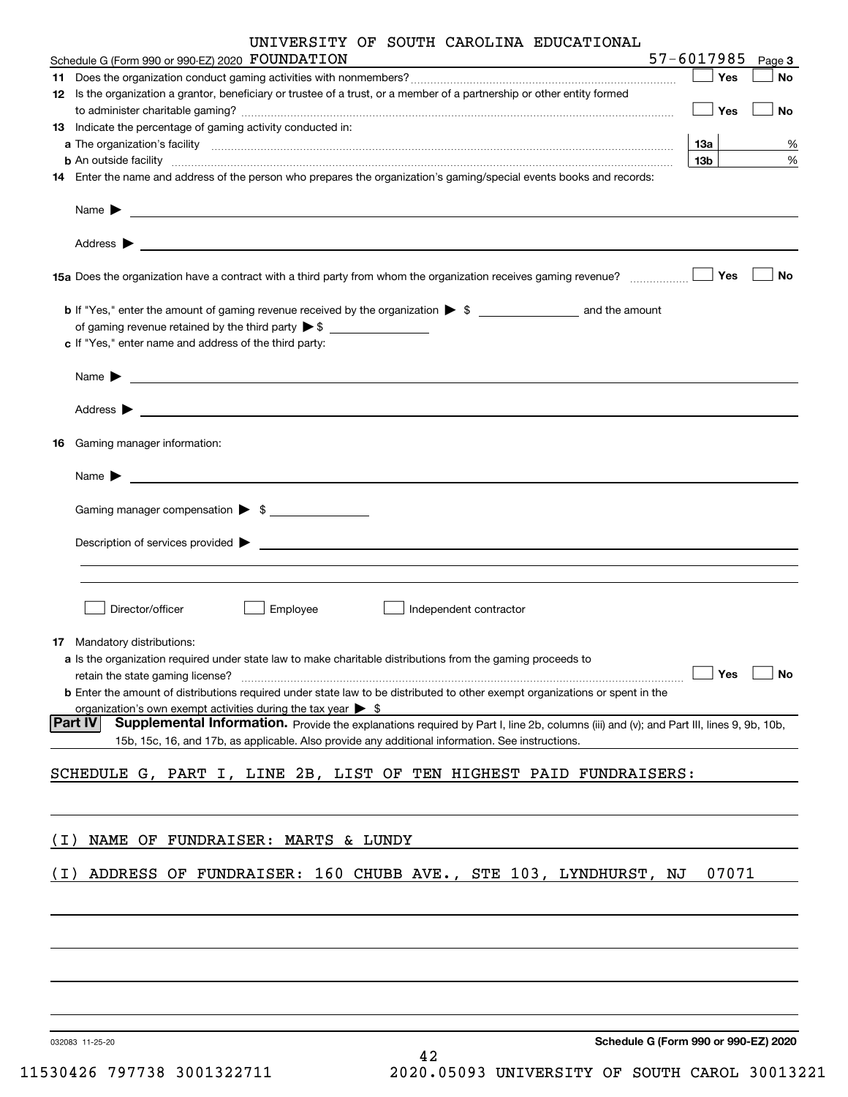|       | UNIVERSITY OF SOUTH CAROLINA EDUCATIONAL                                                                                                                                                                                                                                                                                                                                                                     |                 |           |
|-------|--------------------------------------------------------------------------------------------------------------------------------------------------------------------------------------------------------------------------------------------------------------------------------------------------------------------------------------------------------------------------------------------------------------|-----------------|-----------|
|       | Schedule G (Form 990 or 990-EZ) 2020 FOUNDATION                                                                                                                                                                                                                                                                                                                                                              | 57-6017985      | Page 3    |
|       |                                                                                                                                                                                                                                                                                                                                                                                                              | Yes             | No        |
|       | 12 Is the organization a grantor, beneficiary or trustee of a trust, or a member of a partnership or other entity formed                                                                                                                                                                                                                                                                                     | Yes             | No        |
|       | 13 Indicate the percentage of gaming activity conducted in:                                                                                                                                                                                                                                                                                                                                                  |                 |           |
|       |                                                                                                                                                                                                                                                                                                                                                                                                              | 13a             | %         |
|       | <b>b</b> An outside facility <i>www.communicality www.communicality.communicality www.communicality www.communicality.com</i>                                                                                                                                                                                                                                                                                | 13 <sub>b</sub> | %         |
|       | 14 Enter the name and address of the person who prepares the organization's gaming/special events books and records:                                                                                                                                                                                                                                                                                         |                 |           |
|       | $Name \rightarrow 1$                                                                                                                                                                                                                                                                                                                                                                                         |                 |           |
|       | 15a Does the organization have a contract with a third party from whom the organization receives gaming revenue?                                                                                                                                                                                                                                                                                             | Yes             | No        |
|       | of gaming revenue retained by the third party $\triangleright$ \$<br>c If "Yes," enter name and address of the third party:                                                                                                                                                                                                                                                                                  |                 |           |
|       |                                                                                                                                                                                                                                                                                                                                                                                                              |                 |           |
|       |                                                                                                                                                                                                                                                                                                                                                                                                              |                 |           |
| 16    | Gaming manager information:                                                                                                                                                                                                                                                                                                                                                                                  |                 |           |
|       | $Name \rightarrow$                                                                                                                                                                                                                                                                                                                                                                                           |                 |           |
|       | Gaming manager compensation > \$                                                                                                                                                                                                                                                                                                                                                                             |                 |           |
|       |                                                                                                                                                                                                                                                                                                                                                                                                              |                 |           |
|       |                                                                                                                                                                                                                                                                                                                                                                                                              |                 |           |
|       | Director/officer<br>Employee<br>Independent contractor                                                                                                                                                                                                                                                                                                                                                       |                 |           |
|       | <b>17</b> Mandatory distributions:<br>a Is the organization required under state law to make charitable distributions from the gaming proceeds to<br>retain the state gaming license?<br><b>b</b> Enter the amount of distributions required under state law to be distributed to other exempt organizations or spent in the<br>organization's own exempt activities during the tax year $\triangleright$ \$ | Yes             | <b>No</b> |
|       | <b>Part IV</b><br>Supplemental Information. Provide the explanations required by Part I, line 2b, columns (iii) and (v); and Part III, lines 9, 9b, 10b,<br>15b, 15c, 16, and 17b, as applicable. Also provide any additional information. See instructions.                                                                                                                                                 |                 |           |
|       | SCHEDULE G, PART I, LINE 2B, LIST OF TEN HIGHEST PAID FUNDRAISERS:                                                                                                                                                                                                                                                                                                                                           |                 |           |
|       |                                                                                                                                                                                                                                                                                                                                                                                                              |                 |           |
| ( I ) | NAME OF FUNDRAISER: MARTS & LUNDY                                                                                                                                                                                                                                                                                                                                                                            |                 |           |
|       |                                                                                                                                                                                                                                                                                                                                                                                                              |                 |           |
| ( I ) | ADDRESS OF FUNDRAISER: 160 CHUBB AVE., STE 103, LYNDHURST, NJ                                                                                                                                                                                                                                                                                                                                                | 07071           |           |
|       |                                                                                                                                                                                                                                                                                                                                                                                                              |                 |           |
|       |                                                                                                                                                                                                                                                                                                                                                                                                              |                 |           |
|       |                                                                                                                                                                                                                                                                                                                                                                                                              |                 |           |
|       | Schedule G (Form 990 or 990-EZ) 2020<br>032083 11-25-20<br>42                                                                                                                                                                                                                                                                                                                                                |                 |           |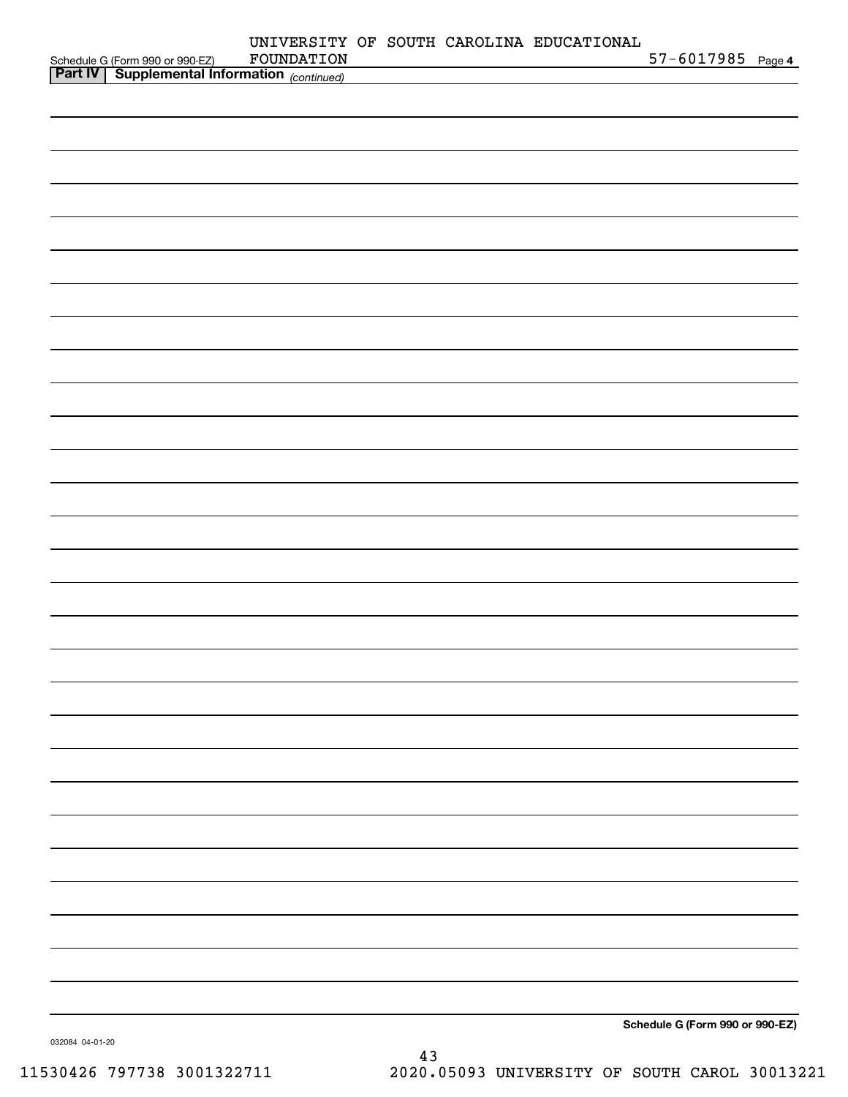| Schedule G (Form 990 or 990-EZ) FOUNDATION<br><b>Part IV</b> Supplemental Information (continued) | FOUNDATION |  | UNIVERSITY OF SOUTH CAROLINA EDUCATIONAL | 57-6017985 Page 4               |  |
|---------------------------------------------------------------------------------------------------|------------|--|------------------------------------------|---------------------------------|--|
|                                                                                                   |            |  |                                          |                                 |  |
|                                                                                                   |            |  |                                          |                                 |  |
|                                                                                                   |            |  |                                          |                                 |  |
|                                                                                                   |            |  |                                          |                                 |  |
|                                                                                                   |            |  |                                          |                                 |  |
|                                                                                                   |            |  |                                          |                                 |  |
|                                                                                                   |            |  |                                          |                                 |  |
|                                                                                                   |            |  |                                          |                                 |  |
|                                                                                                   |            |  |                                          |                                 |  |
|                                                                                                   |            |  |                                          |                                 |  |
|                                                                                                   |            |  |                                          |                                 |  |
|                                                                                                   |            |  |                                          |                                 |  |
|                                                                                                   |            |  |                                          |                                 |  |
|                                                                                                   |            |  |                                          |                                 |  |
|                                                                                                   |            |  |                                          |                                 |  |
|                                                                                                   |            |  |                                          |                                 |  |
|                                                                                                   |            |  |                                          |                                 |  |
|                                                                                                   |            |  |                                          |                                 |  |
|                                                                                                   |            |  |                                          |                                 |  |
|                                                                                                   |            |  |                                          |                                 |  |
|                                                                                                   |            |  |                                          |                                 |  |
|                                                                                                   |            |  |                                          |                                 |  |
|                                                                                                   |            |  |                                          |                                 |  |
|                                                                                                   |            |  |                                          |                                 |  |
|                                                                                                   |            |  |                                          |                                 |  |
|                                                                                                   |            |  |                                          |                                 |  |
|                                                                                                   |            |  |                                          |                                 |  |
|                                                                                                   |            |  |                                          |                                 |  |
|                                                                                                   |            |  |                                          |                                 |  |
|                                                                                                   |            |  |                                          |                                 |  |
|                                                                                                   |            |  |                                          | Schedule G (Form 990 or 990-EZ) |  |

032084 04-01-20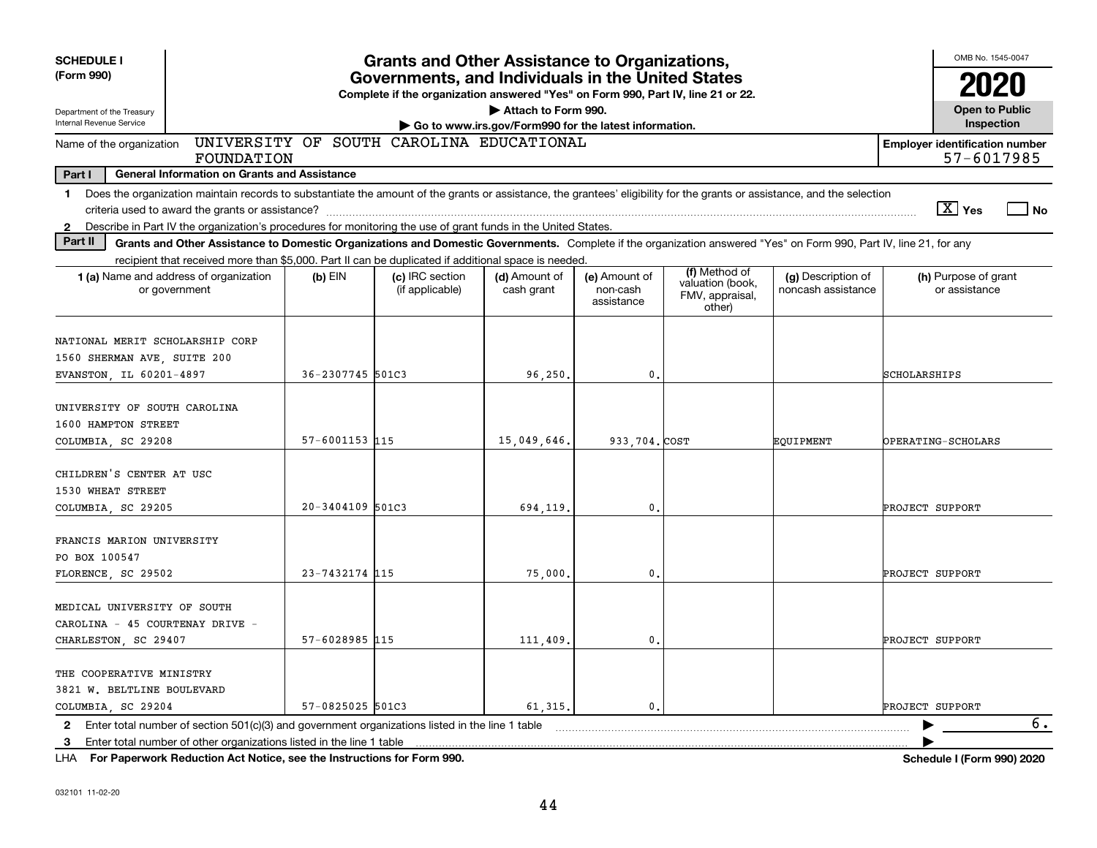| <b>SCHEDULE I</b>                                                                                                                                                                                                                                                                                                         |                  | <b>Grants and Other Assistance to Organizations,</b>                                                                                  |                                                                              |                                         |                                                                |                                          |                                       | OMB No. 1545-0047                     |     |  |  |  |
|---------------------------------------------------------------------------------------------------------------------------------------------------------------------------------------------------------------------------------------------------------------------------------------------------------------------------|------------------|---------------------------------------------------------------------------------------------------------------------------------------|------------------------------------------------------------------------------|-----------------------------------------|----------------------------------------------------------------|------------------------------------------|---------------------------------------|---------------------------------------|-----|--|--|--|
| (Form 990)                                                                                                                                                                                                                                                                                                                |                  | Governments, and Individuals in the United States<br>Complete if the organization answered "Yes" on Form 990, Part IV, line 21 or 22. |                                                                              |                                         |                                                                |                                          |                                       |                                       |     |  |  |  |
| Department of the Treasury<br>Internal Revenue Service                                                                                                                                                                                                                                                                    |                  |                                                                                                                                       | Attach to Form 990.<br>Go to www.irs.gov/Form990 for the latest information. |                                         |                                                                |                                          |                                       | <b>Open to Public</b><br>Inspection   |     |  |  |  |
| Name of the organization<br>FOUNDATION                                                                                                                                                                                                                                                                                    |                  | UNIVERSITY OF SOUTH CAROLINA EDUCATIONAL                                                                                              |                                                                              |                                         |                                                                |                                          | <b>Employer identification number</b> | 57-6017985                            |     |  |  |  |
| Part I<br><b>General Information on Grants and Assistance</b>                                                                                                                                                                                                                                                             |                  |                                                                                                                                       |                                                                              |                                         |                                                                |                                          |                                       |                                       |     |  |  |  |
| Does the organization maintain records to substantiate the amount of the grants or assistance, the grantees' eligibility for the grants or assistance, and the selection<br>$\mathbf{1}$<br>Describe in Part IV the organization's procedures for monitoring the use of grant funds in the United States.<br>$\mathbf{2}$ |                  |                                                                                                                                       |                                                                              |                                         |                                                                |                                          |                                       | $\boxed{\text{X}}$ Yes                | No. |  |  |  |
| Part II<br>Grants and Other Assistance to Domestic Organizations and Domestic Governments. Complete if the organization answered "Yes" on Form 990, Part IV, line 21, for any                                                                                                                                             |                  |                                                                                                                                       |                                                                              |                                         |                                                                |                                          |                                       |                                       |     |  |  |  |
| recipient that received more than \$5,000. Part II can be duplicated if additional space is needed.                                                                                                                                                                                                                       |                  |                                                                                                                                       |                                                                              |                                         |                                                                |                                          |                                       |                                       |     |  |  |  |
| <b>1 (a)</b> Name and address of organization<br>or government                                                                                                                                                                                                                                                            | $(b)$ EIN        | (c) IRC section<br>(if applicable)                                                                                                    | (d) Amount of<br>cash grant                                                  | (e) Amount of<br>non-cash<br>assistance | (f) Method of<br>valuation (book,<br>FMV, appraisal,<br>other) | (g) Description of<br>noncash assistance |                                       | (h) Purpose of grant<br>or assistance |     |  |  |  |
| NATIONAL MERIT SCHOLARSHIP CORP<br>1560 SHERMAN AVE, SUITE 200<br>EVANSTON, IL 60201-4897                                                                                                                                                                                                                                 | 36-2307745 501C3 |                                                                                                                                       | 96,250.                                                                      | 0.                                      |                                                                |                                          | SCHOLARSHIPS                          |                                       |     |  |  |  |
| UNIVERSITY OF SOUTH CAROLINA<br>1600 HAMPTON STREET<br>COLUMBIA, SC 29208                                                                                                                                                                                                                                                 | 57-6001153 115   |                                                                                                                                       | 15,049,646.                                                                  | 933,704.COST                            |                                                                | EQUIPMENT                                | <b>OPERATING-SCHOLARS</b>             |                                       |     |  |  |  |
| CHILDREN'S CENTER AT USC<br>1530 WHEAT STREET<br>COLUMBIA, SC 29205                                                                                                                                                                                                                                                       | 20-3404109 501C3 |                                                                                                                                       | 694,119.                                                                     | 0.                                      |                                                                |                                          | PROJECT SUPPORT                       |                                       |     |  |  |  |
| FRANCIS MARION UNIVERSITY<br>PO BOX 100547<br>FLORENCE SC 29502                                                                                                                                                                                                                                                           | 23-7432174 115   |                                                                                                                                       | 75,000                                                                       | 0.                                      |                                                                |                                          | PROJECT SUPPORT                       |                                       |     |  |  |  |
| MEDICAL UNIVERSITY OF SOUTH<br>CAROLINA - 45 COURTENAY DRIVE -<br>CHARLESTON, SC 29407                                                                                                                                                                                                                                    | 57-6028985 115   |                                                                                                                                       | 111,409.                                                                     | 0.                                      |                                                                |                                          | PROJECT SUPPORT                       |                                       |     |  |  |  |
| THE COOPERATIVE MINISTRY<br>3821 W. BELTLINE BOULEVARD<br>COLUMBIA, SC 29204                                                                                                                                                                                                                                              | 57-0825025 501C3 |                                                                                                                                       | 61, 315.                                                                     | 0.                                      |                                                                |                                          | PROJECT SUPPORT                       |                                       |     |  |  |  |
| 2 Enter total number of section 501(c)(3) and government organizations listed in the line 1 table<br>Enter total number of other organizations listed in the line 1 table<br>3                                                                                                                                            |                  |                                                                                                                                       |                                                                              |                                         |                                                                |                                          |                                       |                                       | 6.  |  |  |  |

**For Paperwork Reduction Act Notice, see the Instructions for Form 990. Schedule I (Form 990) 2020** LHA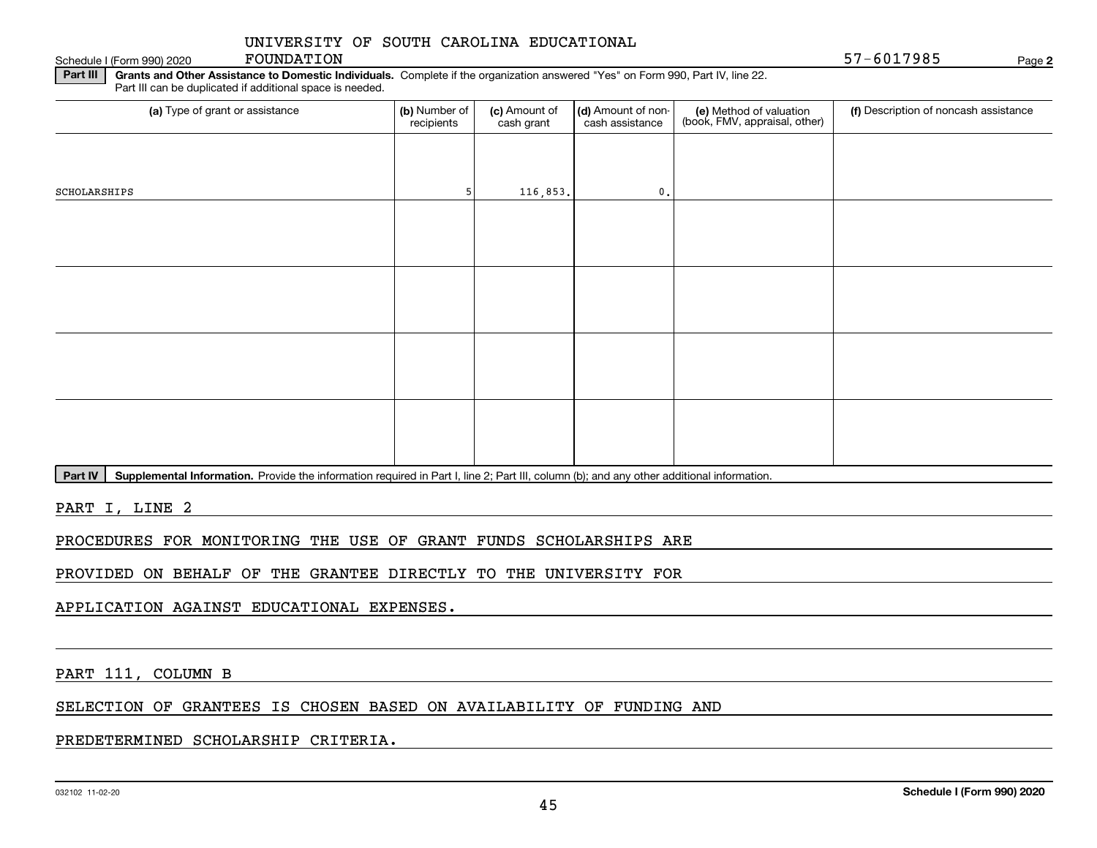Schedule I (Form 990) 2020 FOUNDATION

**2**

**Part III** | Grants and Other Assistance to Domestic Individuals. Complete if the organization answered "Yes" on Form 990, Part IV, line 22. Part III can be duplicated if additional space is needed.

| (b) Number of<br>recipients | (c) Amount of<br>cash grant | cash assistance | (e) Method of valuation<br>(book, FMV, appraisal, other) | (f) Description of noncash assistance |
|-----------------------------|-----------------------------|-----------------|----------------------------------------------------------|---------------------------------------|
|                             |                             |                 |                                                          |                                       |
|                             |                             | $\mathbf{0}$ .  |                                                          |                                       |
|                             |                             |                 |                                                          |                                       |
|                             |                             |                 |                                                          |                                       |
|                             |                             |                 |                                                          |                                       |
|                             |                             |                 |                                                          |                                       |
|                             |                             |                 |                                                          |                                       |
|                             |                             |                 |                                                          |                                       |
|                             |                             |                 |                                                          |                                       |
|                             |                             |                 |                                                          |                                       |
|                             |                             |                 | 116,853.                                                 | (d) Amount of non-                    |

Part IV | Supplemental Information. Provide the information required in Part I, line 2; Part III, column (b); and any other additional information.

PART I, LINE 2

PROCEDURES FOR MONITORING THE USE OF GRANT FUNDS SCHOLARSHIPS ARE

PROVIDED ON BEHALF OF THE GRANTEE DIRECTLY TO THE UNIVERSITY FOR

APPLICATION AGAINST EDUCATIONAL EXPENSES.

PART 111, COLUMN B

SELECTION OF GRANTEES IS CHOSEN BASED ON AVAILABILITY OF FUNDING AND

PREDETERMINED SCHOLARSHIP CRITERIA.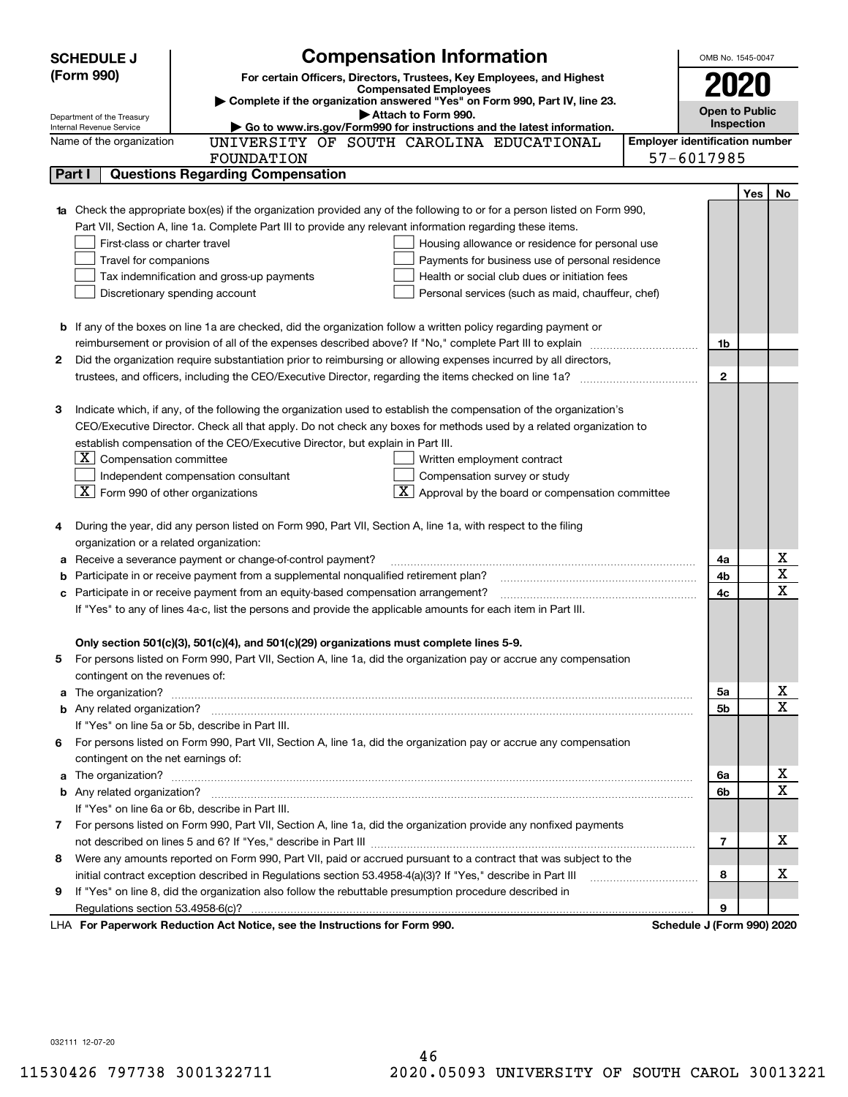|   | <b>SCHEDULE J</b>                                    | <b>Compensation Information</b>                                                                                                                                                                                                     | OMB No. 1545-0047                     |     |             |
|---|------------------------------------------------------|-------------------------------------------------------------------------------------------------------------------------------------------------------------------------------------------------------------------------------------|---------------------------------------|-----|-------------|
|   | (Form 990)                                           | For certain Officers, Directors, Trustees, Key Employees, and Highest                                                                                                                                                               |                                       |     |             |
|   |                                                      | <b>Compensated Employees</b>                                                                                                                                                                                                        | 2020                                  |     |             |
|   | Department of the Treasury                           | Complete if the organization answered "Yes" on Form 990, Part IV, line 23.<br>Attach to Form 990.                                                                                                                                   | <b>Open to Public</b>                 |     |             |
|   | Internal Revenue Service                             | Go to www.irs.gov/Form990 for instructions and the latest information.                                                                                                                                                              | Inspection                            |     |             |
|   | Name of the organization                             | UNIVERSITY OF SOUTH CAROLINA EDUCATIONAL                                                                                                                                                                                            | <b>Employer identification number</b> |     |             |
|   |                                                      | FOUNDATION                                                                                                                                                                                                                          | 57-6017985                            |     |             |
|   | Part I                                               | <b>Questions Regarding Compensation</b>                                                                                                                                                                                             |                                       |     |             |
|   |                                                      |                                                                                                                                                                                                                                     |                                       | Yes | No          |
|   |                                                      | Check the appropriate box(es) if the organization provided any of the following to or for a person listed on Form 990,                                                                                                              |                                       |     |             |
|   |                                                      | Part VII, Section A, line 1a. Complete Part III to provide any relevant information regarding these items.                                                                                                                          |                                       |     |             |
|   | First-class or charter travel                        | Housing allowance or residence for personal use                                                                                                                                                                                     |                                       |     |             |
|   | Travel for companions                                | Payments for business use of personal residence                                                                                                                                                                                     |                                       |     |             |
|   |                                                      | Tax indemnification and gross-up payments<br>Health or social club dues or initiation fees                                                                                                                                          |                                       |     |             |
|   |                                                      | Discretionary spending account<br>Personal services (such as maid, chauffeur, chef)                                                                                                                                                 |                                       |     |             |
|   |                                                      |                                                                                                                                                                                                                                     |                                       |     |             |
|   |                                                      | <b>b</b> If any of the boxes on line 1a are checked, did the organization follow a written policy regarding payment or                                                                                                              |                                       |     |             |
|   |                                                      |                                                                                                                                                                                                                                     | 1b                                    |     |             |
| 2 |                                                      | Did the organization require substantiation prior to reimbursing or allowing expenses incurred by all directors,                                                                                                                    |                                       |     |             |
|   |                                                      |                                                                                                                                                                                                                                     | $\mathbf{2}$                          |     |             |
|   |                                                      |                                                                                                                                                                                                                                     |                                       |     |             |
| з |                                                      | Indicate which, if any, of the following the organization used to establish the compensation of the organization's                                                                                                                  |                                       |     |             |
|   |                                                      | CEO/Executive Director. Check all that apply. Do not check any boxes for methods used by a related organization to                                                                                                                  |                                       |     |             |
|   |                                                      | establish compensation of the CEO/Executive Director, but explain in Part III.                                                                                                                                                      |                                       |     |             |
|   | $\lfloor \texttt{X} \rfloor$ Compensation committee  | Written employment contract                                                                                                                                                                                                         |                                       |     |             |
|   |                                                      | Independent compensation consultant<br>Compensation survey or study                                                                                                                                                                 |                                       |     |             |
|   | $\boxed{\textbf{X}}$ Form 990 of other organizations | $\overline{\mathbf{X}}$ Approval by the board or compensation committee                                                                                                                                                             |                                       |     |             |
| 4 |                                                      | During the year, did any person listed on Form 990, Part VII, Section A, line 1a, with respect to the filing                                                                                                                        |                                       |     |             |
|   | organization or a related organization:              |                                                                                                                                                                                                                                     |                                       |     |             |
| а |                                                      | Receive a severance payment or change-of-control payment?                                                                                                                                                                           | 4a                                    |     | х           |
| b |                                                      | Participate in or receive payment from a supplemental nonqualified retirement plan?                                                                                                                                                 | 4b                                    |     | X           |
| с |                                                      | Participate in or receive payment from an equity-based compensation arrangement?                                                                                                                                                    | 4c                                    |     | $\mathbf X$ |
|   |                                                      | If "Yes" to any of lines 4a-c, list the persons and provide the applicable amounts for each item in Part III.                                                                                                                       |                                       |     |             |
|   |                                                      |                                                                                                                                                                                                                                     |                                       |     |             |
|   |                                                      | Only section 501(c)(3), 501(c)(4), and 501(c)(29) organizations must complete lines 5-9.                                                                                                                                            |                                       |     |             |
|   |                                                      | For persons listed on Form 990, Part VII, Section A, line 1a, did the organization pay or accrue any compensation                                                                                                                   |                                       |     |             |
|   | contingent on the revenues of:                       |                                                                                                                                                                                                                                     |                                       |     |             |
| a |                                                      | The organization? <b>Process and Construction Construction</b> and Construction and Construction and Construction and Construction and Construction and Construction and Construction and Construction and Construction and Constru | 5a                                    |     | x           |
|   |                                                      |                                                                                                                                                                                                                                     | 5b                                    |     | х           |
|   |                                                      | If "Yes" on line 5a or 5b, describe in Part III.                                                                                                                                                                                    |                                       |     |             |
|   |                                                      | 6 For persons listed on Form 990, Part VII, Section A, line 1a, did the organization pay or accrue any compensation                                                                                                                 |                                       |     |             |
|   | contingent on the net earnings of:                   |                                                                                                                                                                                                                                     |                                       |     |             |
| a |                                                      |                                                                                                                                                                                                                                     | 6a                                    |     | х           |
|   |                                                      |                                                                                                                                                                                                                                     | 6b                                    |     | X           |
|   |                                                      | If "Yes" on line 6a or 6b, describe in Part III.                                                                                                                                                                                    |                                       |     |             |
|   |                                                      | 7 For persons listed on Form 990, Part VII, Section A, line 1a, did the organization provide any nonfixed payments                                                                                                                  |                                       |     |             |
|   |                                                      |                                                                                                                                                                                                                                     | $\overline{7}$                        |     | х           |
|   |                                                      | 8 Were any amounts reported on Form 990, Part VII, paid or accrued pursuant to a contract that was subject to the                                                                                                                   |                                       |     |             |
|   |                                                      | initial contract exception described in Regulations section 53.4958-4(a)(3)? If "Yes," describe in Part III                                                                                                                         | 8                                     |     | х           |
| 9 |                                                      | If "Yes" on line 8, did the organization also follow the rebuttable presumption procedure described in                                                                                                                              |                                       |     |             |
|   |                                                      |                                                                                                                                                                                                                                     | 9                                     |     |             |
|   |                                                      | LHA For Paperwork Reduction Act Notice, see the Instructions for Form 990.                                                                                                                                                          | Schedule J (Form 990) 2020            |     |             |

032111 12-07-20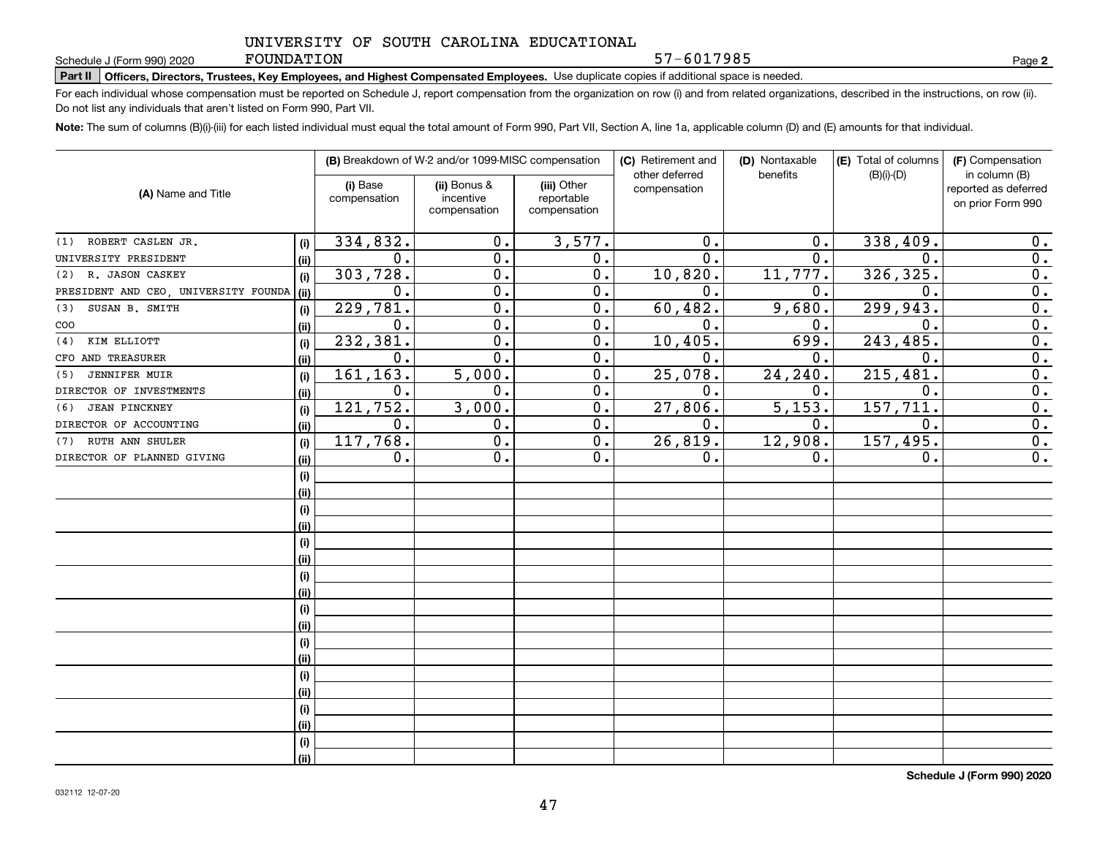#### FOUNDATION

57-6017985

**2**

# **Part II Officers, Directors, Trustees, Key Employees, and Highest Compensated Employees.**  Schedule J (Form 990) 2020 Page Use duplicate copies if additional space is needed.

For each individual whose compensation must be reported on Schedule J, report compensation from the organization on row (i) and from related organizations, described in the instructions, on row (ii). Do not list any individuals that aren't listed on Form 990, Part VII.

**Note:**  The sum of columns (B)(i)-(iii) for each listed individual must equal the total amount of Form 990, Part VII, Section A, line 1a, applicable column (D) and (E) amounts for that individual.

|                                      |      |                          | (B) Breakdown of W-2 and/or 1099-MISC compensation |                                           | (C) Retirement and             | (D) Nontaxable | (E) Total of columns | (F) Compensation                                           |
|--------------------------------------|------|--------------------------|----------------------------------------------------|-------------------------------------------|--------------------------------|----------------|----------------------|------------------------------------------------------------|
| (A) Name and Title                   |      | (i) Base<br>compensation | (ii) Bonus &<br>incentive<br>compensation          | (iii) Other<br>reportable<br>compensation | other deferred<br>compensation | benefits       | $(B)(i)-(D)$         | in column (B)<br>reported as deferred<br>on prior Form 990 |
| (1) ROBERT CASLEN JR.                | (i)  | 334,832.                 | 0.                                                 | 3,577.                                    | 0.                             | 0.             | 338,409.             | 0.                                                         |
| UNIVERSITY PRESIDENT                 | (ii) | 0.                       | 0.                                                 | 0.                                        | 0.                             | 0.             | $\mathbf 0$ .        | 0.                                                         |
| (2) R. JASON CASKEY                  | (i)  | 303,728.                 | $\mathbf 0$ .                                      | $\overline{0}$ .                          | 10,820.                        | 11,777.        | 326, 325.            | $\overline{0}$ .                                           |
| PRESIDENT AND CEO, UNIVERSITY FOUNDA | (ii) | 0.                       | $\overline{0}$ .                                   | $\overline{0}$ .                          | 0.                             | 0.             | $\mathbf 0$ .        | $\overline{0}$ .                                           |
| SUSAN B. SMITH<br>(3)                | (i)  | 229,781.                 | $\overline{0}$ .                                   | $\overline{0}$ .                          | 60, 482.                       | 9,680.         | 299,943.             | $\overline{0}$ .                                           |
| COO                                  | (ii) | 0.                       | $\overline{0}$ .                                   | 0.                                        | 0.                             | 0.             | $\mathbf 0$ .        | $\overline{0}$ .                                           |
| (4)<br>KIM ELLIOTT                   | (i)  | 232,381.                 | $\mathbf 0$ .                                      | 0.                                        | 10, 405.                       | 699.           | 243, 485.            | $\overline{0}$ .                                           |
| CFO AND TREASURER                    | (ii) | 0.                       | 0.                                                 | 0.                                        | 0.                             | 0.             | $\mathbf 0$ .        | $\overline{0}$ .                                           |
| <b>JENNIFER MUIR</b><br>(5)          | (i)  | 161,163.                 | 5,000.                                             | 0.                                        | 25,078.                        | 24,240.        | 215,481.             | 0.                                                         |
| DIRECTOR OF INVESTMENTS              | (ii) | 0.                       | 0.                                                 | 0.                                        | $\mathbf 0$ .                  | 0.             | 0.                   | 0.                                                         |
| <b>JEAN PINCKNEY</b><br>(6)          | (i)  | 121,752.                 | 3,000.                                             | $\overline{0}$ .                          | 27,806.                        | 5,153.         | 157,711.             | $\overline{0}$ .                                           |
| DIRECTOR OF ACCOUNTING               | (ii) | 0.                       | $\mathbf 0$ .                                      | 0.                                        | 0.                             | 0.             | $\mathbf 0$ .        | 0.                                                         |
| RUTH ANN SHULER<br>(7)               | (i)  | 117,768.                 | $\overline{0}$ .                                   | 0.                                        | 26,819.                        | 12,908.        | 157,495.             | $\overline{0}$ .                                           |
| DIRECTOR OF PLANNED GIVING           | (ii) | 0.                       | 0.                                                 | 0.                                        | 0.                             | 0.             | 0.                   | 0.                                                         |
|                                      | (i)  |                          |                                                    |                                           |                                |                |                      |                                                            |
|                                      | (ii) |                          |                                                    |                                           |                                |                |                      |                                                            |
|                                      | (i)  |                          |                                                    |                                           |                                |                |                      |                                                            |
|                                      | (ii) |                          |                                                    |                                           |                                |                |                      |                                                            |
|                                      | (i)  |                          |                                                    |                                           |                                |                |                      |                                                            |
|                                      | (ii) |                          |                                                    |                                           |                                |                |                      |                                                            |
|                                      | (i)  |                          |                                                    |                                           |                                |                |                      |                                                            |
|                                      | (ii) |                          |                                                    |                                           |                                |                |                      |                                                            |
|                                      | (i)  |                          |                                                    |                                           |                                |                |                      |                                                            |
|                                      | (ii) |                          |                                                    |                                           |                                |                |                      |                                                            |
|                                      | (i)  |                          |                                                    |                                           |                                |                |                      |                                                            |
|                                      | (ii) |                          |                                                    |                                           |                                |                |                      |                                                            |
|                                      | (i)  |                          |                                                    |                                           |                                |                |                      |                                                            |
|                                      | (ii) |                          |                                                    |                                           |                                |                |                      |                                                            |
|                                      | (i)  |                          |                                                    |                                           |                                |                |                      |                                                            |
|                                      | (ii) |                          |                                                    |                                           |                                |                |                      |                                                            |
|                                      | (i)  |                          |                                                    |                                           |                                |                |                      |                                                            |
|                                      | (ii) |                          |                                                    |                                           |                                |                |                      |                                                            |

**Schedule J (Form 990) 2020**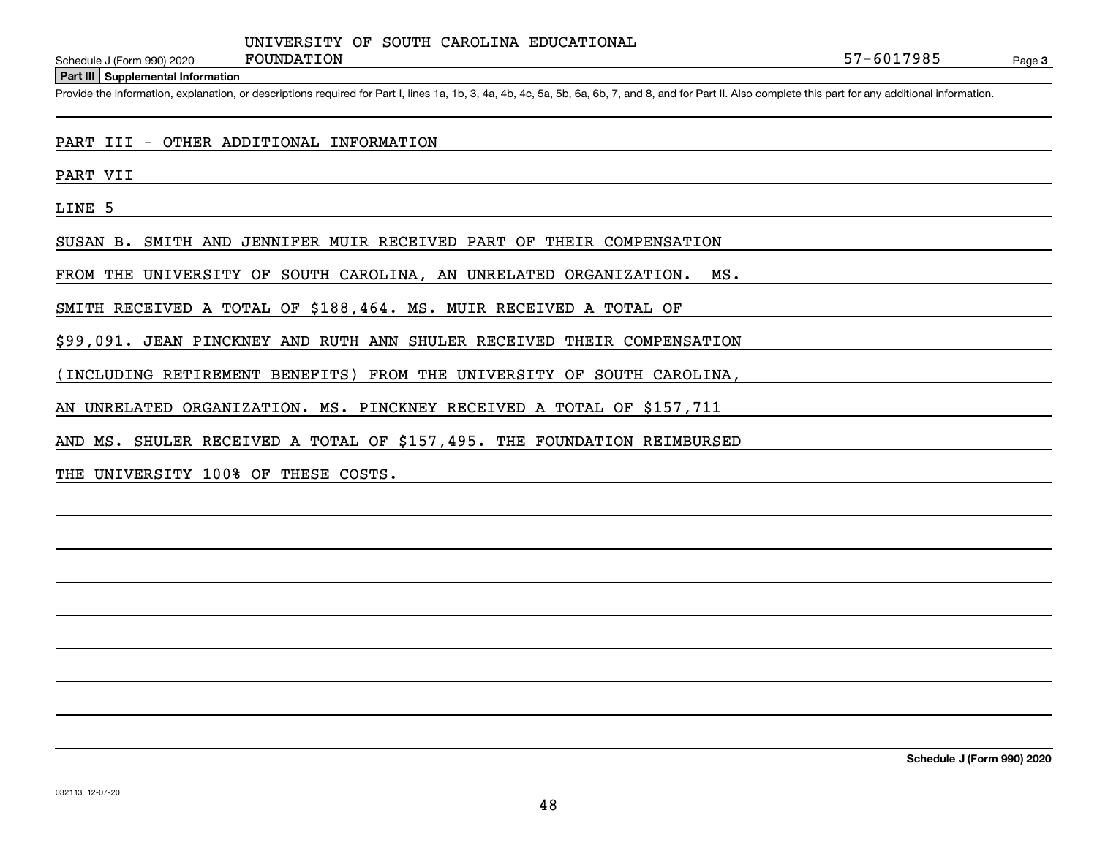**Part III Supplemental Information**

Schedule J (Form 990) 2020 FOUNDATION<br>Part III Supplemental Information<br>Provide the information, explanation, or descriptions required for Part I, lines 1a, 1b, 3, 4a, 4b, 4c, 5a, 5b, 6a, 6b, 7, and 8, and for Part II. Als

PART III - OTHER ADDITIONAL INFORMATION

PART VII

LINE 5

SUSAN B. SMITH AND JENNIFER MUIR RECEIVED PART OF THEIR COMPENSATION

FROM THE UNIVERSITY OF SOUTH CAROLINA, AN UNRELATED ORGANIZATION. MS.

SMITH RECEIVED A TOTAL OF \$188,464. MS. MUIR RECEIVED A TOTAL OF

\$99,091. JEAN PINCKNEY AND RUTH ANN SHULER RECEIVED THEIR COMPENSATION

(INCLUDING RETIREMENT BENEFITS) FROM THE UNIVERSITY OF SOUTH CAROLINA,

AN UNRELATED ORGANIZATION. MS. PINCKNEY RECEIVED A TOTAL OF \$157,711

AND MS. SHULER RECEIVED A TOTAL OF \$157,495. THE FOUNDATION REIMBURSED

THE UNIVERSITY 100% OF THESE COSTS.

**Schedule J (Form 990) 2020**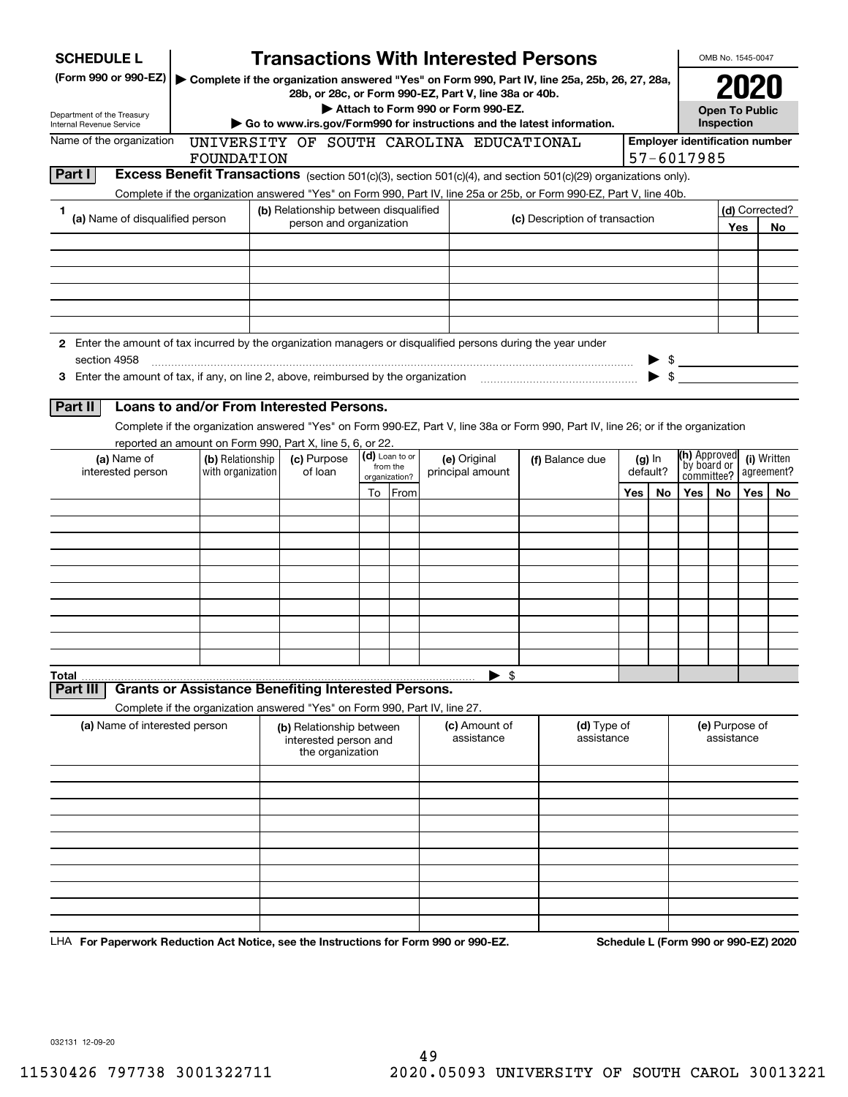| <b>SCHEDULE L</b>                                                                                             |                                                                            |                                                                       |    |                            | <b>Transactions With Interested Persons</b>                            |                                                                                                                                    |     |                          |                                       | OMB No. 1545-0047            |      |                |
|---------------------------------------------------------------------------------------------------------------|----------------------------------------------------------------------------|-----------------------------------------------------------------------|----|----------------------------|------------------------------------------------------------------------|------------------------------------------------------------------------------------------------------------------------------------|-----|--------------------------|---------------------------------------|------------------------------|------|----------------|
| (Form 990 or 990-EZ)                                                                                          |                                                                            |                                                                       |    |                            | 28b, or 28c, or Form 990-EZ, Part V, line 38a or 40b.                  | Complete if the organization answered "Yes" on Form 990, Part IV, line 25a, 25b, 26, 27, 28a,                                      |     |                          |                                       |                              | 2021 |                |
| Department of the Treasury                                                                                    |                                                                            |                                                                       |    |                            | Attach to Form 990 or Form 990-EZ.                                     |                                                                                                                                    |     |                          |                                       | <b>Open To Public</b>        |      |                |
| <b>Internal Revenue Service</b>                                                                               |                                                                            |                                                                       |    |                            | Go to www.irs.gov/Form990 for instructions and the latest information. |                                                                                                                                    |     |                          |                                       | Inspection                   |      |                |
| Name of the organization                                                                                      |                                                                            |                                                                       |    |                            | UNIVERSITY OF SOUTH CAROLINA EDUCATIONAL                               |                                                                                                                                    |     |                          | <b>Employer identification number</b> |                              |      |                |
| Part I                                                                                                        | FOUNDATION                                                                 |                                                                       |    |                            |                                                                        | Excess Benefit Transactions (section 501(c)(3), section 501(c)(4), and section 501(c)(29) organizations only).                     |     |                          | 57-6017985                            |                              |      |                |
|                                                                                                               |                                                                            |                                                                       |    |                            |                                                                        | Complete if the organization answered "Yes" on Form 990, Part IV, line 25a or 25b, or Form 990-EZ, Part V, line 40b.               |     |                          |                                       |                              |      |                |
| 1                                                                                                             |                                                                            | (b) Relationship between disqualified                                 |    |                            |                                                                        |                                                                                                                                    |     |                          |                                       |                              |      | (d) Corrected? |
| (a) Name of disqualified person                                                                               |                                                                            | person and organization                                               |    |                            |                                                                        | (c) Description of transaction                                                                                                     |     |                          |                                       |                              | Yes  | No.            |
|                                                                                                               |                                                                            |                                                                       |    |                            |                                                                        |                                                                                                                                    |     |                          |                                       |                              |      |                |
|                                                                                                               |                                                                            |                                                                       |    |                            |                                                                        |                                                                                                                                    |     |                          |                                       |                              |      |                |
|                                                                                                               |                                                                            |                                                                       |    |                            |                                                                        |                                                                                                                                    |     |                          |                                       |                              |      |                |
|                                                                                                               |                                                                            |                                                                       |    |                            |                                                                        |                                                                                                                                    |     |                          |                                       |                              |      |                |
|                                                                                                               |                                                                            |                                                                       |    |                            |                                                                        |                                                                                                                                    |     |                          |                                       |                              |      |                |
| 2 Enter the amount of tax incurred by the organization managers or disqualified persons during the year under |                                                                            |                                                                       |    |                            |                                                                        |                                                                                                                                    |     |                          |                                       |                              |      |                |
| section 4958                                                                                                  |                                                                            |                                                                       |    |                            |                                                                        |                                                                                                                                    |     |                          | $\frac{1}{2}$                         |                              |      |                |
|                                                                                                               |                                                                            |                                                                       |    |                            |                                                                        |                                                                                                                                    |     | $\blacktriangleright$ \$ |                                       |                              |      |                |
| Part II                                                                                                       | Loans to and/or From Interested Persons.                                   |                                                                       |    |                            |                                                                        |                                                                                                                                    |     |                          |                                       |                              |      |                |
|                                                                                                               |                                                                            |                                                                       |    |                            |                                                                        | Complete if the organization answered "Yes" on Form 990-EZ, Part V, line 38a or Form 990, Part IV, line 26; or if the organization |     |                          |                                       |                              |      |                |
|                                                                                                               | reported an amount on Form 990, Part X, line 5, 6, or 22.                  |                                                                       |    |                            |                                                                        |                                                                                                                                    |     |                          |                                       |                              |      |                |
| (a) Name of                                                                                                   | (b) Relationship                                                           | (c) Purpose                                                           |    | (d) Loan to or<br>from the | (e) Original                                                           | (f) Balance due                                                                                                                    |     | $(g)$ In                 |                                       | (h) Approved<br>by board or  |      | (i) Written    |
| interested person                                                                                             | with organization                                                          | of loan                                                               |    | organization?              | principal amount                                                       |                                                                                                                                    |     | default?                 | committee?                            |                              |      | agreement?     |
|                                                                                                               |                                                                            |                                                                       | To | From                       |                                                                        |                                                                                                                                    | Yes | No.                      | Yes                                   | No.                          | Yes  | No.            |
|                                                                                                               |                                                                            |                                                                       |    |                            |                                                                        |                                                                                                                                    |     |                          |                                       |                              |      |                |
|                                                                                                               |                                                                            |                                                                       |    |                            |                                                                        |                                                                                                                                    |     |                          |                                       |                              |      |                |
|                                                                                                               |                                                                            |                                                                       |    |                            |                                                                        |                                                                                                                                    |     |                          |                                       |                              |      |                |
|                                                                                                               |                                                                            |                                                                       |    |                            |                                                                        |                                                                                                                                    |     |                          |                                       |                              |      |                |
|                                                                                                               |                                                                            |                                                                       |    |                            |                                                                        |                                                                                                                                    |     |                          |                                       |                              |      |                |
|                                                                                                               |                                                                            |                                                                       |    |                            |                                                                        |                                                                                                                                    |     |                          |                                       |                              |      |                |
|                                                                                                               |                                                                            |                                                                       |    |                            |                                                                        |                                                                                                                                    |     |                          |                                       |                              |      |                |
|                                                                                                               |                                                                            |                                                                       |    |                            |                                                                        |                                                                                                                                    |     |                          |                                       |                              |      |                |
| Total                                                                                                         |                                                                            |                                                                       |    |                            | - \$                                                                   |                                                                                                                                    |     |                          |                                       |                              |      |                |
| Part III                                                                                                      | <b>Grants or Assistance Benefiting Interested Persons.</b>                 |                                                                       |    |                            |                                                                        |                                                                                                                                    |     |                          |                                       |                              |      |                |
|                                                                                                               | Complete if the organization answered "Yes" on Form 990, Part IV, line 27. |                                                                       |    |                            |                                                                        |                                                                                                                                    |     |                          |                                       |                              |      |                |
| (a) Name of interested person                                                                                 |                                                                            | (b) Relationship between<br>interested person and<br>the organization |    |                            | (c) Amount of<br>assistance                                            | (d) Type of<br>assistance                                                                                                          |     |                          |                                       | (e) Purpose of<br>assistance |      |                |
|                                                                                                               |                                                                            |                                                                       |    |                            |                                                                        |                                                                                                                                    |     |                          |                                       |                              |      |                |
|                                                                                                               |                                                                            |                                                                       |    |                            |                                                                        |                                                                                                                                    |     |                          |                                       |                              |      |                |
|                                                                                                               |                                                                            |                                                                       |    |                            |                                                                        |                                                                                                                                    |     |                          |                                       |                              |      |                |
|                                                                                                               |                                                                            |                                                                       |    |                            |                                                                        |                                                                                                                                    |     |                          |                                       |                              |      |                |
|                                                                                                               |                                                                            |                                                                       |    |                            |                                                                        |                                                                                                                                    |     |                          |                                       |                              |      |                |
|                                                                                                               |                                                                            |                                                                       |    |                            |                                                                        |                                                                                                                                    |     |                          |                                       |                              |      |                |
|                                                                                                               |                                                                            |                                                                       |    |                            |                                                                        |                                                                                                                                    |     |                          |                                       |                              |      |                |
|                                                                                                               |                                                                            |                                                                       |    |                            |                                                                        |                                                                                                                                    |     |                          |                                       |                              |      |                |
|                                                                                                               |                                                                            |                                                                       |    |                            |                                                                        |                                                                                                                                    |     |                          |                                       |                              |      |                |

LHA For Paperwork Reduction Act Notice, see the Instructions for Form 990 or 990-EZ. Schedule L (Form 990 or 990-EZ) 2020

032131 12-09-20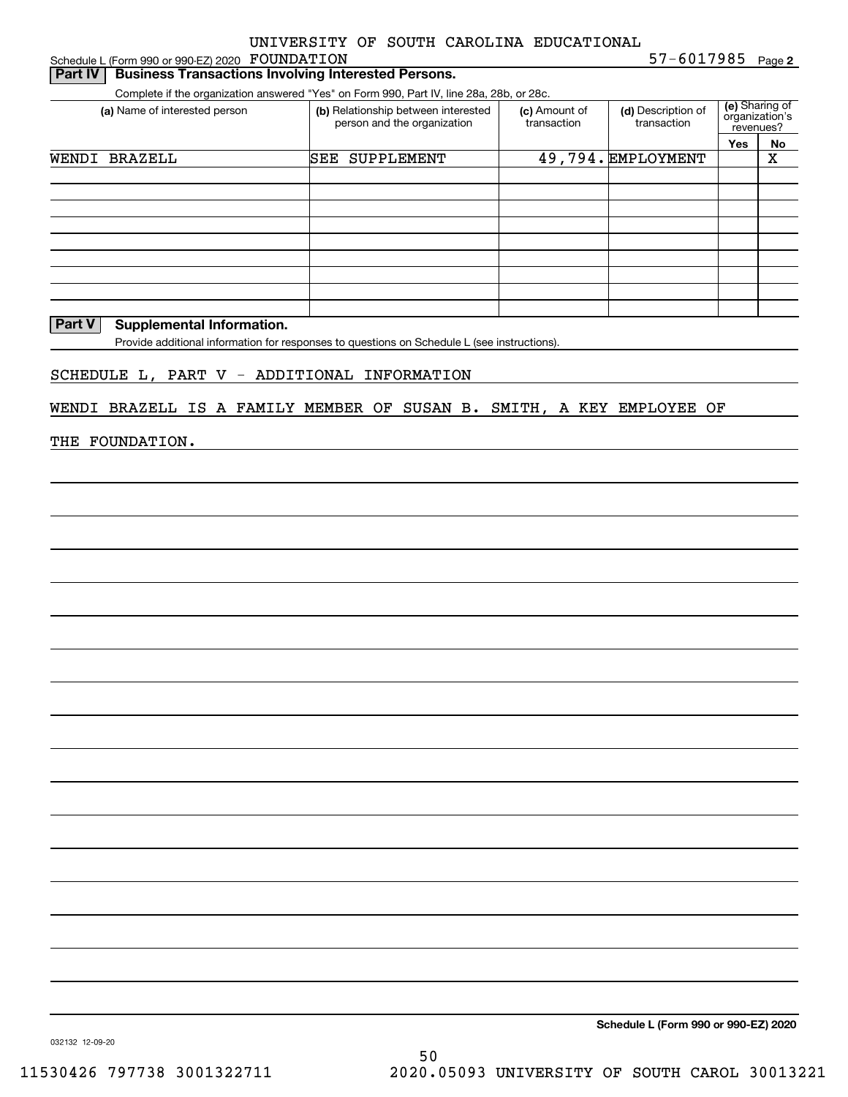Schedule L (Form 990 or 990-EZ) 2020 Page FOUNDATION

**2** 57-6017985

| WENDI BRAZELL | (a) Name of interested person               |                                                                                             |                              |                                   |                                               |                   |
|---------------|---------------------------------------------|---------------------------------------------------------------------------------------------|------------------------------|-----------------------------------|-----------------------------------------------|-------------------|
|               |                                             | (b) Relationship between interested<br>person and the organization                          | (c) Amount of<br>transaction | (d) Description of<br>transaction | (e) Sharing of<br>organization's<br>revenues? |                   |
|               |                                             | <b>SEE SUPPLEMENT</b>                                                                       |                              | 49,794. EMPLOYMENT                | Yes                                           | No<br>$\mathbf X$ |
|               |                                             |                                                                                             |                              |                                   |                                               |                   |
|               |                                             |                                                                                             |                              |                                   |                                               |                   |
|               |                                             |                                                                                             |                              |                                   |                                               |                   |
|               |                                             |                                                                                             |                              |                                   |                                               |                   |
|               |                                             |                                                                                             |                              |                                   |                                               |                   |
|               |                                             |                                                                                             |                              |                                   |                                               |                   |
| <b>Part V</b> | <b>Supplemental Information.</b>            |                                                                                             |                              |                                   |                                               |                   |
|               |                                             | Provide additional information for responses to questions on Schedule L (see instructions). |                              |                                   |                                               |                   |
|               | SCHEDULE L, PART V - ADDITIONAL INFORMATION |                                                                                             |                              |                                   |                                               |                   |
|               |                                             | WENDI BRAZELL IS A FAMILY MEMBER OF SUSAN B. SMITH, A KEY EMPLOYEE OF                       |                              |                                   |                                               |                   |
|               |                                             |                                                                                             |                              |                                   |                                               |                   |
|               | THE FOUNDATION.                             |                                                                                             |                              |                                   |                                               |                   |
|               |                                             |                                                                                             |                              |                                   |                                               |                   |
|               |                                             |                                                                                             |                              |                                   |                                               |                   |
|               |                                             |                                                                                             |                              |                                   |                                               |                   |
|               |                                             |                                                                                             |                              |                                   |                                               |                   |
|               |                                             |                                                                                             |                              |                                   |                                               |                   |
|               |                                             |                                                                                             |                              |                                   |                                               |                   |
|               |                                             |                                                                                             |                              |                                   |                                               |                   |
|               |                                             |                                                                                             |                              |                                   |                                               |                   |
|               |                                             |                                                                                             |                              |                                   |                                               |                   |
|               |                                             |                                                                                             |                              |                                   |                                               |                   |
|               |                                             |                                                                                             |                              |                                   |                                               |                   |
|               |                                             |                                                                                             |                              |                                   |                                               |                   |
|               |                                             |                                                                                             |                              |                                   |                                               |                   |
|               |                                             |                                                                                             |                              |                                   |                                               |                   |
|               |                                             |                                                                                             |                              |                                   |                                               |                   |
|               |                                             |                                                                                             |                              |                                   |                                               |                   |
|               |                                             |                                                                                             |                              |                                   |                                               |                   |
|               |                                             |                                                                                             |                              |                                   |                                               |                   |
|               |                                             |                                                                                             |                              |                                   |                                               |                   |
|               |                                             |                                                                                             |                              |                                   |                                               |                   |
|               |                                             |                                                                                             |                              |                                   |                                               |                   |
|               |                                             |                                                                                             |                              |                                   |                                               |                   |
|               |                                             |                                                                                             |                              |                                   |                                               |                   |
|               |                                             |                                                                                             |                              |                                   |                                               |                   |
|               |                                             |                                                                                             |                              |                                   |                                               |                   |

**Schedule L (Form 990 or 990-EZ) 2020**

032132 12-09-20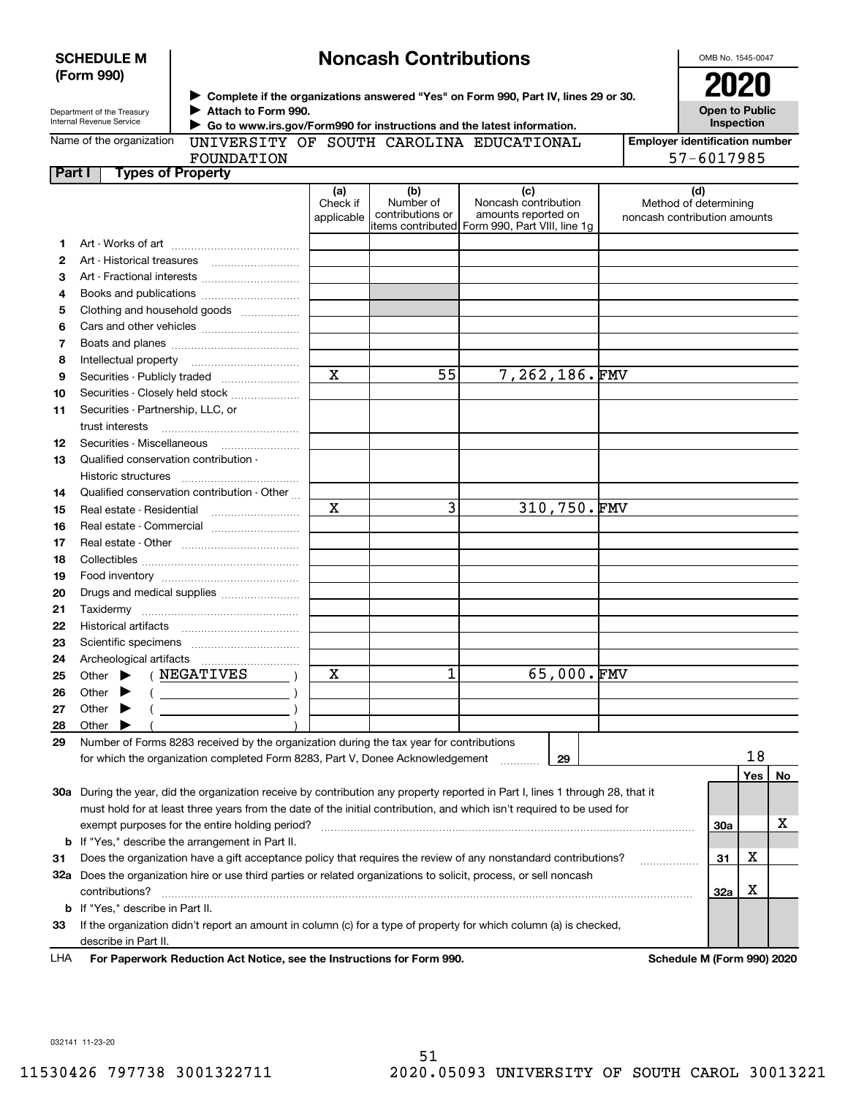|        | (Form 990)                                                   |                                                                                                                                                                                       |                               |                                      |                                                                                                      |             | 2020                                                         |           |    |
|--------|--------------------------------------------------------------|---------------------------------------------------------------------------------------------------------------------------------------------------------------------------------------|-------------------------------|--------------------------------------|------------------------------------------------------------------------------------------------------|-------------|--------------------------------------------------------------|-----------|----|
|        | Department of the Treasury<br>Internal Revenue Service       | ► Complete if the organizations answered "Yes" on Form 990, Part IV, lines 29 or 30.<br>Attach to Form 990.<br>Go to www.irs.gov/Form990 for instructions and the latest information. |                               |                                      |                                                                                                      |             | <b>Open to Public</b><br>Inspection                          |           |    |
|        | Name of the organization                                     | UNIVERSITY OF SOUTH CAROLINA EDUCATIONAL<br>FOUNDATION                                                                                                                                |                               |                                      |                                                                                                      |             | <b>Employer identification number</b><br>57-6017985          |           |    |
| Part I |                                                              | <b>Types of Property</b>                                                                                                                                                              |                               |                                      |                                                                                                      |             |                                                              |           |    |
|        |                                                              |                                                                                                                                                                                       | (a)<br>Check if<br>applicable | (b)<br>Number of<br>contributions or | (c)<br>Noncash contribution<br>amounts reported on<br>items contributed Form 990, Part VIII, line 1g |             | (d)<br>Method of determining<br>noncash contribution amounts |           |    |
| 1.     |                                                              |                                                                                                                                                                                       |                               |                                      |                                                                                                      |             |                                                              |           |    |
| 2      |                                                              |                                                                                                                                                                                       |                               |                                      |                                                                                                      |             |                                                              |           |    |
| З      |                                                              |                                                                                                                                                                                       |                               |                                      |                                                                                                      |             |                                                              |           |    |
| 4      |                                                              |                                                                                                                                                                                       |                               |                                      |                                                                                                      |             |                                                              |           |    |
| 5      |                                                              | Clothing and household goods                                                                                                                                                          |                               |                                      |                                                                                                      |             |                                                              |           |    |
| 6      |                                                              |                                                                                                                                                                                       |                               |                                      |                                                                                                      |             |                                                              |           |    |
| 7      |                                                              |                                                                                                                                                                                       |                               |                                      |                                                                                                      |             |                                                              |           |    |
| 8      |                                                              |                                                                                                                                                                                       |                               |                                      |                                                                                                      |             |                                                              |           |    |
| 9      |                                                              | Securities - Publicly traded                                                                                                                                                          | X                             | 55                                   | 7,262,186.FMV                                                                                        |             |                                                              |           |    |
| 10     |                                                              | Securities - Closely held stock                                                                                                                                                       |                               |                                      |                                                                                                      |             |                                                              |           |    |
| 11     | Securities - Partnership, LLC, or<br>trust interests         |                                                                                                                                                                                       |                               |                                      |                                                                                                      |             |                                                              |           |    |
| 12     |                                                              | Securities - Miscellaneous                                                                                                                                                            |                               |                                      |                                                                                                      |             |                                                              |           |    |
| 13     | Qualified conservation contribution -<br>Historic structures |                                                                                                                                                                                       |                               |                                      |                                                                                                      |             |                                                              |           |    |
| 14     |                                                              | Qualified conservation contribution - Other                                                                                                                                           |                               |                                      |                                                                                                      |             |                                                              |           |    |
| 15     |                                                              | Real estate - Residential                                                                                                                                                             | X                             | $\overline{3}$                       |                                                                                                      | 310,750.FMV |                                                              |           |    |
| 16     |                                                              | Real estate - Commercial                                                                                                                                                              |                               |                                      |                                                                                                      |             |                                                              |           |    |
| 17     |                                                              |                                                                                                                                                                                       |                               |                                      |                                                                                                      |             |                                                              |           |    |
| 18     |                                                              |                                                                                                                                                                                       |                               |                                      |                                                                                                      |             |                                                              |           |    |
| 19     |                                                              |                                                                                                                                                                                       |                               |                                      |                                                                                                      |             |                                                              |           |    |
| 20     |                                                              | Drugs and medical supplies                                                                                                                                                            |                               |                                      |                                                                                                      |             |                                                              |           |    |
| 21     |                                                              |                                                                                                                                                                                       |                               |                                      |                                                                                                      |             |                                                              |           |    |
| 22     |                                                              |                                                                                                                                                                                       |                               |                                      |                                                                                                      |             |                                                              |           |    |
| 23     |                                                              |                                                                                                                                                                                       |                               |                                      |                                                                                                      |             |                                                              |           |    |
| 24     |                                                              |                                                                                                                                                                                       |                               |                                      |                                                                                                      |             |                                                              |           |    |
| 25     | Other $\blacktriangleright$ (NEGATIVES                       |                                                                                                                                                                                       | X                             | 1                                    |                                                                                                      | 65,000.FMV  |                                                              |           |    |
| 26     | Other                                                        |                                                                                                                                                                                       |                               |                                      |                                                                                                      |             |                                                              |           |    |
| 27     | Other                                                        |                                                                                                                                                                                       |                               |                                      |                                                                                                      |             |                                                              |           |    |
| 28     | Other                                                        |                                                                                                                                                                                       |                               |                                      |                                                                                                      |             |                                                              |           |    |
| 29     |                                                              | Number of Forms 8283 received by the organization during the tax year for contributions                                                                                               |                               |                                      |                                                                                                      |             |                                                              |           |    |
|        |                                                              | for which the organization completed Form 8283, Part V, Donee Acknowledgement                                                                                                         |                               |                                      |                                                                                                      | 29          |                                                              | 18<br>Yes | No |
|        |                                                              | 30a During the year, did the organization receive by contribution any property reported in Part I, lines 1 through 28, that it                                                        |                               |                                      |                                                                                                      |             |                                                              |           |    |
|        |                                                              | must hold for at least three years from the date of the initial contribution, and which isn't required to be used for                                                                 |                               |                                      |                                                                                                      |             |                                                              |           |    |
|        |                                                              | exempt purposes for the entire holding period?                                                                                                                                        |                               |                                      |                                                                                                      |             | <b>30a</b>                                                   |           | х  |
| b      |                                                              | If "Yes," describe the arrangement in Part II.                                                                                                                                        |                               |                                      |                                                                                                      |             |                                                              |           |    |
| 31     |                                                              | Does the organization have a gift acceptance policy that requires the review of any nonstandard contributions?                                                                        |                               |                                      |                                                                                                      |             | 31                                                           | x         |    |
|        |                                                              | 32a Does the organization hire or use third parties or related organizations to solicit, process, or sell noncash                                                                     |                               |                                      |                                                                                                      |             |                                                              |           |    |
|        | contributions?                                               |                                                                                                                                                                                       |                               |                                      |                                                                                                      |             | 32a                                                          | х         |    |
| b      | If "Yes," describe in Part II.                               |                                                                                                                                                                                       |                               |                                      |                                                                                                      |             |                                                              |           |    |
| 33     |                                                              | If the organization didn't report an amount in column (c) for a type of property for which column (a) is checked,                                                                     |                               |                                      |                                                                                                      |             |                                                              |           |    |
|        | describe in Part II.                                         |                                                                                                                                                                                       |                               |                                      |                                                                                                      |             |                                                              |           |    |

**Noncash Contributions**

For Paperwork Reduction Act Notice, see the Instructions for Form 990. **Schedule M** (Form 990) 2020 LHA

OMB No. 1545-0047

032141 11-23-20

**SCHEDULE M**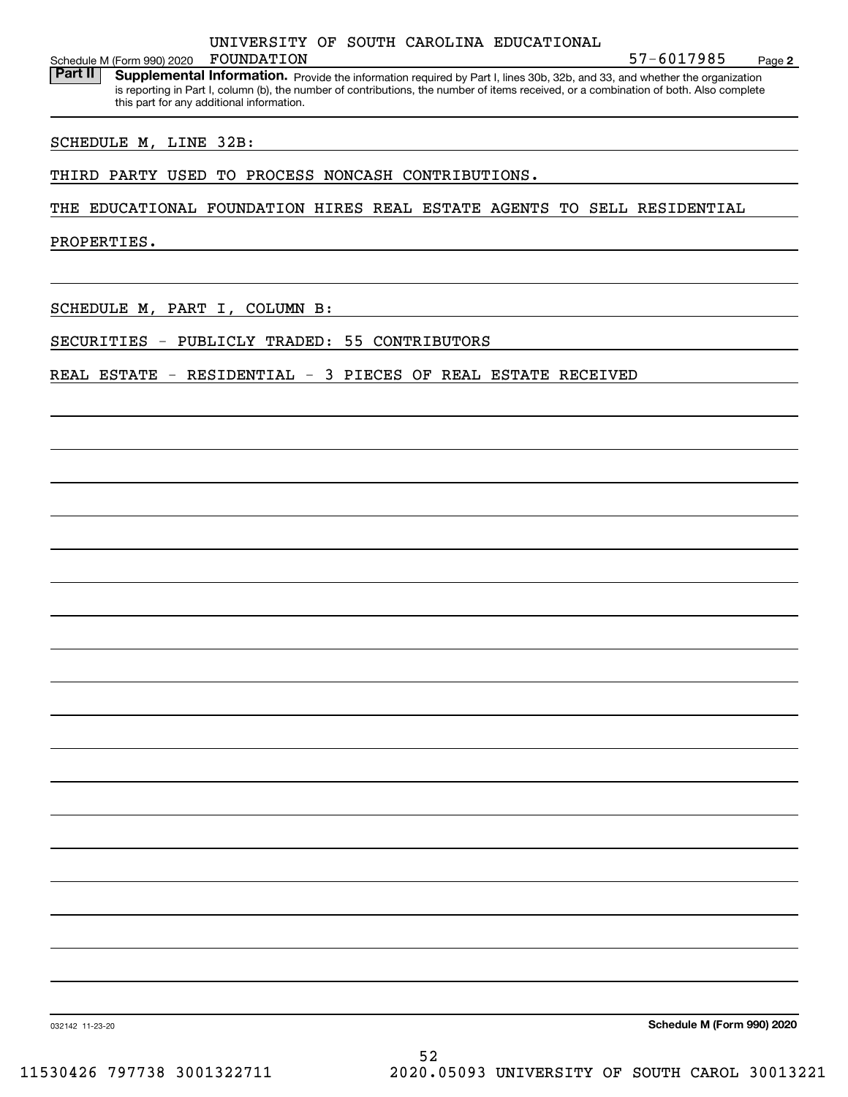Schedule M (Form 990) 2020 FOUNDATION

Part II | Supplemental Information. Provide the information required by Part I, lines 30b, 32b, and 33, and whether the organization is reporting in Part I, column (b), the number of contributions, the number of items received, or a combination of both. Also complete this part for any additional information.

SCHEDULE M, LINE 32B:

THIRD PARTY USED TO PROCESS NONCASH CONTRIBUTIONS.

THE EDUCATIONAL FOUNDATION HIRES REAL ESTATE AGENTS TO SELL RESIDENTIAL

PROPERTIES.

SCHEDULE M, PART I, COLUMN B:

SECURITIES - PUBLICLY TRADED: 55 CONTRIBUTORS

REAL ESTATE - RESIDENTIAL - 3 PIECES OF REAL ESTATE RECEIVED

**Schedule M (Form 990) 2020**

**2**

57-6017985

032142 11-23-20

52 11530426 797738 3001322711 2020.05093 UNIVERSITY OF SOUTH CAROL 30013221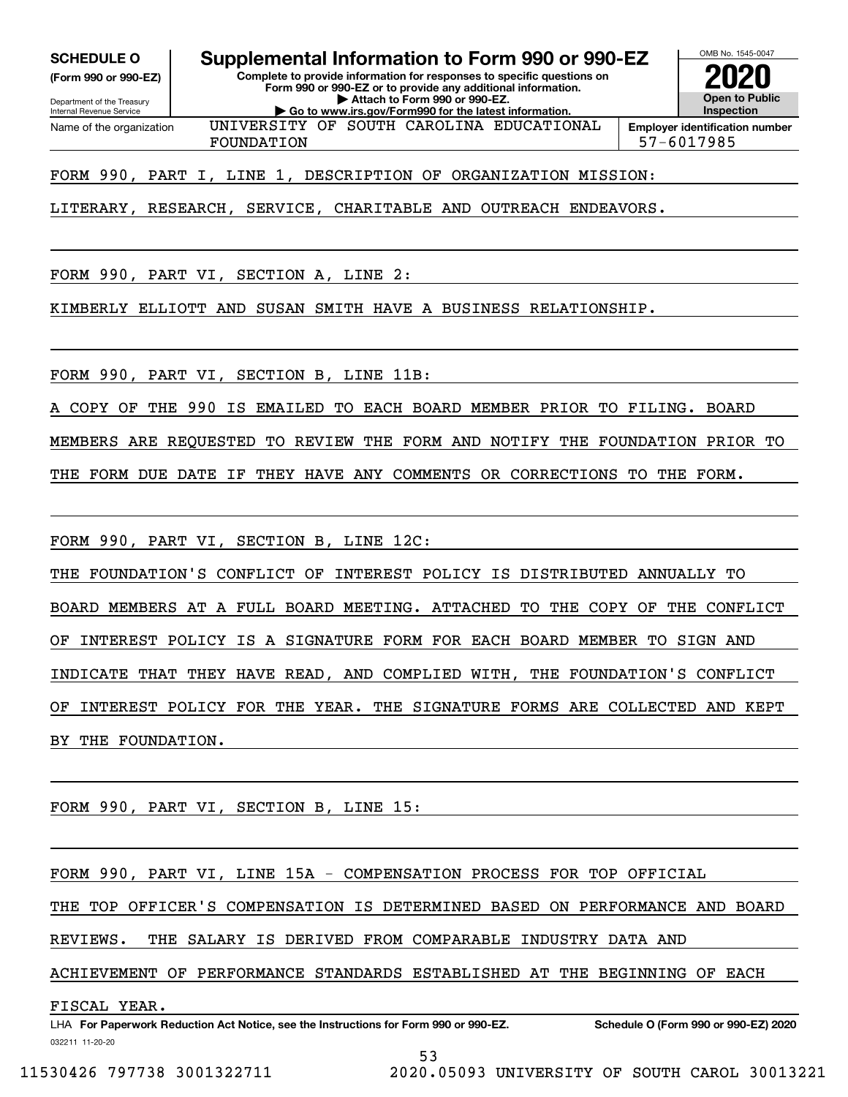**(Form 990 or 990-EZ)**

Department of the Treasury Internal Revenue Service Name of the organization

**SCHEDULE O Supplemental Information to Form 990 or 990-EZ**

**Complete to provide information for responses to specific questions on Form 990 or 990-EZ or to provide any additional information. | Attach to Form 990 or 990-EZ. | Go to www.irs.gov/Form990 for the latest information.** UNIVERSITY OF SOUTH CAROLINA EDUCATIONAL



FOUNDATION 57-6017985

FORM 990, PART I, LINE 1, DESCRIPTION OF ORGANIZATION MISSION:

LITERARY, RESEARCH, SERVICE, CHARITABLE AND OUTREACH ENDEAVORS.

FORM 990, PART VI, SECTION A, LINE 2:

KIMBERLY ELLIOTT AND SUSAN SMITH HAVE A BUSINESS RELATIONSHIP.

FORM 990, PART VI, SECTION B, LINE 11B:

COPY OF THE 990 IS EMAILED TO EACH BOARD MEMBER PRIOR TO FILING. BOARD

MEMBERS ARE REQUESTED TO REVIEW THE FORM AND NOTIFY THE FOUNDATION PRIOR TO

THE FORM DUE DATE IF THEY HAVE ANY COMMENTS OR CORRECTIONS TO THE FORM.

FORM 990, PART VI, SECTION B, LINE 12C:

THE FOUNDATION'S CONFLICT OF INTEREST POLICY IS DISTRIBUTED ANNUALLY TO BOARD MEMBERS AT A FULL BOARD MEETING. ATTACHED TO THE COPY OF THE CONFLICT OF INTEREST POLICY IS A SIGNATURE FORM FOR EACH BOARD MEMBER TO SIGN AND INDICATE THAT THEY HAVE READ, AND COMPLIED WITH, THE FOUNDATION'S CONFLICT OF INTEREST POLICY FOR THE YEAR. THE SIGNATURE FORMS ARE COLLECTED AND KEPT BY THE FOUNDATION.

FORM 990, PART VI, SECTION B, LINE 15:

FORM 990, PART VI, LINE 15A - COMPENSATION PROCESS FOR TOP OFFICIAL

THE TOP OFFICER'S COMPENSATION IS DETERMINED BASED ON PERFORMANCE AND BOARD

REVIEWS. THE SALARY IS DERIVED FROM COMPARABLE INDUSTRY DATA AND

ACHIEVEMENT OF PERFORMANCE STANDARDS ESTABLISHED AT THE BEGINNING OF EACH

FISCAL YEAR.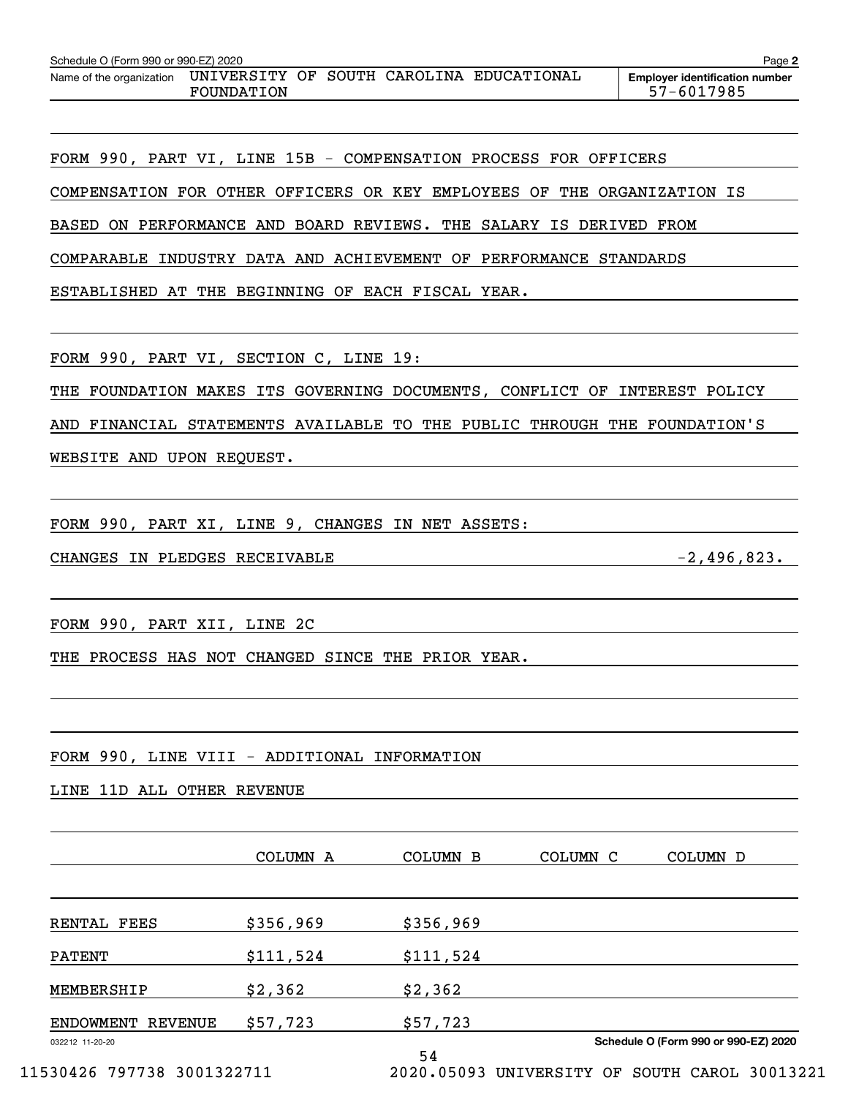| Schedule O (Form 990 or 990-EZ) 2020 |            |  |                                          | Page 2                                              |
|--------------------------------------|------------|--|------------------------------------------|-----------------------------------------------------|
| Name of the organization             | FOUNDATION |  | UNIVERSITY OF SOUTH CAROLINA EDUCATIONAL | <b>Emplover identification number</b><br>57-6017985 |

FORM 990, PART VI, LINE 15B - COMPENSATION PROCESS FOR OFFICERS COMPENSATION FOR OTHER OFFICERS OR KEY EMPLOYEES OF THE ORGANIZATION IS BASED ON PERFORMANCE AND BOARD REVIEWS. THE SALARY IS DERIVED FROM COMPARABLE INDUSTRY DATA AND ACHIEVEMENT OF PERFORMANCE STANDARDS ESTABLISHED AT THE BEGINNING OF EACH FISCAL YEAR.

FORM 990, PART VI, SECTION C, LINE 19:

THE FOUNDATION MAKES ITS GOVERNING DOCUMENTS, CONFLICT OF INTEREST POLICY

AND FINANCIAL STATEMENTS AVAILABLE TO THE PUBLIC THROUGH THE FOUNDATION'S

WEBSITE AND UPON REQUEST.

FORM 990, PART XI, LINE 9, CHANGES IN NET ASSETS:

CHANGES IN PLEDGES RECEIVABLE -2,496,823.

FORM 990, PART XII, LINE 2C

THE PROCESS HAS NOT CHANGED SINCE THE PRIOR YEAR.

FORM 990, LINE VIII - ADDITIONAL INFORMATION

LINE 11D ALL OTHER REVENUE

|                                    | COLUMN A  | <b>COLUMN B</b>          | COLUMN C | COLUMN D                             |
|------------------------------------|-----------|--------------------------|----------|--------------------------------------|
| RENTAL FEES                        | \$356,969 | \$356,969                |          |                                      |
| <b>PATENT</b>                      | \$111,524 | \$111,524                |          |                                      |
| MEMBERSHIP                         | \$2,362   | \$2,362                  |          |                                      |
| <b>REVENUE</b><br><b>ENDOWMENT</b> | \$57,723  | \$57,723                 |          |                                      |
| 032212 11-20-20                    |           | 54                       |          | Schedule O (Form 990 or 990-EZ) 2020 |
| 11530426 797738 3001322711         |           | 2020.05093 UNIVERSITY OF |          | SOUTH CAROL 30013221                 |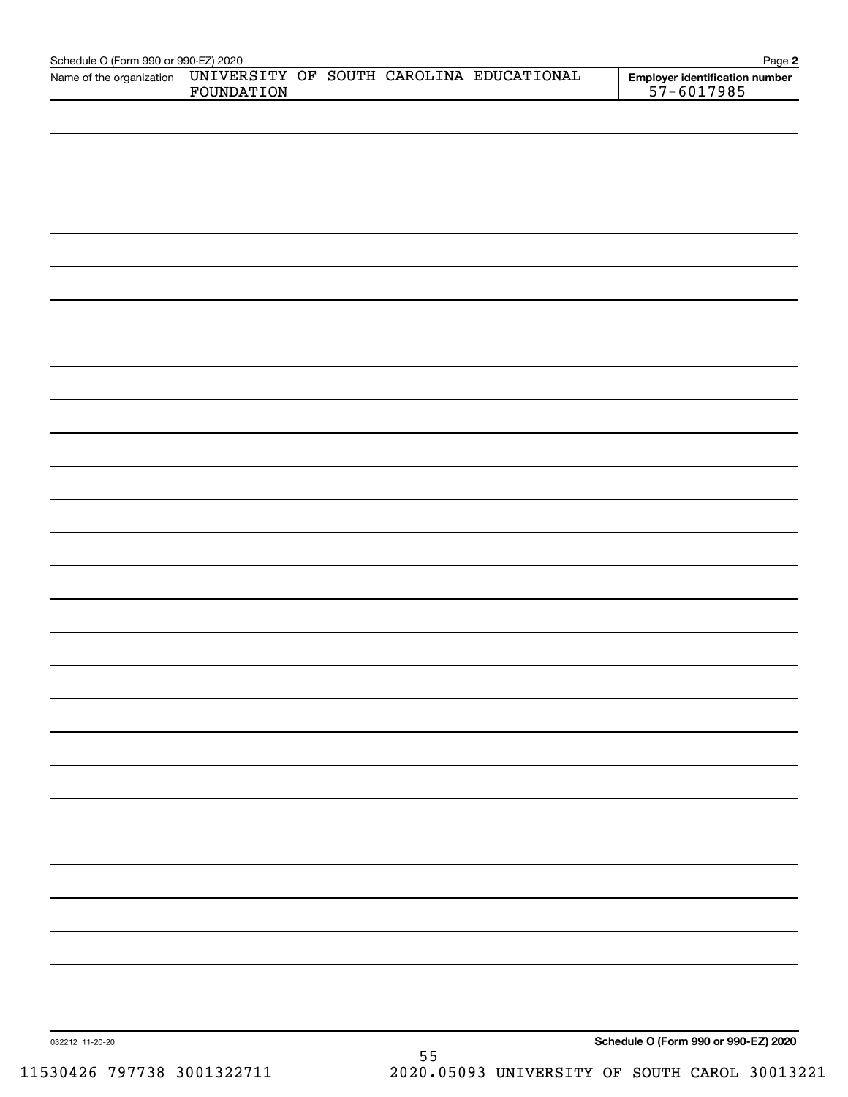| Schedule O (Form 990 or 990-EZ) 2020<br>Name of the organization | FOUNDATION |    | UNIVERSITY OF SOUTH CAROLINA EDUCATIONAL | Page 2<br>Employer identification number<br>$57 - 6017985$ |
|------------------------------------------------------------------|------------|----|------------------------------------------|------------------------------------------------------------|
|                                                                  |            |    |                                          |                                                            |
|                                                                  |            |    |                                          |                                                            |
|                                                                  |            |    |                                          |                                                            |
|                                                                  |            |    |                                          |                                                            |
|                                                                  |            |    |                                          |                                                            |
|                                                                  |            |    |                                          |                                                            |
|                                                                  |            |    |                                          |                                                            |
|                                                                  |            |    |                                          |                                                            |
|                                                                  |            |    |                                          |                                                            |
|                                                                  |            |    |                                          |                                                            |
|                                                                  |            |    |                                          |                                                            |
|                                                                  |            |    |                                          |                                                            |
|                                                                  |            |    |                                          |                                                            |
|                                                                  |            |    |                                          |                                                            |
|                                                                  |            |    |                                          |                                                            |
|                                                                  |            |    |                                          |                                                            |
|                                                                  |            |    |                                          |                                                            |
|                                                                  |            |    |                                          |                                                            |
|                                                                  |            |    |                                          |                                                            |
|                                                                  |            |    |                                          |                                                            |
|                                                                  |            |    |                                          |                                                            |
|                                                                  |            |    |                                          |                                                            |
|                                                                  |            |    |                                          |                                                            |
|                                                                  |            |    |                                          |                                                            |
|                                                                  |            |    |                                          |                                                            |
|                                                                  |            |    |                                          |                                                            |
|                                                                  |            |    |                                          |                                                            |
|                                                                  |            |    |                                          |                                                            |
|                                                                  |            |    |                                          |                                                            |
|                                                                  |            |    |                                          |                                                            |
|                                                                  |            |    |                                          |                                                            |
|                                                                  |            |    |                                          |                                                            |
|                                                                  |            |    |                                          |                                                            |
|                                                                  |            |    |                                          |                                                            |
|                                                                  |            |    |                                          |                                                            |
|                                                                  |            |    |                                          |                                                            |
|                                                                  |            |    |                                          |                                                            |
|                                                                  |            |    |                                          |                                                            |
| 032212 11-20-20                                                  |            | 55 |                                          | Schedule O (Form 990 or 990-EZ) 2020                       |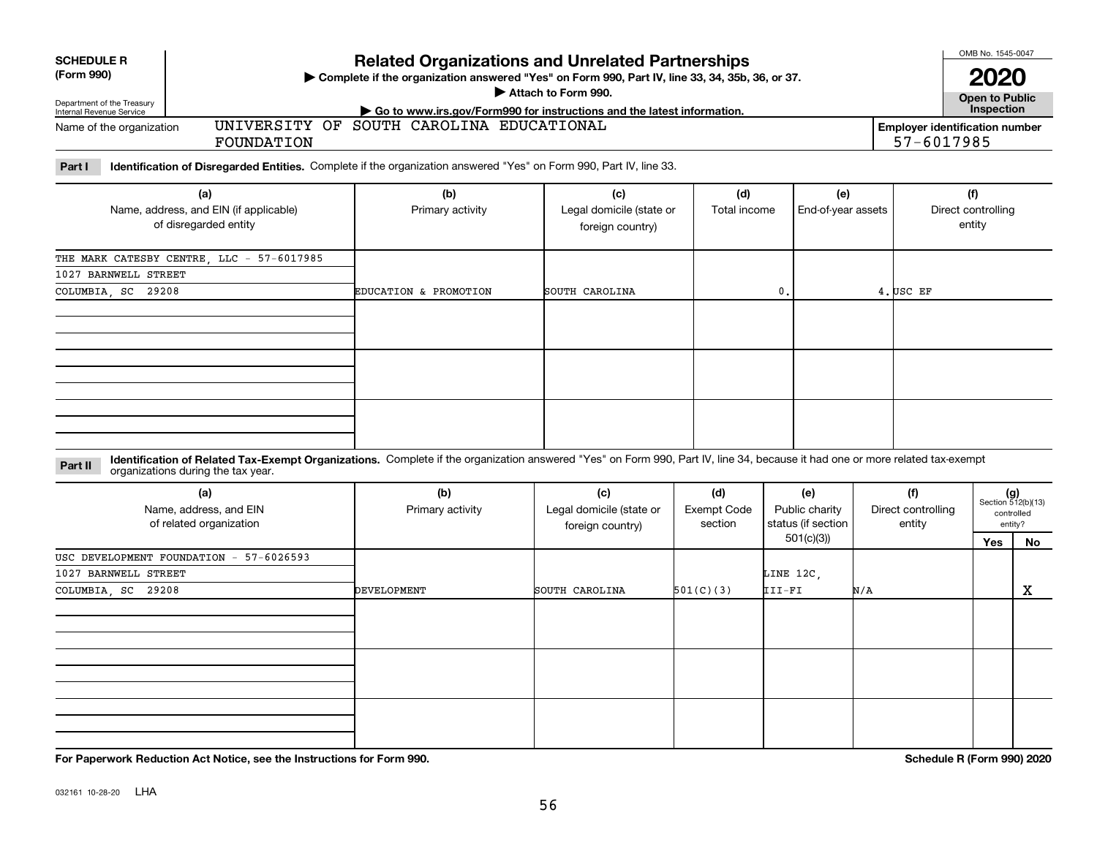| <b>SCHEDULE R</b><br>(Form 990)<br>Department of the Treasury<br>Internal Revenue Service |                                                                                                                                                                                                                    | <b>Related Organizations and Unrelated Partnerships</b><br>Complete if the organization answered "Yes" on Form 990, Part IV, line 33, 34, 35b, 36, or 37. | Attach to Form 990.                                 |                                      |                                                          |                                     | OMB No. 1545-0047<br>2020<br><b>Open to Public</b>                |                                                            |
|-------------------------------------------------------------------------------------------|--------------------------------------------------------------------------------------------------------------------------------------------------------------------------------------------------------------------|-----------------------------------------------------------------------------------------------------------------------------------------------------------|-----------------------------------------------------|--------------------------------------|----------------------------------------------------------|-------------------------------------|-------------------------------------------------------------------|------------------------------------------------------------|
| Name of the organization                                                                  | FOUNDATION                                                                                                                                                                                                         | Go to www.irs.gov/Form990 for instructions and the latest information.<br>UNIVERSITY OF SOUTH CAROLINA EDUCATIONAL                                        |                                                     |                                      |                                                          |                                     | Inspection<br><b>Employer identification number</b><br>57-6017985 |                                                            |
| Part I                                                                                    | Identification of Disregarded Entities. Complete if the organization answered "Yes" on Form 990, Part IV, line 33.                                                                                                 |                                                                                                                                                           |                                                     |                                      |                                                          |                                     |                                                                   |                                                            |
|                                                                                           | (a)<br>Name, address, and EIN (if applicable)<br>of disregarded entity                                                                                                                                             | (b)<br>Primary activity                                                                                                                                   | (c)<br>Legal domicile (state or<br>foreign country) | (d)<br>Total income                  | (e)<br>End-of-year assets                                |                                     | (f)<br>Direct controlling<br>entity                               |                                                            |
|                                                                                           | THE MARK CATESBY CENTRE, LLC - 57-6017985                                                                                                                                                                          |                                                                                                                                                           |                                                     |                                      |                                                          |                                     |                                                                   |                                                            |
| 1027 BARNWELL STREET<br>COLUMBIA, SC 29208                                                |                                                                                                                                                                                                                    | EDUCATION & PROMOTION                                                                                                                                     | SOUTH CAROLINA                                      |                                      | $\mathbf{0}$ .                                           | 4. USC EF                           |                                                                   |                                                            |
|                                                                                           |                                                                                                                                                                                                                    |                                                                                                                                                           |                                                     |                                      |                                                          |                                     |                                                                   |                                                            |
|                                                                                           |                                                                                                                                                                                                                    |                                                                                                                                                           |                                                     |                                      |                                                          |                                     |                                                                   |                                                            |
|                                                                                           |                                                                                                                                                                                                                    |                                                                                                                                                           |                                                     |                                      |                                                          |                                     |                                                                   |                                                            |
| Part II                                                                                   | Identification of Related Tax-Exempt Organizations. Complete if the organization answered "Yes" on Form 990, Part IV, line 34, because it had one or more related tax-exempt<br>organizations during the tax year. |                                                                                                                                                           |                                                     |                                      |                                                          |                                     |                                                                   |                                                            |
|                                                                                           | (a)<br>Name, address, and EIN<br>of related organization                                                                                                                                                           | (b)<br>Primary activity                                                                                                                                   | (c)<br>Legal domicile (state or<br>foreign country) | (d)<br><b>Exempt Code</b><br>section | (e)<br>Public charity<br>status (if section<br>501(c)(3) | (f)<br>Direct controlling<br>entity | Yes                                                               | $(g)$<br>Section 512(b)(13)<br>controlled<br>entity?<br>No |
|                                                                                           | USC DEVELOPMENT FOUNDATION - 57-6026593                                                                                                                                                                            |                                                                                                                                                           |                                                     |                                      |                                                          |                                     |                                                                   |                                                            |
| 1027 BARNWELL STREET<br>COLUMBIA, SC 29208                                                |                                                                                                                                                                                                                    | DEVELOPMENT                                                                                                                                               | SOUTH CAROLINA                                      | 501(C)(3)                            | LINE 12C,<br>III-FI                                      | N/A                                 |                                                                   | x                                                          |
|                                                                                           |                                                                                                                                                                                                                    |                                                                                                                                                           |                                                     |                                      |                                                          |                                     |                                                                   |                                                            |
|                                                                                           | For Paperwork Reduction Act Notice, see the Instructions for Form 990.                                                                                                                                             |                                                                                                                                                           |                                                     |                                      |                                                          |                                     | Schedule R (Form 990) 2020                                        |                                                            |

032161 10-28-20 LHA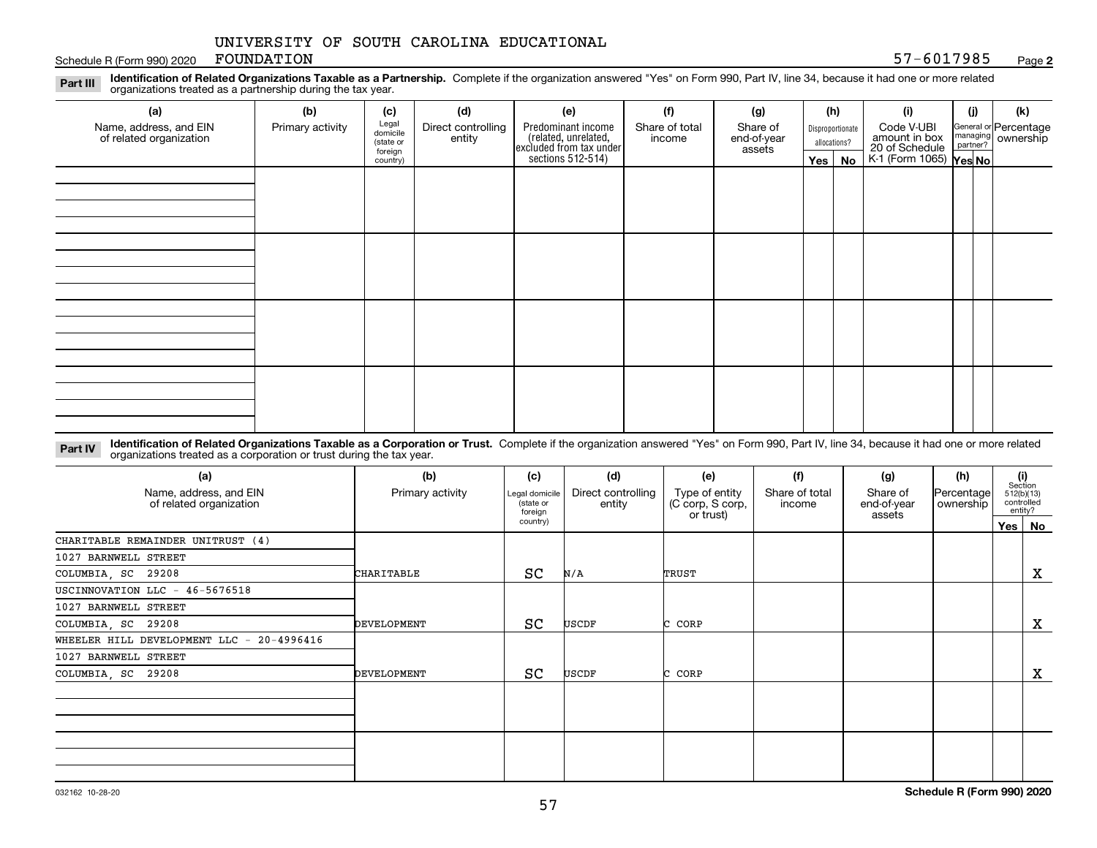Schedule R (Form 990) 2020 FOUNDATION 6-12 September 2020 12:30 Schedule R (Form 990) 2020 FOUNDATION FOUNDATION

**2**

**Identification of Related Organizations Taxable as a Partnership.** Complete if the organization answered "Yes" on Form 990, Part IV, line 34, because it had one or more related **Part III** organizations treated as a partnership during the tax year.

| $\tilde{\phantom{a}}$                             |                  |                      |                              |                                                                                            |                          |                         |            |                  |                                                           |     |                                                           |
|---------------------------------------------------|------------------|----------------------|------------------------------|--------------------------------------------------------------------------------------------|--------------------------|-------------------------|------------|------------------|-----------------------------------------------------------|-----|-----------------------------------------------------------|
| (a)                                               | (b)              | (c)                  | (d)                          | (e)                                                                                        | (f)                      | (g)                     |            | (h)              | (i)                                                       | (i) | (k)                                                       |
| Name, address, and EIN<br>of related organization | Primary activity | Legal<br>domicile    | Direct controlling<br>entity | Predominant income<br>(related, unrelated,<br>excluded from tax under<br>sections 512-514) | Share of total<br>income | Share of<br>end-of-year |            | Disproportionate | Code V-UBI                                                |     | General or Percentage<br>managing<br>partner?<br>partner? |
|                                                   |                  | (state or<br>foreign |                              |                                                                                            |                          | assets                  |            | allocations?     | amount in box<br>20 of Schedule<br>K-1 (Form 1065) Yes No |     |                                                           |
|                                                   |                  | country)             |                              |                                                                                            |                          |                         | $Yes \mid$ | No               |                                                           |     |                                                           |
|                                                   |                  |                      |                              |                                                                                            |                          |                         |            |                  |                                                           |     |                                                           |
|                                                   |                  |                      |                              |                                                                                            |                          |                         |            |                  |                                                           |     |                                                           |
|                                                   |                  |                      |                              |                                                                                            |                          |                         |            |                  |                                                           |     |                                                           |
|                                                   |                  |                      |                              |                                                                                            |                          |                         |            |                  |                                                           |     |                                                           |
|                                                   |                  |                      |                              |                                                                                            |                          |                         |            |                  |                                                           |     |                                                           |
|                                                   |                  |                      |                              |                                                                                            |                          |                         |            |                  |                                                           |     |                                                           |
|                                                   |                  |                      |                              |                                                                                            |                          |                         |            |                  |                                                           |     |                                                           |
|                                                   |                  |                      |                              |                                                                                            |                          |                         |            |                  |                                                           |     |                                                           |
|                                                   |                  |                      |                              |                                                                                            |                          |                         |            |                  |                                                           |     |                                                           |
|                                                   |                  |                      |                              |                                                                                            |                          |                         |            |                  |                                                           |     |                                                           |
|                                                   |                  |                      |                              |                                                                                            |                          |                         |            |                  |                                                           |     |                                                           |
|                                                   |                  |                      |                              |                                                                                            |                          |                         |            |                  |                                                           |     |                                                           |
|                                                   |                  |                      |                              |                                                                                            |                          |                         |            |                  |                                                           |     |                                                           |
|                                                   |                  |                      |                              |                                                                                            |                          |                         |            |                  |                                                           |     |                                                           |
|                                                   |                  |                      |                              |                                                                                            |                          |                         |            |                  |                                                           |     |                                                           |
|                                                   |                  |                      |                              |                                                                                            |                          |                         |            |                  |                                                           |     |                                                           |
|                                                   |                  |                      |                              |                                                                                            |                          |                         |            |                  |                                                           |     |                                                           |

**Identification of Related Organizations Taxable as a Corporation or Trust.** Complete if the organization answered "Yes" on Form 990, Part IV, line 34, because it had one or more related **Part IV** organizations treated as a corporation or trust during the tax year.

| (a)<br>Name, address, and EIN<br>of related organization                                | (b)<br>Primary activity | (c)<br>Legal domicile<br>(state or<br>foreign<br>country) | (d)<br>Direct controlling<br>entity | (e)<br>Type of entity<br>(C corp, S corp,<br>or trust) | (f)<br>Share of total<br>income | (g)<br>Share of<br>end-of-year<br>assets | (h)<br> Percentage <br>ownership | (i)<br>Section<br>512(b)(13)<br>controlled<br>entity?<br>Yes   No |
|-----------------------------------------------------------------------------------------|-------------------------|-----------------------------------------------------------|-------------------------------------|--------------------------------------------------------|---------------------------------|------------------------------------------|----------------------------------|-------------------------------------------------------------------|
| CHARITABLE REMAINDER UNITRUST (4)<br>1027 BARNWELL STREET                               |                         |                                                           |                                     |                                                        |                                 |                                          |                                  |                                                                   |
| COLUMBIA, SC 29208                                                                      | CHARITABLE              | SC                                                        | N/A                                 | TRUST                                                  |                                 |                                          |                                  | X                                                                 |
| USCINNOVATION LLC - 46-5676518<br>1027 BARNWELL STREET<br>COLUMBIA, SC 29208            | DEVELOPMENT             | SC                                                        | USCDF                               | C CORP                                                 |                                 |                                          |                                  | X                                                                 |
| WHEELER HILL DEVELOPMENT LLC - 20-4996416<br>1027 BARNWELL STREET<br>COLUMBIA, SC 29208 | DEVELOPMENT             | SC                                                        | USCDF                               | CORP                                                   |                                 |                                          |                                  | х                                                                 |
|                                                                                         |                         |                                                           |                                     |                                                        |                                 |                                          |                                  |                                                                   |
|                                                                                         |                         |                                                           |                                     |                                                        |                                 |                                          |                                  |                                                                   |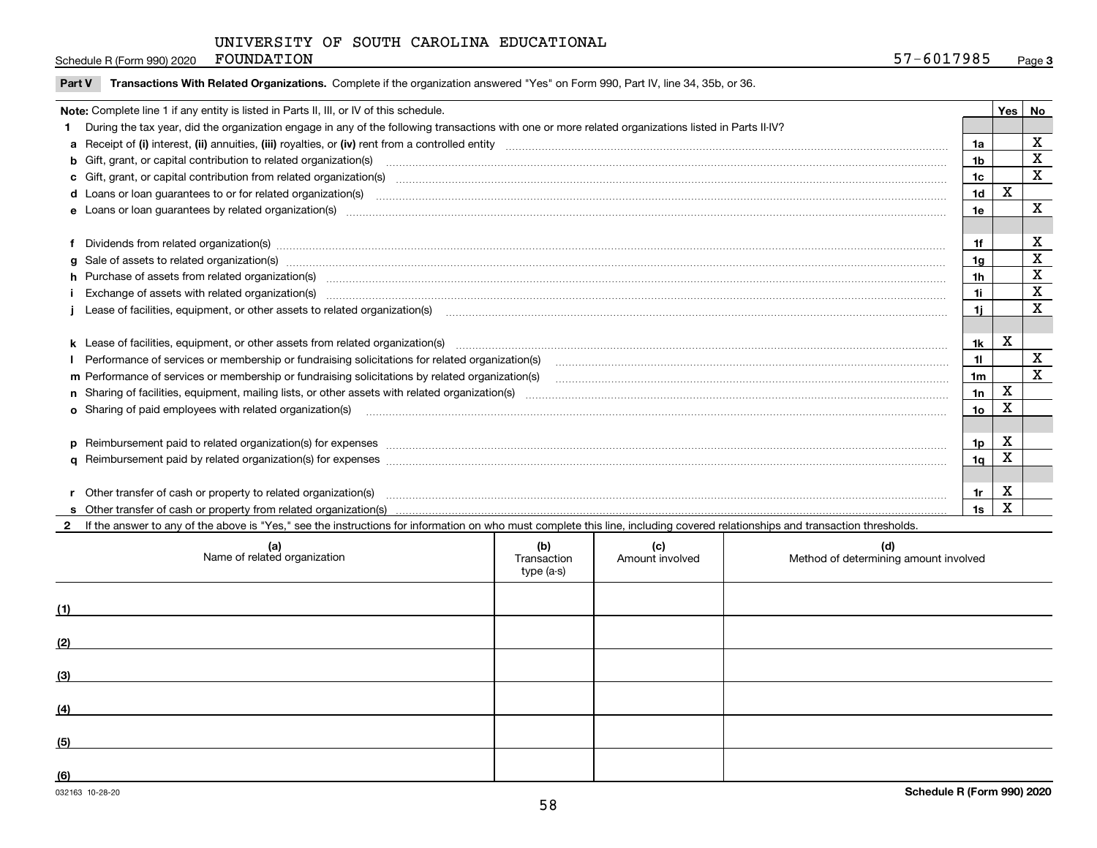Schedule R (Form 990) 2020 FOUNDATION

|  | Part V Transactions With Related Organizations. Complete if the organization answered "Yes" on Form 990, Part IV, line 34, 35b, or 36. |  |  |  |
|--|----------------------------------------------------------------------------------------------------------------------------------------|--|--|--|
|--|----------------------------------------------------------------------------------------------------------------------------------------|--|--|--|

| Note: Complete line 1 if any entity is listed in Parts II, III, or IV of this schedule.                                                                                                                                        |                 | Yes | l No        |
|--------------------------------------------------------------------------------------------------------------------------------------------------------------------------------------------------------------------------------|-----------------|-----|-------------|
| During the tax year, did the organization engage in any of the following transactions with one or more related organizations listed in Parts II-IV?                                                                            |                 |     |             |
|                                                                                                                                                                                                                                | 1a              |     | X           |
| b Gift, grant, or capital contribution to related organization(s) mature and contained and contribution to related organization(s) matures are contained and contribution to related organization(s)                           | 1b              |     | X           |
|                                                                                                                                                                                                                                | 1 <sub>c</sub>  |     | X           |
|                                                                                                                                                                                                                                | 1d              | X   |             |
|                                                                                                                                                                                                                                | 1e              |     | X           |
|                                                                                                                                                                                                                                |                 |     |             |
| f Dividends from related organization(s) manufactured contains and contained and contained contained and contained and contained and contained and contained and contained and contained and contained and contained and conta | 1f              |     | X           |
| g Sale of assets to related organization(s) www.assettion.com/www.assettion.com/www.assettion.com/www.assettion.com/www.assettion.com/www.assettion.com/www.assettion.com/www.assettion.com/www.assettion.com/www.assettion.co | 1a              |     | X           |
| h Purchase of assets from related organization(s) manufactured and content and content and content and content and content and content and content and content and content and content and content and content and content and | 1 <sub>h</sub>  |     | X           |
|                                                                                                                                                                                                                                | 1i              |     | X           |
|                                                                                                                                                                                                                                | 1i.             |     | X           |
|                                                                                                                                                                                                                                |                 |     |             |
| k Lease of facilities, equipment, or other assets from related organization(s) manufaction content and content to the assets from related organization(s) manufaction content and content and content and content and content  | 1k              | x   |             |
|                                                                                                                                                                                                                                | 11              |     | X           |
| m Performance of services or membership or fundraising solicitations by related organization(s)                                                                                                                                | 1 <sub>m</sub>  |     | $\mathbf x$ |
|                                                                                                                                                                                                                                | 1n              | X   |             |
|                                                                                                                                                                                                                                | 10 <sub>o</sub> | X   |             |
|                                                                                                                                                                                                                                |                 |     |             |
| p Reimbursement paid to related organization(s) for expenses [111] resummand content to content the set of the set of the set of the set of the set of the set of the set of the set of the set of the set of the set of the s | 1p              | X   |             |
|                                                                                                                                                                                                                                | 1 <sub>a</sub>  | Χ   |             |
|                                                                                                                                                                                                                                |                 |     |             |
| Other transfer of cash or property to related organization(s)                                                                                                                                                                  | 1r              | х   |             |
|                                                                                                                                                                                                                                | 1s              | X   |             |

**2**If the answer to any of the above is "Yes," see the instructions for information on who must complete this line, including covered relationships and transaction thresholds.

| (a)<br>Name of related organization | (b)<br>Transaction<br>type (a-s) | (c)<br>Amount involved | (d)<br>Method of determining amount involved |
|-------------------------------------|----------------------------------|------------------------|----------------------------------------------|
| (1)                                 |                                  |                        |                                              |
| (2)                                 |                                  |                        |                                              |
| (3)                                 |                                  |                        |                                              |
| (4)                                 |                                  |                        |                                              |
| (5)                                 |                                  |                        |                                              |
| (6)                                 |                                  |                        |                                              |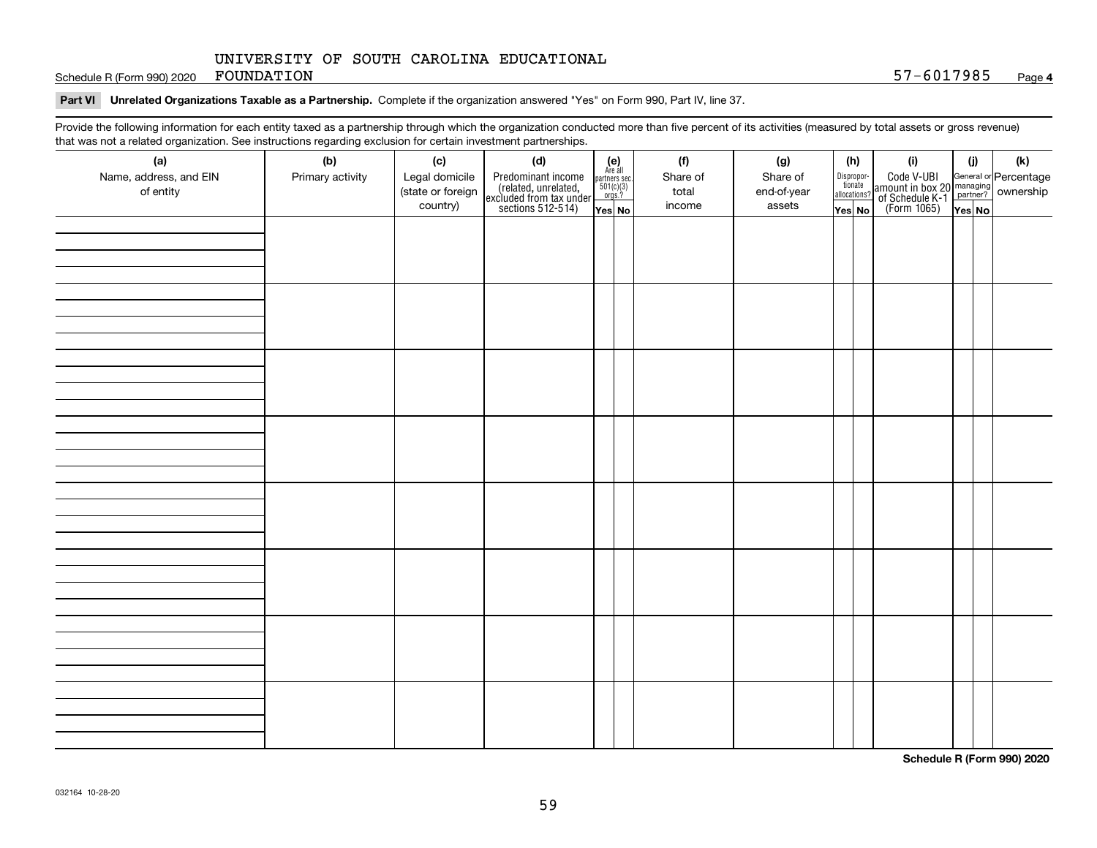Schedule R (Form 990) 2020 FOUNDATION

#### **Part VI Unrelated Organizations Taxable as a Partnership. Complete if the organization answered "Yes" on Form 990, Part IV, line 37.**

Provide the following information for each entity taxed as a partnership through which the organization conducted more than five percent of its activities (measured by total assets or gross revenue) that was not a related organization. See instructions regarding exclusion for certain investment partnerships.

| that machieve a related erganization. See includitional regarding excludion for contain invectment partnerompe.<br>(a) | (b)              | (c)                                 | (d)                                                                                        |                                                                                                                  | (f)               | (g)                     | (h)                              | (i)                                                                                          | (i) | (k) |
|------------------------------------------------------------------------------------------------------------------------|------------------|-------------------------------------|--------------------------------------------------------------------------------------------|------------------------------------------------------------------------------------------------------------------|-------------------|-------------------------|----------------------------------|----------------------------------------------------------------------------------------------|-----|-----|
| Name, address, and EIN<br>of entity                                                                                    | Primary activity | Legal domicile<br>(state or foreign | Predominant income<br>(related, unrelated,<br>excluded from tax under<br>sections 512-514) | $\begin{array}{c} \textbf{(e)}\\ \text{Are all} \\ \text{partners sec.}\\ 501(c)(3)\\ \text{orgs.?} \end{array}$ | Share of<br>total | Share of<br>end-of-year | Disproportionate<br>allocations? | Code V-UBI<br>amount in box 20 managing<br>of Schedule K-1 partner?<br>(Form 1065)<br>ves No |     |     |
|                                                                                                                        |                  | country)                            |                                                                                            | Yes No                                                                                                           | income            | assets                  | Yes No                           |                                                                                              |     |     |
|                                                                                                                        |                  |                                     |                                                                                            |                                                                                                                  |                   |                         |                                  |                                                                                              |     |     |
|                                                                                                                        |                  |                                     |                                                                                            |                                                                                                                  |                   |                         |                                  |                                                                                              |     |     |
|                                                                                                                        |                  |                                     |                                                                                            |                                                                                                                  |                   |                         |                                  |                                                                                              |     |     |
|                                                                                                                        |                  |                                     |                                                                                            |                                                                                                                  |                   |                         |                                  |                                                                                              |     |     |
|                                                                                                                        |                  |                                     |                                                                                            |                                                                                                                  |                   |                         |                                  |                                                                                              |     |     |
|                                                                                                                        |                  |                                     |                                                                                            |                                                                                                                  |                   |                         |                                  |                                                                                              |     |     |
|                                                                                                                        |                  |                                     |                                                                                            |                                                                                                                  |                   |                         |                                  |                                                                                              |     |     |
|                                                                                                                        |                  |                                     |                                                                                            |                                                                                                                  |                   |                         |                                  |                                                                                              |     |     |
|                                                                                                                        |                  |                                     |                                                                                            |                                                                                                                  |                   |                         |                                  |                                                                                              |     |     |
|                                                                                                                        |                  |                                     |                                                                                            |                                                                                                                  |                   |                         |                                  |                                                                                              |     |     |
|                                                                                                                        |                  |                                     |                                                                                            |                                                                                                                  |                   |                         |                                  |                                                                                              |     |     |
|                                                                                                                        |                  |                                     |                                                                                            |                                                                                                                  |                   |                         |                                  |                                                                                              |     |     |
|                                                                                                                        |                  |                                     |                                                                                            |                                                                                                                  |                   |                         |                                  |                                                                                              |     |     |
|                                                                                                                        |                  |                                     |                                                                                            |                                                                                                                  |                   |                         |                                  |                                                                                              |     |     |
|                                                                                                                        |                  |                                     |                                                                                            |                                                                                                                  |                   |                         |                                  |                                                                                              |     |     |
|                                                                                                                        |                  |                                     |                                                                                            |                                                                                                                  |                   |                         |                                  |                                                                                              |     |     |
|                                                                                                                        |                  |                                     |                                                                                            |                                                                                                                  |                   |                         |                                  |                                                                                              |     |     |
|                                                                                                                        |                  |                                     |                                                                                            |                                                                                                                  |                   |                         |                                  |                                                                                              |     |     |
|                                                                                                                        |                  |                                     |                                                                                            |                                                                                                                  |                   |                         |                                  |                                                                                              |     |     |
|                                                                                                                        |                  |                                     |                                                                                            |                                                                                                                  |                   |                         |                                  |                                                                                              |     |     |
|                                                                                                                        |                  |                                     |                                                                                            |                                                                                                                  |                   |                         |                                  |                                                                                              |     |     |
|                                                                                                                        |                  |                                     |                                                                                            |                                                                                                                  |                   |                         |                                  |                                                                                              |     |     |
|                                                                                                                        |                  |                                     |                                                                                            |                                                                                                                  |                   |                         |                                  |                                                                                              |     |     |
|                                                                                                                        |                  |                                     |                                                                                            |                                                                                                                  |                   |                         |                                  |                                                                                              |     |     |
|                                                                                                                        |                  |                                     |                                                                                            |                                                                                                                  |                   |                         |                                  |                                                                                              |     |     |
|                                                                                                                        |                  |                                     |                                                                                            |                                                                                                                  |                   |                         |                                  |                                                                                              |     |     |
|                                                                                                                        |                  |                                     |                                                                                            |                                                                                                                  |                   |                         |                                  |                                                                                              |     |     |
|                                                                                                                        |                  |                                     |                                                                                            |                                                                                                                  |                   |                         |                                  |                                                                                              |     |     |
|                                                                                                                        |                  |                                     |                                                                                            |                                                                                                                  |                   |                         |                                  |                                                                                              |     |     |
|                                                                                                                        |                  |                                     |                                                                                            |                                                                                                                  |                   |                         |                                  |                                                                                              |     |     |
|                                                                                                                        |                  |                                     |                                                                                            |                                                                                                                  |                   |                         |                                  |                                                                                              |     |     |

**Schedule R (Form 990) 2020**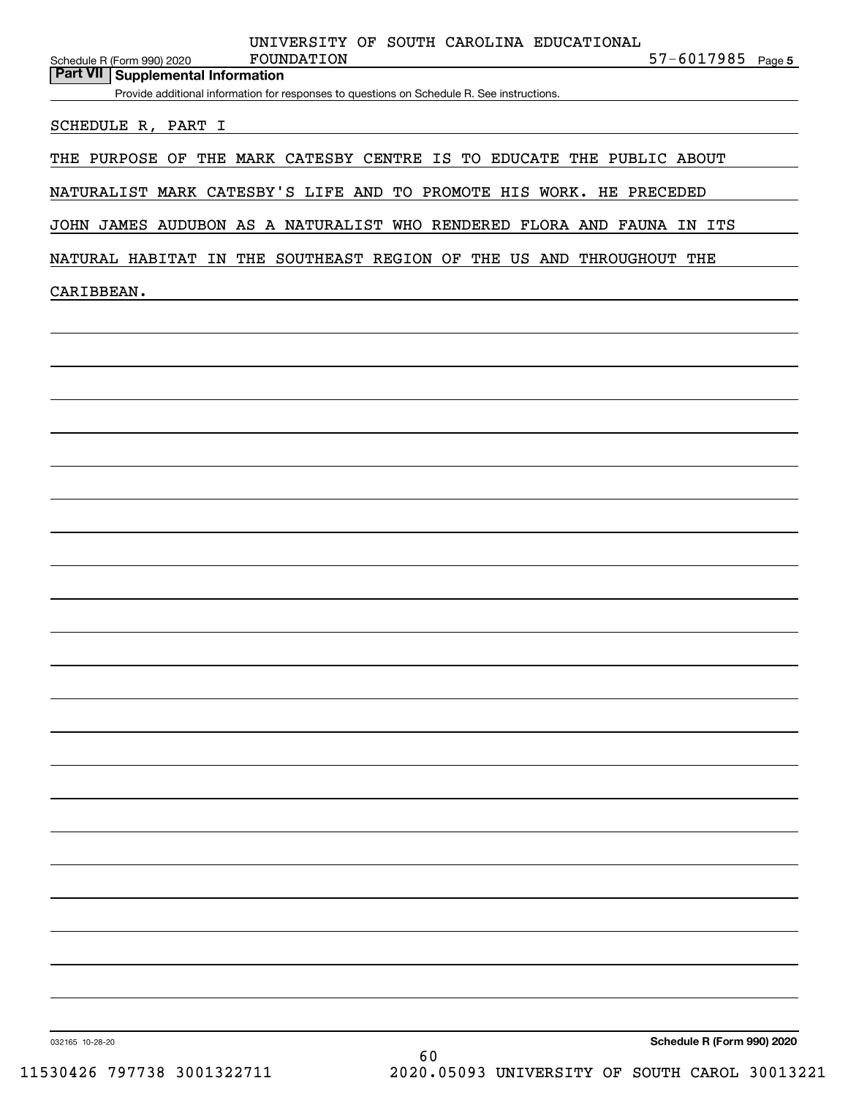|                    | Provide additional information for responses to questions on Schedule R. See instructions. |  |
|--------------------|--------------------------------------------------------------------------------------------|--|
| SCHEDULE R, PART I |                                                                                            |  |
|                    | THE PURPOSE OF THE MARK CATESBY CENTRE IS TO EDUCATE THE PUBLIC ABOUT                      |  |
|                    | NATURALIST MARK CATESBY'S LIFE AND TO PROMOTE HIS WORK. HE PRECEDED                        |  |
|                    | JOHN JAMES AUDUBON AS A NATURALIST WHO RENDERED FLORA AND FAUNA IN ITS                     |  |
|                    | NATURAL HABITAT IN THE SOUTHEAST REGION OF THE US AND THROUGHOUT THE                       |  |
| CARIBBEAN.         |                                                                                            |  |
|                    | <u> 1989 - Andrea Andrew Maria (h. 1989).</u>                                              |  |
|                    |                                                                                            |  |
|                    |                                                                                            |  |
|                    |                                                                                            |  |
|                    |                                                                                            |  |
|                    |                                                                                            |  |
|                    |                                                                                            |  |
|                    |                                                                                            |  |
|                    |                                                                                            |  |
|                    |                                                                                            |  |
|                    |                                                                                            |  |
|                    |                                                                                            |  |
|                    |                                                                                            |  |
|                    |                                                                                            |  |
|                    |                                                                                            |  |
|                    |                                                                                            |  |
|                    |                                                                                            |  |
|                    |                                                                                            |  |
|                    |                                                                                            |  |
|                    |                                                                                            |  |
|                    |                                                                                            |  |
|                    |                                                                                            |  |
|                    |                                                                                            |  |
|                    |                                                                                            |  |
|                    |                                                                                            |  |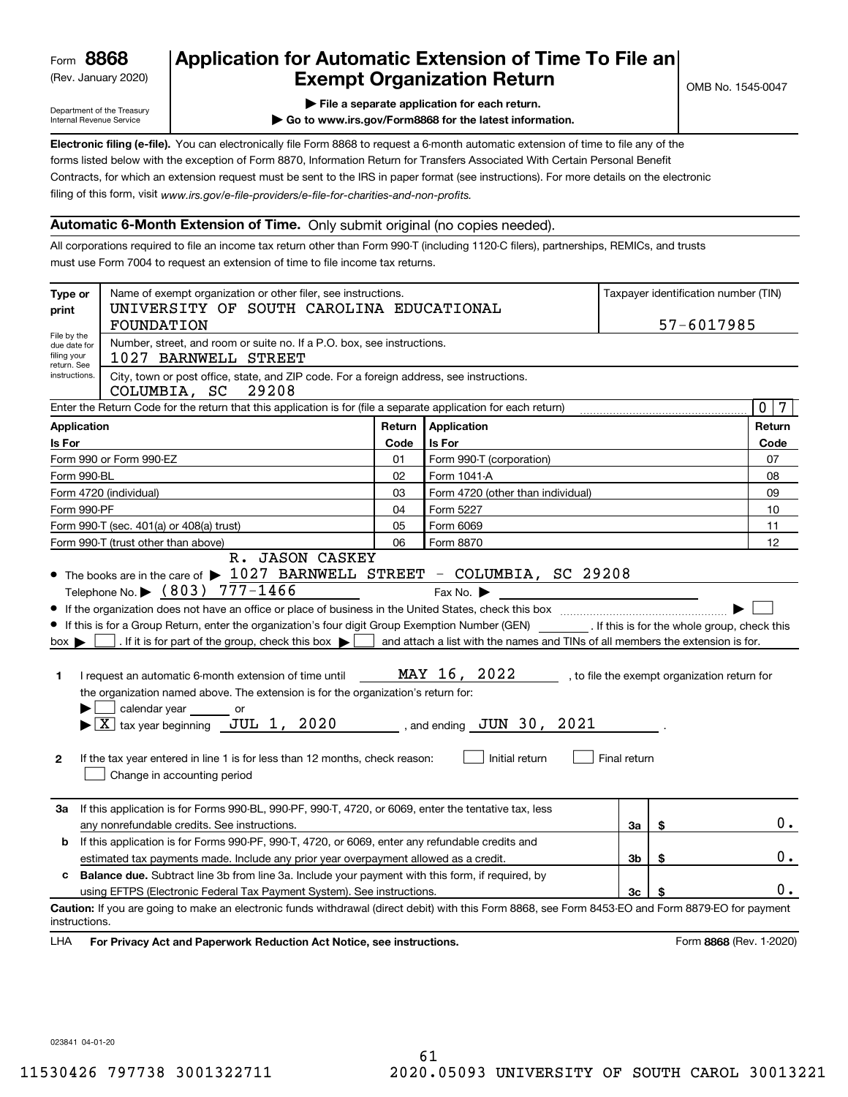(Rev. January 2020)

## **Application for Automatic Extension of Time To File an Exempt Organization Return**

Department of the Treasury Internal Revenue Service

**| File a separate application for each return.**

**| Go to www.irs.gov/Form8868 for the latest information.**

**Electronic filing (e-file).**  You can electronically file Form 8868 to request a 6-month automatic extension of time to file any of the filing of this form, visit www.irs.gov/e-file-providers/e-file-for-charities-and-non-profits. forms listed below with the exception of Form 8870, Information Return for Transfers Associated With Certain Personal Benefit Contracts, for which an extension request must be sent to the IRS in paper format (see instructions). For more details on the electronic

#### **Automatic 6-Month Extension of Time.** Only submit original (no copies needed).

All corporations required to file an income tax return other than Form 990-T (including 1120-C filers), partnerships, REMICs, and trusts must use Form 7004 to request an extension of time to file income tax returns.

| Type or<br>print                                          | Name of exempt organization or other filer, see instructions.<br>UNIVERSITY OF SOUTH CAROLINA EDUCATIONAL<br><b>FOUNDATION</b>                                                                                                                                                                                                                                                                                                                                                                                                                                                                                     |        |                                                                                                                  |                |                                              | Taxpayer identification number (TIN)<br>57-6017985 |                   |
|-----------------------------------------------------------|--------------------------------------------------------------------------------------------------------------------------------------------------------------------------------------------------------------------------------------------------------------------------------------------------------------------------------------------------------------------------------------------------------------------------------------------------------------------------------------------------------------------------------------------------------------------------------------------------------------------|--------|------------------------------------------------------------------------------------------------------------------|----------------|----------------------------------------------|----------------------------------------------------|-------------------|
| File by the<br>due date for<br>filing your<br>return. See | Number, street, and room or suite no. If a P.O. box, see instructions.<br>1027 BARNWELL STREET                                                                                                                                                                                                                                                                                                                                                                                                                                                                                                                     |        |                                                                                                                  |                |                                              |                                                    |                   |
| instructions.                                             | City, town or post office, state, and ZIP code. For a foreign address, see instructions.<br>COLUMBIA, SC<br>29208                                                                                                                                                                                                                                                                                                                                                                                                                                                                                                  |        |                                                                                                                  |                |                                              |                                                    |                   |
|                                                           | Enter the Return Code for the return that this application is for (file a separate application for each return)                                                                                                                                                                                                                                                                                                                                                                                                                                                                                                    |        |                                                                                                                  |                |                                              |                                                    | $\mathbf{0}$<br>7 |
| <b>Application</b>                                        |                                                                                                                                                                                                                                                                                                                                                                                                                                                                                                                                                                                                                    | Return | Application                                                                                                      |                |                                              |                                                    | Return            |
| Is For                                                    |                                                                                                                                                                                                                                                                                                                                                                                                                                                                                                                                                                                                                    | Code   | Is For                                                                                                           |                |                                              |                                                    | Code              |
|                                                           | Form 990 or Form 990-EZ                                                                                                                                                                                                                                                                                                                                                                                                                                                                                                                                                                                            | 01     | Form 990-T (corporation)                                                                                         |                |                                              |                                                    | 07                |
| Form 990-BL                                               |                                                                                                                                                                                                                                                                                                                                                                                                                                                                                                                                                                                                                    | 02     | Form 1041-A                                                                                                      |                |                                              |                                                    | 08                |
|                                                           | Form 4720 (individual)                                                                                                                                                                                                                                                                                                                                                                                                                                                                                                                                                                                             | 03     | Form 4720 (other than individual)                                                                                |                |                                              |                                                    | 09                |
| Form 990-PF                                               |                                                                                                                                                                                                                                                                                                                                                                                                                                                                                                                                                                                                                    | 04     | Form 5227                                                                                                        |                |                                              |                                                    | 10                |
|                                                           | Form 990-T (sec. 401(a) or 408(a) trust)                                                                                                                                                                                                                                                                                                                                                                                                                                                                                                                                                                           | 05     | Form 6069                                                                                                        |                |                                              |                                                    | 11                |
|                                                           | Form 990-T (trust other than above)<br>R. JASON CASKEY                                                                                                                                                                                                                                                                                                                                                                                                                                                                                                                                                             | 06     | Form 8870                                                                                                        |                |                                              |                                                    | 12                |
| $box \blacktriangleright$<br>1<br>$\mathbf{2}$            | If this is for a Group Return, enter the organization's four digit Group Exemption Number (GEN) [f this is for the whole group, check this<br>. If it is for part of the group, check this box $\blacktriangleright$<br>I request an automatic 6-month extension of time until<br>the organization named above. The extension is for the organization's return for:<br>calendar year _______ or<br>$\blacktriangleright$ $\boxed{\text{X}}$ tax year beginning JUL 1, 2020 , and ending JUN 30, 2021<br>If the tax year entered in line 1 is for less than 12 months, check reason:<br>Change in accounting period |        | and attach a list with the names and TINs of all members the extension is for.<br>MAY 16, 2022<br>Initial return | Final return   | , to file the exempt organization return for |                                                    |                   |
| За                                                        | If this application is for Forms 990-BL, 990-PF, 990-T, 4720, or 6069, enter the tentative tax, less<br>any nonrefundable credits. See instructions.                                                                                                                                                                                                                                                                                                                                                                                                                                                               |        |                                                                                                                  | За             | \$                                           |                                                    | 0.                |
| b                                                         | If this application is for Forms 990-PF, 990-T, 4720, or 6069, enter any refundable credits and                                                                                                                                                                                                                                                                                                                                                                                                                                                                                                                    |        |                                                                                                                  |                |                                              |                                                    |                   |
|                                                           | estimated tax payments made. Include any prior year overpayment allowed as a credit.                                                                                                                                                                                                                                                                                                                                                                                                                                                                                                                               |        |                                                                                                                  | 3 <sub>b</sub> | \$                                           |                                                    | 0.                |
| C.                                                        | Balance due. Subtract line 3b from line 3a. Include your payment with this form, if required, by                                                                                                                                                                                                                                                                                                                                                                                                                                                                                                                   |        |                                                                                                                  |                |                                              |                                                    |                   |
|                                                           | using EFTPS (Electronic Federal Tax Payment System). See instructions.                                                                                                                                                                                                                                                                                                                                                                                                                                                                                                                                             |        |                                                                                                                  | 3 <sub>c</sub> |                                              |                                                    | 0.                |
| instructions.                                             | Caution: If you are going to make an electronic funds withdrawal (direct debit) with this Form 8868, see Form 8453-EO and Form 8879-EO for payment                                                                                                                                                                                                                                                                                                                                                                                                                                                                 |        |                                                                                                                  |                |                                              |                                                    |                   |
| LHA                                                       | For Privacy Act and Paperwork Reduction Act Notice, see instructions.                                                                                                                                                                                                                                                                                                                                                                                                                                                                                                                                              |        |                                                                                                                  |                |                                              | Form 8868 (Rev. 1-2020)                            |                   |

023841 04-01-20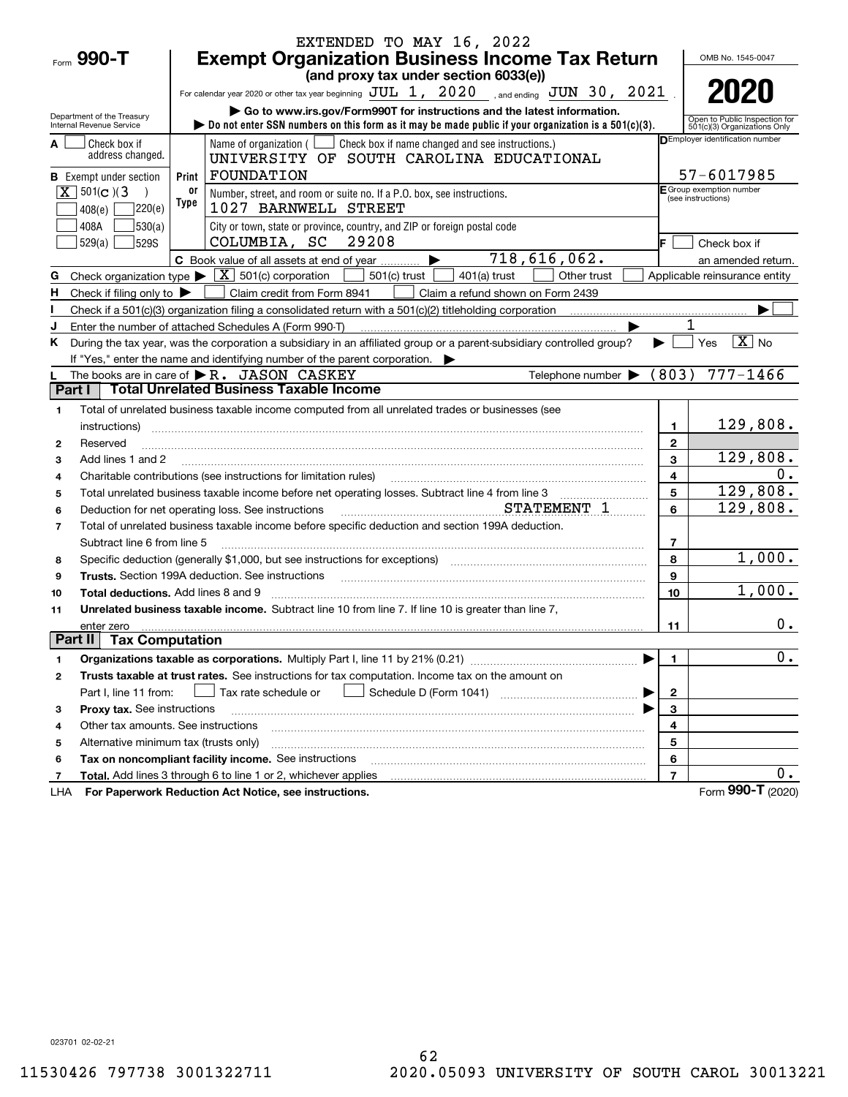|                |                                               |            | EXTENDED TO MAY 16, 2022                                                                                                                                                                                                       |                |                                        |
|----------------|-----------------------------------------------|------------|--------------------------------------------------------------------------------------------------------------------------------------------------------------------------------------------------------------------------------|----------------|----------------------------------------|
|                | Form $990 - T$                                |            | <b>Exempt Organization Business Income Tax Return</b>                                                                                                                                                                          |                | OMB No. 1545-0047                      |
|                |                                               |            | (and proxy tax under section 6033(e))                                                                                                                                                                                          |                |                                        |
|                |                                               |            | For calendar year 2020 or other tax year beginning $JUL$ 1, $2020$ , and ending $JUN$ 30, $2021$                                                                                                                               |                | 2020                                   |
|                | Department of the Treasury                    |            | Go to www.irs.gov/Form990T for instructions and the latest information.                                                                                                                                                        |                | Open to Public Inspection for          |
|                | Internal Revenue Service                      |            | bo not enter SSN numbers on this form as it may be made public if your organization is a $501(c)(3)$ .                                                                                                                         |                | 501(c)(3) Organizations Only           |
|                | Check box if                                  |            | Name of organization ( $\Box$ Check box if name changed and see instructions.)                                                                                                                                                 |                | <b>DEmployer identification number</b> |
|                | address changed.                              |            | UNIVERSITY OF SOUTH CAROLINA EDUCATIONAL                                                                                                                                                                                       |                |                                        |
|                | <b>B</b> Exempt under section                 | Print      | FOUNDATION                                                                                                                                                                                                                     |                | 57-6017985<br>E Group exemption number |
|                | $X \mid 501(c)$ (3)                           | 0ľ<br>Type | Number, street, and room or suite no. If a P.O. box, see instructions.                                                                                                                                                         |                | (see instructions)                     |
|                | 220(e)<br>408(e)                              |            | 1027 BARNWELL STREET                                                                                                                                                                                                           |                |                                        |
|                | 530(a)<br>408A                                |            | City or town, state or province, country, and ZIP or foreign postal code                                                                                                                                                       |                |                                        |
|                | 529(a)<br><b>529S</b>                         |            | 29208<br>COLUMBIA, SC                                                                                                                                                                                                          |                | Check box if                           |
|                |                                               |            | 718,616,062.<br>C Book value of all assets at end of year<br>▶<br>$\boxed{\mathbf{X}}$ 501(c) corporation                                                                                                                      |                | an amended return.                     |
| G              | Check organization type $\blacktriangleright$ |            | $501(c)$ trust<br>$401(a)$ trust<br>Other trust                                                                                                                                                                                |                | Applicable reinsurance entity          |
| H              | Check if filing only to $\blacktriangleright$ |            | Claim credit from Form 8941<br>Claim a refund shown on Form 2439                                                                                                                                                               |                |                                        |
|                |                                               |            | Check if a 501 $(c)(3)$ organization filing a consolidated return with a 501 $(c)(2)$ titleholding corporation                                                                                                                 |                |                                        |
| ĸ.             |                                               |            | Enter the number of attached Schedules A (Form 990-T)<br>During the tax year, was the corporation a subsidiary in an affiliated group or a parent-subsidiary controlled group?                                                 |                | $\overline{X}$ No<br>Yes               |
|                |                                               |            | If "Yes," enter the name and identifying number of the parent corporation.                                                                                                                                                     |                |                                        |
|                |                                               |            | Telephone number $\blacktriangleright$ (803)<br>The books are in care of $\blacktriangleright$ R. JASON CASKEY                                                                                                                 |                | $777 - 1466$                           |
| Part I         |                                               |            | <b>Total Unrelated Business Taxable Income</b>                                                                                                                                                                                 |                |                                        |
| 1              |                                               |            | Total of unrelated business taxable income computed from all unrelated trades or businesses (see                                                                                                                               |                |                                        |
|                | instructions)                                 |            |                                                                                                                                                                                                                                | 1              | 129,808.                               |
| $\mathbf{2}$   | Reserved                                      |            |                                                                                                                                                                                                                                | $\mathbf{2}$   |                                        |
| 3              | Add lines 1 and 2                             |            |                                                                                                                                                                                                                                | 3              | 129,808.                               |
| 4              |                                               |            | Charitable contributions (see instructions for limitation rules)                                                                                                                                                               | 4              | 0.                                     |
| 5              |                                               |            | Total unrelated business taxable income before net operating losses. Subtract line 4 from line 3                                                                                                                               | 5              | 129,808.                               |
| 6              |                                               |            | STATEMENT 1<br>Deduction for net operating loss. See instructions                                                                                                                                                              | 6              | 129,808.                               |
| $\overline{7}$ |                                               |            | Total of unrelated business taxable income before specific deduction and section 199A deduction.                                                                                                                               |                |                                        |
|                | Subtract line 6 from line 5                   |            |                                                                                                                                                                                                                                | 7              |                                        |
| 8              |                                               |            | Specific deduction (generally \$1,000, but see instructions for exceptions) [11] [11] Specific deduction (generally \$1,000, but see instructions for exceptions) [11] [12] [12] [12] $\frac{1}{2}$                            | 8              | 1,000.                                 |
| 9              |                                               |            | Trusts. Section 199A deduction. See instructions [11] material content in the section 199A deduction. See instructions [11] material content in the section of the section of the section of the section of the section of the | 9              |                                        |
| 10             | <b>Total deductions.</b> Add lines 8 and 9    |            |                                                                                                                                                                                                                                | 10             | 1,000.                                 |
| 11             |                                               |            | Unrelated business taxable income. Subtract line 10 from line 7. If line 10 is greater than line 7,                                                                                                                            |                |                                        |
|                | enter zero                                    |            |                                                                                                                                                                                                                                | 11             | 0.                                     |
| Part II        | <b>Tax Computation</b>                        |            |                                                                                                                                                                                                                                |                |                                        |
| 1              |                                               |            | Organizations taxable as corporations. Multiply Part I, line 11 by 21% (0.21) [11] [12] [13] [13] [14] [15] [1                                                                                                                 | 1.             | 0.                                     |
| 2              |                                               |            | Trusts taxable at trust rates. See instructions for tax computation. Income tax on the amount on                                                                                                                               |                |                                        |
|                | Part I, line 11 from:                         |            | Tax rate schedule or                                                                                                                                                                                                           | 2              |                                        |
| 3              | Proxy tax. See instructions                   |            |                                                                                                                                                                                                                                | 3              |                                        |
| 4              | Other tax amounts. See instructions           |            |                                                                                                                                                                                                                                | 4              |                                        |
| 5              | Alternative minimum tax (trusts only)         |            |                                                                                                                                                                                                                                | 5              |                                        |
| 6              |                                               |            | Tax on noncompliant facility income. See instructions                                                                                                                                                                          | 6              |                                        |
| 7              |                                               |            | Total. Add lines 3 through 6 to line 1 or 2, whichever applies                                                                                                                                                                 | $\overline{7}$ | $0$ .                                  |
| LHA            |                                               |            | For Paperwork Reduction Act Notice, see instructions.                                                                                                                                                                          |                | Form 990-T (2020)                      |

023701 02-02-21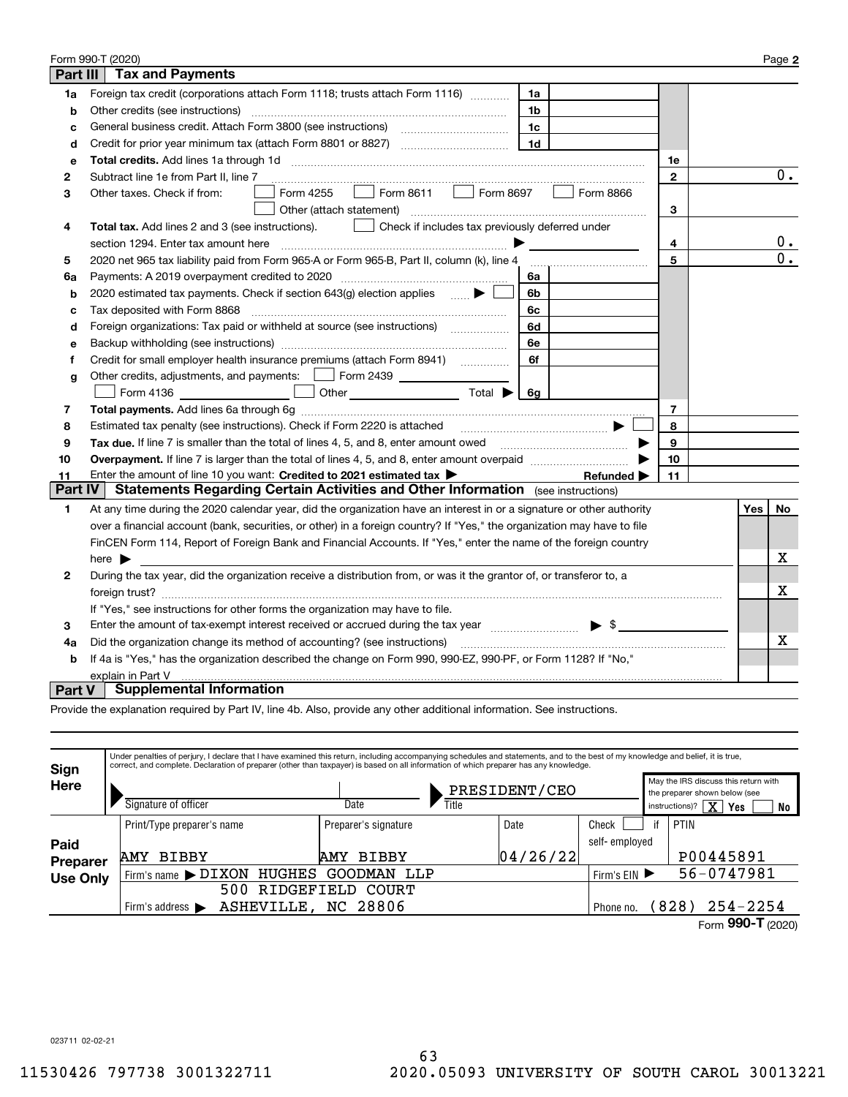|               | Form 990-T (2020)                                                                                                                                                       |    |     | Page 2           |
|---------------|-------------------------------------------------------------------------------------------------------------------------------------------------------------------------|----|-----|------------------|
| Part III      | <b>Tax and Payments</b>                                                                                                                                                 |    |     |                  |
| 1a            | Foreign tax credit (corporations attach Form 1118; trusts attach Form 1116) [[[[[[[[[[[[[[[[[[[[[[[[<br>1a                                                              |    |     |                  |
| b             | Other credits (see instructions)<br>1b                                                                                                                                  |    |     |                  |
| c             | 1c                                                                                                                                                                      |    |     |                  |
| d             | 1 <sub>d</sub>                                                                                                                                                          |    |     |                  |
| е             |                                                                                                                                                                         | 1е |     |                  |
| 2             | Subtract line 1e from Part II, line 7                                                                                                                                   | 2  |     | 0.               |
| 3             | $\Box$ Form 8611<br>Form 8697<br>Form 8866<br>Form 4255<br>Other taxes. Check if from:<br>$\mathbf{1}$                                                                  |    |     |                  |
|               | Other (attach statement)                                                                                                                                                | 3  |     |                  |
| 4             | Total tax. Add lines 2 and 3 (see instructions).<br>Check if includes tax previously deferred under                                                                     |    |     |                  |
|               | section 1294. Enter tax amount here                                                                                                                                     | 4  |     | $\mathbf{0}$ .   |
| 5             | 2020 net 965 tax liability paid from Form 965-A or Form 965-B, Part II, column (k), line 4                                                                              | 5  |     | $\overline{0}$ . |
| 6a            | Payments: A 2019 overpayment credited to 2020 [11] [12] maximum materials and Payments: A 2019 overpayment credited to 2020 [11] maximum materials and Payments A<br>6a |    |     |                  |
| b             | 2020 estimated tax payments. Check if section 643(g) election applies<br>6b                                                                                             |    |     |                  |
| c             | Tax deposited with Form 8868<br>6c                                                                                                                                      |    |     |                  |
| d             | Foreign organizations: Tax paid or withheld at source (see instructions) [<br>6d                                                                                        |    |     |                  |
| е             | 6е                                                                                                                                                                      |    |     |                  |
| f             | Credit for small employer health insurance premiums (attach Form 8941) [<br>6f                                                                                          |    |     |                  |
| g             | Other credits, adjustments, and payments:   Form 2439                                                                                                                   |    |     |                  |
|               | Other $\overline{\hspace{1cm}}$ Total $\blacktriangleright$ $\overline{\hspace{1cm}}$ 6g<br>Form 4136                                                                   |    |     |                  |
| 7             |                                                                                                                                                                         | 7  |     |                  |
| 8             | Estimated tax penalty (see instructions). Check if Form 2220 is attached<br>□ …………………………………………… <del>…</del>                                                            | 8  |     |                  |
| 9             | Tax due. If line 7 is smaller than the total of lines 4, 5, and 8, enter amount owed <i>manumenon containers</i>                                                        | 9  |     |                  |
| 10            |                                                                                                                                                                         | 10 |     |                  |
| 11            | Enter the amount of line 10 you want: Credited to 2021 estimated tax<br>Refunded $\blacktriangleright$                                                                  | 11 |     |                  |
| Part IV       | <b>Statements Regarding Certain Activities and Other Information</b> (see instructions)                                                                                 |    |     |                  |
| 1             | At any time during the 2020 calendar year, did the organization have an interest in or a signature or other authority                                                   |    | Yes | No               |
|               | over a financial account (bank, securities, or other) in a foreign country? If "Yes," the organization may have to file                                                 |    |     |                  |
|               | FinCEN Form 114, Report of Foreign Bank and Financial Accounts. If "Yes," enter the name of the foreign country                                                         |    |     |                  |
|               | here $\blacktriangleright$                                                                                                                                              |    |     | х                |
| 2             | During the tax year, did the organization receive a distribution from, or was it the grantor of, or transferor to, a                                                    |    |     |                  |
|               |                                                                                                                                                                         |    |     | x                |
|               | If "Yes," see instructions for other forms the organization may have to file.                                                                                           |    |     |                  |
| 3             | Enter the amount of tax-exempt interest received or accrued during the tax year manufactured $\blacktriangleright$ \$                                                   |    |     |                  |
| 4a            | Did the organization change its method of accounting? (see instructions)                                                                                                |    |     | х                |
| b             | If 4a is "Yes," has the organization described the change on Form 990, 990-EZ, 990-PF, or Form 1128? If "No,"                                                           |    |     |                  |
|               | explain in Part V                                                                                                                                                       |    |     |                  |
| <b>Part V</b> | <b>Supplemental Information</b>                                                                                                                                         |    |     |                  |

Provide the explanation required by Part IV, line 4b. Also, provide any other additional information. See instructions.

| Sign            | Under penalties of perjury, I declare that I have examined this return, including accompanying schedules and statements, and to the best of my knowledge and belief, it is true,<br>correct, and complete. Declaration of preparer (other than taxpayer) is based on all information of which preparer has any knowledge. |                                       |               |               |                |                                                                       |
|-----------------|---------------------------------------------------------------------------------------------------------------------------------------------------------------------------------------------------------------------------------------------------------------------------------------------------------------------------|---------------------------------------|---------------|---------------|----------------|-----------------------------------------------------------------------|
| <b>Here</b>     |                                                                                                                                                                                                                                                                                                                           |                                       | PRESIDENT/CEO |               |                | May the IRS discuss this return with<br>the preparer shown below (see |
|                 | Signature of officer                                                                                                                                                                                                                                                                                                      | Title<br>Date                         |               |               | instructions)? | $\overline{\text{X}}$<br>Yes<br>No                                    |
|                 | Print/Type preparer's name                                                                                                                                                                                                                                                                                                | Preparer's signature                  | Date          | Check         | PTIN<br>if     |                                                                       |
| Paid            |                                                                                                                                                                                                                                                                                                                           |                                       |               | self-employed |                |                                                                       |
| <b>Preparer</b> | <b>BIBBY</b><br><b>AMY</b>                                                                                                                                                                                                                                                                                                | <b>BIBBY</b><br><b>AMY</b>            | 04/26/22      |               |                | P00445891                                                             |
| <b>Use Only</b> | Firm's name $\blacktriangleright$ DIXON                                                                                                                                                                                                                                                                                   | HUGHES<br>GOODMAN LLP<br>Firm's $EIN$ |               |               |                |                                                                       |
|                 | RIDGEFIELD<br>500<br><b>COURT</b>                                                                                                                                                                                                                                                                                         |                                       |               |               |                |                                                                       |
|                 | Firm's address $\blacktriangleright$                                                                                                                                                                                                                                                                                      | ASHEVILLE, NC 28806                   |               | Phone no.     | (828)          | $254 - 2254$                                                          |
|                 |                                                                                                                                                                                                                                                                                                                           |                                       |               |               |                | Form 990-T (2020)                                                     |

023711 02-02-21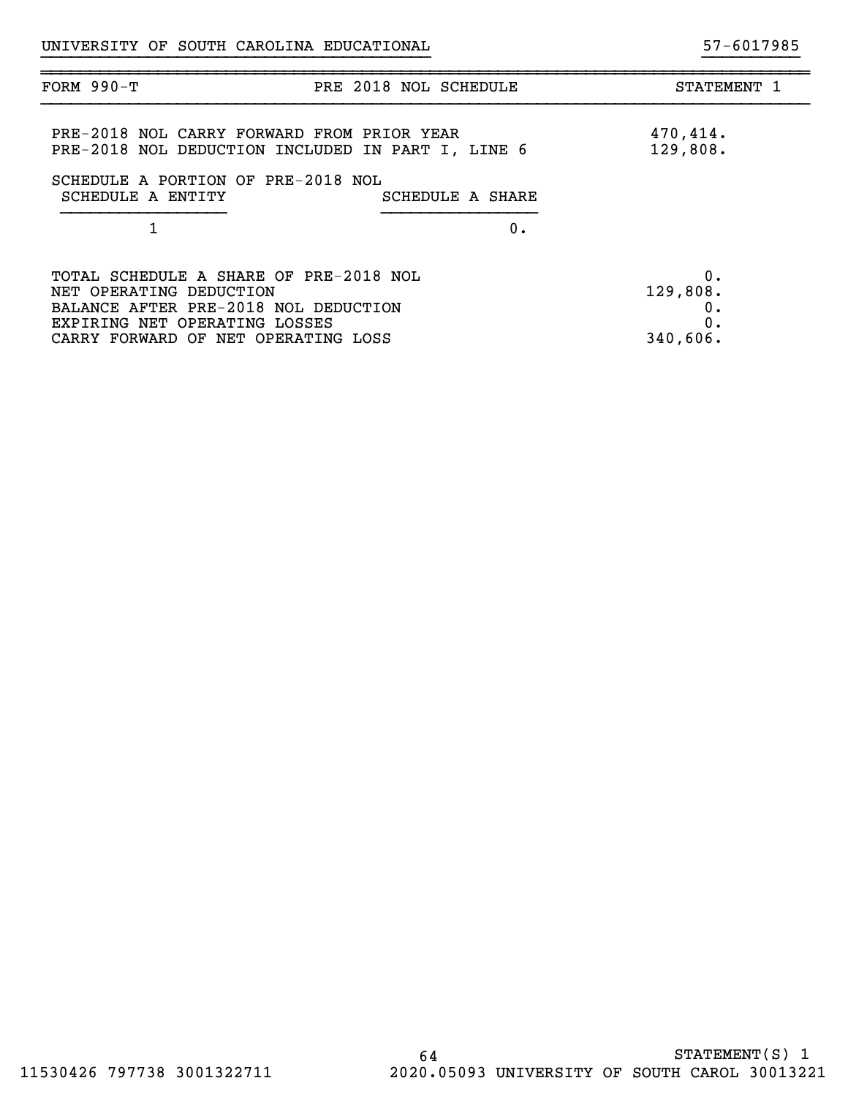| <b>FORM 990-T</b>                                                                                                                          | PRE 2018 NOL SCHEDULE<br>STATEMENT 1 |
|--------------------------------------------------------------------------------------------------------------------------------------------|--------------------------------------|
| PRE-2018 NOL CARRY FORWARD FROM PRIOR YEAR<br>PRE-2018 NOL DEDUCTION INCLUDED IN PART I, LINE 6                                            | 470,414.<br>129,808.                 |
| SCHEDULE A PORTION OF PRE-2018 NOL<br>SCHEDULE A ENTITY                                                                                    | SCHEDULE A SHARE                     |
| 1                                                                                                                                          | 0.                                   |
| TOTAL SCHEDULE A SHARE OF PRE-2018 NOL<br>NET OPERATING DEDUCTION<br>BALANCE AFTER PRE-2018 NOL DEDUCTION<br>EXPIRING NET OPERATING LOSSES | 0.<br>129,808.<br>0.<br>0.           |
| CARRY FORWARD OF NET OPERATING LOSS                                                                                                        | 340,606.                             |

}}}}}}}}}}}}}}}}}}}}}}}}}}}}}}}}}}}}}}}} }}}}}}}}}}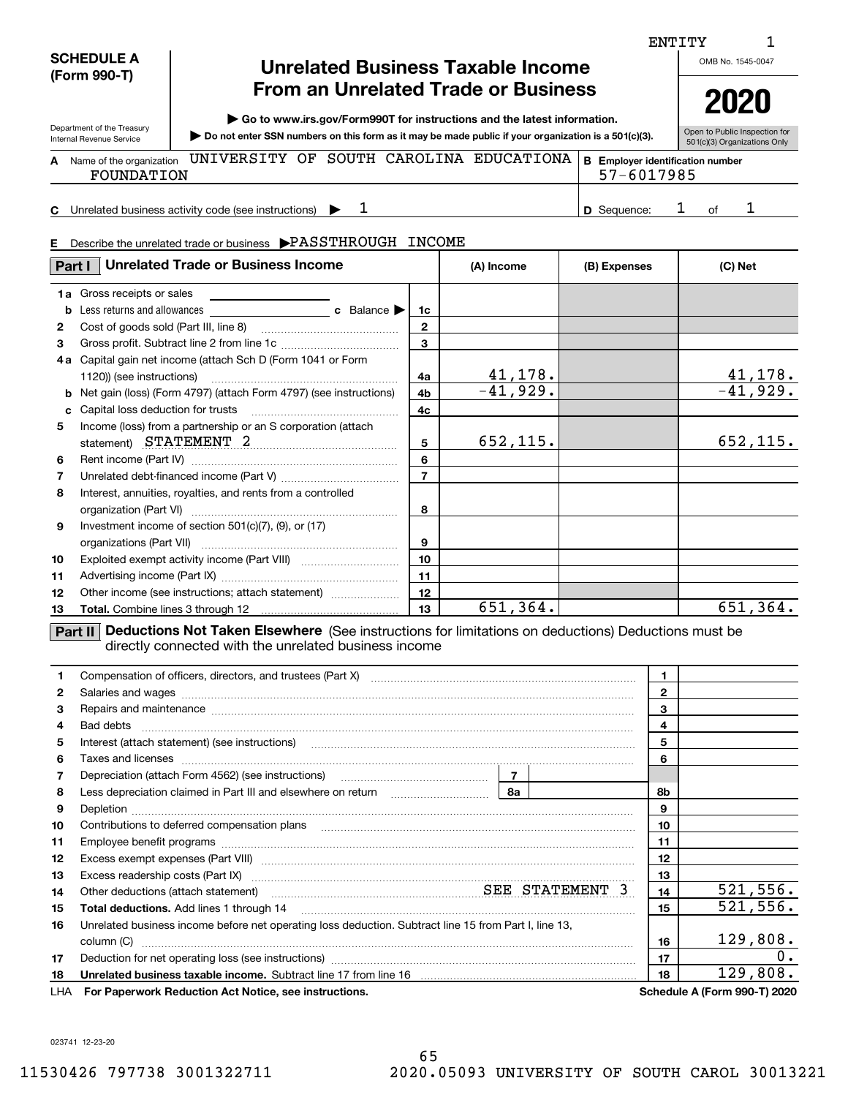### **SCHEDULE A (Form 990-T)**

Department of the Treasury

## **Unrelated Business Taxable Income From an Unrelated Trade or Business**

**| Go to www.irs.gov/Form990T for instructions and the latest information.**

**Do not enter SSN numbers on this form as it may be made public if your organization is a 501(c)(3). |** 

OMB No. 1545-0047

1

Open to Public Inspection for 501(c)(3) Organizations Only **2020**

| $\blacktriangleright$ Do not enter SSN numbers on this form as it may be made public if your organization is a 501(c)(3).<br>Internal Revenue Service |                                                                                                   |  |  |  |  |            | $-0.0011$ to $+0.0110$<br>501(c)(3) Organ |
|-------------------------------------------------------------------------------------------------------------------------------------------------------|---------------------------------------------------------------------------------------------------|--|--|--|--|------------|-------------------------------------------|
|                                                                                                                                                       | Name of the organization UNIVERSITY OF SOUTH CAROLINA EDUCATIONA B Employer identification number |  |  |  |  |            |                                           |
| FOUNDATION                                                                                                                                            |                                                                                                   |  |  |  |  | 57-6017985 |                                           |

ENTITY

**C** Unrelated business activity code (see instructions)  $\blacktriangleright$  1  $\blacksquare$  (**D** Sequence:  $\blacksquare$  of 1 1 of 1

**E**Describe the unrelated trade or business  $\blacktriangleright$  PASSTHROUGH  $\;$  INCOME

| Part I       | <b>Unrelated Trade or Business Income</b>                                              |                | (A) Income             | (B) Expenses | (C) Net    |
|--------------|----------------------------------------------------------------------------------------|----------------|------------------------|--------------|------------|
|              | <b>1a</b> Gross receipts or sales                                                      |                |                        |              |            |
| b            |                                                                                        | 1c             |                        |              |            |
| $\mathbf{2}$ |                                                                                        | $\mathbf{2}$   |                        |              |            |
| 3            |                                                                                        | 3              |                        |              |            |
| 4 a          | Capital gain net income (attach Sch D (Form 1041 or Form                               |                |                        |              |            |
|              | 1120)) (see instructions)                                                              | 4a             | 41, 178.               |              | 41, 178.   |
| b            | Net gain (loss) (Form 4797) (attach Form 4797) (see instructions)                      | 4b             | $\overline{-41,929}$ . |              | $-41,929.$ |
| c            | Capital loss deduction for trusts                                                      | 4c             |                        |              |            |
| 5            | Income (loss) from a partnership or an S corporation (attach<br>statement) STATEMENT 2 | 5              | 652,115.               |              | 652, 115.  |
| 6            |                                                                                        | 6              |                        |              |            |
| 7            |                                                                                        | $\overline{7}$ |                        |              |            |
| 8            | Interest, annuities, royalties, and rents from a controlled                            | 8              |                        |              |            |
| 9            | Investment income of section $501(c)(7)$ , (9), or (17)<br>organizations (Part VII)    | 9              |                        |              |            |
| 10           |                                                                                        | 10             |                        |              |            |
| 11           |                                                                                        | 11             |                        |              |            |
| 12           | Other income (see instructions; attach statement)                                      | 12             |                        |              |            |
| 13           |                                                                                        | 13             | 651,364.               |              | 651,364.   |

**Part II** Deductions Not Taken Elsewhere (See instructions for limitations on deductions) Deductions must be directly connected with the unrelated business income

|     | Compensation of officers, directors, and trustees (Part X) [11] [2010] [2010] [2010] [2010] [2010] [2010] [2010] [2010] [2010] [2010] [2010] [2010] [2010] [2010] [2010] [2010] [2010] [2010] [2010] [2010] [2010] [2010] [201 | 1.             |                                     |
|-----|--------------------------------------------------------------------------------------------------------------------------------------------------------------------------------------------------------------------------------|----------------|-------------------------------------|
| 2   |                                                                                                                                                                                                                                | $\overline{2}$ |                                     |
| 3   | Repairs and maintenance material content content and maintenance material content and maintenance material content and maintenance material content and maintenance material content and an analysis of the state of the state | 3              |                                     |
| 4   |                                                                                                                                                                                                                                | 4              |                                     |
| 5   | Interest (attach statement) (see instructions) [11] material contents and the content of the statement of the statement of the statement of the statement of the statement of the statement of the statement of the statement  | 5              |                                     |
| 6   |                                                                                                                                                                                                                                | 6              |                                     |
| 7   |                                                                                                                                                                                                                                |                |                                     |
| 8   | Depreciation (attach Form 4562) (see instructions)<br>Less depreciation claimed in Part III and elsewhere on return [11] [2001]                                                                                                | 8b             |                                     |
| 9   |                                                                                                                                                                                                                                | 9              |                                     |
| 10  | Contributions to deferred compensation plans                                                                                                                                                                                   | 10             |                                     |
| 11  |                                                                                                                                                                                                                                | 11             |                                     |
| 12  |                                                                                                                                                                                                                                | 12             |                                     |
| 13  |                                                                                                                                                                                                                                | 13             |                                     |
| 14  | Other deductions (attach statement) material material material SEE STATEMENT 3                                                                                                                                                 | 14             | 521, 556.                           |
| 15  | Total deductions. Add lines 1 through 14                                                                                                                                                                                       | 15             | 521, 556.                           |
| 16  | Unrelated business income before net operating loss deduction. Subtract line 15 from Part I, line 13,                                                                                                                          |                |                                     |
|     | column (C)                                                                                                                                                                                                                     | 16             | 129,808.                            |
| 17  |                                                                                                                                                                                                                                | 17             | 0.                                  |
| 18  |                                                                                                                                                                                                                                | 18             | 129,808.                            |
| LHA | For Paperwork Reduction Act Notice, see instructions.                                                                                                                                                                          |                | <b>Schedule A (Form 990-T) 2020</b> |

023741 12-23-20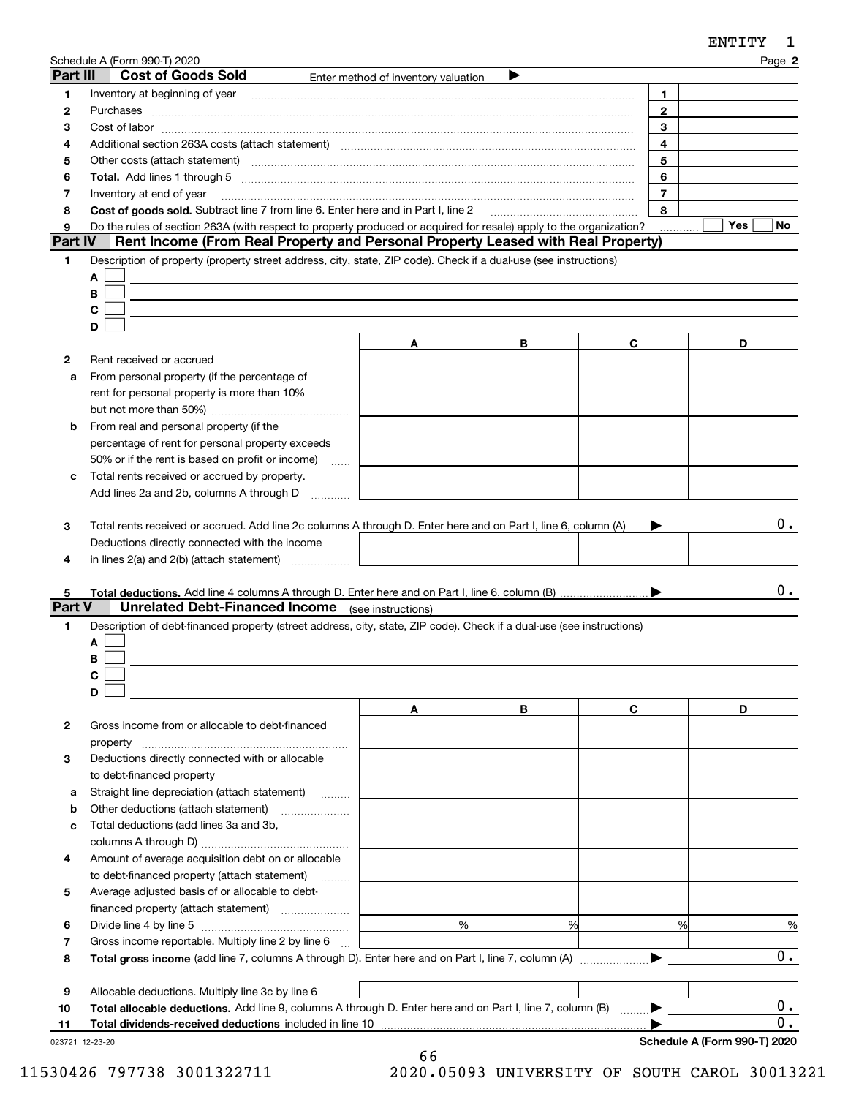|          | Schedule A (Form 990-T) 2020                                                                                                                                                                                                   |                                     |   |                | Page 2           |
|----------|--------------------------------------------------------------------------------------------------------------------------------------------------------------------------------------------------------------------------------|-------------------------------------|---|----------------|------------------|
| Part III | <b>Cost of Goods Sold</b>                                                                                                                                                                                                      | Enter method of inventory valuation |   |                |                  |
| 1        |                                                                                                                                                                                                                                |                                     |   | 1.             |                  |
| 2        | Purchases                                                                                                                                                                                                                      |                                     |   | $\mathbf{2}$   |                  |
| з        |                                                                                                                                                                                                                                |                                     |   | 3              |                  |
| 4        |                                                                                                                                                                                                                                |                                     |   | 4              |                  |
| 5        | Other costs (attach statement) manufactured and contract and contract and contract and contract and contract and contract and contract and contract and contract and contract and contract and contract and contract and contr |                                     |   | 5              |                  |
| 6        |                                                                                                                                                                                                                                |                                     |   | 6              |                  |
| 7        | Inventory at end of year                                                                                                                                                                                                       |                                     |   | $\overline{7}$ |                  |
| 8        | Cost of goods sold. Subtract line 7 from line 6. Enter here and in Part I, line 2                                                                                                                                              |                                     |   | 8              |                  |
| 9        | Do the rules of section 263A (with respect to property produced or acquired for resale) apply to the organization?                                                                                                             |                                     |   |                | Yes<br>No.       |
| Part IV  | Rent Income (From Real Property and Personal Property Leased with Real Property)                                                                                                                                               |                                     |   |                |                  |
| 1        | Description of property (property street address, city, state, ZIP code). Check if a dual-use (see instructions)                                                                                                               |                                     |   |                |                  |
|          | A                                                                                                                                                                                                                              |                                     |   |                |                  |
|          | B                                                                                                                                                                                                                              |                                     |   |                |                  |
|          | С                                                                                                                                                                                                                              |                                     |   |                |                  |
|          | D                                                                                                                                                                                                                              |                                     |   |                |                  |
|          |                                                                                                                                                                                                                                | A                                   | В | C              | D                |
| 2        | Rent received or accrued                                                                                                                                                                                                       |                                     |   |                |                  |
| a        | From personal property (if the percentage of                                                                                                                                                                                   |                                     |   |                |                  |
|          | rent for personal property is more than 10%                                                                                                                                                                                    |                                     |   |                |                  |
|          |                                                                                                                                                                                                                                |                                     |   |                |                  |
| b        | From real and personal property (if the                                                                                                                                                                                        |                                     |   |                |                  |
|          |                                                                                                                                                                                                                                |                                     |   |                |                  |
|          | percentage of rent for personal property exceeds                                                                                                                                                                               |                                     |   |                |                  |
|          | 50% or if the rent is based on profit or income)<br><b>Service</b>                                                                                                                                                             |                                     |   |                |                  |
| с        | Total rents received or accrued by property.                                                                                                                                                                                   |                                     |   |                |                  |
|          | Add lines 2a and 2b, columns A through D                                                                                                                                                                                       |                                     |   |                |                  |
|          |                                                                                                                                                                                                                                |                                     |   |                |                  |
| з        | Total rents received or accrued. Add line 2c columns A through D. Enter here and on Part I, line 6, column (A)                                                                                                                 |                                     |   |                | 0.               |
|          | Deductions directly connected with the income                                                                                                                                                                                  |                                     |   |                |                  |
| 4        | in lines $2(a)$ and $2(b)$ (attach statement) $\ldots$                                                                                                                                                                         |                                     |   |                |                  |
|          |                                                                                                                                                                                                                                |                                     |   |                |                  |
| 5        |                                                                                                                                                                                                                                |                                     |   |                | 0.               |
| Part V   | <b>Unrelated Debt-Financed Income</b> (see instructions)                                                                                                                                                                       |                                     |   |                |                  |
| 1        | Description of debt-financed property (street address, city, state, ZIP code). Check if a dual-use (see instructions)                                                                                                          |                                     |   |                |                  |
|          | A                                                                                                                                                                                                                              |                                     |   |                |                  |
|          | В                                                                                                                                                                                                                              |                                     |   |                |                  |
|          | C.                                                                                                                                                                                                                             |                                     |   |                |                  |
|          | D                                                                                                                                                                                                                              |                                     |   |                |                  |
|          |                                                                                                                                                                                                                                | A                                   | В | C              | D                |
| 2        | Gross income from or allocable to debt-financed                                                                                                                                                                                |                                     |   |                |                  |
|          | property                                                                                                                                                                                                                       |                                     |   |                |                  |
| 3        | Deductions directly connected with or allocable                                                                                                                                                                                |                                     |   |                |                  |
|          | to debt-financed property                                                                                                                                                                                                      |                                     |   |                |                  |
| а        | Straight line depreciation (attach statement)                                                                                                                                                                                  |                                     |   |                |                  |
| b        | Other deductions (attach statement)                                                                                                                                                                                            |                                     |   |                |                  |
| c        | Total deductions (add lines 3a and 3b,                                                                                                                                                                                         |                                     |   |                |                  |
|          |                                                                                                                                                                                                                                |                                     |   |                |                  |
| 4        | Amount of average acquisition debt on or allocable                                                                                                                                                                             |                                     |   |                |                  |
|          |                                                                                                                                                                                                                                |                                     |   |                |                  |
|          | to debt-financed property (attach statement)                                                                                                                                                                                   |                                     |   |                |                  |
| 5        | Average adjusted basis of or allocable to debt-                                                                                                                                                                                |                                     |   |                |                  |
|          |                                                                                                                                                                                                                                |                                     |   |                |                  |
| 6        |                                                                                                                                                                                                                                | %                                   | % | %              | %                |
| 7        | Gross income reportable. Multiply line 2 by line 6                                                                                                                                                                             |                                     |   |                |                  |
| 8        |                                                                                                                                                                                                                                |                                     |   |                | 0.               |
|          |                                                                                                                                                                                                                                |                                     |   |                |                  |
| 9        | Allocable deductions. Multiply line 3c by line 6                                                                                                                                                                               |                                     |   |                |                  |
| 10       | Total allocable deductions. Add line 9, columns A through D. Enter here and on Part I, line 7, column (B)                                                                                                                      |                                     |   |                | $\overline{0}$ . |

**Total dividends-received deductions** included in line 10 …………………………………………………………………

0.

**11**

 $\blacktriangleright$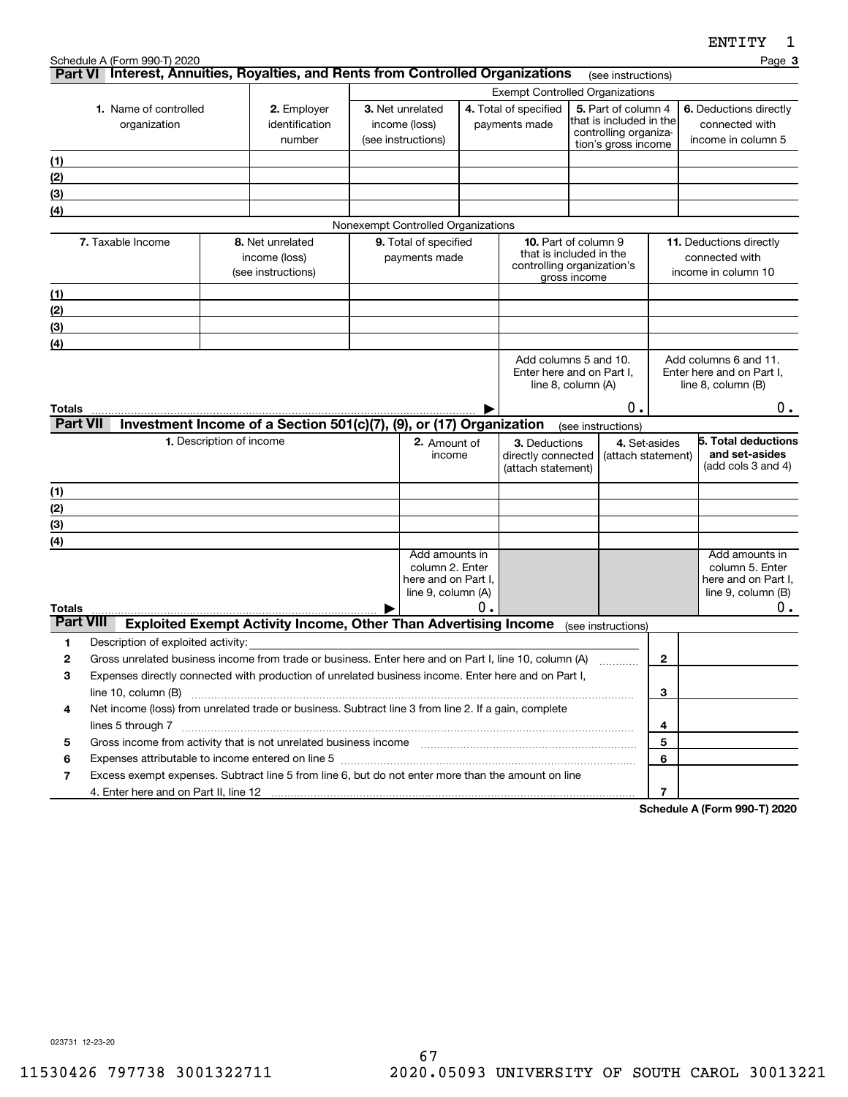**3**

|                                      |                                                                                                                                                                                                                                                     |                                                  | <b>Exempt Controlled Organizations</b> |                                    |                         |                                                    |                |                                              |                |                        |                                                    |
|--------------------------------------|-----------------------------------------------------------------------------------------------------------------------------------------------------------------------------------------------------------------------------------------------------|--------------------------------------------------|----------------------------------------|------------------------------------|-------------------------|----------------------------------------------------|----------------|----------------------------------------------|----------------|------------------------|----------------------------------------------------|
| 1. Name of controlled<br>2. Employer |                                                                                                                                                                                                                                                     |                                                  |                                        | 3. Net unrelated                   |                         | 4. Total of specified                              |                | 5. Part of column 4                          |                | 6. Deductions directly |                                                    |
|                                      | organization                                                                                                                                                                                                                                        | identification<br>payments made<br>income (loss) |                                        |                                    | that is included in the |                                                    | connected with |                                              |                |                        |                                                    |
|                                      |                                                                                                                                                                                                                                                     | number                                           |                                        | (see instructions)                 |                         |                                                    |                | controlling organiza-<br>tion's gross income |                |                        | income in column 5                                 |
| (1)                                  |                                                                                                                                                                                                                                                     |                                                  |                                        |                                    |                         |                                                    |                |                                              |                |                        |                                                    |
| (2)                                  |                                                                                                                                                                                                                                                     |                                                  |                                        |                                    |                         |                                                    |                |                                              |                |                        |                                                    |
| (3)                                  |                                                                                                                                                                                                                                                     |                                                  |                                        |                                    |                         |                                                    |                |                                              |                |                        |                                                    |
| (4)                                  |                                                                                                                                                                                                                                                     |                                                  |                                        |                                    |                         |                                                    |                |                                              |                |                        |                                                    |
|                                      |                                                                                                                                                                                                                                                     |                                                  |                                        | Nonexempt Controlled Organizations |                         |                                                    |                |                                              |                |                        |                                                    |
|                                      | 7. Taxable Income                                                                                                                                                                                                                                   | 8. Net unrelated                                 |                                        | 9. Total of specified              |                         | 10. Part of column 9<br>that is included in the    |                |                                              |                |                        | 11. Deductions directly                            |
|                                      |                                                                                                                                                                                                                                                     | income (loss)                                    |                                        | payments made                      |                         | controlling organization's                         |                |                                              |                |                        | connected with                                     |
|                                      |                                                                                                                                                                                                                                                     | (see instructions)                               |                                        |                                    |                         |                                                    | gross income   |                                              |                |                        | income in column 10                                |
| (1)                                  |                                                                                                                                                                                                                                                     |                                                  |                                        |                                    |                         |                                                    |                |                                              |                |                        |                                                    |
| (2)                                  |                                                                                                                                                                                                                                                     |                                                  |                                        |                                    |                         |                                                    |                |                                              |                |                        |                                                    |
| (3)                                  |                                                                                                                                                                                                                                                     |                                                  |                                        |                                    |                         |                                                    |                |                                              |                |                        |                                                    |
| (4)                                  |                                                                                                                                                                                                                                                     |                                                  |                                        |                                    |                         |                                                    |                |                                              |                |                        |                                                    |
|                                      |                                                                                                                                                                                                                                                     |                                                  |                                        |                                    |                         | Add columns 5 and 10.<br>Enter here and on Part I. |                |                                              |                |                        | Add columns 6 and 11.<br>Enter here and on Part I, |
|                                      |                                                                                                                                                                                                                                                     |                                                  |                                        |                                    |                         | line 8, column (A)                                 |                |                                              |                |                        | line 8, column (B)                                 |
| Totals                               |                                                                                                                                                                                                                                                     |                                                  |                                        |                                    |                         |                                                    |                | 0.                                           | 0.             |                        |                                                    |
| <b>Part VII</b>                      | Investment Income of a Section 501(c)(7), (9), or (17) Organization                                                                                                                                                                                 |                                                  |                                        |                                    |                         |                                                    |                | (see instructions)                           |                |                        |                                                    |
|                                      | 1. Description of income                                                                                                                                                                                                                            |                                                  |                                        | 2. Amount of                       |                         | 3. Deductions                                      |                | 4. Set-asides                                |                |                        | 5. Total deductions                                |
|                                      |                                                                                                                                                                                                                                                     |                                                  |                                        | income                             |                         | directly connected                                 |                | (attach statement)                           |                |                        | and set-asides                                     |
|                                      |                                                                                                                                                                                                                                                     |                                                  |                                        |                                    |                         | (attach statement)                                 |                |                                              |                |                        | (add cols 3 and 4)                                 |
| (1)                                  |                                                                                                                                                                                                                                                     |                                                  |                                        |                                    |                         |                                                    |                |                                              |                |                        |                                                    |
| (2)                                  |                                                                                                                                                                                                                                                     |                                                  |                                        |                                    |                         |                                                    |                |                                              |                |                        |                                                    |
| (3)                                  |                                                                                                                                                                                                                                                     |                                                  |                                        |                                    |                         |                                                    |                |                                              |                |                        |                                                    |
| (4)                                  |                                                                                                                                                                                                                                                     |                                                  |                                        |                                    |                         |                                                    |                |                                              |                |                        |                                                    |
|                                      |                                                                                                                                                                                                                                                     |                                                  |                                        | Add amounts in<br>column 2. Enter  |                         |                                                    |                |                                              |                |                        | Add amounts in<br>column 5. Enter                  |
|                                      |                                                                                                                                                                                                                                                     |                                                  |                                        | here and on Part I,                |                         |                                                    |                |                                              |                |                        | here and on Part I,                                |
|                                      |                                                                                                                                                                                                                                                     |                                                  |                                        | line 9, column (A)                 |                         |                                                    |                |                                              |                |                        | line $9$ , column $(B)$                            |
| Totals                               |                                                                                                                                                                                                                                                     |                                                  |                                        |                                    | 0.                      |                                                    |                |                                              |                |                        | 0.                                                 |
| <b>Part VIII</b>                     | Exploited Exempt Activity Income, Other Than Advertising Income (see instructions)                                                                                                                                                                  |                                                  |                                        |                                    |                         |                                                    |                |                                              |                |                        |                                                    |
| 1                                    | Description of exploited activity:                                                                                                                                                                                                                  |                                                  |                                        |                                    |                         |                                                    |                |                                              |                |                        |                                                    |
| $\overline{2}$                       | Gross unrelated business income from trade or business. Enter here and on Part I, line 10, column (A)                                                                                                                                               |                                                  |                                        |                                    |                         |                                                    |                |                                              | $\overline{2}$ |                        |                                                    |
| 3                                    | Expenses directly connected with production of unrelated business income. Enter here and on Part I,                                                                                                                                                 |                                                  |                                        |                                    |                         |                                                    |                |                                              |                |                        |                                                    |
|                                      |                                                                                                                                                                                                                                                     |                                                  |                                        |                                    |                         |                                                    |                |                                              | 3              |                        |                                                    |
| 4                                    | Net income (loss) from unrelated trade or business. Subtract line 3 from line 2. If a gain, complete                                                                                                                                                |                                                  |                                        |                                    |                         |                                                    |                |                                              |                |                        |                                                    |
|                                      | lines 5 through 7 www.communication.com/www.communication.com/www.communication.com/www.com/www.com                                                                                                                                                 |                                                  |                                        |                                    |                         |                                                    |                |                                              | 4<br>5         |                        |                                                    |
| 5<br>6                               | Gross income from activity that is not unrelated business income [11] [11] content material contents income from activity that is not unrelated business income [11] [11] $\alpha$ [12] $\alpha$ [12] $\alpha$ [12] $\alpha$ [12] $\alpha$ [12] $\$ |                                                  |                                        |                                    |                         |                                                    |                |                                              | 6              |                        |                                                    |
| $\overline{\phantom{a}}$             | Excess exempt expenses. Subtract line 5 from line 6, but do not enter more than the amount on line                                                                                                                                                  |                                                  |                                        |                                    |                         |                                                    |                |                                              |                |                        |                                                    |
|                                      | 4. Enter here and on Part II, line 12                                                                                                                                                                                                               |                                                  |                                        |                                    |                         |                                                    |                |                                              | 7              |                        |                                                    |
|                                      |                                                                                                                                                                                                                                                     |                                                  |                                        |                                    |                         |                                                    |                | $0 - L$                                      |                |                        | $\sim$ and $\sim$ A $\sqrt{P}$ and<br>0.00, T10000 |

**Part VI** Interest, Annuities, Royalties, and Rents from Controlled Organizations rese instructions)

**Schedule A (Form 990-T) 2020**

023731 12-23-20

Schedule A (Form 990-T) 2020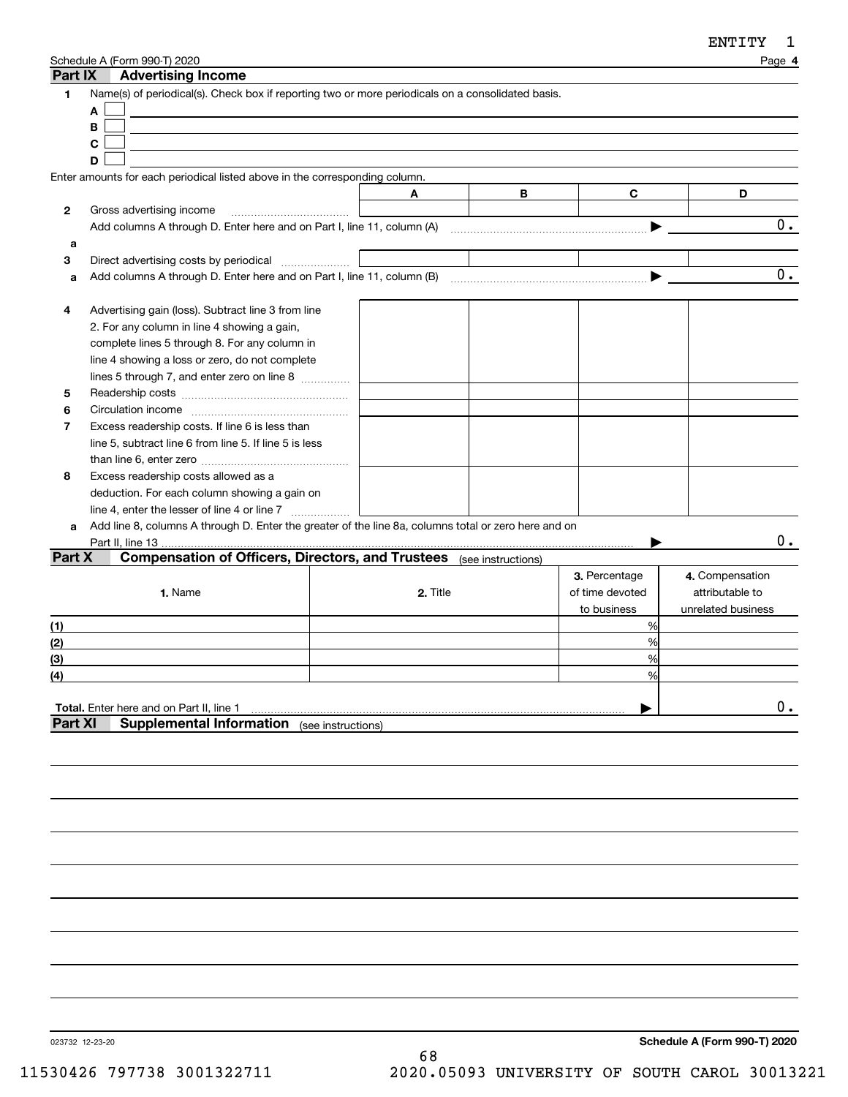| Part IX        | Schedule A (Form 990-T) 2020<br><b>Advertising Income</b>                                            |                    |          |   |                 | Page 4             |
|----------------|------------------------------------------------------------------------------------------------------|--------------------|----------|---|-----------------|--------------------|
| 1              | Name(s) of periodical(s). Check box if reporting two or more periodicals on a consolidated basis.    |                    |          |   |                 |                    |
|                | A                                                                                                    |                    |          |   |                 |                    |
|                | B                                                                                                    |                    |          |   |                 |                    |
|                | C                                                                                                    |                    |          |   |                 |                    |
|                | D                                                                                                    |                    |          |   |                 |                    |
|                | Enter amounts for each periodical listed above in the corresponding column.                          |                    |          |   |                 |                    |
|                |                                                                                                      | Α                  |          | B | C               | D                  |
| 2              | Gross advertising income                                                                             |                    |          |   |                 |                    |
|                | Add columns A through D. Enter here and on Part I, line 11, column (A)                               |                    |          |   |                 | 0.                 |
| a              |                                                                                                      |                    |          |   |                 |                    |
| 3              | Direct advertising costs by periodical                                                               |                    |          |   |                 |                    |
| a              |                                                                                                      |                    |          |   |                 | 0.                 |
|                |                                                                                                      |                    |          |   |                 |                    |
| 4              | Advertising gain (loss). Subtract line 3 from line                                                   |                    |          |   |                 |                    |
|                | 2. For any column in line 4 showing a gain,                                                          |                    |          |   |                 |                    |
|                | complete lines 5 through 8. For any column in                                                        |                    |          |   |                 |                    |
|                | line 4 showing a loss or zero, do not complete                                                       |                    |          |   |                 |                    |
|                | lines 5 through 7, and enter zero on line 8                                                          |                    |          |   |                 |                    |
| 5              |                                                                                                      |                    |          |   |                 |                    |
| 6              |                                                                                                      |                    |          |   |                 |                    |
| $\overline{7}$ | Excess readership costs. If line 6 is less than                                                      |                    |          |   |                 |                    |
|                | line 5, subtract line 6 from line 5. If line 5 is less                                               |                    |          |   |                 |                    |
|                |                                                                                                      |                    |          |   |                 |                    |
| 8              | Excess readership costs allowed as a                                                                 |                    |          |   |                 |                    |
|                | deduction. For each column showing a gain on                                                         |                    |          |   |                 |                    |
|                | line 4, enter the lesser of line 4 or line 7                                                         |                    |          |   |                 |                    |
| a              | Add line 8, columns A through D. Enter the greater of the line 8a, columns total or zero here and on |                    |          |   |                 |                    |
|                | Part II, line 13                                                                                     |                    |          |   |                 | О.                 |
| Part X         | <b>Compensation of Officers, Directors, and Trustees</b> (see instructions)                          |                    |          |   |                 |                    |
|                |                                                                                                      |                    |          |   | 3. Percentage   | 4. Compensation    |
|                | 1. Name                                                                                              |                    | 2. Title |   | of time devoted | attributable to    |
|                |                                                                                                      |                    |          |   |                 |                    |
|                |                                                                                                      |                    |          |   | to business     | unrelated business |
| (1)            |                                                                                                      |                    |          |   | %<br>%          |                    |
| (2)            |                                                                                                      |                    |          |   |                 |                    |
| (3)            |                                                                                                      |                    |          |   | %               |                    |
| (4)            |                                                                                                      |                    |          |   | %               |                    |
|                |                                                                                                      |                    |          |   |                 | $0$ .              |
| <b>Part XI</b> | Total. Enter here and on Part II, line 1<br><b>Supplemental Information</b>                          |                    |          |   |                 |                    |
|                |                                                                                                      | (see instructions) |          |   |                 |                    |
|                |                                                                                                      |                    |          |   |                 |                    |
|                |                                                                                                      |                    |          |   |                 |                    |

023732 12-23-20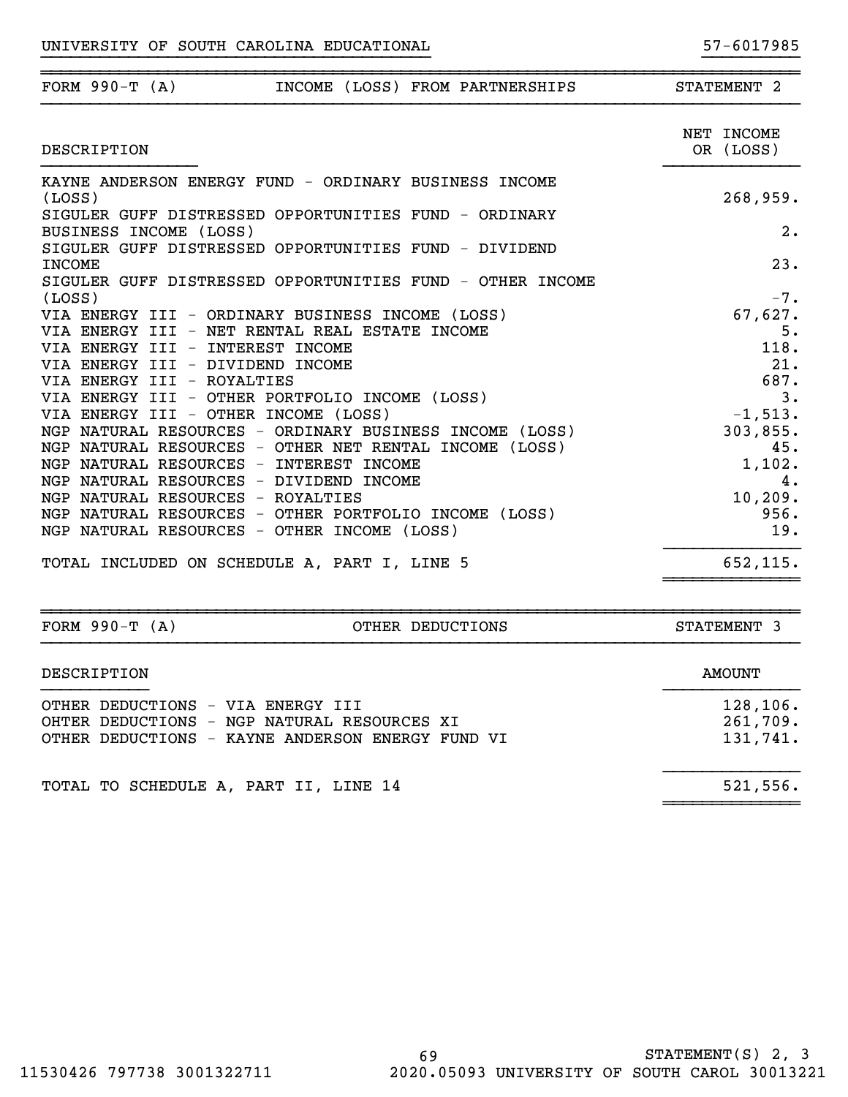| FORM $990-T (A)$<br>INCOME (LOSS) FROM PARTNERSHIPS                                                               | STATEMENT 2     |
|-------------------------------------------------------------------------------------------------------------------|-----------------|
|                                                                                                                   | NET INCOME      |
| DESCRIPTION                                                                                                       | OR (LOSS)       |
| KAYNE ANDERSON ENERGY FUND - ORDINARY BUSINESS INCOME                                                             |                 |
| (LOSS)                                                                                                            | 268,959.        |
| SIGULER GUFF DISTRESSED OPPORTUNITIES FUND - ORDINARY                                                             |                 |
| BUSINESS INCOME (LOSS)                                                                                            | 2.              |
| SIGULER GUFF DISTRESSED OPPORTUNITIES FUND - DIVIDEND                                                             |                 |
| <b>INCOME</b>                                                                                                     | 23.             |
| SIGULER GUFF DISTRESSED OPPORTUNITIES FUND - OTHER INCOME<br>(LOSS)                                               | $-7.$           |
| VIA ENERGY III - ORDINARY BUSINESS INCOME (LOSS)                                                                  | 67,627.         |
| VIA ENERGY III - NET RENTAL REAL ESTATE INCOME                                                                    | 5.              |
| VIA ENERGY III - INTEREST INCOME                                                                                  | 118.            |
| VIA ENERGY III - DIVIDEND INCOME                                                                                  | 21.             |
| VIA ENERGY III - ROYALTIES                                                                                        | 687.            |
| VIA ENERGY III - OTHER PORTFOLIO INCOME (LOSS)                                                                    | 3.              |
| VIA ENERGY III - OTHER INCOME (LOSS)                                                                              | $-1,513.$       |
| NGP NATURAL RESOURCES - ORDINARY BUSINESS INCOME (LOSS)<br>NGP NATURAL RESOURCES - OTHER NET RENTAL INCOME (LOSS) | 303,855.<br>45. |
| NGP NATURAL RESOURCES - INTEREST INCOME                                                                           | 1,102.          |
| NGP NATURAL RESOURCES - DIVIDEND INCOME                                                                           | 4.              |
| NGP NATURAL RESOURCES - ROYALTIES                                                                                 | 10, 209.        |
| NGP NATURAL RESOURCES - OTHER PORTFOLIO INCOME (LOSS)                                                             | 956.            |
| NGP NATURAL RESOURCES - OTHER INCOME (LOSS)                                                                       | 19.             |
| TOTAL INCLUDED ON SCHEDULE A, PART I, LINE 5                                                                      | 652,115.        |

| FORM $990-T (A)$                  | OTHER DEDUCTIONS                                                                                | STATEMENT 3                      |
|-----------------------------------|-------------------------------------------------------------------------------------------------|----------------------------------|
| DESCRIPTION                       |                                                                                                 | AMOUNT                           |
| OTHER DEDUCTIONS - VIA ENERGY III | OHTER DEDUCTIONS - NGP NATURAL RESOURCES XI<br>OTHER DEDUCTIONS - KAYNE ANDERSON ENERGY FUND VI | 128,106.<br>261,709.<br>131,741. |
|                                   | TOTAL TO SCHEDULE A, PART II, LINE 14                                                           | 521,556.                         |

~~~~~~~~~~~~~~

~~~~~~~~~~~~~~~~~~~~~~~~~~~~~~~~~~~~~~~~~~~~~~~~~~~~~~~~~~~~~~~~~~~~~~~~~~~~~~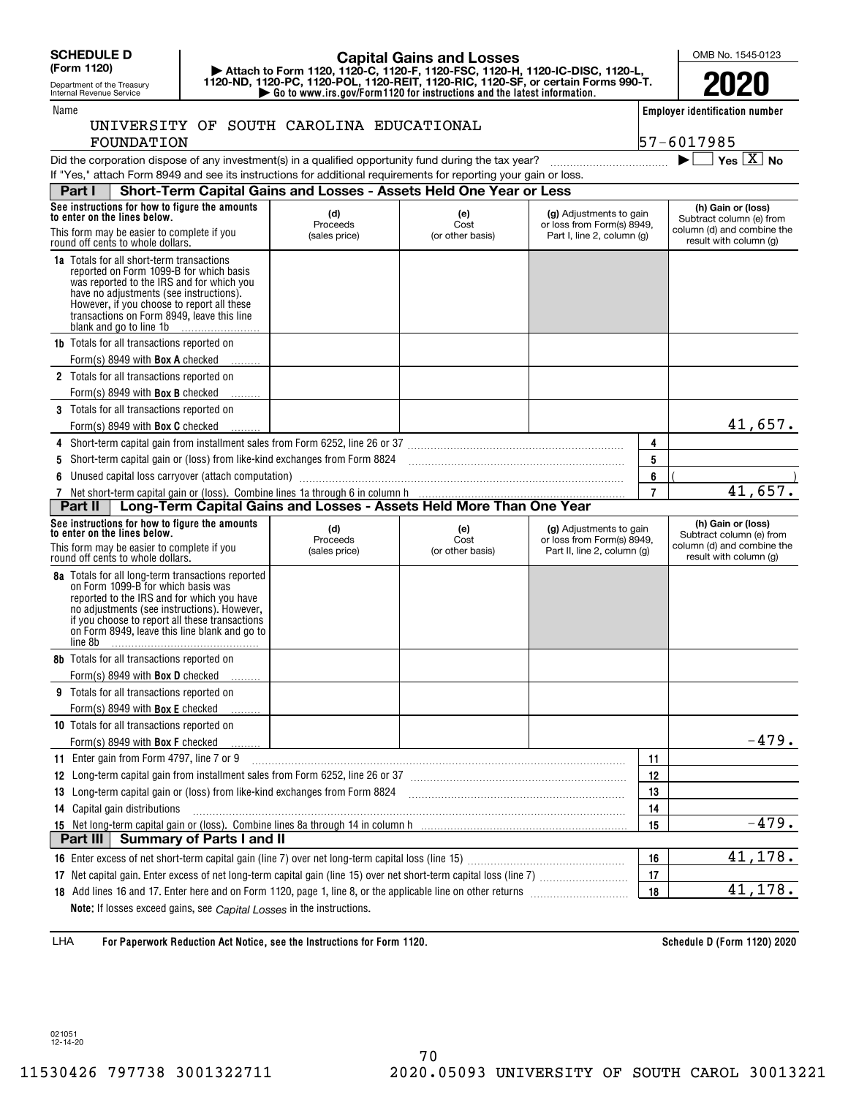**(Form 1120)**

### Department of the Treasury Internal Revenue Service

FOUNDATION

## **| Attach to Form 1120, 1120-C, 1120-F, 1120-FSC, 1120-H, 1120-IC-DISC, 1120-L, Capital Gains and Losses**

OMB No. 1545-0123

**2020**

| Attach to Form 1120, 1120-C, 1120-F, 1120-FSC, 1120-H, 1120-IC-DISC, 1120-L,              |  |
|-------------------------------------------------------------------------------------------|--|
| 1120-ND, 1120-PC, 1120-POL, 1120-REIT, 1120-RIC, 1120-SF, or certain Forms 990-T.         |  |
| $\triangleright$ Go to www.irs.gov/Form 1120 for instructions and the latest information. |  |
|                                                                                           |  |

Name

|  |  |  |  | UNIVERSITY OF SOUTH CAROLINA EDUCATIONAL |
|--|--|--|--|------------------------------------------|
|--|--|--|--|------------------------------------------|

**Employer identification number** 57-6017985

Did the corporation dispose of any investment(s) in a qualified opportunity fund during the tax year? ~~~~~~~~~~~~ |

|  | ae : | ÷<br>× |
|--|------|--------|

| Did the corporation dispose of any investment(s) in a qualified opportunity fund during the tax year?            |  |
|------------------------------------------------------------------------------------------------------------------|--|
| If "Yes," attach Form 8949 and see its instructions for additional requirements for reporting your gain or loss. |  |

| i co, attach i billi obey and see its instructions for additional requirements for reporting your gain or loss.                                                                                                                                                                                     |                                  |                                 |                                                                                      |                |                                                                                                        |  |  |
|-----------------------------------------------------------------------------------------------------------------------------------------------------------------------------------------------------------------------------------------------------------------------------------------------------|----------------------------------|---------------------------------|--------------------------------------------------------------------------------------|----------------|--------------------------------------------------------------------------------------------------------|--|--|
| Short-Term Capital Gains and Losses - Assets Held One Year or Less<br>Part I                                                                                                                                                                                                                        |                                  |                                 |                                                                                      |                |                                                                                                        |  |  |
| See instructions for how to figure the amounts<br>to enter on the lines below.<br>This form may be easier to complete if you<br>round off cents to whole dollars.                                                                                                                                   | (d)<br>Proceeds<br>(sales price) | (e)<br>Cost<br>(or other basis) | (g) Adjustments to gain<br>or loss from Form(s) 8949,<br>Part I, line 2, column (g)  |                | (h) Gain or (loss)<br>Subtract column (e) from<br>column (d) and combine the<br>result with column (g) |  |  |
| 1a Totals for all short-term transactions<br>reported on Form 1099-B for which basis<br>was reported to the IRS and for which you<br>have no adjustments (see instructions).<br>However, if you choose to report all these<br>transactions on Form 8949, leave this line<br>blank and go to line 1b |                                  |                                 |                                                                                      |                |                                                                                                        |  |  |
| <b>1b</b> Totals for all transactions reported on<br>Form(s) 8949 with <b>Box A</b> checked                                                                                                                                                                                                         |                                  |                                 |                                                                                      |                |                                                                                                        |  |  |
| 2 Totals for all transactions reported on                                                                                                                                                                                                                                                           |                                  |                                 |                                                                                      |                |                                                                                                        |  |  |
| Form(s) 8949 with <b>Box B</b> checked                                                                                                                                                                                                                                                              |                                  |                                 |                                                                                      |                |                                                                                                        |  |  |
| <b>3</b> Totals for all transactions reported on                                                                                                                                                                                                                                                    |                                  |                                 |                                                                                      |                |                                                                                                        |  |  |
| Form(s) 8949 with <b>Box C</b> checked                                                                                                                                                                                                                                                              |                                  |                                 |                                                                                      |                | 41,657.                                                                                                |  |  |
|                                                                                                                                                                                                                                                                                                     |                                  |                                 |                                                                                      | 4              |                                                                                                        |  |  |
| Short-term capital gain or (loss) from like-kind exchanges from Form 8824 [11] [11] [11] [11] [11] [11] Short-term capital gain or (loss) from like-kind exchanges from Form 8824                                                                                                                   |                                  |                                 |                                                                                      | 5              |                                                                                                        |  |  |
| Unused capital loss carryover (attach computation) manufaction and the content of the content of the content of the content of the content of the content of the content of the content of the content of the content of the c<br>6                                                                 |                                  |                                 |                                                                                      | 6              |                                                                                                        |  |  |
|                                                                                                                                                                                                                                                                                                     |                                  |                                 |                                                                                      | $\overline{7}$ | 41,657.                                                                                                |  |  |
| Long-Term Capital Gains and Losses - Assets Held More Than One Year<br>Part II                                                                                                                                                                                                                      |                                  |                                 |                                                                                      |                |                                                                                                        |  |  |
| See instructions for how to figure the amounts<br>to enter on the lines below.<br>This form may be easier to complete if you<br>round off cents to whole dollars.                                                                                                                                   | (d)<br>Proceeds<br>(sales price) | (e)<br>Cost<br>(or other basis) | (g) Adjustments to gain<br>or loss from Form(s) 8949,<br>Part II, line 2, column (g) |                | (h) Gain or (loss)<br>Subtract column (e) from<br>column (d) and combine the<br>result with column (g) |  |  |
| 8a Totals for all long-term transactions reported<br>on Form 1099-B for which basis was<br>reported to the IRS and for which you have<br>no adjustments (see instructions). However,<br>if you choose to report all these transactions<br>on Form 8949, leave this line blank and go to<br>line 8b  |                                  |                                 |                                                                                      |                |                                                                                                        |  |  |
| 8b Totals for all transactions reported on                                                                                                                                                                                                                                                          |                                  |                                 |                                                                                      |                |                                                                                                        |  |  |
| Form(s) 8949 with <b>Box D</b> checked                                                                                                                                                                                                                                                              |                                  |                                 |                                                                                      |                |                                                                                                        |  |  |
| <b>9</b> Totals for all transactions reported on                                                                                                                                                                                                                                                    |                                  |                                 |                                                                                      |                |                                                                                                        |  |  |
| Form(s) 8949 with <b>Box E</b> checked                                                                                                                                                                                                                                                              |                                  |                                 |                                                                                      |                |                                                                                                        |  |  |
| 10 Totals for all transactions reported on                                                                                                                                                                                                                                                          |                                  |                                 |                                                                                      |                |                                                                                                        |  |  |
| Form(s) 8949 with <b>Box F</b> checked                                                                                                                                                                                                                                                              |                                  |                                 |                                                                                      |                | $-479.$                                                                                                |  |  |
| 11 Enter gain from Form 4797, line 7 or 9                                                                                                                                                                                                                                                           |                                  |                                 |                                                                                      | 11             |                                                                                                        |  |  |
| 12 Long-term capital gain from installment sales from Form 6252, line 26 or 37 [11] [12] Long-term capital gain from installment sales from Form 6252, line 26 or 37                                                                                                                                |                                  |                                 |                                                                                      | 12             |                                                                                                        |  |  |
| 13 Long-term capital gain or (loss) from like-kind exchanges from Form 8824 [11] [12] Long-term capital gain or (loss) from like-kind exchanges from Form 8824                                                                                                                                      |                                  |                                 |                                                                                      | 13             |                                                                                                        |  |  |
| 14 Capital gain distributions                                                                                                                                                                                                                                                                       |                                  |                                 |                                                                                      | 14             |                                                                                                        |  |  |
|                                                                                                                                                                                                                                                                                                     |                                  |                                 |                                                                                      | 15             | $-479.$                                                                                                |  |  |
| Part III   Summary of Parts I and II                                                                                                                                                                                                                                                                |                                  |                                 |                                                                                      |                |                                                                                                        |  |  |
|                                                                                                                                                                                                                                                                                                     |                                  |                                 |                                                                                      | 16             | 41,178.                                                                                                |  |  |
| 17 Net capital gain. Enter excess of net long-term capital gain (line 15) over net short-term capital loss (line 7)                                                                                                                                                                                 |                                  |                                 |                                                                                      | 17             |                                                                                                        |  |  |

**For Paperwork Reduction Act Notice, see the Instructions for Form 1120. Schedule D (Form 1120) 2020** LHA

**Note:** If losses exceed gains, see *Capital Losses* in the instructions.

**18** Add lines 16 and 17. Enter here and on Form 1120, page 1, line 8, or the applicable line on other returns

41,178.

**18**

021051 12-14-20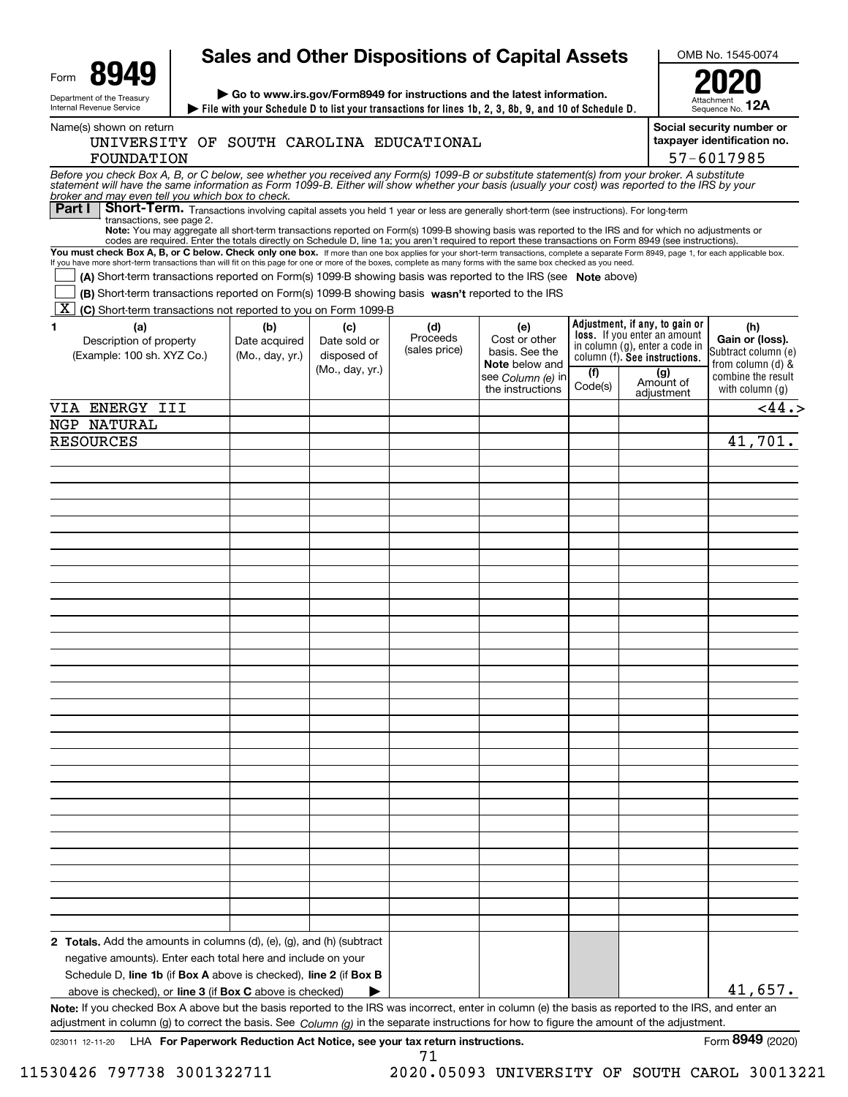|                                                                                                                                                                                                                                                                                                                                                                                                                                                                                                                                                                                                                                                                                                                                                                                                                                                                                                                                                                               |                                         |                                                       |                                  | <b>Sales and Other Dispositions of Capital Assets</b>                                                    |                |                                                                                                                                                                            | OMB No. 1545-0074                                                                                             |  |  |
|-------------------------------------------------------------------------------------------------------------------------------------------------------------------------------------------------------------------------------------------------------------------------------------------------------------------------------------------------------------------------------------------------------------------------------------------------------------------------------------------------------------------------------------------------------------------------------------------------------------------------------------------------------------------------------------------------------------------------------------------------------------------------------------------------------------------------------------------------------------------------------------------------------------------------------------------------------------------------------|-----------------------------------------|-------------------------------------------------------|----------------------------------|----------------------------------------------------------------------------------------------------------|----------------|----------------------------------------------------------------------------------------------------------------------------------------------------------------------------|---------------------------------------------------------------------------------------------------------------|--|--|
| Form<br>$\triangleright$ Go to www.irs.gov/Form8949 for instructions and the latest information.<br>Department of the Treasury<br>Internal Revenue Service<br>File with your Schedule D to list your transactions for lines 1b, 2, 3, 8b, 9, and 10 of Schedule D.                                                                                                                                                                                                                                                                                                                                                                                                                                                                                                                                                                                                                                                                                                            |                                         |                                                       |                                  |                                                                                                          |                | Sequence No. 12A                                                                                                                                                           |                                                                                                               |  |  |
| Name(s) shown on return<br>UNIVERSITY OF SOUTH CAROLINA EDUCATIONAL<br>FOUNDATION                                                                                                                                                                                                                                                                                                                                                                                                                                                                                                                                                                                                                                                                                                                                                                                                                                                                                             |                                         |                                                       |                                  |                                                                                                          |                |                                                                                                                                                                            | Social security number or<br>taxpayer identification no.<br>57-6017985                                        |  |  |
| Before you check Box A, B, or C below, see whether you received any Form(s) 1099-B or substitute statement(s) from your broker. A substitute<br>statement will have the same information as Form 1099-B. Either will show whether<br>broker and may even tell you which box to check.                                                                                                                                                                                                                                                                                                                                                                                                                                                                                                                                                                                                                                                                                         |                                         |                                                       |                                  |                                                                                                          |                |                                                                                                                                                                            |                                                                                                               |  |  |
| Part I<br>Short-Term. Transactions involving capital assets you held 1 year or less are generally short-term (see instructions). For long-term<br>transactions, see page 2.<br>Note: You may aggregate all short-term transactions reported on Form(s) 1099-B showing basis was reported to the IRS and for which no adjustments or<br>codes are required. Enter the totals directly on Schedule D, line 1a; you aren't required to report these transactions on Form 8949 (see instructions).<br>You must check Box A, B, or C below. Check only one box. If more than one box applies for your short-term transactions, complete a separate Form 8949, page 1, for each applicable box.<br>If you have more short-term transactions than will fit on this page for one or more of the boxes, complete as many forms with the same box checked as you need.<br>(A) Short-term transactions reported on Form(s) 1099-B showing basis was reported to the IRS (see Note above) |                                         |                                                       |                                  |                                                                                                          |                |                                                                                                                                                                            |                                                                                                               |  |  |
| (B) Short term transactions reported on Form(s) 1099-B showing basis wasn't reported to the IRS                                                                                                                                                                                                                                                                                                                                                                                                                                                                                                                                                                                                                                                                                                                                                                                                                                                                               |                                         |                                                       |                                  |                                                                                                          |                |                                                                                                                                                                            |                                                                                                               |  |  |
| $\mid$ X $\mid$<br>(C) Short-term transactions not reported to you on Form 1099-B<br>1<br>(a)<br>Description of property<br>(Example: 100 sh. XYZ Co.)                                                                                                                                                                                                                                                                                                                                                                                                                                                                                                                                                                                                                                                                                                                                                                                                                        | (b)<br>Date acquired<br>(Mo., day, yr.) | (c)<br>Date sold or<br>disposed of<br>(Mo., day, yr.) | (d)<br>Proceeds<br>(sales price) | (e)<br>Cost or other<br>basis. See the<br><b>Note</b> below and<br>see Column (e) in<br>the instructions | (f)<br>Code(s) | Adjustment, if any, to gain or<br><b>loss.</b> If you enter an amount<br>in column (g), enter a code in<br>column (f). See instructions.<br>(g)<br>Amount of<br>adjustment | (h)<br>Gain or (loss).<br>Subtract column (e)<br>from column (d) &<br>combine the result<br>with column $(q)$ |  |  |
| VIA ENERGY III                                                                                                                                                                                                                                                                                                                                                                                                                                                                                                                                                                                                                                                                                                                                                                                                                                                                                                                                                                |                                         |                                                       |                                  |                                                                                                          |                |                                                                                                                                                                            | < 44.5                                                                                                        |  |  |
| NGP NATURAL                                                                                                                                                                                                                                                                                                                                                                                                                                                                                                                                                                                                                                                                                                                                                                                                                                                                                                                                                                   |                                         |                                                       |                                  |                                                                                                          |                |                                                                                                                                                                            |                                                                                                               |  |  |
| <b>RESOURCES</b>                                                                                                                                                                                                                                                                                                                                                                                                                                                                                                                                                                                                                                                                                                                                                                                                                                                                                                                                                              |                                         |                                                       |                                  |                                                                                                          |                |                                                                                                                                                                            | 41,701.                                                                                                       |  |  |
|                                                                                                                                                                                                                                                                                                                                                                                                                                                                                                                                                                                                                                                                                                                                                                                                                                                                                                                                                                               |                                         |                                                       |                                  |                                                                                                          |                |                                                                                                                                                                            |                                                                                                               |  |  |
|                                                                                                                                                                                                                                                                                                                                                                                                                                                                                                                                                                                                                                                                                                                                                                                                                                                                                                                                                                               |                                         |                                                       |                                  |                                                                                                          |                |                                                                                                                                                                            |                                                                                                               |  |  |
|                                                                                                                                                                                                                                                                                                                                                                                                                                                                                                                                                                                                                                                                                                                                                                                                                                                                                                                                                                               |                                         |                                                       |                                  |                                                                                                          |                |                                                                                                                                                                            |                                                                                                               |  |  |
|                                                                                                                                                                                                                                                                                                                                                                                                                                                                                                                                                                                                                                                                                                                                                                                                                                                                                                                                                                               |                                         |                                                       |                                  |                                                                                                          |                |                                                                                                                                                                            |                                                                                                               |  |  |
|                                                                                                                                                                                                                                                                                                                                                                                                                                                                                                                                                                                                                                                                                                                                                                                                                                                                                                                                                                               |                                         |                                                       |                                  |                                                                                                          |                |                                                                                                                                                                            |                                                                                                               |  |  |
|                                                                                                                                                                                                                                                                                                                                                                                                                                                                                                                                                                                                                                                                                                                                                                                                                                                                                                                                                                               |                                         |                                                       |                                  |                                                                                                          |                |                                                                                                                                                                            |                                                                                                               |  |  |
|                                                                                                                                                                                                                                                                                                                                                                                                                                                                                                                                                                                                                                                                                                                                                                                                                                                                                                                                                                               |                                         |                                                       |                                  |                                                                                                          |                |                                                                                                                                                                            |                                                                                                               |  |  |
|                                                                                                                                                                                                                                                                                                                                                                                                                                                                                                                                                                                                                                                                                                                                                                                                                                                                                                                                                                               |                                         |                                                       |                                  |                                                                                                          |                |                                                                                                                                                                            |                                                                                                               |  |  |
|                                                                                                                                                                                                                                                                                                                                                                                                                                                                                                                                                                                                                                                                                                                                                                                                                                                                                                                                                                               |                                         |                                                       |                                  |                                                                                                          |                |                                                                                                                                                                            |                                                                                                               |  |  |
|                                                                                                                                                                                                                                                                                                                                                                                                                                                                                                                                                                                                                                                                                                                                                                                                                                                                                                                                                                               |                                         |                                                       |                                  |                                                                                                          |                |                                                                                                                                                                            |                                                                                                               |  |  |
|                                                                                                                                                                                                                                                                                                                                                                                                                                                                                                                                                                                                                                                                                                                                                                                                                                                                                                                                                                               |                                         |                                                       |                                  |                                                                                                          |                |                                                                                                                                                                            |                                                                                                               |  |  |
|                                                                                                                                                                                                                                                                                                                                                                                                                                                                                                                                                                                                                                                                                                                                                                                                                                                                                                                                                                               |                                         |                                                       |                                  |                                                                                                          |                |                                                                                                                                                                            |                                                                                                               |  |  |
|                                                                                                                                                                                                                                                                                                                                                                                                                                                                                                                                                                                                                                                                                                                                                                                                                                                                                                                                                                               |                                         |                                                       |                                  |                                                                                                          |                |                                                                                                                                                                            |                                                                                                               |  |  |
|                                                                                                                                                                                                                                                                                                                                                                                                                                                                                                                                                                                                                                                                                                                                                                                                                                                                                                                                                                               |                                         |                                                       |                                  |                                                                                                          |                |                                                                                                                                                                            |                                                                                                               |  |  |
|                                                                                                                                                                                                                                                                                                                                                                                                                                                                                                                                                                                                                                                                                                                                                                                                                                                                                                                                                                               |                                         |                                                       |                                  |                                                                                                          |                |                                                                                                                                                                            |                                                                                                               |  |  |
|                                                                                                                                                                                                                                                                                                                                                                                                                                                                                                                                                                                                                                                                                                                                                                                                                                                                                                                                                                               |                                         |                                                       |                                  |                                                                                                          |                |                                                                                                                                                                            |                                                                                                               |  |  |
|                                                                                                                                                                                                                                                                                                                                                                                                                                                                                                                                                                                                                                                                                                                                                                                                                                                                                                                                                                               |                                         |                                                       |                                  |                                                                                                          |                |                                                                                                                                                                            |                                                                                                               |  |  |
|                                                                                                                                                                                                                                                                                                                                                                                                                                                                                                                                                                                                                                                                                                                                                                                                                                                                                                                                                                               |                                         |                                                       |                                  |                                                                                                          |                |                                                                                                                                                                            |                                                                                                               |  |  |
|                                                                                                                                                                                                                                                                                                                                                                                                                                                                                                                                                                                                                                                                                                                                                                                                                                                                                                                                                                               |                                         |                                                       |                                  |                                                                                                          |                |                                                                                                                                                                            |                                                                                                               |  |  |
|                                                                                                                                                                                                                                                                                                                                                                                                                                                                                                                                                                                                                                                                                                                                                                                                                                                                                                                                                                               |                                         |                                                       |                                  |                                                                                                          |                |                                                                                                                                                                            |                                                                                                               |  |  |
|                                                                                                                                                                                                                                                                                                                                                                                                                                                                                                                                                                                                                                                                                                                                                                                                                                                                                                                                                                               |                                         |                                                       |                                  |                                                                                                          |                |                                                                                                                                                                            |                                                                                                               |  |  |
|                                                                                                                                                                                                                                                                                                                                                                                                                                                                                                                                                                                                                                                                                                                                                                                                                                                                                                                                                                               |                                         |                                                       |                                  |                                                                                                          |                |                                                                                                                                                                            |                                                                                                               |  |  |
|                                                                                                                                                                                                                                                                                                                                                                                                                                                                                                                                                                                                                                                                                                                                                                                                                                                                                                                                                                               |                                         |                                                       |                                  |                                                                                                          |                |                                                                                                                                                                            |                                                                                                               |  |  |
|                                                                                                                                                                                                                                                                                                                                                                                                                                                                                                                                                                                                                                                                                                                                                                                                                                                                                                                                                                               |                                         |                                                       |                                  |                                                                                                          |                |                                                                                                                                                                            |                                                                                                               |  |  |
|                                                                                                                                                                                                                                                                                                                                                                                                                                                                                                                                                                                                                                                                                                                                                                                                                                                                                                                                                                               |                                         |                                                       |                                  |                                                                                                          |                |                                                                                                                                                                            |                                                                                                               |  |  |
| <b>2 Totals.</b> Add the amounts in columns (d), (e), (g), and (h) (subtract<br>negative amounts). Enter each total here and include on your<br>Schedule D, line 1b (if Box A above is checked), line 2 (if Box B                                                                                                                                                                                                                                                                                                                                                                                                                                                                                                                                                                                                                                                                                                                                                             |                                         |                                                       |                                  |                                                                                                          |                |                                                                                                                                                                            |                                                                                                               |  |  |
| above is checked), or line 3 (if Box C above is checked)                                                                                                                                                                                                                                                                                                                                                                                                                                                                                                                                                                                                                                                                                                                                                                                                                                                                                                                      |                                         |                                                       |                                  |                                                                                                          |                |                                                                                                                                                                            | 41,657.                                                                                                       |  |  |
| Note: If you checked Box A above but the basis reported to the IRS was incorrect, enter in column (e) the basis as reported to the IRS, and enter an<br>adjustment in column (g) to correct the basis. See Column (g) in the separate instructions for how to figure the amount of the adjustment.                                                                                                                                                                                                                                                                                                                                                                                                                                                                                                                                                                                                                                                                            |                                         |                                                       |                                  |                                                                                                          |                |                                                                                                                                                                            |                                                                                                               |  |  |

023011 12-11-20 **For Paperwork Reduction Act Notice, see your tax return instructions.** LHA Form (2020) 71

11530426 797738 3001322711 2020.05093 UNIVERSITY OF SOUTH CAROL 30013221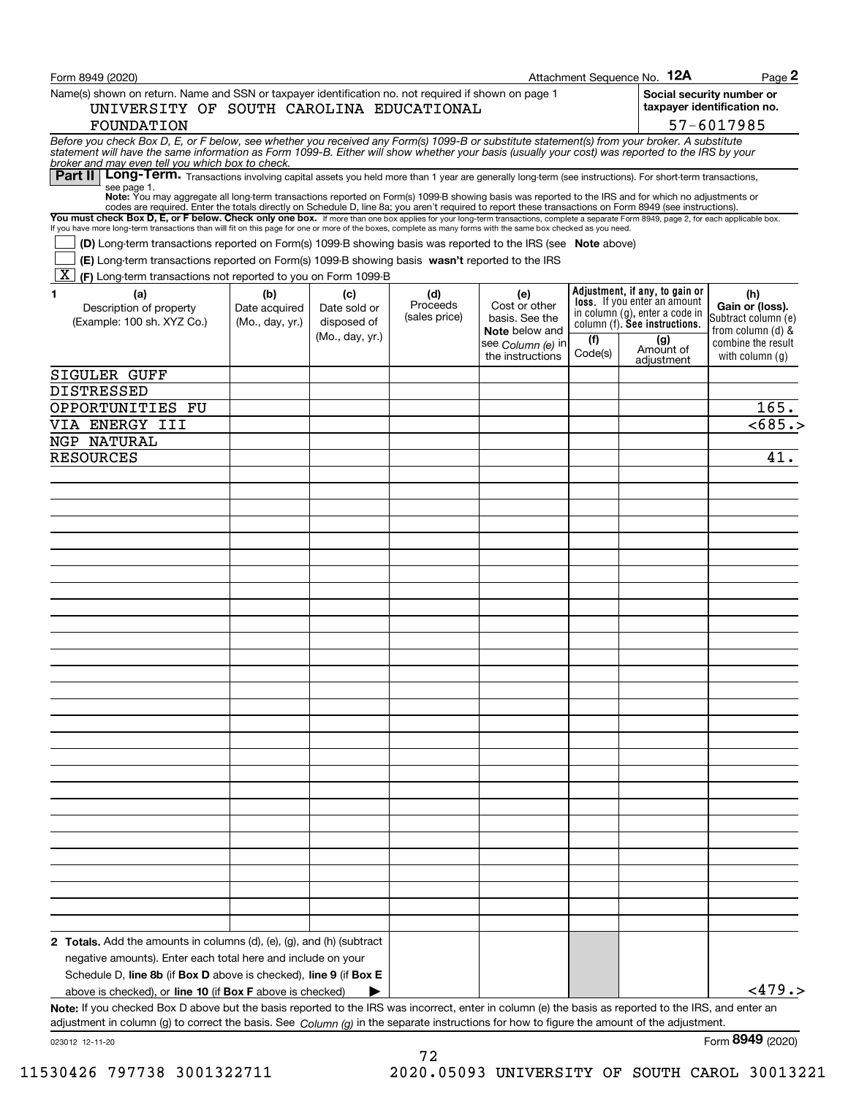| Form 8949 (2020)                                                                                                                                                                                                                                                                                                                                         |                 |                 |               |                                         |         | Attachment Sequence No. 12A                                           | Page 2                                                   |
|----------------------------------------------------------------------------------------------------------------------------------------------------------------------------------------------------------------------------------------------------------------------------------------------------------------------------------------------------------|-----------------|-----------------|---------------|-----------------------------------------|---------|-----------------------------------------------------------------------|----------------------------------------------------------|
| Name(s) shown on return. Name and SSN or taxpayer identification no. not required if shown on page 1<br>UNIVERSITY OF SOUTH CAROLINA EDUCATIONAL                                                                                                                                                                                                         |                 |                 |               |                                         |         |                                                                       | Social security number or<br>taxpayer identification no. |
| FOUNDATION                                                                                                                                                                                                                                                                                                                                               |                 |                 |               |                                         |         |                                                                       | 57-6017985                                               |
| Before you check Box D, E, or F below, see whether you received any Form(s) 1099-B or substitute statement(s) from your broker. A substitute statement will have the same information as Form 1099-B. Either will show whether<br>broker and may even tell you which box to check.                                                                       |                 |                 |               |                                         |         |                                                                       |                                                          |
| Long-Term. Transactions involving capital assets you held more than 1 year are generally long-term (see instructions). For short-term transactions,<br>Part II                                                                                                                                                                                           |                 |                 |               |                                         |         |                                                                       |                                                          |
| see page 1.<br>Note: You may aggregate all long-term transactions reported on Form(s) 1099-B showing basis was reported to the IRS and for which no adjustments or<br>codes are required. Enter the totals directly on Schedule D, line 8a; you aren't required to report these transactions on Form 8949 (see instructions).                            |                 |                 |               |                                         |         |                                                                       |                                                          |
| You must check Box D, E, or F below. Check only one box. If more than one box applies for your long-term transactions, complete a separate Form 8949, page 2, for each applicable box.<br>If you have more long-term transactions than will fit on this page for one or more of the boxes, complete as many forms with the same box checked as you need. |                 |                 |               |                                         |         |                                                                       |                                                          |
| <b>(D)</b> Long-term transactions reported on Form(s) 1099-B showing basis was reported to the IRS (see <b>Note</b> above)<br>(E) Long-term transactions reported on Form(s) 1099-B showing basis wasn't reported to the IRS                                                                                                                             |                 |                 |               |                                         |         |                                                                       |                                                          |
| $\mathbf{X}$<br>(F) Long-term transactions not reported to you on Form 1099-B                                                                                                                                                                                                                                                                            |                 |                 |               |                                         |         |                                                                       |                                                          |
| 1<br>(a)                                                                                                                                                                                                                                                                                                                                                 | (b)             | (c)             | (d)           | (e)                                     |         | Adjustment, if any, to gain or                                        | (h)                                                      |
| Description of property                                                                                                                                                                                                                                                                                                                                  | Date acquired   | Date sold or    | Proceeds      | Cost or other                           |         | <b>loss.</b> If you enter an amount<br>in column (g), enter a code in | Gain or (loss).                                          |
| (Example: 100 sh. XYZ Co.)                                                                                                                                                                                                                                                                                                                               | (Mo., day, yr.) | disposed of     | (sales price) | basis. See the<br><b>Note</b> below and |         | column (f). See instructions.                                         | Subtract column (e)<br>from column (d) &                 |
|                                                                                                                                                                                                                                                                                                                                                          |                 | (Mo., day, yr.) |               | see Column (e) in                       | (f)     | (g)                                                                   | combine the result                                       |
|                                                                                                                                                                                                                                                                                                                                                          |                 |                 |               | the instructions                        | Code(s) | Amount of<br>adjustment                                               | with column $(q)$                                        |
| <b>SIGULER GUFF</b>                                                                                                                                                                                                                                                                                                                                      |                 |                 |               |                                         |         |                                                                       |                                                          |
| DISTRESSED                                                                                                                                                                                                                                                                                                                                               |                 |                 |               |                                         |         |                                                                       |                                                          |
| OPPORTUNITIES FU                                                                                                                                                                                                                                                                                                                                         |                 |                 |               |                                         |         |                                                                       | 165.                                                     |
| VIA ENERGY III                                                                                                                                                                                                                                                                                                                                           |                 |                 |               |                                         |         |                                                                       | < 685.                                                   |
| NGP NATURAL                                                                                                                                                                                                                                                                                                                                              |                 |                 |               |                                         |         |                                                                       |                                                          |
| <b>RESOURCES</b>                                                                                                                                                                                                                                                                                                                                         |                 |                 |               |                                         |         |                                                                       | 41.                                                      |
|                                                                                                                                                                                                                                                                                                                                                          |                 |                 |               |                                         |         |                                                                       |                                                          |
|                                                                                                                                                                                                                                                                                                                                                          |                 |                 |               |                                         |         |                                                                       |                                                          |
|                                                                                                                                                                                                                                                                                                                                                          |                 |                 |               |                                         |         |                                                                       |                                                          |
|                                                                                                                                                                                                                                                                                                                                                          |                 |                 |               |                                         |         |                                                                       |                                                          |
|                                                                                                                                                                                                                                                                                                                                                          |                 |                 |               |                                         |         |                                                                       |                                                          |
|                                                                                                                                                                                                                                                                                                                                                          |                 |                 |               |                                         |         |                                                                       |                                                          |
|                                                                                                                                                                                                                                                                                                                                                          |                 |                 |               |                                         |         |                                                                       |                                                          |
|                                                                                                                                                                                                                                                                                                                                                          |                 |                 |               |                                         |         |                                                                       |                                                          |
|                                                                                                                                                                                                                                                                                                                                                          |                 |                 |               |                                         |         |                                                                       |                                                          |
|                                                                                                                                                                                                                                                                                                                                                          |                 |                 |               |                                         |         |                                                                       |                                                          |
|                                                                                                                                                                                                                                                                                                                                                          |                 |                 |               |                                         |         |                                                                       |                                                          |
|                                                                                                                                                                                                                                                                                                                                                          |                 |                 |               |                                         |         |                                                                       |                                                          |
|                                                                                                                                                                                                                                                                                                                                                          |                 |                 |               |                                         |         |                                                                       |                                                          |
|                                                                                                                                                                                                                                                                                                                                                          |                 |                 |               |                                         |         |                                                                       |                                                          |
|                                                                                                                                                                                                                                                                                                                                                          |                 |                 |               |                                         |         |                                                                       |                                                          |
|                                                                                                                                                                                                                                                                                                                                                          |                 |                 |               |                                         |         |                                                                       |                                                          |
|                                                                                                                                                                                                                                                                                                                                                          |                 |                 |               |                                         |         |                                                                       |                                                          |
|                                                                                                                                                                                                                                                                                                                                                          |                 |                 |               |                                         |         |                                                                       |                                                          |
|                                                                                                                                                                                                                                                                                                                                                          |                 |                 |               |                                         |         |                                                                       |                                                          |
|                                                                                                                                                                                                                                                                                                                                                          |                 |                 |               |                                         |         |                                                                       |                                                          |
|                                                                                                                                                                                                                                                                                                                                                          |                 |                 |               |                                         |         |                                                                       |                                                          |
|                                                                                                                                                                                                                                                                                                                                                          |                 |                 |               |                                         |         |                                                                       |                                                          |
|                                                                                                                                                                                                                                                                                                                                                          |                 |                 |               |                                         |         |                                                                       |                                                          |
|                                                                                                                                                                                                                                                                                                                                                          |                 |                 |               |                                         |         |                                                                       |                                                          |
|                                                                                                                                                                                                                                                                                                                                                          |                 |                 |               |                                         |         |                                                                       |                                                          |
|                                                                                                                                                                                                                                                                                                                                                          |                 |                 |               |                                         |         |                                                                       |                                                          |
|                                                                                                                                                                                                                                                                                                                                                          |                 |                 |               |                                         |         |                                                                       |                                                          |
|                                                                                                                                                                                                                                                                                                                                                          |                 |                 |               |                                         |         |                                                                       |                                                          |
| <b>2 Totals.</b> Add the amounts in columns (d), (e), (g), and (h) (subtract                                                                                                                                                                                                                                                                             |                 |                 |               |                                         |         |                                                                       |                                                          |
| negative amounts). Enter each total here and include on your                                                                                                                                                                                                                                                                                             |                 |                 |               |                                         |         |                                                                       |                                                          |
| Schedule D, line 8b (if Box D above is checked), line 9 (if Box E                                                                                                                                                                                                                                                                                        |                 |                 |               |                                         |         |                                                                       |                                                          |
| above is checked), or line 10 (if Box F above is checked)                                                                                                                                                                                                                                                                                                |                 |                 |               |                                         |         |                                                                       | <479.                                                    |
| Note: If you checked Box D above but the basis reported to the IRS was incorrect, enter in column (e) the basis as reported to the IRS, and enter an                                                                                                                                                                                                     |                 |                 |               |                                         |         |                                                                       |                                                          |
| adjustment in column (g) to correct the basis. See $Column(q)$ in the separate instructions for how to figure the amount of the adjustment.                                                                                                                                                                                                              |                 |                 |               |                                         |         |                                                                       |                                                          |
| 023012 12-11-20                                                                                                                                                                                                                                                                                                                                          |                 |                 |               |                                         |         |                                                                       | Form 8949 (2020)                                         |

72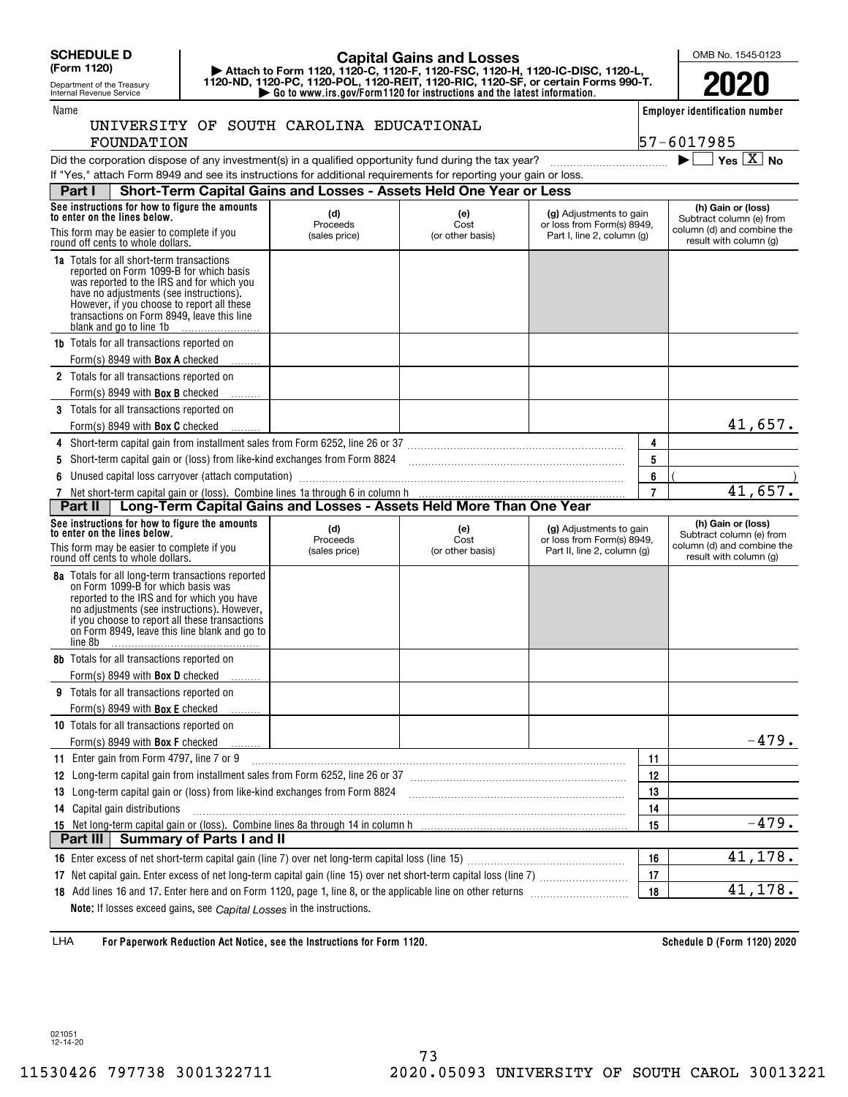**(Form 1120)**

Name

## Department of the Treasury Internal Revenue Service

## **| Attach to Form 1120, 1120-C, 1120-F, 1120-FSC, 1120-H, 1120-IC-DISC, 1120-L, 1120-ND, 1120-PC, 1120-POL, 1120-REIT, 1120-RIC, 1120-SF, or certain Forms 990-T. Capital Gains and Losses**

**| Go to www.irs.gov/Form1120 for instructions and the latest information.**

OMB No. 1545-0123

**Employer identification number**

57-6017985

|            |  | UNIVERSITY OF SOUTH CAROLINA EDUCATIONAL |
|------------|--|------------------------------------------|
| FOUNDATION |  |                                          |

Did the corporation dispose of any investment(s) in a qualified opportunity fund during the tax year?  $\Box$   $\Box$ If "Yes," attach Form 8949 and see its

| estment(s) in a qualified opportunity fund during the tax year?           |  | $\blacktriangleright$ $\Box$ Yes $\boxed{X}$ No |  |
|---------------------------------------------------------------------------|--|-------------------------------------------------|--|
| instructions for additional requirements for reporting your gain or loss. |  |                                                 |  |

|                                                                                 | Part I                                                                                                                                                                                                                                                                                                     | Short-Term Capital Gains and Losses - Assets Held One Year or Less |                                 |                                                                                      |                                                                              |                                                                                                        |
|---------------------------------------------------------------------------------|------------------------------------------------------------------------------------------------------------------------------------------------------------------------------------------------------------------------------------------------------------------------------------------------------------|--------------------------------------------------------------------|---------------------------------|--------------------------------------------------------------------------------------|------------------------------------------------------------------------------|--------------------------------------------------------------------------------------------------------|
|                                                                                 | See instructions for how to figure the amounts<br>to enter on the lines below.                                                                                                                                                                                                                             | (d)<br>Proceeds                                                    | (e)<br>Cost                     | (g) Adjustments to gain<br>or loss from Form(s) 8949,                                | (h) Gain or (loss)<br>Subtract column (e) from<br>column (d) and combine the |                                                                                                        |
| This form may be easier to complete if you<br>round off cents to whole dollars. |                                                                                                                                                                                                                                                                                                            | (sales price)                                                      | (or other basis)                | Part I, line 2, column (g)                                                           | result with column (g)                                                       |                                                                                                        |
|                                                                                 | <b>1a</b> Totals for all short-term transactions<br>reported on Form 1099-B for which basis<br>was reported to the IRS and for which you<br>have no adjustments (see instructions).<br>However, if you choose to report all these<br>transactions on Form 8949, leave this line<br>blank and go to line 1b |                                                                    |                                 |                                                                                      |                                                                              |                                                                                                        |
|                                                                                 | <b>1b</b> Totals for all transactions reported on<br>Form(s) 8949 with <b>Box A</b> checked                                                                                                                                                                                                                |                                                                    |                                 |                                                                                      |                                                                              |                                                                                                        |
|                                                                                 | 2 Totals for all transactions reported on                                                                                                                                                                                                                                                                  |                                                                    |                                 |                                                                                      |                                                                              |                                                                                                        |
|                                                                                 | Form(s) 8949 with <b>Box B</b> checked                                                                                                                                                                                                                                                                     |                                                                    |                                 |                                                                                      |                                                                              |                                                                                                        |
|                                                                                 | 3 Totals for all transactions reported on                                                                                                                                                                                                                                                                  |                                                                    |                                 |                                                                                      |                                                                              |                                                                                                        |
|                                                                                 | Form(s) 8949 with <b>Box C</b> checked                                                                                                                                                                                                                                                                     |                                                                    |                                 |                                                                                      |                                                                              | 41,657.                                                                                                |
|                                                                                 | 4 Short-term capital gain from installment sales from Form 6252, line 26 or 37 [11] [12] Chang Manuscoff Chang Capital and Short-term capital gain from installment sales from Form 6252, line 26 or 37                                                                                                    |                                                                    |                                 |                                                                                      | 4                                                                            |                                                                                                        |
| 5                                                                               |                                                                                                                                                                                                                                                                                                            |                                                                    |                                 |                                                                                      | 5                                                                            |                                                                                                        |
|                                                                                 | 6 Unused capital loss carryover (attach computation)                                                                                                                                                                                                                                                       |                                                                    |                                 |                                                                                      | 6                                                                            |                                                                                                        |
|                                                                                 | 7 Net short-term capital gain or (loss). Combine lines 1a through 6 in column h<br><b>Part II</b>   Long-Term Capital Gains and Losses - Assets Held More Than One Year                                                                                                                                    |                                                                    |                                 | $\overline{7}$                                                                       | 41,657.                                                                      |                                                                                                        |
|                                                                                 |                                                                                                                                                                                                                                                                                                            |                                                                    |                                 |                                                                                      |                                                                              |                                                                                                        |
|                                                                                 | See instructions for how to figure the amounts<br>to enter on the lines below.<br>This form may be easier to complete if you<br>round off cents to whole dollars.                                                                                                                                          | (d)<br>Proceeds<br>(sales price)                                   | (e)<br>Cost<br>(or other basis) | (g) Adjustments to gain<br>or loss from Form(s) 8949,<br>Part II, line 2, column (g) |                                                                              | (h) Gain or (loss)<br>Subtract column (e) from<br>column (d) and combine the<br>result with column (g) |
|                                                                                 |                                                                                                                                                                                                                                                                                                            |                                                                    |                                 |                                                                                      |                                                                              |                                                                                                        |
|                                                                                 | 8a Totals for all long-term transactions reported<br>on Form 1099-B for which basis was<br>reported to the IRS and for which you have<br>no adjustments (see instructions). However,<br>if you choose to report all these transactions<br>on Form 8949, leave this line blank and go to<br>line 8b         |                                                                    |                                 |                                                                                      |                                                                              |                                                                                                        |
|                                                                                 | <b>8b</b> Totals for all transactions reported on                                                                                                                                                                                                                                                          |                                                                    |                                 |                                                                                      |                                                                              |                                                                                                        |
|                                                                                 | Form(s) 8949 with <b>Box D</b> checked                                                                                                                                                                                                                                                                     |                                                                    |                                 |                                                                                      |                                                                              |                                                                                                        |
|                                                                                 | <b>9</b> Totals for all transactions reported on                                                                                                                                                                                                                                                           |                                                                    |                                 |                                                                                      |                                                                              |                                                                                                        |
|                                                                                 | Form(s) 8949 with <b>Box E</b> checked                                                                                                                                                                                                                                                                     |                                                                    |                                 |                                                                                      |                                                                              |                                                                                                        |
|                                                                                 | 10 Totals for all transactions reported on                                                                                                                                                                                                                                                                 |                                                                    |                                 |                                                                                      |                                                                              |                                                                                                        |
|                                                                                 | Form(s) 8949 with Box F checked                                                                                                                                                                                                                                                                            |                                                                    |                                 |                                                                                      |                                                                              | $-479.$                                                                                                |
|                                                                                 | 11 Enter gain from Form 4797, line 7 or 9                                                                                                                                                                                                                                                                  |                                                                    |                                 |                                                                                      | 11                                                                           |                                                                                                        |
|                                                                                 | 12 Long-term capital gain from installment sales from Form 6252, line 26 or 37 [11] [12] Long-term capital gain from installment sales from Form 6252, line 26 or 37                                                                                                                                       |                                                                    |                                 |                                                                                      | 12                                                                           |                                                                                                        |
|                                                                                 | 13 Long-term capital gain or (loss) from like-kind exchanges from Form 8824                                                                                                                                                                                                                                |                                                                    |                                 |                                                                                      | 13                                                                           |                                                                                                        |
|                                                                                 | 14 Capital gain distributions                                                                                                                                                                                                                                                                              |                                                                    |                                 |                                                                                      | 14                                                                           |                                                                                                        |
| Part III                                                                        | <b>Summary of Parts I and II</b>                                                                                                                                                                                                                                                                           |                                                                    |                                 |                                                                                      | 15                                                                           | $-479.$                                                                                                |
|                                                                                 |                                                                                                                                                                                                                                                                                                            |                                                                    |                                 |                                                                                      | 16                                                                           | 41,178.                                                                                                |
|                                                                                 |                                                                                                                                                                                                                                                                                                            |                                                                    |                                 |                                                                                      | 17                                                                           |                                                                                                        |
|                                                                                 |                                                                                                                                                                                                                                                                                                            |                                                                    |                                 |                                                                                      | 18                                                                           | 41,178.                                                                                                |

**For Paperwork Reduction Act Notice, see the Instructions for Form 1120. Schedule D (Form 1120) 2020** LHA

021051 12-14-20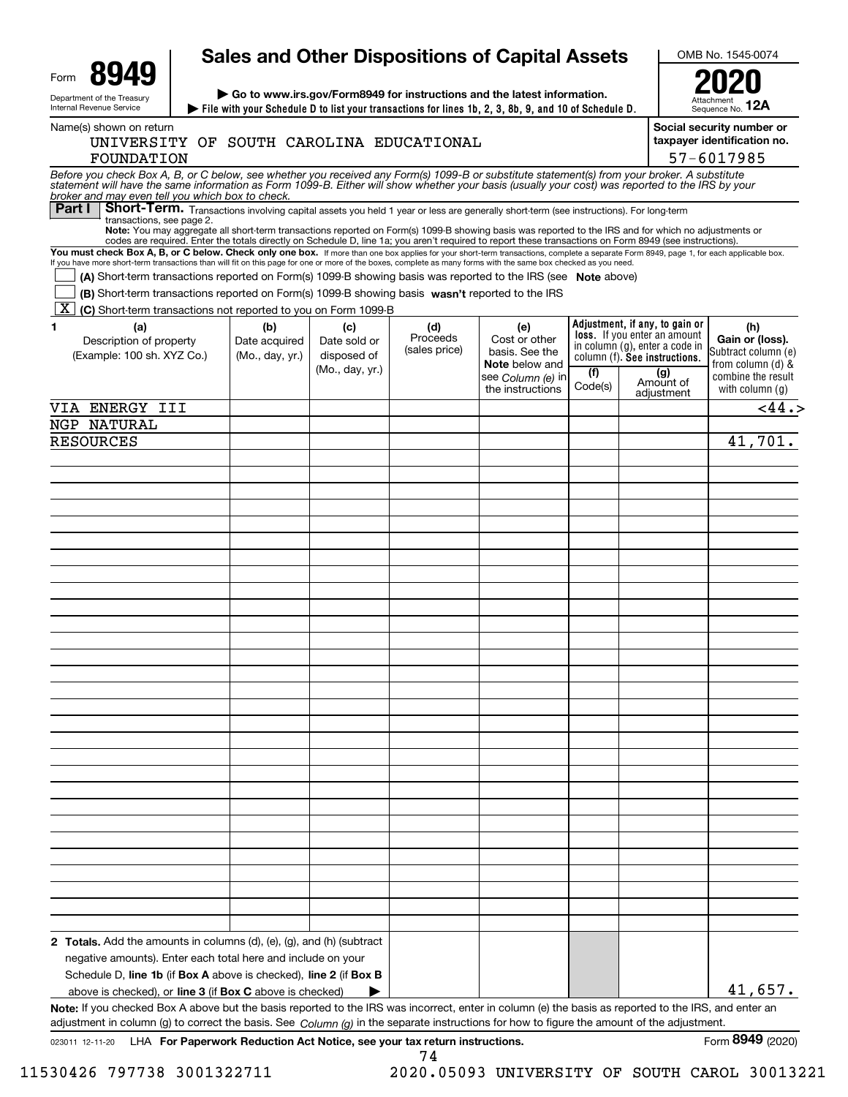|                                                                                                                                                                                                                                                                                                                                                                                                                                                                                                                                                                                                                                                                                                                                                                                                                                                              | <b>Sales and Other Dispositions of Capital Assets</b> |                                                                        |                                  |                                                                                                          |                |                                                                                                                                                                            | OMB No. 1545-0074                                                                                             |  |
|--------------------------------------------------------------------------------------------------------------------------------------------------------------------------------------------------------------------------------------------------------------------------------------------------------------------------------------------------------------------------------------------------------------------------------------------------------------------------------------------------------------------------------------------------------------------------------------------------------------------------------------------------------------------------------------------------------------------------------------------------------------------------------------------------------------------------------------------------------------|-------------------------------------------------------|------------------------------------------------------------------------|----------------------------------|----------------------------------------------------------------------------------------------------------|----------------|----------------------------------------------------------------------------------------------------------------------------------------------------------------------------|---------------------------------------------------------------------------------------------------------------|--|
| Form<br>$\triangleright$ Go to www.irs.gov/Form8949 for instructions and the latest information.<br>Department of the Treasury<br>Internal Revenue Service<br>File with your Schedule D to list your transactions for lines 1b, 2, 3, 8b, 9, and 10 of Schedule D.                                                                                                                                                                                                                                                                                                                                                                                                                                                                                                                                                                                           |                                                       | Sequence No. 12A                                                       |                                  |                                                                                                          |                |                                                                                                                                                                            |                                                                                                               |  |
| Name(s) shown on return<br>UNIVERSITY OF SOUTH CAROLINA EDUCATIONAL<br>FOUNDATION                                                                                                                                                                                                                                                                                                                                                                                                                                                                                                                                                                                                                                                                                                                                                                            |                                                       | Social security number or<br>taxpayer identification no.<br>57-6017985 |                                  |                                                                                                          |                |                                                                                                                                                                            |                                                                                                               |  |
| Before you check Box A, B, or C below, see whether you received any Form(s) 1099-B or substitute statement(s) from your broker. A substitute<br>statement will have the same information as Form 1099-B. Either will show whether<br>broker and may even tell you which box to check.                                                                                                                                                                                                                                                                                                                                                                                                                                                                                                                                                                        |                                                       |                                                                        |                                  |                                                                                                          |                |                                                                                                                                                                            |                                                                                                               |  |
| Part I<br>Short-Term. Transactions involving capital assets you held 1 year or less are generally short-term (see instructions). For long-term<br>transactions, see page 2.<br>Note: You may aggregate all short-term transactions reported on Form(s) 1099-B showing basis was reported to the IRS and for which no adjustments or<br>codes are required. Enter the totals directly on Schedule D, line 1a; you aren't required to report these transactions on Form 8949 (see instructions).<br>You must check Box A, B, or C below. Check only one box. If more than one box applies for your short-term transactions, complete a separate Form 8949, page 1, for each applicable box.<br>If you have more short-term transactions than will fit on this page for one or more of the boxes, complete as many forms with the same box checked as you need. |                                                       |                                                                        |                                  |                                                                                                          |                |                                                                                                                                                                            |                                                                                                               |  |
| (A) Short-term transactions reported on Form(s) 1099-B showing basis was reported to the IRS (see Note above)<br>(B) Short term transactions reported on Form(s) 1099-B showing basis wasn't reported to the IRS<br>$\mid$ X $\mid$<br>(C) Short-term transactions not reported to you on Form 1099-B                                                                                                                                                                                                                                                                                                                                                                                                                                                                                                                                                        |                                                       |                                                                        |                                  |                                                                                                          |                |                                                                                                                                                                            |                                                                                                               |  |
| 1<br>(a)<br>Description of property<br>(Example: 100 sh. XYZ Co.)                                                                                                                                                                                                                                                                                                                                                                                                                                                                                                                                                                                                                                                                                                                                                                                            | (b)<br>Date acquired<br>(Mo., day, yr.)               | (c)<br>Date sold or<br>disposed of<br>(Mo., day, yr.)                  | (d)<br>Proceeds<br>(sales price) | (e)<br>Cost or other<br>basis. See the<br><b>Note</b> below and<br>see Column (e) in<br>the instructions | (f)<br>Code(s) | Adjustment, if any, to gain or<br><b>loss.</b> If you enter an amount<br>in column (g), enter a code in<br>column (f). See instructions.<br>(g)<br>Amount of<br>adjustment | (h)<br>Gain or (loss).<br>Subtract column (e)<br>from column (d) &<br>combine the result<br>with column $(q)$ |  |
| VIA ENERGY III                                                                                                                                                                                                                                                                                                                                                                                                                                                                                                                                                                                                                                                                                                                                                                                                                                               |                                                       |                                                                        |                                  |                                                                                                          |                |                                                                                                                                                                            | < 44.5                                                                                                        |  |
| NGP NATURAL<br><b>RESOURCES</b>                                                                                                                                                                                                                                                                                                                                                                                                                                                                                                                                                                                                                                                                                                                                                                                                                              |                                                       |                                                                        |                                  |                                                                                                          |                |                                                                                                                                                                            | 41,701.                                                                                                       |  |
|                                                                                                                                                                                                                                                                                                                                                                                                                                                                                                                                                                                                                                                                                                                                                                                                                                                              |                                                       |                                                                        |                                  |                                                                                                          |                |                                                                                                                                                                            |                                                                                                               |  |
|                                                                                                                                                                                                                                                                                                                                                                                                                                                                                                                                                                                                                                                                                                                                                                                                                                                              |                                                       |                                                                        |                                  |                                                                                                          |                |                                                                                                                                                                            |                                                                                                               |  |
|                                                                                                                                                                                                                                                                                                                                                                                                                                                                                                                                                                                                                                                                                                                                                                                                                                                              |                                                       |                                                                        |                                  |                                                                                                          |                |                                                                                                                                                                            |                                                                                                               |  |
|                                                                                                                                                                                                                                                                                                                                                                                                                                                                                                                                                                                                                                                                                                                                                                                                                                                              |                                                       |                                                                        |                                  |                                                                                                          |                |                                                                                                                                                                            |                                                                                                               |  |
|                                                                                                                                                                                                                                                                                                                                                                                                                                                                                                                                                                                                                                                                                                                                                                                                                                                              |                                                       |                                                                        |                                  |                                                                                                          |                |                                                                                                                                                                            |                                                                                                               |  |
|                                                                                                                                                                                                                                                                                                                                                                                                                                                                                                                                                                                                                                                                                                                                                                                                                                                              |                                                       |                                                                        |                                  |                                                                                                          |                |                                                                                                                                                                            |                                                                                                               |  |
|                                                                                                                                                                                                                                                                                                                                                                                                                                                                                                                                                                                                                                                                                                                                                                                                                                                              |                                                       |                                                                        |                                  |                                                                                                          |                |                                                                                                                                                                            |                                                                                                               |  |
|                                                                                                                                                                                                                                                                                                                                                                                                                                                                                                                                                                                                                                                                                                                                                                                                                                                              |                                                       |                                                                        |                                  |                                                                                                          |                |                                                                                                                                                                            |                                                                                                               |  |
|                                                                                                                                                                                                                                                                                                                                                                                                                                                                                                                                                                                                                                                                                                                                                                                                                                                              |                                                       |                                                                        |                                  |                                                                                                          |                |                                                                                                                                                                            |                                                                                                               |  |
|                                                                                                                                                                                                                                                                                                                                                                                                                                                                                                                                                                                                                                                                                                                                                                                                                                                              |                                                       |                                                                        |                                  |                                                                                                          |                |                                                                                                                                                                            |                                                                                                               |  |
|                                                                                                                                                                                                                                                                                                                                                                                                                                                                                                                                                                                                                                                                                                                                                                                                                                                              |                                                       |                                                                        |                                  |                                                                                                          |                |                                                                                                                                                                            |                                                                                                               |  |
|                                                                                                                                                                                                                                                                                                                                                                                                                                                                                                                                                                                                                                                                                                                                                                                                                                                              |                                                       |                                                                        |                                  |                                                                                                          |                |                                                                                                                                                                            |                                                                                                               |  |
|                                                                                                                                                                                                                                                                                                                                                                                                                                                                                                                                                                                                                                                                                                                                                                                                                                                              |                                                       |                                                                        |                                  |                                                                                                          |                |                                                                                                                                                                            |                                                                                                               |  |
|                                                                                                                                                                                                                                                                                                                                                                                                                                                                                                                                                                                                                                                                                                                                                                                                                                                              |                                                       |                                                                        |                                  |                                                                                                          |                |                                                                                                                                                                            |                                                                                                               |  |
|                                                                                                                                                                                                                                                                                                                                                                                                                                                                                                                                                                                                                                                                                                                                                                                                                                                              |                                                       |                                                                        |                                  |                                                                                                          |                |                                                                                                                                                                            |                                                                                                               |  |
|                                                                                                                                                                                                                                                                                                                                                                                                                                                                                                                                                                                                                                                                                                                                                                                                                                                              |                                                       |                                                                        |                                  |                                                                                                          |                |                                                                                                                                                                            |                                                                                                               |  |
|                                                                                                                                                                                                                                                                                                                                                                                                                                                                                                                                                                                                                                                                                                                                                                                                                                                              |                                                       |                                                                        |                                  |                                                                                                          |                |                                                                                                                                                                            |                                                                                                               |  |
|                                                                                                                                                                                                                                                                                                                                                                                                                                                                                                                                                                                                                                                                                                                                                                                                                                                              |                                                       |                                                                        |                                  |                                                                                                          |                |                                                                                                                                                                            |                                                                                                               |  |
|                                                                                                                                                                                                                                                                                                                                                                                                                                                                                                                                                                                                                                                                                                                                                                                                                                                              |                                                       |                                                                        |                                  |                                                                                                          |                |                                                                                                                                                                            |                                                                                                               |  |
|                                                                                                                                                                                                                                                                                                                                                                                                                                                                                                                                                                                                                                                                                                                                                                                                                                                              |                                                       |                                                                        |                                  |                                                                                                          |                |                                                                                                                                                                            |                                                                                                               |  |
|                                                                                                                                                                                                                                                                                                                                                                                                                                                                                                                                                                                                                                                                                                                                                                                                                                                              |                                                       |                                                                        |                                  |                                                                                                          |                |                                                                                                                                                                            |                                                                                                               |  |
|                                                                                                                                                                                                                                                                                                                                                                                                                                                                                                                                                                                                                                                                                                                                                                                                                                                              |                                                       |                                                                        |                                  |                                                                                                          |                |                                                                                                                                                                            |                                                                                                               |  |
|                                                                                                                                                                                                                                                                                                                                                                                                                                                                                                                                                                                                                                                                                                                                                                                                                                                              |                                                       |                                                                        |                                  |                                                                                                          |                |                                                                                                                                                                            |                                                                                                               |  |
|                                                                                                                                                                                                                                                                                                                                                                                                                                                                                                                                                                                                                                                                                                                                                                                                                                                              |                                                       |                                                                        |                                  |                                                                                                          |                |                                                                                                                                                                            |                                                                                                               |  |
|                                                                                                                                                                                                                                                                                                                                                                                                                                                                                                                                                                                                                                                                                                                                                                                                                                                              |                                                       |                                                                        |                                  |                                                                                                          |                |                                                                                                                                                                            |                                                                                                               |  |
| <b>2 Totals.</b> Add the amounts in columns (d), (e), (g), and (h) (subtract<br>negative amounts). Enter each total here and include on your<br>Schedule D, line 1b (if Box A above is checked), line 2 (if Box B                                                                                                                                                                                                                                                                                                                                                                                                                                                                                                                                                                                                                                            |                                                       |                                                                        |                                  |                                                                                                          |                |                                                                                                                                                                            |                                                                                                               |  |
| above is checked), or line 3 (if Box C above is checked)                                                                                                                                                                                                                                                                                                                                                                                                                                                                                                                                                                                                                                                                                                                                                                                                     |                                                       |                                                                        |                                  |                                                                                                          |                |                                                                                                                                                                            | 41,657.                                                                                                       |  |
| Note: If you checked Box A above but the basis reported to the IRS was incorrect, enter in column (e) the basis as reported to the IRS, and enter an<br>adjustment in column (g) to correct the basis. See Column (g) in the separate instructions for how to figure the amount of the adjustment.                                                                                                                                                                                                                                                                                                                                                                                                                                                                                                                                                           |                                                       |                                                                        |                                  |                                                                                                          |                |                                                                                                                                                                            |                                                                                                               |  |

74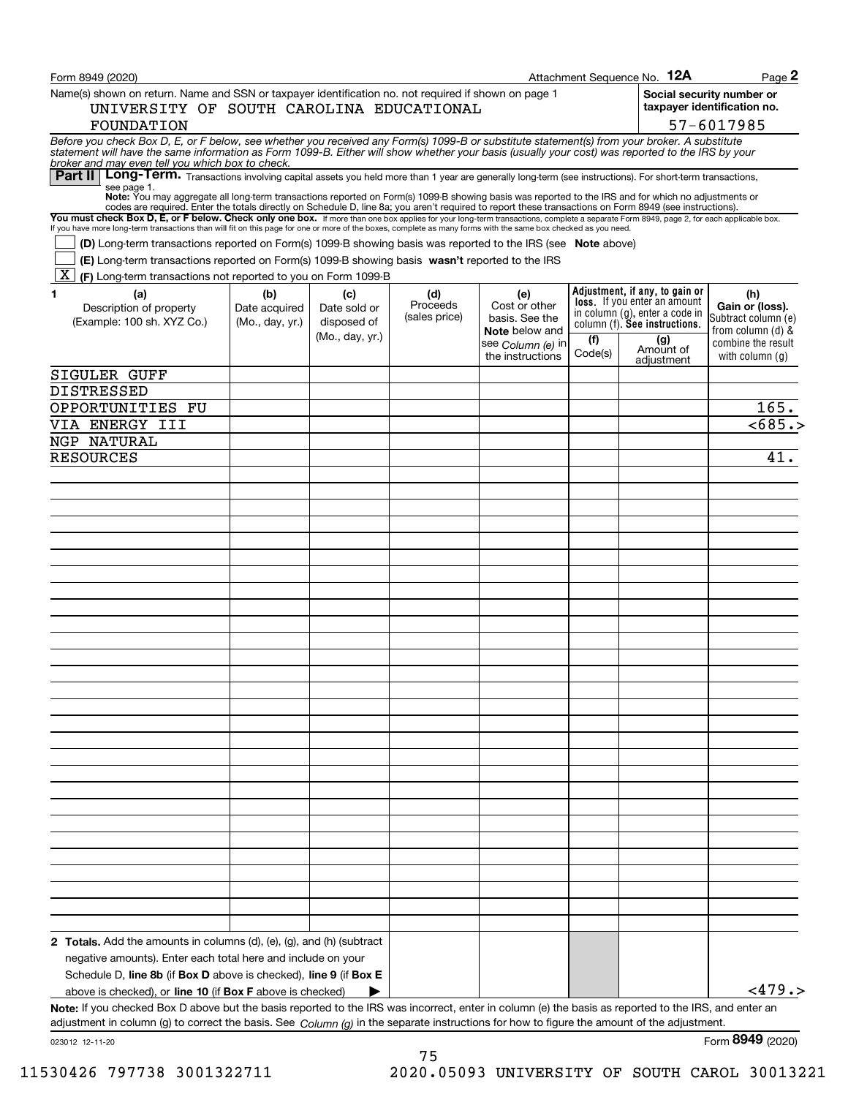| Form 8949 (2020)                                                                                                                                                                                                                                                                                                                                         |                 |                 |               |                                         |         | Attachment Sequence No. 12A                                           | Page 2                                                   |
|----------------------------------------------------------------------------------------------------------------------------------------------------------------------------------------------------------------------------------------------------------------------------------------------------------------------------------------------------------|-----------------|-----------------|---------------|-----------------------------------------|---------|-----------------------------------------------------------------------|----------------------------------------------------------|
| Name(s) shown on return. Name and SSN or taxpayer identification no. not required if shown on page 1<br>UNIVERSITY OF SOUTH CAROLINA EDUCATIONAL                                                                                                                                                                                                         |                 |                 |               |                                         |         |                                                                       | Social security number or<br>taxpayer identification no. |
| FOUNDATION                                                                                                                                                                                                                                                                                                                                               |                 |                 |               |                                         |         |                                                                       | 57-6017985                                               |
| Before you check Box D, E, or F below, see whether you received any Form(s) 1099-B or substitute statement(s) from your broker. A substitute statement will have the same information as Form 1099-B. Either will show whether<br>broker and may even tell you which box to check.                                                                       |                 |                 |               |                                         |         |                                                                       |                                                          |
| Long-Term. Transactions involving capital assets you held more than 1 year are generally long-term (see instructions). For short-term transactions,<br>Part II                                                                                                                                                                                           |                 |                 |               |                                         |         |                                                                       |                                                          |
| see page 1.<br>Note: You may aggregate all long-term transactions reported on Form(s) 1099-B showing basis was reported to the IRS and for which no adjustments or<br>codes are required. Enter the totals directly on Schedule D, line 8a; you aren't required to report these transactions on Form 8949 (see instructions).                            |                 |                 |               |                                         |         |                                                                       |                                                          |
| You must check Box D, E, or F below. Check only one box. If more than one box applies for your long-term transactions, complete a separate Form 8949, page 2, for each applicable box.<br>If you have more long-term transactions than will fit on this page for one or more of the boxes, complete as many forms with the same box checked as you need. |                 |                 |               |                                         |         |                                                                       |                                                          |
| <b>(D)</b> Long-term transactions reported on Form(s) 1099-B showing basis was reported to the IRS (see <b>Note</b> above)<br>(E) Long-term transactions reported on Form(s) 1099-B showing basis wasn't reported to the IRS                                                                                                                             |                 |                 |               |                                         |         |                                                                       |                                                          |
| $\mathbf{X}$<br>(F) Long-term transactions not reported to you on Form 1099-B                                                                                                                                                                                                                                                                            |                 |                 |               |                                         |         |                                                                       |                                                          |
| 1<br>(a)                                                                                                                                                                                                                                                                                                                                                 | (b)             | (c)             | (d)           | (e)                                     |         | Adjustment, if any, to gain or                                        | (h)                                                      |
| Description of property                                                                                                                                                                                                                                                                                                                                  | Date acquired   | Date sold or    | Proceeds      | Cost or other                           |         | <b>loss.</b> If you enter an amount<br>in column (g), enter a code in | Gain or (loss).                                          |
| (Example: 100 sh. XYZ Co.)                                                                                                                                                                                                                                                                                                                               | (Mo., day, yr.) | disposed of     | (sales price) | basis. See the<br><b>Note</b> below and |         | column (f). See instructions.                                         | Subtract column (e)<br>from column (d) &                 |
|                                                                                                                                                                                                                                                                                                                                                          |                 | (Mo., day, yr.) |               | see Column (e) in                       | (f)     | (g)                                                                   | combine the result                                       |
|                                                                                                                                                                                                                                                                                                                                                          |                 |                 |               | the instructions                        | Code(s) | Amount of<br>adjustment                                               | with column $(q)$                                        |
| <b>SIGULER GUFF</b>                                                                                                                                                                                                                                                                                                                                      |                 |                 |               |                                         |         |                                                                       |                                                          |
| DISTRESSED                                                                                                                                                                                                                                                                                                                                               |                 |                 |               |                                         |         |                                                                       |                                                          |
| OPPORTUNITIES FU                                                                                                                                                                                                                                                                                                                                         |                 |                 |               |                                         |         |                                                                       | 165.                                                     |
| VIA ENERGY III                                                                                                                                                                                                                                                                                                                                           |                 |                 |               |                                         |         |                                                                       | < 685.                                                   |
| NGP NATURAL                                                                                                                                                                                                                                                                                                                                              |                 |                 |               |                                         |         |                                                                       |                                                          |
| <b>RESOURCES</b>                                                                                                                                                                                                                                                                                                                                         |                 |                 |               |                                         |         |                                                                       | 41.                                                      |
|                                                                                                                                                                                                                                                                                                                                                          |                 |                 |               |                                         |         |                                                                       |                                                          |
|                                                                                                                                                                                                                                                                                                                                                          |                 |                 |               |                                         |         |                                                                       |                                                          |
|                                                                                                                                                                                                                                                                                                                                                          |                 |                 |               |                                         |         |                                                                       |                                                          |
|                                                                                                                                                                                                                                                                                                                                                          |                 |                 |               |                                         |         |                                                                       |                                                          |
|                                                                                                                                                                                                                                                                                                                                                          |                 |                 |               |                                         |         |                                                                       |                                                          |
|                                                                                                                                                                                                                                                                                                                                                          |                 |                 |               |                                         |         |                                                                       |                                                          |
|                                                                                                                                                                                                                                                                                                                                                          |                 |                 |               |                                         |         |                                                                       |                                                          |
|                                                                                                                                                                                                                                                                                                                                                          |                 |                 |               |                                         |         |                                                                       |                                                          |
|                                                                                                                                                                                                                                                                                                                                                          |                 |                 |               |                                         |         |                                                                       |                                                          |
|                                                                                                                                                                                                                                                                                                                                                          |                 |                 |               |                                         |         |                                                                       |                                                          |
|                                                                                                                                                                                                                                                                                                                                                          |                 |                 |               |                                         |         |                                                                       |                                                          |
|                                                                                                                                                                                                                                                                                                                                                          |                 |                 |               |                                         |         |                                                                       |                                                          |
|                                                                                                                                                                                                                                                                                                                                                          |                 |                 |               |                                         |         |                                                                       |                                                          |
|                                                                                                                                                                                                                                                                                                                                                          |                 |                 |               |                                         |         |                                                                       |                                                          |
|                                                                                                                                                                                                                                                                                                                                                          |                 |                 |               |                                         |         |                                                                       |                                                          |
|                                                                                                                                                                                                                                                                                                                                                          |                 |                 |               |                                         |         |                                                                       |                                                          |
|                                                                                                                                                                                                                                                                                                                                                          |                 |                 |               |                                         |         |                                                                       |                                                          |
|                                                                                                                                                                                                                                                                                                                                                          |                 |                 |               |                                         |         |                                                                       |                                                          |
|                                                                                                                                                                                                                                                                                                                                                          |                 |                 |               |                                         |         |                                                                       |                                                          |
|                                                                                                                                                                                                                                                                                                                                                          |                 |                 |               |                                         |         |                                                                       |                                                          |
|                                                                                                                                                                                                                                                                                                                                                          |                 |                 |               |                                         |         |                                                                       |                                                          |
|                                                                                                                                                                                                                                                                                                                                                          |                 |                 |               |                                         |         |                                                                       |                                                          |
|                                                                                                                                                                                                                                                                                                                                                          |                 |                 |               |                                         |         |                                                                       |                                                          |
|                                                                                                                                                                                                                                                                                                                                                          |                 |                 |               |                                         |         |                                                                       |                                                          |
|                                                                                                                                                                                                                                                                                                                                                          |                 |                 |               |                                         |         |                                                                       |                                                          |
|                                                                                                                                                                                                                                                                                                                                                          |                 |                 |               |                                         |         |                                                                       |                                                          |
|                                                                                                                                                                                                                                                                                                                                                          |                 |                 |               |                                         |         |                                                                       |                                                          |
|                                                                                                                                                                                                                                                                                                                                                          |                 |                 |               |                                         |         |                                                                       |                                                          |
| <b>2 Totals.</b> Add the amounts in columns (d), (e), (g), and (h) (subtract                                                                                                                                                                                                                                                                             |                 |                 |               |                                         |         |                                                                       |                                                          |
| negative amounts). Enter each total here and include on your                                                                                                                                                                                                                                                                                             |                 |                 |               |                                         |         |                                                                       |                                                          |
| Schedule D, line 8b (if Box D above is checked), line 9 (if Box E                                                                                                                                                                                                                                                                                        |                 |                 |               |                                         |         |                                                                       |                                                          |
| above is checked), or line 10 (if Box F above is checked)                                                                                                                                                                                                                                                                                                |                 |                 |               |                                         |         |                                                                       | <479.                                                    |
| Note: If you checked Box D above but the basis reported to the IRS was incorrect, enter in column (e) the basis as reported to the IRS, and enter an                                                                                                                                                                                                     |                 |                 |               |                                         |         |                                                                       |                                                          |
| adjustment in column (g) to correct the basis. See $Column(q)$ in the separate instructions for how to figure the amount of the adjustment.                                                                                                                                                                                                              |                 |                 |               |                                         |         |                                                                       |                                                          |
| 023012 12-11-20                                                                                                                                                                                                                                                                                                                                          |                 |                 |               |                                         |         |                                                                       | Form 8949 (2020)                                         |

75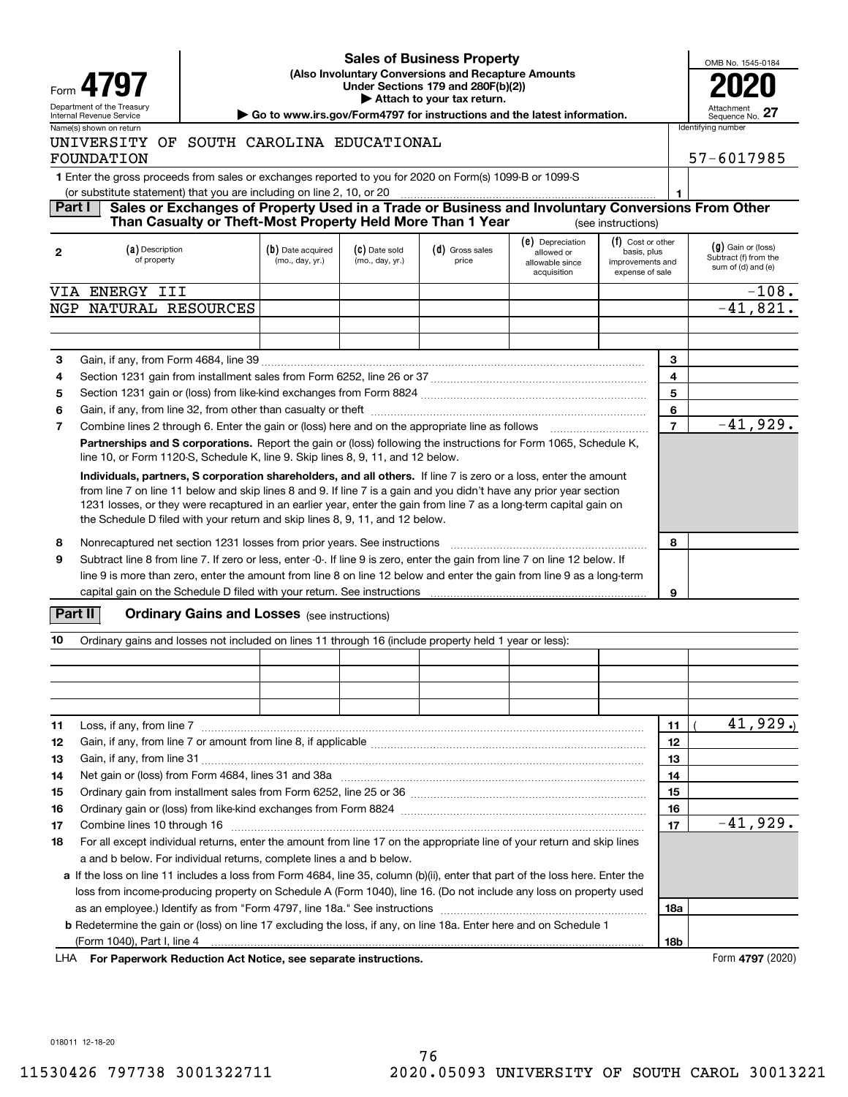

### **(Also Involuntary Conversions and Recapture Amounts Under Sections 179 and 280F(b)(2)) 4797 2020 | Attach to your tax return. Sales of Business Property**

| OMB No. 1545-0184             |  |
|-------------------------------|--|
|                               |  |
| Attachment<br>Sequence No. 27 |  |

**1**

### Department of the Treasury **Number of the Treasury Attachment**<br>Internal Revenue Service Sequence No.<br> **| Go to www.irs.gov/Form4797 for instructions and the latest information.** | Sequence No. Name(s) shown on return **Internal Control of the Control** Identifying number

# UNIVERSITY OF SOUTH CAROLINA EDUCATIONAL FOUNDATION 57-6017985

**1**Enter the gross proceeds from sales or exchanges reported to you for 2020 on Form(s) 1099-B or 1099-S

(or substitute statement) that you are including on line 2, 10, or 20

#### **Part I Sales or Exchanges of Property Used in a Trade or Business and Involuntary Conversions From Other** (see instructions) **Than Casualty or Theft-Most Property Held More Than 1 Year**

| $\overline{2}$ | (a) Description<br>of property                                                                                                                                                                                                                                                                                                                                                                                                                | (b) Date acquired<br>(mo., day, yr.) | (C) Date sold<br>(mo., day, yr.) | (d) Gross sales<br>price | (e) Depreciation<br>allowed or<br>allowable since<br>acquisition | (f) Cost or other<br>basis, plus<br>improvements and<br>expense of sale |                | $(g)$ Gain or (loss)<br>Subtract (f) from the<br>sum of (d) and (e) |
|----------------|-----------------------------------------------------------------------------------------------------------------------------------------------------------------------------------------------------------------------------------------------------------------------------------------------------------------------------------------------------------------------------------------------------------------------------------------------|--------------------------------------|----------------------------------|--------------------------|------------------------------------------------------------------|-------------------------------------------------------------------------|----------------|---------------------------------------------------------------------|
| VIA            | ENERGY III                                                                                                                                                                                                                                                                                                                                                                                                                                    |                                      |                                  |                          |                                                                  |                                                                         |                | $-108.$                                                             |
| NGP            | NATURAL RESOURCES                                                                                                                                                                                                                                                                                                                                                                                                                             |                                      |                                  |                          |                                                                  |                                                                         |                | $-41,821.$                                                          |
|                |                                                                                                                                                                                                                                                                                                                                                                                                                                               |                                      |                                  |                          |                                                                  |                                                                         |                |                                                                     |
|                |                                                                                                                                                                                                                                                                                                                                                                                                                                               |                                      |                                  |                          |                                                                  |                                                                         |                |                                                                     |
| 3              |                                                                                                                                                                                                                                                                                                                                                                                                                                               |                                      |                                  |                          |                                                                  |                                                                         | 3              |                                                                     |
| 4              |                                                                                                                                                                                                                                                                                                                                                                                                                                               |                                      |                                  |                          |                                                                  |                                                                         | 4              |                                                                     |
| 5              |                                                                                                                                                                                                                                                                                                                                                                                                                                               |                                      |                                  |                          |                                                                  |                                                                         | 5              |                                                                     |
| 6              |                                                                                                                                                                                                                                                                                                                                                                                                                                               |                                      |                                  |                          |                                                                  |                                                                         | 6              |                                                                     |
| 7              |                                                                                                                                                                                                                                                                                                                                                                                                                                               |                                      |                                  |                          |                                                                  |                                                                         | $\overline{7}$ | $-41,929.$                                                          |
|                | Partnerships and S corporations. Report the gain or (loss) following the instructions for Form 1065, Schedule K,<br>line 10, or Form 1120-S, Schedule K, line 9. Skip lines 8, 9, 11, and 12 below.                                                                                                                                                                                                                                           |                                      |                                  |                          |                                                                  |                                                                         |                |                                                                     |
|                | Individuals, partners, S corporation shareholders, and all others. If line 7 is zero or a loss, enter the amount<br>from line 7 on line 11 below and skip lines 8 and 9. If line 7 is a gain and you didn't have any prior year section<br>1231 losses, or they were recaptured in an earlier year, enter the gain from line 7 as a long-term capital gain on<br>the Schedule D filed with your return and skip lines 8, 9, 11, and 12 below. |                                      |                                  |                          |                                                                  |                                                                         |                |                                                                     |
| 8              | Nonrecaptured net section 1231 losses from prior years. See instructions                                                                                                                                                                                                                                                                                                                                                                      |                                      | 8                                |                          |                                                                  |                                                                         |                |                                                                     |
| 9              | Subtract line 8 from line 7. If zero or less, enter -0-. If line 9 is zero, enter the gain from line 7 on line 12 below. If<br>line 9 is more than zero, enter the amount from line 8 on line 12 below and enter the gain from line 9 as a long-term<br>capital gain on the Schedule D filed with your return. See instructions                                                                                                               |                                      |                                  |                          |                                                                  |                                                                         | 9              |                                                                     |

# **Part II** | Crdinary Gains and Losses (see instructions)

| 10 | Ordinary gains and losses not included on lines 11 through 16 (include property held 1 year or less):                         |                 |             |  |  |  |  |  |  |
|----|-------------------------------------------------------------------------------------------------------------------------------|-----------------|-------------|--|--|--|--|--|--|
|    |                                                                                                                               |                 |             |  |  |  |  |  |  |
|    |                                                                                                                               |                 |             |  |  |  |  |  |  |
|    |                                                                                                                               |                 |             |  |  |  |  |  |  |
|    |                                                                                                                               |                 |             |  |  |  |  |  |  |
| 11 | Loss, if any, from line 7                                                                                                     | 11              | 41,929.     |  |  |  |  |  |  |
| 12 |                                                                                                                               | 12              |             |  |  |  |  |  |  |
| 13 |                                                                                                                               | 13              |             |  |  |  |  |  |  |
| 14 |                                                                                                                               | 14              |             |  |  |  |  |  |  |
| 15 |                                                                                                                               | 15              |             |  |  |  |  |  |  |
| 16 |                                                                                                                               | 16              |             |  |  |  |  |  |  |
| 17 |                                                                                                                               | 17              | $-41,929$ . |  |  |  |  |  |  |
| 18 | For all except individual returns, enter the amount from line 17 on the appropriate line of your return and skip lines        |                 |             |  |  |  |  |  |  |
|    | a and b below. For individual returns, complete lines a and b below.                                                          |                 |             |  |  |  |  |  |  |
|    | a If the loss on line 11 includes a loss from Form 4684, line 35, column (b)(ii), enter that part of the loss here. Enter the |                 |             |  |  |  |  |  |  |
|    | loss from income-producing property on Schedule A (Form 1040), line 16. (Do not include any loss on property used             |                 |             |  |  |  |  |  |  |
|    |                                                                                                                               | <b>18a</b>      |             |  |  |  |  |  |  |
|    | <b>b</b> Redetermine the gain or (loss) on line 17 excluding the loss, if any, on line 18a. Enter here and on Schedule 1      |                 |             |  |  |  |  |  |  |
|    | (Form 1040), Part I, line 4 <u>macuum muutuu muutuu muutuu muutuu muutuu muutuu muutuu muutuu muutuu muutuu muutu</u>         | 18 <sub>b</sub> |             |  |  |  |  |  |  |

**For Paperwork Reduction Act Notice, see separate instructions.** Form **4797** (2020) LHA

018011 12-18-20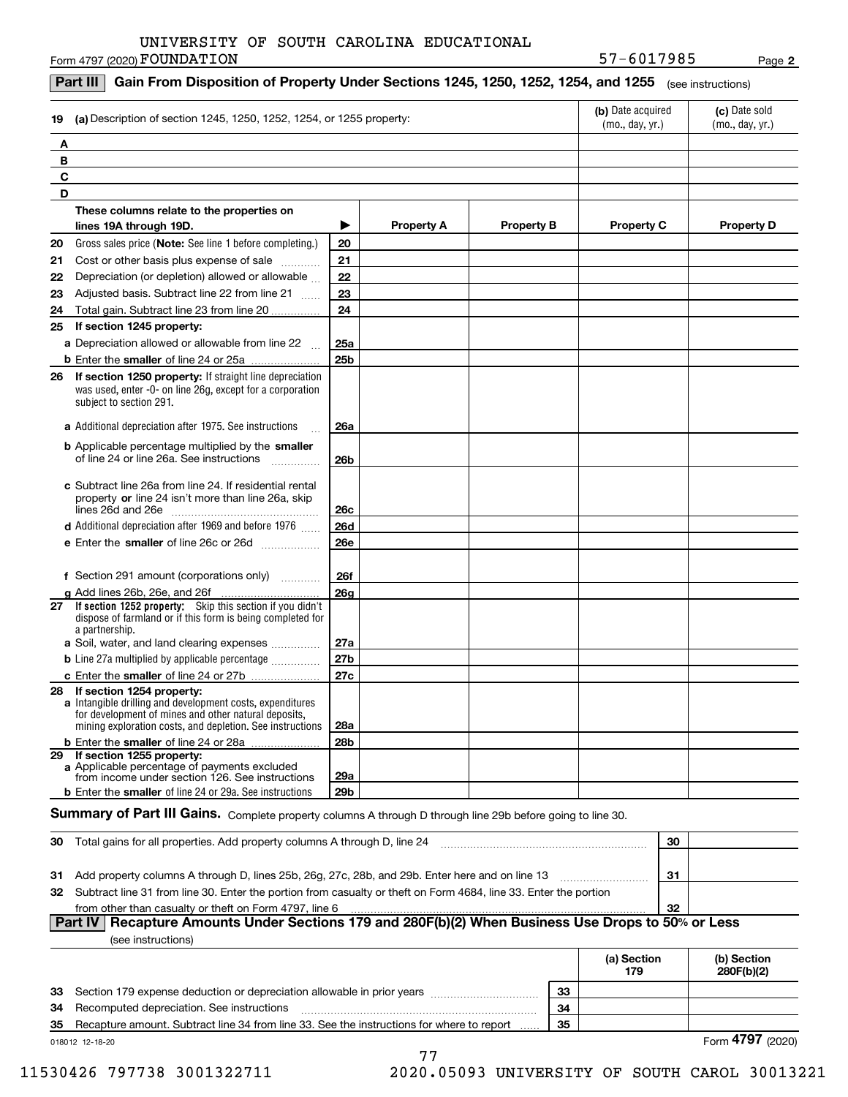Form 4797 (2020)  ${\bf F}$ OUNDATION  $_{\rm Page}$ 

**2**

| (a) Description of section 1245, 1250, 1252, 1254, or 1255 property:<br>19                                                                                                     | (b) Date acquired<br>(mo., day, yr.)                                                                                      | (c) Date sold<br>(mo., day, yr.) |                   |                   |                   |
|--------------------------------------------------------------------------------------------------------------------------------------------------------------------------------|---------------------------------------------------------------------------------------------------------------------------|----------------------------------|-------------------|-------------------|-------------------|
| Α                                                                                                                                                                              |                                                                                                                           |                                  |                   |                   |                   |
| В                                                                                                                                                                              |                                                                                                                           |                                  |                   |                   |                   |
| C                                                                                                                                                                              |                                                                                                                           |                                  |                   |                   |                   |
| D                                                                                                                                                                              |                                                                                                                           |                                  |                   |                   |                   |
| These columns relate to the properties on                                                                                                                                      |                                                                                                                           |                                  |                   |                   |                   |
| lines 19A through 19D.                                                                                                                                                         | ▶                                                                                                                         | <b>Property A</b>                | <b>Property B</b> | <b>Property C</b> | <b>Property D</b> |
| Gross sales price (Note: See line 1 before completing.)<br>20                                                                                                                  | 20                                                                                                                        |                                  |                   |                   |                   |
| Cost or other basis plus expense of sale<br>21                                                                                                                                 | 21                                                                                                                        |                                  |                   |                   |                   |
| Depreciation (or depletion) allowed or allowable<br>22                                                                                                                         | 22                                                                                                                        |                                  |                   |                   |                   |
| Adjusted basis. Subtract line 22 from line 21<br>23                                                                                                                            | 23                                                                                                                        |                                  |                   |                   |                   |
| Total gain. Subtract line 23 from line 20<br>24                                                                                                                                | 24                                                                                                                        |                                  |                   |                   |                   |
| If section 1245 property:<br>25                                                                                                                                                |                                                                                                                           |                                  |                   |                   |                   |
| a Depreciation allowed or allowable from line 22                                                                                                                               | 25a                                                                                                                       |                                  |                   |                   |                   |
| <b>b</b> Enter the smaller of line 24 or 25a                                                                                                                                   | 25 <sub>b</sub>                                                                                                           |                                  |                   |                   |                   |
| If section 1250 property: If straight line depreciation<br>26<br>was used, enter -0- on line 26g, except for a corporation<br>subject to section 291.                          |                                                                                                                           |                                  |                   |                   |                   |
| a Additional depreciation after 1975. See instructions                                                                                                                         | 26a                                                                                                                       |                                  |                   |                   |                   |
| <b>b</b> Applicable percentage multiplied by the smaller<br>of line 24 or line 26a. See instructions                                                                           | 26b                                                                                                                       |                                  |                   |                   |                   |
| c Subtract line 26a from line 24. If residential rental<br>property or line 24 isn't more than line 26a, skip                                                                  | 26c                                                                                                                       |                                  |                   |                   |                   |
| <b>d</b> Additional depreciation after 1969 and before 1976                                                                                                                    | <b>26d</b>                                                                                                                |                                  |                   |                   |                   |
| e Enter the smaller of line 26c or 26d                                                                                                                                         | <b>26e</b>                                                                                                                |                                  |                   |                   |                   |
| f Section 291 amount (corporations only)                                                                                                                                       | <b>26f</b>                                                                                                                |                                  |                   |                   |                   |
| g Add lines 26b, 26e, and 26f<br>.                                                                                                                                             | 26 <sub>g</sub>                                                                                                           |                                  |                   |                   |                   |
| If section 1252 property: Skip this section if you didn't<br>27<br>dispose of farmland or if this form is being completed for<br>a partnership.                                |                                                                                                                           |                                  |                   |                   |                   |
| a Soil, water, and land clearing expenses                                                                                                                                      | 27a                                                                                                                       |                                  |                   |                   |                   |
| <b>b</b> Line 27a multiplied by applicable percentage <i></i>                                                                                                                  | 27 <sub>b</sub>                                                                                                           |                                  |                   |                   |                   |
| c Enter the smaller of line 24 or 27b<br>28 If section 1254 property:                                                                                                          | 27c                                                                                                                       |                                  |                   |                   |                   |
| a Intangible drilling and development costs, expenditures<br>for development of mines and other natural deposits,<br>mining exploration costs, and depletion. See instructions | 28a                                                                                                                       |                                  |                   |                   |                   |
| <b>b</b> Enter the smaller of line 24 or 28a                                                                                                                                   | 28 <sub>b</sub>                                                                                                           |                                  |                   |                   |                   |
| 29 If section 1255 property:<br>a Applicable percentage of payments excluded<br>from income under section 126. See instructions                                                | 29a                                                                                                                       |                                  |                   |                   |                   |
| <b>b</b> Enter the smaller of line 24 or 29a. See instructions                                                                                                                 | 29 <sub>b</sub>                                                                                                           |                                  |                   |                   |                   |
| Summary of Part III Gains. Complete property columns A through D through line 29b before going to line 30.                                                                     |                                                                                                                           |                                  |                   |                   |                   |
| Total gains for all properties. Add property columns A through D, line 24<br>30                                                                                                |                                                                                                                           |                                  |                   | 30                |                   |
|                                                                                                                                                                                |                                                                                                                           |                                  |                   |                   |                   |
| Add property columns A through D, lines 25b, 26g, 27c, 28b, and 29b. Enter here and on line 13<br>31                                                                           | 31<br>32 Subtract line 31 from line 30. Enter the portion from casualty or theft on Form 4684, line 33. Enter the portion |                                  |                   |                   |                   |

#### $|32|$  **Part IV Recapture Amounts Under Sections 179 and 280F(b)(2) When Business Use Drops to 50% or Less** from other than casualty or theft on Form 4797, line 6 (see instructions)

|    |                                                                                           |    | (a) Section<br>179 | (b) Section<br>280F(b)(2) |
|----|-------------------------------------------------------------------------------------------|----|--------------------|---------------------------|
| 33 | Section 179 expense deduction or depreciation allowable in prior years                    | 33 |                    |                           |
| 34 | Recomputed depreciation. See instructions                                                 | 34 |                    |                           |
| 35 | Recapture amount. Subtract line 34 from line 33. See the instructions for where to report | 35 |                    |                           |
|    | 018012 12-18-20                                                                           |    |                    | Form 4797 (2020)          |

77

11530426 797738 3001322711 2020.05093 UNIVERSITY OF SOUTH CAROL 30013221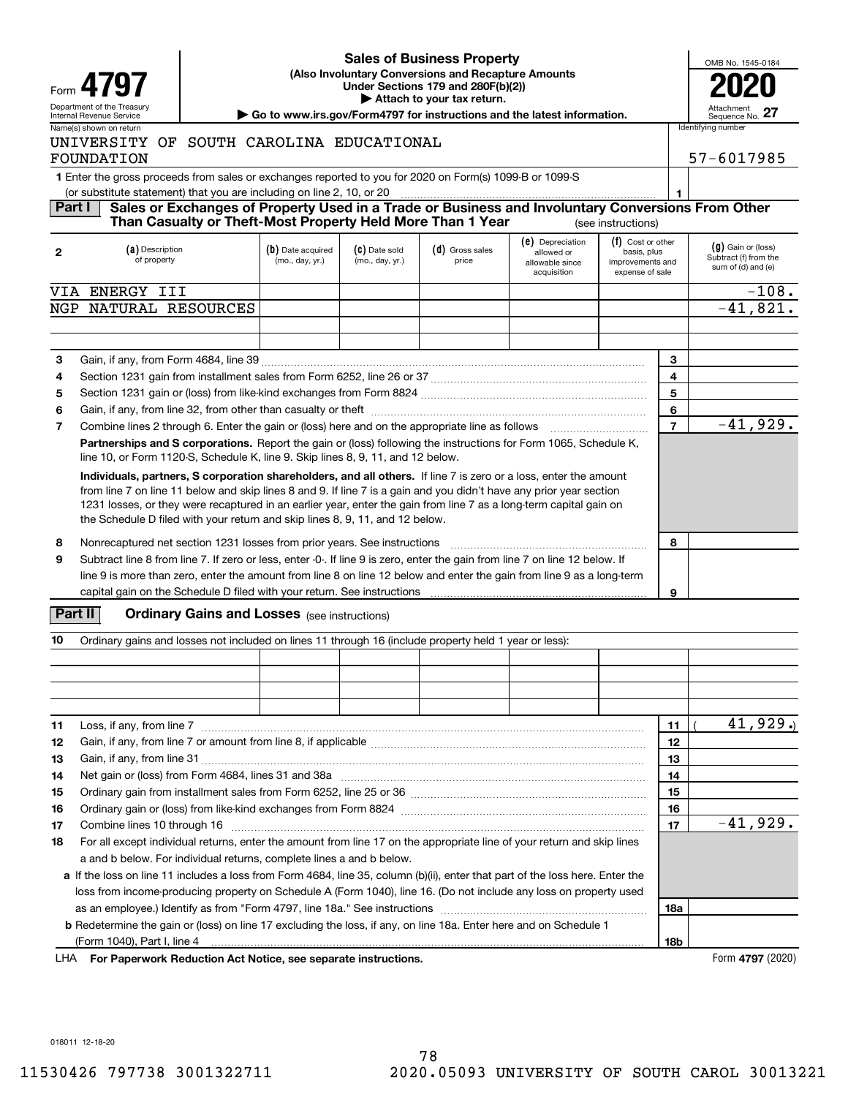

### **(Also Involuntary Conversions and Recapture Amounts Under Sections 179 and 280F(b)(2)) 4797 2020 | Attach to your tax return. Sales of Business Property**

| OMB No. 1545-0184             |  |
|-------------------------------|--|
|                               |  |
| Attachment<br>Sequence No. 27 |  |

**1**

### Department of the Treasury **Number of the Treasury Attachment**<br>Internal Revenue Service Sequence No.<br> **| Go to www.irs.gov/Form4797 for instructions and the latest information.** | Sequence No. Name(s) shown on return **Internal Control of the Control** Identifying number

# UNIVERSITY OF SOUTH CAROLINA EDUCATIONAL FOUNDATION 57-6017985

**1**Enter the gross proceeds from sales or exchanges reported to you for 2020 on Form(s) 1099-B or 1099-S

(or substitute statement) that you are including on line 2, 10, or 20

#### **Part I Sales or Exchanges of Property Used in a Trade or Business and Involuntary Conversions From Other** (see instructions) **Than Casualty or Theft-Most Property Held More Than 1 Year**

| $\mathbf{2}$ | (a) Description<br>of property                                                                                                                                                                                                                                                                                                                                                                                                                | (b) Date acquired<br>(mo., day, yr.) | (C) Date sold<br>(mo., day, yr.) | (d) Gross sales<br>price | (e) Depreciation<br>allowed or<br>allowable since<br>acquisition | (f) Cost or other<br>basis, plus<br>improvements and<br>expense of sale |                | $(g)$ Gain or (loss)<br>Subtract (f) from the<br>sum of (d) and (e) |
|--------------|-----------------------------------------------------------------------------------------------------------------------------------------------------------------------------------------------------------------------------------------------------------------------------------------------------------------------------------------------------------------------------------------------------------------------------------------------|--------------------------------------|----------------------------------|--------------------------|------------------------------------------------------------------|-------------------------------------------------------------------------|----------------|---------------------------------------------------------------------|
| VIA          | ENERGY III                                                                                                                                                                                                                                                                                                                                                                                                                                    |                                      |                                  |                          |                                                                  |                                                                         |                | $-108.$                                                             |
| NGP          | NATURAL RESOURCES                                                                                                                                                                                                                                                                                                                                                                                                                             |                                      |                                  |                          |                                                                  |                                                                         |                | $-41,821.$                                                          |
|              |                                                                                                                                                                                                                                                                                                                                                                                                                                               |                                      |                                  |                          |                                                                  |                                                                         |                |                                                                     |
|              |                                                                                                                                                                                                                                                                                                                                                                                                                                               |                                      |                                  |                          |                                                                  |                                                                         |                |                                                                     |
| 3            |                                                                                                                                                                                                                                                                                                                                                                                                                                               |                                      |                                  |                          |                                                                  |                                                                         | 3              |                                                                     |
| 4            |                                                                                                                                                                                                                                                                                                                                                                                                                                               |                                      |                                  |                          |                                                                  |                                                                         | 4              |                                                                     |
| 5            |                                                                                                                                                                                                                                                                                                                                                                                                                                               |                                      |                                  |                          |                                                                  |                                                                         | 5              |                                                                     |
| 6            |                                                                                                                                                                                                                                                                                                                                                                                                                                               |                                      |                                  |                          |                                                                  |                                                                         | 6              |                                                                     |
| 7            | Combine lines 2 through 6. Enter the gain or (loss) here and on the appropriate line as follows                                                                                                                                                                                                                                                                                                                                               |                                      |                                  |                          |                                                                  |                                                                         | $\overline{7}$ | $-41,929.$                                                          |
|              | Partnerships and S corporations. Report the gain or (loss) following the instructions for Form 1065, Schedule K,<br>line 10, or Form 1120-S, Schedule K, line 9. Skip lines 8, 9, 11, and 12 below.                                                                                                                                                                                                                                           |                                      |                                  |                          |                                                                  |                                                                         |                |                                                                     |
|              | Individuals, partners, S corporation shareholders, and all others. If line 7 is zero or a loss, enter the amount<br>from line 7 on line 11 below and skip lines 8 and 9. If line 7 is a gain and you didn't have any prior year section<br>1231 losses, or they were recaptured in an earlier year, enter the gain from line 7 as a long-term capital gain on<br>the Schedule D filed with your return and skip lines 8, 9, 11, and 12 below. |                                      |                                  |                          |                                                                  |                                                                         |                |                                                                     |
| 8            | Nonrecaptured net section 1231 losses from prior years. See instructions                                                                                                                                                                                                                                                                                                                                                                      |                                      | 8                                |                          |                                                                  |                                                                         |                |                                                                     |
| 9            | Subtract line 8 from line 7. If zero or less, enter -0-. If line 9 is zero, enter the gain from line 7 on line 12 below. If<br>line 9 is more than zero, enter the amount from line 8 on line 12 below and enter the gain from line 9 as a long-term<br>capital gain on the Schedule D filed with your return. See instructions                                                                                                               |                                      |                                  |                          |                                                                  |                                                                         | 9              |                                                                     |

# **Part II** | Crdinary Gains and Losses (see instructions)

| 10 | Ordinary gains and losses not included on lines 11 through 16 (include property held 1 year or less):                         |  |    |  |  |            |  |          |
|----|-------------------------------------------------------------------------------------------------------------------------------|--|----|--|--|------------|--|----------|
|    |                                                                                                                               |  |    |  |  |            |  |          |
|    |                                                                                                                               |  |    |  |  |            |  |          |
|    |                                                                                                                               |  |    |  |  |            |  |          |
|    |                                                                                                                               |  |    |  |  |            |  |          |
| 11 | Loss, if any, from line 7                                                                                                     |  |    |  |  | 11         |  | 41,929.  |
| 12 |                                                                                                                               |  |    |  |  | 12         |  |          |
| 13 |                                                                                                                               |  |    |  |  | 13         |  |          |
| 14 |                                                                                                                               |  |    |  |  | 14         |  |          |
| 15 |                                                                                                                               |  |    |  |  | 15         |  |          |
| 16 |                                                                                                                               |  | 16 |  |  |            |  |          |
| 17 |                                                                                                                               |  |    |  |  | 17         |  | -41,929. |
| 18 | For all except individual returns, enter the amount from line 17 on the appropriate line of your return and skip lines        |  |    |  |  |            |  |          |
|    | a and b below. For individual returns, complete lines a and b below.                                                          |  |    |  |  |            |  |          |
|    | a If the loss on line 11 includes a loss from Form 4684, line 35, column (b)(ii), enter that part of the loss here. Enter the |  |    |  |  |            |  |          |
|    | loss from income-producing property on Schedule A (Form 1040), line 16. (Do not include any loss on property used             |  |    |  |  |            |  |          |
|    |                                                                                                                               |  |    |  |  |            |  |          |
|    | <b>b</b> Redetermine the gain or (loss) on line 17 excluding the loss, if any, on line 18a. Enter here and on Schedule 1      |  |    |  |  |            |  |          |
|    |                                                                                                                               |  |    |  |  | <b>18b</b> |  |          |

**For Paperwork Reduction Act Notice, see separate instructions.** Form **4797** (2020) LHA

018011 12-18-20